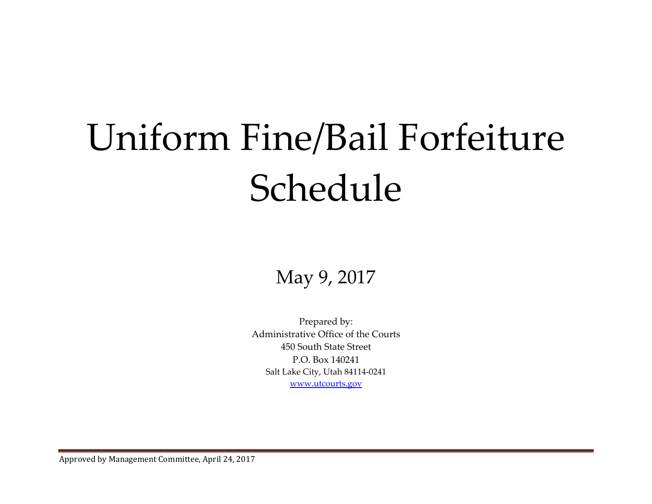# Uniform Fine/Bail Forfeiture Schedule

May 9, 2017

Prepared by: Administrative Office of the Courts 450 South State Street P.O. Box 140241 Salt Lake City, Utah 84114‐0241 www.utcourts.gov

Approved by Management Committee, April 24, 2017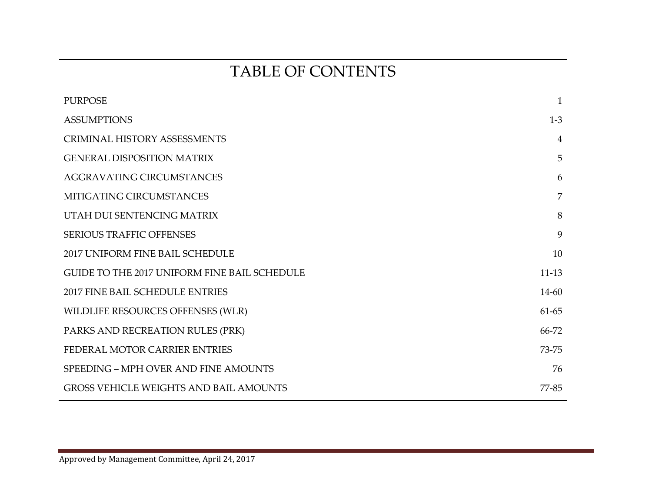# TABLE OF CONTENTS

| <b>PURPOSE</b>                                | $\mathbf{1}$   |
|-----------------------------------------------|----------------|
| <b>ASSUMPTIONS</b>                            | $1-3$          |
| <b>CRIMINAL HISTORY ASSESSMENTS</b>           | $\overline{4}$ |
| <b>GENERAL DISPOSITION MATRIX</b>             | 5              |
| <b>AGGRAVATING CIRCUMSTANCES</b>              | 6              |
| MITIGATING CIRCUMSTANCES                      | $\overline{7}$ |
| UTAH DUI SENTENCING MATRIX                    | 8              |
| <b>SERIOUS TRAFFIC OFFENSES</b>               | 9              |
| 2017 UNIFORM FINE BAIL SCHEDULE               | 10             |
| GUIDE TO THE 2017 UNIFORM FINE BAIL SCHEDULE  | $11-13$        |
| <b>2017 FINE BAIL SCHEDULE ENTRIES</b>        | 14-60          |
| WILDLIFE RESOURCES OFFENSES (WLR)             | 61-65          |
| PARKS AND RECREATION RULES (PRK)              | 66-72          |
| FEDERAL MOTOR CARRIER ENTRIES                 | 73-75          |
| SPEEDING - MPH OVER AND FINE AMOUNTS          | 76             |
| <b>GROSS VEHICLE WEIGHTS AND BAIL AMOUNTS</b> | 77-85          |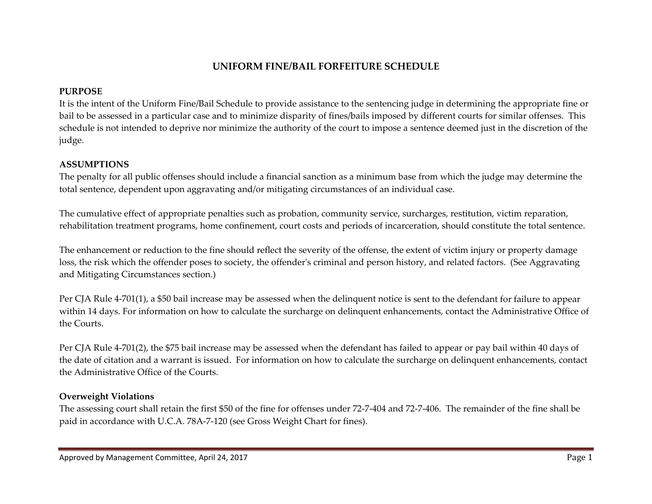# **UNIFORM FINE/BAIL FORFEITURE SCHEDULE**

# **PURPOSE**

It is the intent of the Uniform Fine/Bail Schedule to provide assistance to the sentencing judge in determining the appropriate fine or bail to be assessed in <sup>a</sup> particular case and to minimize disparity of fines/bails imposed by different courts for similar offenses. This schedule is not intended to deprive nor minimize the authority of the court to impose <sup>a</sup> sentence deemed just in the discretion of the judge.

# **ASSUMPTIONS**

The penalty for all public offenses should include <sup>a</sup> financial sanction as <sup>a</sup> minimum base from which the judge may determine the total sentence, dependent upon aggravating and/or mitigating circumstances of an individual case.

The cumulative effect of appropriate penalties such as probation, community service, surcharges, restitution, victim reparation, rehabilitation treatment programs, home confinement, court costs and periods of incarceration, should constitute the total sentence.

The enhancement or reduction to the fine should reflect the severity of the offense, the extent of victim injury or property damage loss, the risk which the offender poses to society, the offender's criminal and person history, and related factors. (See Aggravating and Mitigating Circumstances section.)

Per CJA Rule <sup>4</sup>‐701(1), <sup>a</sup> \$50 bail increase may be assessed when the delinquent notice is sent to the defendant for failure to appear within <sup>14</sup> days. For information on how to calculate the surcharge on delinquent enhancements, contact the Administrative Office of the Courts.

Per CJA Rule <sup>4</sup>‐701(2), the \$75 bail increase may be assessed when the defendant has failed to appear or pay bail within 40 days of the date of citation and <sup>a</sup> warrant is issued. For information on how to calculate the surcharge on delinquent enhancements, contact the Administrative Office of the Courts.

# **Overweight Violations**

The assessing court shall retain the first \$50 of the fine for offenses under <sup>72</sup>‐7‐404 and <sup>72</sup>‐7‐406. The remainder of the fine shall be paid in accordance with U.C.A. 78A‐7‐120 (see Gross Weight Chart for fines).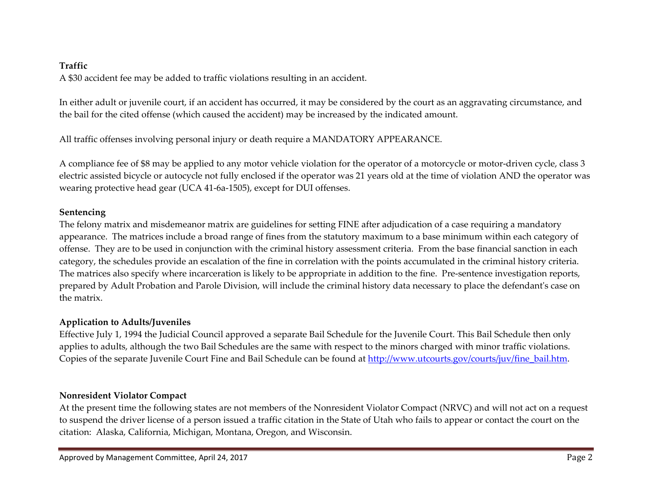## **Traffic**

A \$30 accident fee may be added to traffic violations resulting in an accident.

In either adult or juvenile court, if an accident has occurred, it may be considered by the court as an aggravating circumstance, and the bail for the cited offense (which caused the accident) may be increased by the indicated amount.

All traffic offenses involving personal injury or death require <sup>a</sup> MANDATORY APPEARANCE.

A compliance fee of \$8 may be applied to any motor vehicle violation for the operator of <sup>a</sup> motorcycle or motor‐driven cycle, class <sup>3</sup> electric assisted bicycle or autocycle not fully enclosed if the operator was <sup>21</sup> years old at the time of violation AND the operator was wearing protective head gear (UCA <sup>41</sup>‐6a‐1505), excep<sup>t</sup> for DUI offenses.

## **Sentencing**

The felony matrix and misdemeanor matrix are guidelines for setting FINE after adjudication of <sup>a</sup> case requiring <sup>a</sup> mandatory appearance. The matrices include <sup>a</sup> broad range of fines from the statutory maximum to <sup>a</sup> base minimum within each category of offense. They are to be used in conjunction with the criminal history assessment criteria. From the base financial sanction in each category, the schedules provide an escalation of the fine in correlation with the points accumulated in the criminal history criteria. The matrices also specify where incarceration is likely to be appropriate in addition to the fine. Pre‐sentence investigation reports, prepared by Adult Probation and Parole Division, will include the criminal history data necessary to place the defendant<sup>ʹ</sup><sup>s</sup> case on the matrix.

# **Application to Adults/Juveniles**

Effective July 1, 1994 the Judicial Council approved <sup>a</sup> separate Bail Schedule for the Juvenile Court. This Bail Schedule then only applies to adults, although the two Bail Schedules are the same with respec<sup>t</sup> to the minors charged with minor traffic violations. Copies of the separate Juvenile Court Fine and Bail Schedule can be found at http://www.utcourts.gov/courts/juv/fine\_bail.htm.

# **Nonresident Violator Compact**

At the presen<sup>t</sup> time the following states are not members of the Nonresident Violator Compact (NRVC) and will not act on <sup>a</sup> reques<sup>t</sup> to suspend the driver license of <sup>a</sup> person issued <sup>a</sup> traffic citation in the State of Utah who fails to appear or contact the court on the citation: Alaska, California, Michigan, Montana, Oregon, and Wisconsin.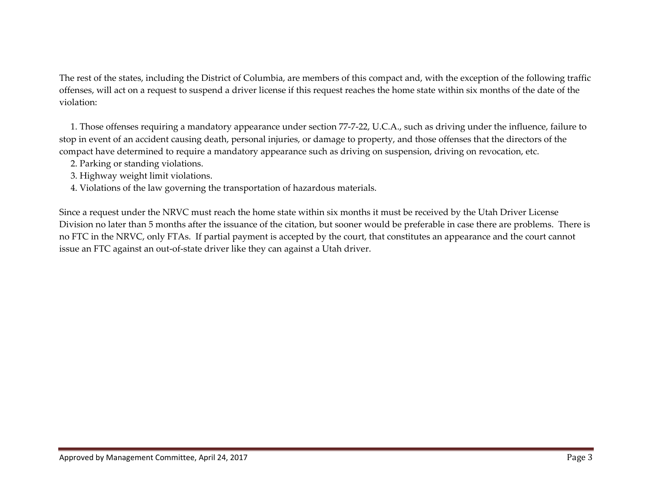The rest of the states, including the District of Columbia, are members of this compac<sup>t</sup> and, with the exception of the following traffic offenses, will act on <sup>a</sup> reques<sup>t</sup> to suspend <sup>a</sup> driver license if this reques<sup>t</sup> reaches the home state within six months of the date of the violation:

1. Those offenses requiring <sup>a</sup> mandatory appearance under section <sup>77</sup>‐7‐22, U.C.A., such as driving under the influence, failure to stop in event of an accident causing death, personal injuries, or damage to property, and those offenses that the directors of the compac<sup>t</sup> have determined to require <sup>a</sup> mandatory appearance such as driving on suspension, driving on revocation, etc.

- 2. Parking or standing violations.
- 3. Highway weight limit violations.
- 4. Violations of the law governing the transportation of hazardous materials.

Since a reques<sup>t</sup> under the NRVC must reach the home state within six months it must be received by the Utah Driver License Division no later than <sup>5</sup> months after the issuance of the citation, but sooner would be preferable in case there are problems. There is no FTC in the NRVC, only FTAs. If partial paymen<sup>t</sup> is accepted by the court, that constitutes an appearance and the court cannot issue an FTC against an out‐of‐state driver like they can against <sup>a</sup> Utah driver.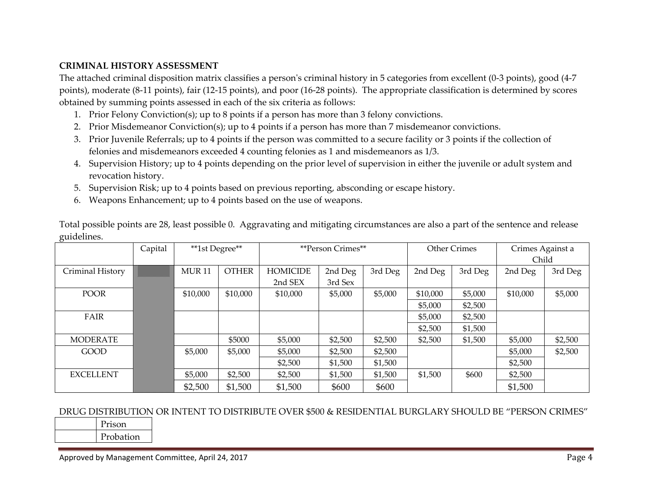#### **CRIMINAL HISTORY ASSESSMENT**

The attached criminal disposition matrix classifies <sup>a</sup> person<sup>ʹ</sup><sup>s</sup> criminal history in <sup>5</sup> categories from excellent (0‐3 points), good (4‐<sup>7</sup> points), moderate (8‐<sup>11</sup> points), fair (12‐15 points), and poor (16‐<sup>28</sup> points). The appropriate classification is determined by scores obtained by summing points assessed in each of the six criteria as follows:

- 1. Prior Felony Conviction(s); up to <sup>8</sup> points if <sup>a</sup> person has more than 3 felony convictions.
- 2. Prior Misdemeanor Conviction(s); up to <sup>4</sup> points if <sup>a</sup> person has more than <sup>7</sup> misdemeanor convictions.
- 3. Prior Juvenile Referrals; up to <sup>4</sup> points if the person was committed to <sup>a</sup> secure facility or 3 points if the collection of felonies and misdemeanors exceeded <sup>4</sup> counting felonies as <sup>1</sup> and misdemeanors as 1/3.
- 4. Supervision History; up to <sup>4</sup> points depending on the prior level of supervision in either the juvenile or adult system and revocation history.
- 5. Supervision Risk; up to <sup>4</sup> points based on previous reporting, absconding or escape history.
- 6. Weapons Enhancement; up to <sup>4</sup> points based on the use of weapons.

|                  | Capital | **1st Degree**    |              |                 | **Person Crimes** |         |                    | <b>Other Crimes</b> | Crimes Against a |         |  |
|------------------|---------|-------------------|--------------|-----------------|-------------------|---------|--------------------|---------------------|------------------|---------|--|
|                  |         |                   |              |                 |                   |         |                    |                     | Child            |         |  |
| Criminal History |         | MUR <sub>11</sub> | <b>OTHER</b> | <b>HOMICIDE</b> | 2nd Deg           | 3rd Deg | 2nd Deg            | 3rd Deg             | 2nd Deg          | 3rd Deg |  |
|                  | ▒       |                   |              | 2nd SEX         | 3rd Sex           |         |                    |                     |                  |         |  |
| <b>POOR</b>      |         | \$10,000          | \$10,000     | \$10,000        | \$5,000           | \$5,000 | \$10,000           | \$5,000             | \$10,000         | \$5,000 |  |
|                  | 2       |                   |              |                 |                   |         | \$5,000            | \$2,500             |                  |         |  |
| FAIR             |         |                   |              |                 |                   |         | \$5,000<br>\$2,500 |                     |                  |         |  |
|                  |         |                   |              |                 |                   |         | \$2,500            | \$1,500             |                  |         |  |
| <b>MODERATE</b>  |         |                   | \$5000       | \$5,000         | \$2,500           | \$2,500 | \$2,500            | \$1,500             | \$5,000          | \$2,500 |  |
| <b>GOOD</b>      |         | \$5,000           | \$5,000      | \$5,000         | \$2,500           | \$2,500 |                    |                     | \$5,000          | \$2,500 |  |
|                  |         |                   |              | \$2,500         | \$1,500           | \$1,500 |                    |                     | \$2,500          |         |  |
| <b>EXCELLENT</b> |         | \$5,000           | \$2,500      | \$2,500         | \$1,500           | \$1,500 | \$1,500            | \$600               | \$2,500          |         |  |
|                  |         | \$2,500           | \$1,500      | \$1,500         | \$600             | \$600   |                    |                     | \$1,500          |         |  |

Total possible points are 28, least possible 0. Aggravating and mitigating circumstances are also <sup>a</sup> par<sup>t</sup> of the sentence and release guidelines.

#### DRUG DISTRIBUTION OR INTENT TO DISTRIBUTE OVER \$500 & RESIDENTIAL BURGLARY SHOULD BE "PERSON CRIMES"

| Prison    |
|-----------|
| Probation |
|           |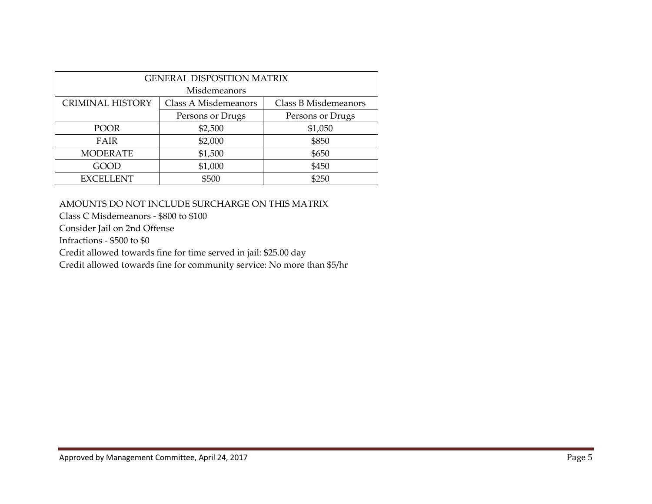| <b>GENERAL DISPOSITION MATRIX</b>                                       |                  |         |  |  |  |  |  |  |  |  |  |  |
|-------------------------------------------------------------------------|------------------|---------|--|--|--|--|--|--|--|--|--|--|
| Misdemeanors                                                            |                  |         |  |  |  |  |  |  |  |  |  |  |
| <b>CRIMINAL HISTORY</b><br>Class A Misdemeanors<br>Class B Misdemeanors |                  |         |  |  |  |  |  |  |  |  |  |  |
|                                                                         | Persons or Drugs |         |  |  |  |  |  |  |  |  |  |  |
| <b>POOR</b>                                                             | \$2,500          | \$1,050 |  |  |  |  |  |  |  |  |  |  |
| FAIR                                                                    | \$2,000          | \$850   |  |  |  |  |  |  |  |  |  |  |
| <b>MODERATE</b>                                                         | \$1,500          | \$650   |  |  |  |  |  |  |  |  |  |  |
| GOOD                                                                    | \$1,000          | \$450   |  |  |  |  |  |  |  |  |  |  |
| <b>EXCELLENT</b>                                                        | \$500            | \$250   |  |  |  |  |  |  |  |  |  |  |

#### AMOUNTS DO NOT INCLUDE SURCHARGE ON THIS MATRIX

Class C Misdemeanors ‐ \$800 to \$100

Consider Jail on 2nd Offense

Infractions ‐ \$500 to \$0

Credit allowed towards fine for time served in jail: \$25.00 day

Credit allowed towards fine for community service: No more than \$5/hr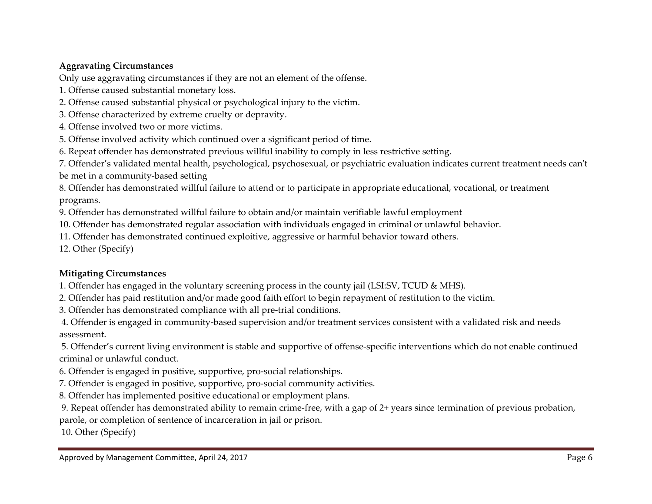# **Aggravating Circumstances**

Only use aggravating circumstances if they are not an element of the offense.

- 1. Offense caused substantial monetary loss.
- 2. Offense caused substantial physical or psychological injury to the victim.
- 3. Offense characterized by extreme cruelty or depravity.
- 4. Offense involved two or more victims.
- 5. Offense involved activity which continued over <sup>a</sup> significant period of time.
- 6. Repeat offender has demonstrated previous willful inability to comply in less restrictive setting.

7. Offender's validated mental health, psychological, psychosexual, or psychiatric evaluation indicates current treatment needs can<sup>ʹ</sup><sup>t</sup> be met in <sup>a</sup> community‐based setting

8. Offender has demonstrated willful failure to attend or to participate in appropriate educational, vocational, or treatment programs.

9. Offender has demonstrated willful failure to obtain and/or maintain verifiable lawful employment

10. Offender has demonstrated regular association with individuals engaged in criminal or unlawful behavior.

11. Offender has demonstrated continued exploitive, aggressive or harmful behavior toward others.

12. Other (Specify)

# **Mitigating Circumstances**

1. Offender has engaged in the voluntary screening process in the county jail (LSI:SV, TCUD & MHS).

2. Offender has paid restitution and/or made good faith effort to begin repaymen<sup>t</sup> of restitution to the victim.

3. Offender has demonstrated compliance with all pre‐trial conditions.

4. Offender is engaged in community‐based supervision and/or treatment services consistent with <sup>a</sup> validated risk and needs assessment.

5. Offender's current living environment is stable and supportive of offense‐specific interventions which do not enable continued criminal or unlawful conduct.

- 6. Offender is engaged in positive, supportive, pro‐social relationships.
- 7. Offender is engaged in positive, supportive, pro‐social community activities.

8. Offender has implemented positive educational or employment plans.

9. Repeat offender has demonstrated ability to remain crime‐free, with <sup>a</sup> gap of 2+ years since termination of previous probation, parole, or completion of sentence of incarceration in jail or prison.

10. Other (Specify)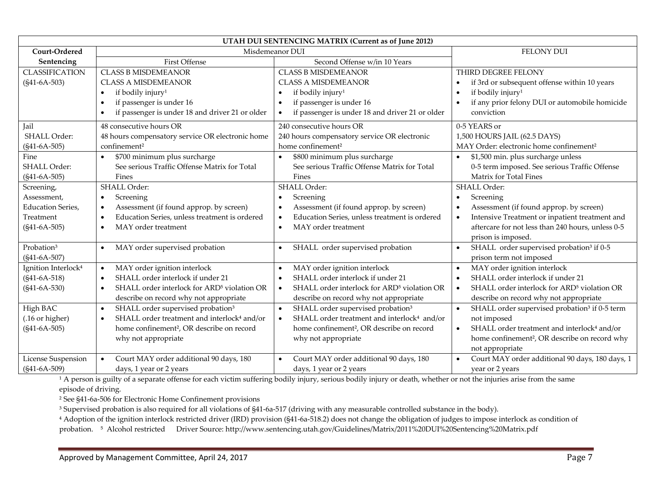| UTAH DUI SENTENCING MATRIX (Current as of June 2012) |                                                                      |                                                                      |                                                                        |  |  |  |  |  |  |
|------------------------------------------------------|----------------------------------------------------------------------|----------------------------------------------------------------------|------------------------------------------------------------------------|--|--|--|--|--|--|
| Court-Ordered                                        |                                                                      | Misdemeanor DUI                                                      | <b>FELONY DUI</b>                                                      |  |  |  |  |  |  |
| Sentencing                                           | <b>First Offense</b>                                                 | Second Offense w/in 10 Years                                         |                                                                        |  |  |  |  |  |  |
| <b>CLASSIFICATION</b>                                | <b>CLASS B MISDEMEANOR</b>                                           | <b>CLASS B MISDEMEANOR</b>                                           | THIRD DEGREE FELONY                                                    |  |  |  |  |  |  |
| $(S41-6A-503)$                                       | <b>CLASS A MISDEMEANOR</b>                                           | <b>CLASS A MISDEMEANOR</b>                                           | if 3rd or subsequent offense within 10 years                           |  |  |  |  |  |  |
|                                                      | if bodily injury <sup>1</sup><br>$\bullet$                           | if bodily injury <sup>1</sup><br>$\bullet$                           | if bodily injury <sup>1</sup>                                          |  |  |  |  |  |  |
|                                                      | if passenger is under 16<br>$\bullet$                                | if passenger is under 16<br>$\bullet$                                | if any prior felony DUI or automobile homicide                         |  |  |  |  |  |  |
|                                                      | if passenger is under 18 and driver 21 or older                      | if passenger is under 18 and driver 21 or older<br>$\bullet$         | conviction                                                             |  |  |  |  |  |  |
| Jail                                                 | 48 consecutive hours OR                                              | 240 consecutive hours OR                                             | 0-5 YEARS or                                                           |  |  |  |  |  |  |
| <b>SHALL Order:</b>                                  | 48 hours compensatory service OR electronic home                     | 240 hours compensatory service OR electronic                         | 1,500 HOURS JAIL (62.5 DAYS)                                           |  |  |  |  |  |  |
| $(S41-6A-505)$                                       | confinement <sup>2</sup>                                             | home confinement <sup>2</sup>                                        | MAY Order: electronic home confinement <sup>2</sup>                    |  |  |  |  |  |  |
| Fine                                                 | \$700 minimum plus surcharge<br>$\bullet$                            | \$800 minimum plus surcharge<br>$\bullet$                            | \$1,500 min. plus surcharge unless<br>$\bullet$                        |  |  |  |  |  |  |
| <b>SHALL Order:</b>                                  | See serious Traffic Offense Matrix for Total                         | See serious Traffic Offense Matrix for Total                         | 0-5 term imposed. See serious Traffic Offense                          |  |  |  |  |  |  |
| $(S41-6A-505)$                                       | Fines                                                                | Fines                                                                | Matrix for Total Fines                                                 |  |  |  |  |  |  |
| Screening,                                           | SHALL Order:                                                         | <b>SHALL Order:</b>                                                  | <b>SHALL Order:</b>                                                    |  |  |  |  |  |  |
| Assessment,                                          | Screening<br>$\bullet$                                               | Screening<br>$\bullet$                                               | Screening                                                              |  |  |  |  |  |  |
| <b>Education Series,</b>                             | Assessment (if found approp. by screen)<br>$\bullet$                 | Assessment (if found approp. by screen)<br>$\bullet$                 | Assessment (if found approp. by screen)                                |  |  |  |  |  |  |
| Treatment                                            | Education Series, unless treatment is ordered<br>$\bullet$           | Education Series, unless treatment is ordered<br>$\bullet$           | Intensive Treatment or inpatient treatment and                         |  |  |  |  |  |  |
| $(S41-6A-505)$                                       | MAY order treatment                                                  | MAY order treatment<br>$\bullet$                                     | aftercare for not less than 240 hours, unless 0-5                      |  |  |  |  |  |  |
|                                                      |                                                                      |                                                                      | prison is imposed.                                                     |  |  |  |  |  |  |
| Probation <sup>3</sup>                               | MAY order supervised probation<br>$\bullet$                          | SHALL order supervised probation<br>$\bullet$                        | SHALL order supervised probation <sup>3</sup> if 0-5<br>$\bullet$      |  |  |  |  |  |  |
| $(S41-6A-507)$                                       |                                                                      |                                                                      | prison term not imposed                                                |  |  |  |  |  |  |
| Ignition Interlock <sup>4</sup>                      | MAY order ignition interlock<br>$\bullet$                            | MAY order ignition interlock                                         | MAY order ignition interlock                                           |  |  |  |  |  |  |
| $(S41-6A-518)$                                       | SHALL order interlock if under 21<br>$\bullet$                       | SHALL order interlock if under 21<br>$\bullet$                       | SHALL order interlock if under 21                                      |  |  |  |  |  |  |
| $(S41-6A-530)$                                       | SHALL order interlock for ARD <sup>5</sup> violation OR<br>$\bullet$ | SHALL order interlock for ARD <sup>5</sup> violation OR<br>$\bullet$ | SHALL order interlock for ARD <sup>5</sup> violation OR<br>$\bullet$   |  |  |  |  |  |  |
|                                                      | describe on record why not appropriate                               | describe on record why not appropriate                               | describe on record why not appropriate                                 |  |  |  |  |  |  |
| High BAC                                             | SHALL order supervised probation <sup>3</sup><br>$\bullet$           | SHALL order supervised probation <sup>3</sup><br>$\bullet$           | $\bullet$<br>SHALL order supervised probation <sup>3</sup> if 0-5 term |  |  |  |  |  |  |
| (.16 or higher)                                      | SHALL order treatment and interlock <sup>4</sup> and/or<br>$\bullet$ | SHALL order treatment and interlock <sup>4</sup> and/or<br>$\bullet$ | not imposed                                                            |  |  |  |  |  |  |
| $(S41-6A-505)$                                       | home confinement <sup>2</sup> , OR describe on record                | home confinement <sup>2</sup> , OR describe on record                | SHALL order treatment and interlock <sup>4</sup> and/or                |  |  |  |  |  |  |
|                                                      | why not appropriate                                                  | why not appropriate                                                  | home confinement <sup>2</sup> , OR describe on record why              |  |  |  |  |  |  |
|                                                      |                                                                      |                                                                      | not appropriate                                                        |  |  |  |  |  |  |
| License Suspension                                   | Court MAY order additional 90 days, 180<br>$\bullet$                 | Court MAY order additional 90 days, 180                              | Court MAY order additional 90 days, 180 days, 1                        |  |  |  |  |  |  |
| $(S41-6A-509)$                                       | days, 1 year or 2 years                                              | days, 1 year or 2 years                                              | year or 2 years                                                        |  |  |  |  |  |  |

 $^1$  A person is guilty of a separate offense for each victim suffering bodily injury, serious bodily injury or death, whether or not the injuries arise from the same episode of driving.

² See §41‐6a‐506 for Electronic Home Confinement provisions

 $^3$  Supervised probation is also required for all violations of §41-6a-517 (driving with any measurable controlled substance in the body).

<sup>4</sup> Adoption of the ignition interlock restricted driver (IRD) provision (§41-6a-518.2) does not change the obligation of judges to impose interlock as condition of probation. <sup>5</sup> Alcohol restricted Driver Source: http://www.sentencing.utah.gov/Guidelines/Matrix/2011%20DUI%20Sentencing%20Matrix.pdf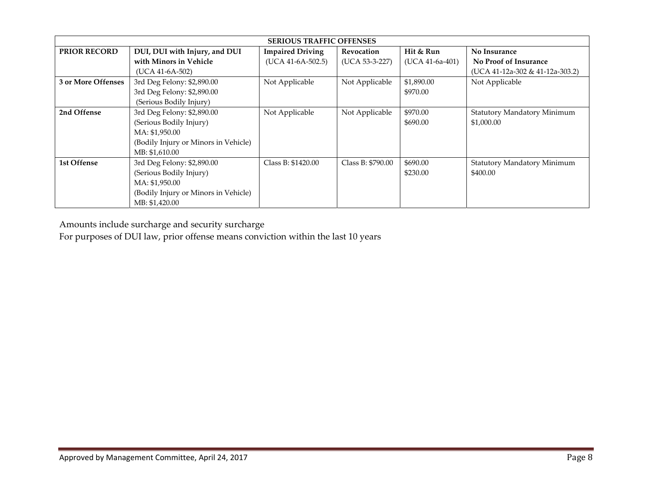| <b>SERIOUS TRAFFIC OFFENSES</b> |                                      |                         |                   |                 |                                 |  |  |  |  |  |  |  |
|---------------------------------|--------------------------------------|-------------------------|-------------------|-----------------|---------------------------------|--|--|--|--|--|--|--|
| <b>PRIOR RECORD</b>             | DUI, DUI with Injury, and DUI        | <b>Impaired Driving</b> | Revocation        | Hit & Run       | No Insurance                    |  |  |  |  |  |  |  |
|                                 | with Minors in Vehicle               | $(UCA 41-6A-502.5)$     | (UCA 53-3-227)    | (UCA 41-6a-401) | <b>No Proof of Insurance</b>    |  |  |  |  |  |  |  |
|                                 | $(UCA 41-6A-502)$                    |                         |                   |                 | (UCA 41-12a-302 & 41-12a-303.2) |  |  |  |  |  |  |  |
| 3 or More Offenses              | 3rd Deg Felony: \$2,890.00           | Not Applicable          | Not Applicable    | \$1,890.00      | Not Applicable                  |  |  |  |  |  |  |  |
|                                 | 3rd Deg Felony: \$2,890.00           |                         |                   | \$970.00        |                                 |  |  |  |  |  |  |  |
|                                 | (Serious Bodily Injury)              |                         |                   |                 |                                 |  |  |  |  |  |  |  |
| 2nd Offense                     | 3rd Deg Felony: \$2,890.00           | Not Applicable          | Not Applicable    | \$970.00        | Statutory Mandatory Minimum     |  |  |  |  |  |  |  |
|                                 | (Serious Bodily Injury)              |                         |                   | \$690.00        | \$1,000.00                      |  |  |  |  |  |  |  |
|                                 | MA: \$1,950.00                       |                         |                   |                 |                                 |  |  |  |  |  |  |  |
|                                 | (Bodily Injury or Minors in Vehicle) |                         |                   |                 |                                 |  |  |  |  |  |  |  |
|                                 | MB: \$1,610.00                       |                         |                   |                 |                                 |  |  |  |  |  |  |  |
| 1st Offense                     | 3rd Deg Felony: \$2,890.00           | Class B: \$1420.00      | Class B: \$790.00 | \$690.00        | Statutory Mandatory Minimum     |  |  |  |  |  |  |  |
|                                 | (Serious Bodily Injury)              |                         |                   | \$230.00        | \$400.00                        |  |  |  |  |  |  |  |
|                                 | MA: \$1,950.00                       |                         |                   |                 |                                 |  |  |  |  |  |  |  |
|                                 | (Bodily Injury or Minors in Vehicle) |                         |                   |                 |                                 |  |  |  |  |  |  |  |
|                                 | MB: \$1,420.00                       |                         |                   |                 |                                 |  |  |  |  |  |  |  |

Amounts include surcharge and security surcharge

For purposes of DUI law, prior offense means conviction within the last 10 years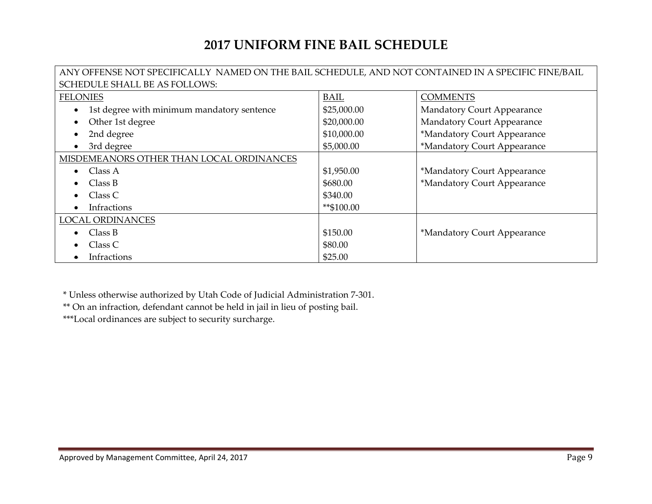# **2017 UNIFORM FINE BAIL SCHEDULE**

# ANY OFFENSE NOT SPECIFICALLY NAMED ON THE BAIL SCHEDULE, AND NOT CONTAINED IN A SPECIFIC FINE/BAIL SCHEDULE SHALL BE AS FOLLOWS:

| <b>FELONIES</b>                            | <b>BAIL</b> | <b>COMMENTS</b>                   |
|--------------------------------------------|-------------|-----------------------------------|
| 1st degree with minimum mandatory sentence | \$25,000.00 | <b>Mandatory Court Appearance</b> |
| Other 1st degree                           | \$20,000.00 | Mandatory Court Appearance        |
| 2nd degree                                 | \$10,000.00 | *Mandatory Court Appearance       |
| 3rd degree                                 | \$5,000.00  | *Mandatory Court Appearance       |
| MISDEMEANORS OTHER THAN LOCAL ORDINANCES   |             |                                   |
| Class A                                    | \$1,950.00  | *Mandatory Court Appearance       |
| Class B                                    | \$680.00    | *Mandatory Court Appearance       |
| Class C                                    | \$340.00    |                                   |
| Infractions                                | **\$100.00  |                                   |
| <b>LOCAL ORDINANCES</b>                    |             |                                   |
| Class B                                    | \$150.00    | *Mandatory Court Appearance       |
| Class C                                    | \$80.00     |                                   |
| Infractions                                | \$25.00     |                                   |

\* Unless otherwise authorized by Utah Code of Judicial Administration <sup>7</sup>‐301.

\*\* On an infraction, defendant cannot be held in jail in lieu of posting bail.

\*\*\*Local ordinances are subject to security surcharge.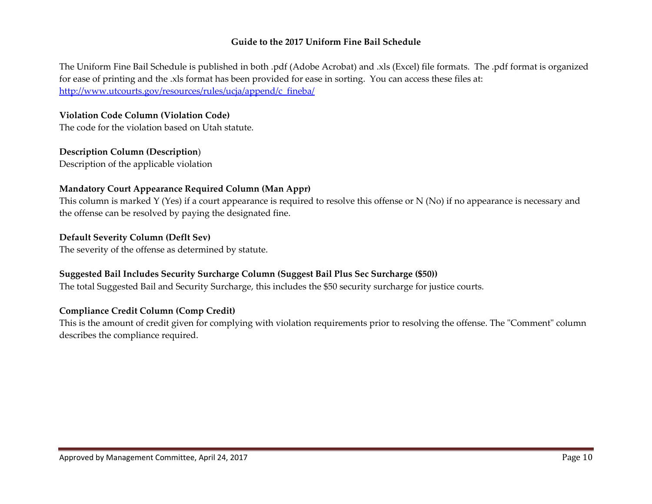#### **Guide to the 2017 Uniform Fine Bail Schedule**

The Uniform Fine Bail Schedule is published in both .pdf (Adobe Acrobat) and .xls (Excel) file formats. The .pdf format is organized for ease of printing and the .xls format has been provided for ease in sorting. You can access these files at: http://www.utcourts.gov/resources/rules/ucja/append/c\_fineba/

#### **Violation Code Column (Violation Code)**

The code for the violation based on Utah statute.

# **Description Column (Description**)

Description of the applicable violation

#### **Mandatory Court Appearance Required Column (Man Appr)**

This column is marked Y (Yes) if <sup>a</sup> court appearance is required to resolve this offense or N (No) if no appearance is necessary and the offense can be resolved by paying the designated fine.

#### **Default Severity Column (Deflt Sev)**

The severity of the offense as determined by statute.

#### **Suggested Bail Includes Security Surcharge Column (Suggest Bail Plus Sec Surcharge (\$50))**

The total Suggested Bail and Security Surcharge, this includes the \$50 security surcharge for justice courts.

#### **Compliance Credit Column (Comp Credit)**

This is the amount of credit given for complying with violation requirements prior to resolving the offense. The "Comment" column describes the compliance required.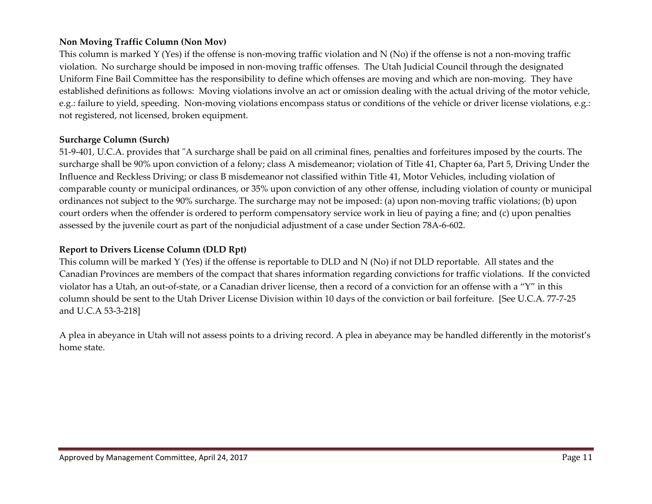#### **Non Moving Traffic Column (Non Mov)**

This column is marked Y (Yes) if the offense is non‐moving traffic violation and N (No) if the offense is not <sup>a</sup> non‐moving traffic violation. No surcharge should be imposed in non‐moving traffic offenses. The Utah Judicial Council through the designated Uniform Fine Bail Committee has the responsibility to define which offenses are moving and which are non‐moving. They have established definitions as follows: Moving violations involve an act or omission dealing with the actual driving of the motor vehicle, e.g.: failure to yield, speeding. Non-moving violations encompass status or conditions of the vehicle or driver license violations, e.g.: not registered, not licensed, broken equipment.

#### **Surcharge Column (Surch)**

51-9-401, U.C.A. provides that "A surcharge shall be paid on all criminal fines, penalties and forfeitures imposed by the courts. The surcharge shall be 90% upon conviction of <sup>a</sup> felony; class A misdemeanor; violation of Title 41, Chapter 6a, Part 5, Driving Under the Influence and Reckless Driving; or class <sup>B</sup> misdemeanor not classified within Title 41, Motor Vehicles, including violation of comparable county or municipal ordinances, or 35% upon conviction of any other offense, including violation of county or municipal ordinances not subject to the 90% surcharge. The surcharge may not be imposed: (a) upon non‐moving traffic violations; (b) upon court orders when the offender is ordered to perform compensatory service work in lieu of paying <sup>a</sup> fine; and (c) upon penalties assessed by the juvenile court as par<sup>t</sup> of the nonjudicial adjustment of <sup>a</sup> case under Section 78A‐6‐602.

#### **Report to Drivers License Column (DLD Rpt)**

This column will be marked Y (Yes) if the offense is reportable to DLD and N (No) if not DLD reportable. All states and the Canadian Provinces are members of the compac<sup>t</sup> that shares information regarding convictions for traffic violations. If the convicted violator has a Utah, an out‐of‐state, or <sup>a</sup> Canadian driver license, then <sup>a</sup> record of <sup>a</sup> conviction for an offense with <sup>a</sup> "Y" in this column should be sent to the Utah Driver License Division within 10 days of the conviction or bail forfeiture. [See U.C.A. <sup>77</sup>‐7‐<sup>25</sup> and U.C.A 53‐3‐218]

A plea in abeyance in Utah will not assess points to <sup>a</sup> driving record. A plea in abeyance may be handled differently in the motorist's home state.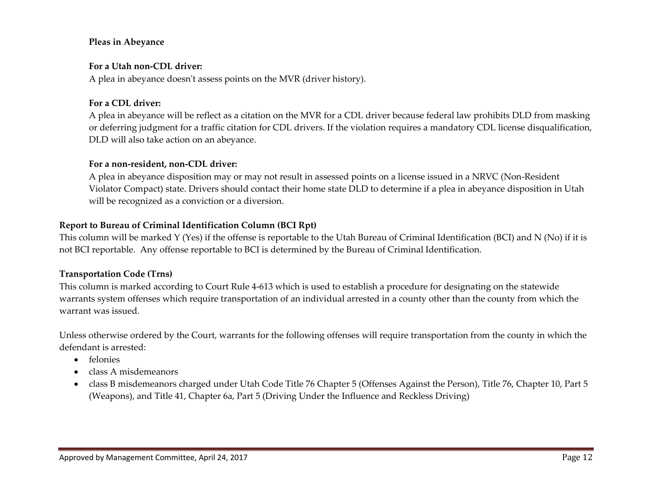#### **Pleas in Abeyance**

#### **For a Utah non‐CDL driver:**

A plea in abeyance doesn<sup>ʹ</sup><sup>t</sup> assess points on the MVR (driver history).

#### **For a CDL driver:**

A plea in abeyance will be reflect as <sup>a</sup> citation on the MVR for <sup>a</sup> CDL driver because federal law prohibits DLD from masking or deferring judgment for <sup>a</sup> traffic citation for CDL drivers. If the violation requires <sup>a</sup> mandatory CDL license disqualification, DLD will also take action on an abeyance.

#### **For a non‐resident, non‐CDL driver:**

A plea in abeyance disposition may or may not result in assessed points on <sup>a</sup> license issued in <sup>a</sup> NRVC (Non‐Resident Violator Compact) state. Drivers should contact their home state DLD to determine if <sup>a</sup> plea in abeyance disposition in Utah will be recognized as <sup>a</sup> conviction or <sup>a</sup> diversion.

#### **Report to Bureau of Criminal Identification Column (BCI Rpt)**

This column will be marked Y (Yes) if the offense is reportable to the Utah Bureau of Criminal Identification (BCI) and N (No) if it is not BCI reportable. Any offense reportable to BCI is determined by the Bureau of Criminal Identification.

#### **Transportation Code (Trns)**

This column is marked according to Court Rule <sup>4</sup>‐613 which is used to establish <sup>a</sup> procedure for designating on the statewide warrants system offenses which require transportation of an individual arrested in <sup>a</sup> county other than the county from which the warrant was issued.

Unless otherwise ordered by the Court, warrants for the following offenses will require transportation from the county in which the defendant is arrested:

- felonies
- class A misdemeanors
- class B misdemeanors charged under Utah Code Title 76 Chapter <sup>5</sup> (Offenses Against the Person), Title 76, Chapter 10, Part <sup>5</sup> (Weapons), and Title 41, Chapter 6a, Part <sup>5</sup> (Driving Under the Influence and Reckless Driving)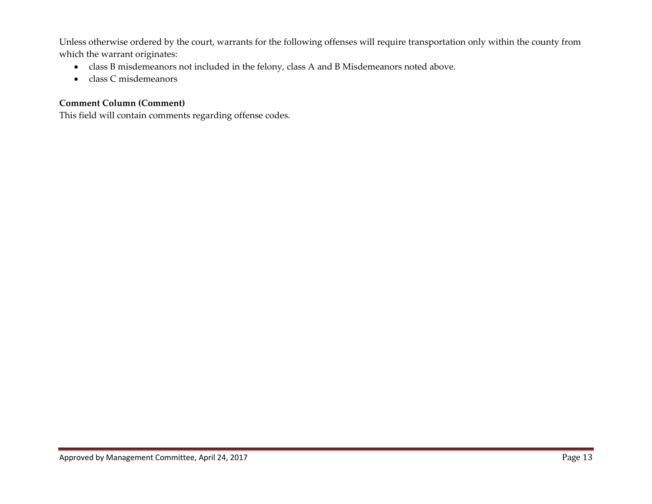Unless otherwise ordered by the court, warrants for the following offenses will require transportation only within the county from which the warrant originates:

- class B misdemeanors not included in the felony, class A and <sup>B</sup> Misdemeanors noted above.
- class C misdemeanors

# **Comment Column (Comment)**

This field will contain comments regarding offense codes.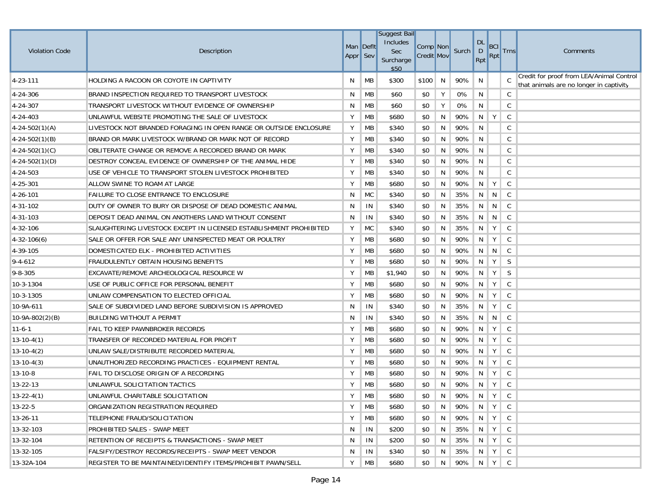|                       |                                                                    |                       |                | <b>Suggest Bail</b><br>Includes |                               |     |           | <b>DL</b> |                          |              |                                                                                     |
|-----------------------|--------------------------------------------------------------------|-----------------------|----------------|---------------------------------|-------------------------------|-----|-----------|-----------|--------------------------|--------------|-------------------------------------------------------------------------------------|
| <b>Violation Code</b> | Description                                                        | Man Deflt<br>Appr Sev |                | <b>Sec</b><br>Surcharge<br>\$50 | Comp Non<br><b>Credit Mov</b> |     | Surch     | D<br>Rpt  | <b>BCI</b><br><b>Rpt</b> | <b>Trns</b>  | Comments                                                                            |
| 4-23-111              | HOLDING A RACOON OR COYOTE IN CAPTIVITY                            | N                     | MB             | \$300                           | \$100                         | N   | 90%       | N         |                          | C            | Credit for proof from LEA/Animal Control<br>that animals are no longer in captivity |
| 4-24-306              | BRAND INSPECTION REQUIRED TO TRANSPORT LIVESTOCK                   | N                     | MB             | \$60                            | \$0                           | Υ   | 0%        | N         |                          | C            |                                                                                     |
| 4-24-307              | TRANSPORT LIVESTOCK WITHOUT EVIDENCE OF OWNERSHIP                  | N                     | МB             | \$60                            | \$0                           | Υ   | 0%        | N         |                          | C            |                                                                                     |
| 4-24-403              | UNLAWFUL WEBSITE PROMOTING THE SALE OF LIVESTOCK                   | Υ                     | MB             | \$680                           | \$0                           | N   | 90%       | N         | Y                        | $\mathsf{C}$ |                                                                                     |
| $4 - 24 - 502(1)(A)$  | LIVESTOCK NOT BRANDED FORAGING IN OPEN RANGE OR OUTSIDE ENCLOSURE  | Υ                     | MB             | \$340                           | \$0                           | N   | 90%       | N         |                          | C            |                                                                                     |
| $4 - 24 - 502(1)(B)$  | BRAND OR MARK LIVESTOCK W/BRAND OR MARK NOT OF RECORD              | Υ                     | MB             | \$340                           | \$0                           | N   | 90%       | N         |                          | C            |                                                                                     |
| $4-24-502(1)(C)$      | OBLITERATE CHANGE OR REMOVE A RECORDED BRAND OR MARK               | Υ                     | МB             | \$340                           | \$0                           | N   | 90%       | N         |                          | C            |                                                                                     |
| $4 - 24 - 502(1)(D)$  | DESTROY CONCEAL EVIDENCE OF OWNERSHIP OF THE ANIMAL HIDE           | Υ                     | MB             | \$340                           | \$0                           | N   | 90%       | N         |                          | C            |                                                                                     |
| 4-24-503              | USE OF VEHICLE TO TRANSPORT STOLEN LIVESTOCK PROHIBITED            | Υ                     | MB             | \$340                           | \$0                           | N   | 90%       | N         |                          | C            |                                                                                     |
| 4-25-301              | ALLOW SWINE TO ROAM AT LARGE                                       | Υ                     | MB             | \$680                           | \$0                           | N   | 90%       | N         | Y                        | C            |                                                                                     |
| 4-26-101              | FAILURE TO CLOSE ENTRANCE TO ENCLOSURE                             | N                     | <b>MC</b>      | \$340                           | \$0                           | N   | 35%       | N         | N                        | C            |                                                                                     |
| 4-31-102              | DUTY OF OWNER TO BURY OR DISPOSE OF DEAD DOMESTIC ANIMAL           | N                     | IN             | \$340                           | \$0                           | N   | 35%       | N         | N                        | C            |                                                                                     |
| 4-31-103              | DEPOSIT DEAD ANIMAL ON ANOTHERS LAND WITHOUT CONSENT               | N                     | IN             | \$340                           | \$0                           | N   | 35%       | N         | N                        | C            |                                                                                     |
| 4-32-106              | SLAUGHTERING LIVESTOCK EXCEPT IN LICENSED ESTABLISHMENT PROHIBITED | Υ                     | <b>MC</b>      | \$340                           | \$0                           | N   | 35%       | N         | Y                        | C            |                                                                                     |
| $4-32-106(6)$         | SALE OR OFFER FOR SALE ANY UNINSPECTED MEAT OR POULTRY             | Υ                     | MB             | \$680                           | \$0                           | N   | 90%       | N         | Y                        | C            |                                                                                     |
| 4-39-105              | DOMESTICATED ELK - PROHIBITED ACTIVITIES                           | Υ                     | MB             | \$680                           | \$0                           | N   | 90%       | N         | N                        | C            |                                                                                     |
| $9 - 4 - 612$         | <b>FRAUDULENTLY OBTAIN HOUSING BENEFITS</b>                        | Υ                     | <b>MB</b>      | \$680                           | \$0                           | N   | 90%       | N         | Y                        | S            |                                                                                     |
| $9 - 8 - 305$         | EXCAVATE/REMOVE ARCHEOLOGICAL RESOURCE W                           | Υ                     | MB             | \$1,940                         | \$0                           | N   | 90%       | N         | Y                        | S            |                                                                                     |
| 10-3-1304             | USE OF PUBLIC OFFICE FOR PERSONAL BENEFIT                          | Υ                     | MB             | \$680                           | \$0                           | N   | 90%       | N         | Y                        | C            |                                                                                     |
| $10-3-1305$           | UNLAW COMPENSATION TO ELECTED OFFICIAL                             | Y                     | MB             | \$680                           | \$0                           | N   | 90%       | N         | Y                        | C            |                                                                                     |
| 10-9A-611             | SALE OF SUBDIVIDED LAND BEFORE SUBDIVISION IS APPROVED             | N                     | IN             | \$340                           | \$0                           | N   | 35%       | N         | Y                        | C            |                                                                                     |
| $10-9A-802(2)(B)$     | <b>BUILDING WITHOUT A PERMIT</b>                                   | N                     | IN             | \$340                           | \$0                           | N   | 35%       | N         | N                        | C            |                                                                                     |
| $11 - 6 - 1$          | FAIL TO KEEP PAWNBROKER RECORDS                                    | Υ                     | MB             | \$680                           | \$0                           | N   | 90%       | N         | Y                        | C            |                                                                                     |
| $13-10-4(1)$          | TRANSFER OF RECORDED MATERIAL FOR PROFIT                           | Υ                     | MB             | \$680                           | \$0                           | N   | 90%       | N         | Y                        | C            |                                                                                     |
| $13-10-4(2)$          | UNLAW SALE/DISTRIBUTE RECORDED MATERIAL                            | Y                     | МB             | \$680                           | \$0                           | N   | 90%       | N         | Y                        | C            |                                                                                     |
| $13-10-4(3)$          | UNAUTHORIZED RECORDING PRACTICES - EQUIPMENT RENTAL                | Υ                     | МB             | \$680                           | \$0                           | N   | 90%       | N         | Y                        | C            |                                                                                     |
| $13 - 10 - 8$         | FAIL TO DISCLOSE ORIGIN OF A RECORDING                             | Υ                     | МB             | \$680                           | \$0                           | N   | 90%       | N         | Y                        | C            |                                                                                     |
| $13 - 22 - 13$        | UNLAWFUL SOLICITATION TACTICS                                      | Y                     | MB             | \$680                           | \$0                           | N   | 90%       | N         | Y                        | C            |                                                                                     |
| $13 - 22 - 4(1)$      | UNLAWFUL CHARITABLE SOLICITATION                                   | Y                     | $\parallel$ MB | \$680                           | \$0                           |     | N 90% N Y |           |                          | C            |                                                                                     |
| $13 - 22 - 5$         | ORGANIZATION REGISTRATION REQUIRED                                 | Y                     | MB             | \$680                           | \$0                           | N I | 90% N Y C |           |                          |              |                                                                                     |
| $13 - 26 - 11$        | TELEPHONE FRAUD/SOLICITATION                                       | Y                     | MB             | \$680                           | \$0                           | N   | 90% N Y C |           |                          |              |                                                                                     |
| 13-32-103             | PROHIBITED SALES - SWAP MEET                                       | N                     | IN             | \$200                           | \$0                           | N   | 35% N Y C |           |                          |              |                                                                                     |
| 13-32-104             | RETENTION OF RECEIPTS & TRANSACTIONS - SWAP MEET                   | N                     | IN             | \$200                           | \$0                           | N.  | 35% N Y C |           |                          |              |                                                                                     |
| 13-32-105             | FALSIFY/DESTROY RECORDS/RECEIPTS - SWAP MEET VENDOR                | N                     | IN             | \$340                           | \$0                           | N.  | 35% N Y C |           |                          |              |                                                                                     |
| 13-32A-104            | REGISTER TO BE MAINTAINED/IDENTIFY ITEMS/PROHIBIT PAWN/SELL        | Y                     | MВ             | \$680                           | \$0                           | N.  | 90% N Y C |           |                          |              |                                                                                     |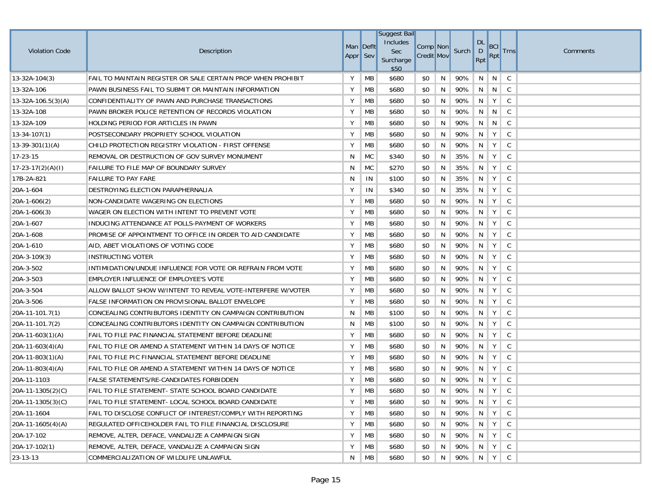| <b>Violation Code</b> | Description                                                  | Man Deflt<br>Appr Sev |           | Suggest Bail<br>Includes<br>Sec<br>Surcharge<br>\$50 | Comp Non<br><b>Credit Mov</b> |   | Surch | <b>DL</b><br>D<br>Rpt | <b>BCI</b><br>Rpt                   | <b>Trns</b>  | Comments |
|-----------------------|--------------------------------------------------------------|-----------------------|-----------|------------------------------------------------------|-------------------------------|---|-------|-----------------------|-------------------------------------|--------------|----------|
| $13 - 32A - 104(3)$   | FAIL TO MAINTAIN REGISTER OR SALE CERTAIN PROP WHEN PROHIBIT | Y                     | <b>MB</b> | \$680                                                | \$0                           | N | 90%   | N                     | N                                   | C            |          |
| 13-32A-106            | PAWN BUSINESS FAIL TO SUBMIT OR MAINTAIN INFORMATION         | Υ                     | MB        | \$680                                                | \$0                           | N | 90%   | N                     | $\vert$ N                           | $\mathsf{C}$ |          |
| $13-32A-106.5(3)(A)$  | CONFIDENTIALITY OF PAWN AND PURCHASE TRANSACTIONS            | Υ                     | MB        | \$680                                                | \$0                           | N | 90%   | N                     | Y                                   | C            |          |
| 13-32A-108            | PAWN BROKER POLICE RETENTION OF RECORDS VIOLATION            | Υ                     | MB        | \$680                                                | \$0                           | N | 90%   | N                     | N                                   | C            |          |
| 13-32A-109            | HOLDING PERIOD FOR ARTICLES IN PAWN                          | Υ                     | MB        | \$680                                                | \$0                           | N | 90%   | N                     | N                                   | C            |          |
| $13 - 34 - 107(1)$    | POSTSECONDARY PROPRIETY SCHOOL VIOLATION                     | Υ                     | MB        | \$680                                                | \$0                           | N | 90%   | N                     | Y                                   | C            |          |
| $13-39-301(1)(A)$     | CHILD PROTECTION REGISTRY VIOLATION - FIRST OFFENSE          | Υ                     | MB        | \$680                                                | \$0                           | N | 90%   | N                     | Y                                   | C            |          |
| 17-23-15              | REMOVAL OR DESTRUCTION OF GOV SURVEY MONUMENT                | N                     | MC        | \$340                                                | \$0                           | N | 35%   | N                     | Y                                   | C            |          |
| $17-23-17(2)(A)(I)$   | FAILURE TO FILE MAP OF BOUNDARY SURVEY                       | N                     | MC        | \$270                                                | \$0                           | N | 35%   | N                     | Y                                   | C            |          |
| 17B-2A-821            | <b>FAILURE TO PAY FARE</b>                                   | N                     | IN        | \$100                                                | \$0                           | N | 35%   | N                     | Y                                   | C            |          |
| 20A-1-604             | DESTROYING ELECTION PARAPHERNALIA                            | Υ                     | IN        | \$340                                                | \$0                           | N | 35%   | N                     | Y                                   | C            |          |
| $20A-1-606(2)$        | NON-CANDIDATE WAGERING ON ELECTIONS                          | Υ                     | МB        | \$680                                                | \$0                           | N | 90%   | N                     | Y                                   | C            |          |
| $20A-1-606(3)$        | WAGER ON ELECTION WITH INTENT TO PREVENT VOTE                | Υ                     | MB        | \$680                                                | \$0                           | N | 90%   | N                     | Y                                   | C            |          |
| 20A-1-607             | INDUCING ATTENDANCE AT POLLS-PAYMENT OF WORKERS              | Y                     | МB        | \$680                                                | \$0                           | N | 90%   | N                     | Y                                   | C            |          |
| 20A-1-608             | PROMISE OF APPOINTMENT TO OFFICE IN ORDER TO AID CANDIDATE   | Υ                     | МB        | \$680                                                | \$0                           | N | 90%   | N                     | Y                                   | C            |          |
| 20A-1-610             | AID, ABET VIOLATIONS OF VOTING CODE                          | Υ                     | МB        | \$680                                                | \$0                           | N | 90%   | N                     | Y                                   | C            |          |
| $20A-3-109(3)$        | <b>INSTRUCTING VOTER</b>                                     | Υ                     | МB        | \$680                                                | \$0                           | N | 90%   | N                     | Y                                   | C            |          |
| 20A-3-502             | INTIMIDATION/UNDUE INFLUENCE FOR VOTE OR REFRAIN FROM VOTE   | Y                     | МB        | \$680                                                | \$0                           | N | 90%   | N                     | Y                                   | C            |          |
| 20A-3-503             | EMPLOYER INFLUENCE OF EMPLOYEE'S VOTE                        | Υ                     | МB        | \$680                                                | \$0                           | N | 90%   | N                     | Y                                   | C            |          |
| 20A-3-504             | ALLOW BALLOT SHOW W/INTENT TO REVEAL VOTE-INTERFERE W/VOTER  | Υ                     | МB        | \$680                                                | \$0                           | N | 90%   | N                     | Y                                   | C            |          |
| 20A-3-506             | <b>FALSE INFORMATION ON PROVISIONAL BALLOT ENVELOPE</b>      | Υ                     | МB        | \$680                                                | \$0                           | N | 90%   | N                     | Y                                   | C            |          |
| 20A-11-101.7(1)       | CONCEALING CONTRIBUTORS IDENTITY ON CAMPAIGN CONTRIBUTION    | N                     | МB        | \$100                                                | \$0                           | N | 90%   | N                     | Y                                   | C            |          |
| $20A-11-101.7(2)$     | CONCEALING CONTRIBUTORS IDENTITY ON CAMPAIGN CONTRIBUTION    | N                     | МB        | \$100                                                | \$0                           | N | 90%   | N                     | Y                                   | C            |          |
| $20A-11-603(1)(A)$    | FAIL TO FILE PAC FINANCIAL STATEMENT BEFORE DEADLINE         | Υ                     | MB        | \$680                                                | \$0                           | N | 90%   | N                     | Y                                   | C            |          |
| $20A-11-603(4)(A)$    | FAIL TO FILE OR AMEND A STATEMENT WITHIN 14 DAYS OF NOTICE   | Υ                     | МB        | \$680                                                | \$0                           | N | 90%   | N                     | Y                                   | C            |          |
| 20A-11-803(1)(A)      | FAIL TO FILE PIC FINANCIAL STATEMENT BEFORE DEADLINE         | Υ                     | MB        | \$680                                                | \$0                           | N | 90%   | N                     | Y                                   | C            |          |
| $20A-11-803(4)(A)$    | FAIL TO FILE OR AMEND A STATEMENT WITHIN 14 DAYS OF NOTICE   | Υ                     | МB        | \$680                                                | \$0                           | N | 90%   | N                     | Y                                   | C            |          |
| 20A-11-1103           | <b>FALSE STATEMENTS/RE-CANDIDATES FORBIDDEN</b>              | Υ                     | MB        | \$680                                                | \$0                           | N | 90%   | N                     | Y                                   | C            |          |
| $20A-11-1305(2)(C)$   | FAIL TO FILE STATEMENT- STATE SCHOOL BOARD CANDIDATE         | Y                     | MB        | \$680                                                | \$0                           | N | 90%   | N                     | Y                                   | C            |          |
| 20A-11-1305(3)(C)     | FAIL TO FILE STATEMENT- LOCAL SCHOOL BOARD CANDIDATE         | Y                     | <b>MB</b> | \$680                                                | \$0                           | N | 90%   |                       |                                     |              |          |
| 20A-11-1604           | FAIL TO DISCLOSE CONFLICT OF INTEREST/COMPLY WITH REPORTING  | Υ                     | <b>MB</b> | \$680                                                | \$0                           | N | 90%   | $\overline{N}$        | Y                                   | $\mathsf{C}$ |          |
| $20A-11-1605(4)(A)$   | REGULATED OFFICEHOLDER FAIL TO FILE FINANCIAL DISCLOSURE     | Υ                     | <b>MB</b> | \$680                                                | \$0                           | N | 90%   | N.                    | $Y \mid$                            | $\mathsf{C}$ |          |
| 20A-17-102            | REMOVE, ALTER, DEFACE, VANDALIZE A CAMPAIGN SIGN             | Υ                     | <b>MB</b> | \$680                                                | \$0                           | N | 90%   | N.                    | Y                                   | $\mathsf{C}$ |          |
| 20A-17-102(1)         | REMOVE, ALTER, DEFACE, VANDALIZE A CAMPAIGN SIGN             | Υ                     | <b>MB</b> | \$680                                                | \$0                           | N | 90%   | N                     | $Y \mid$                            | $\mathsf{C}$ |          |
| 23-13-13              | COMMERCIALIZATION OF WILDLIFE UNLAWFUL                       | N                     | MB        | \$680                                                | \$0                           | N | 90%   |                       | $\parallel N \parallel Y \parallel$ | $\mathsf{C}$ |          |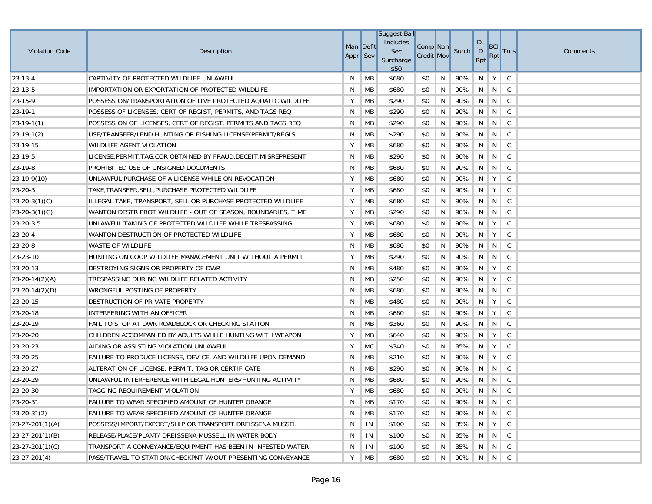|                       |                                                                   | Man Deflt |           | <b>Suggest Bail</b><br>Includes | Comp <sup>Non</sup> |    |           | <b>DL</b> | <b>BCI</b>                    |              |          |
|-----------------------|-------------------------------------------------------------------|-----------|-----------|---------------------------------|---------------------|----|-----------|-----------|-------------------------------|--------------|----------|
| <b>Violation Code</b> | Description                                                       | Appr Sev  |           | <b>Sec</b><br>Surcharge<br>\$50 | <b>Credit Mov</b>   |    | Surch     | D<br>Rpt  | $\left  \mathsf{Rpt} \right $ | <b>Trns</b>  | Comments |
| $23 - 13 - 4$         | CAPTIVITY OF PROTECTED WILDLIFE UNLAWFUL                          | N         | МB        | \$680                           | \$0                 | N  | 90%       | N         | Y                             | C            |          |
| 23-13-5               | IMPORTATION OR EXPORTATION OF PROTECTED WILDLIFE                  | N         | МB        | \$680                           | \$0                 | N  | 90%       | N         | N                             | C            |          |
| 23-15-9               | POSSESSION/TRANSPORTATION OF LIVE PROTECTED AQUATIC WILDLIFE      | Υ         | МB        | \$290                           | \$0                 | N  | 90%       | N         | N                             | C            |          |
| 23-19-1               | POSSESS OF LICENSES, CERT OF REGIST, PERMITS, AND TAGS REQ        | N         | МB        | \$290                           | \$0                 | N  | 90%       | N         | N                             | C            |          |
| $ 23-19-1(1) $        | POSSESSION OF LICENSES, CERT OF REGIST, PERMITS AND TAGS REQ      | N         | МB        | \$290                           | \$0                 | N  | 90%       | N         | N                             | C            |          |
| $23-19-1(2)$          | USE/TRANSFER/LEND HUNTING OR FISHING LICENSE/PERMIT/REGIS         | N         | МB        | \$290                           | \$0                 | N  | 90%       | N         | N                             | C.           |          |
| 23-19-15              | <b>WILDLIFE AGENT VIOLATION</b>                                   | Υ         | МB        | \$680                           | \$0                 | N  | 90%       | N         | N                             | C            |          |
| 23-19-5               | LICENSE, PERMIT, TAG, COR OBTAINED BY FRAUD, DECEIT, MISREPRESENT | N         | МB        | \$290                           | \$0                 | N  | 90%       | N         | N                             | C            |          |
| 23-19-8               | PROHIBITED USE OF UNSIGNED DOCUMENTS                              | N         | МB        | \$680                           | \$0                 | N  | 90%       | N         | N                             | C            |          |
| $23-19-9(10)$         | UNLAWFUL PURCHASE OF A LICENSE WHILE ON REVOCATION                | Y         | МB        | \$680                           | \$0                 | N  | 90%       | N         | Y                             | C            |          |
| $23 - 20 - 3$         | TAKE, TRANSFER, SELL, PURCHASE PROTECTED WILDLIFE                 | Υ         | MB        | \$680                           | \$0                 | N  | 90%       | N         | Y                             | C            |          |
| $23-20-3(1)(C)$       | ILLEGAL TAKE, TRANSPORT, SELL OR PURCHASE PROTECTED WILDLIFE      | Υ         | МB        | \$680                           | \$0                 | N  | 90%       | N         | N                             | C            |          |
| $23 - 20 - 3(1)(G)$   | WANTON DESTR PROT WILDLIFE - OUT OF SEASON, BOUNDARIES, TIME      | Υ         | МB        | \$290                           | \$0                 | N  | 90%       | N         | N                             | C            |          |
| 23-20-3.5             | UNLAWFUL TAKING OF PROTECTED WILDLIFE WHILE TRESPASSING           | Υ         | МB        | \$680                           | \$0                 | N  | 90%       | N         | Y                             | C            |          |
| $23 - 20 - 4$         | WANTON DESTRUCTION OF PROTECTED WILDLIFE                          | Υ         | МB        | \$680                           | \$0                 | N  | 90%       | N         | Y                             | C            |          |
| 23-20-8               | WASTE OF WILDLIFE                                                 | N         | МB        | \$680                           | \$0                 | N  | 90%       | N         | N                             | C            |          |
| 23-23-10              | HUNTING ON COOP WILDLIFE MANAGEMENT UNIT WITHOUT A PERMIT         | Y         | МB        | \$290                           | \$0                 | N  | 90%       | N         | N                             | C            |          |
| 23-20-13              | DESTROYING SIGNS OR PROPERTY OF DWR                               | N         | МB        | \$480                           | \$0                 | N  | 90%       | N         | Y                             | C            |          |
| $23 - 20 - 14(2)(A)$  | TRESPASSING DURING WILDLIFE RELATED ACTIVITY                      | N         | МB        | \$250                           | \$0                 | N  | 90%       | N         | Y                             | C            |          |
| $23-20-14(2)(D)$      | WRONGFUL POSTING OF PROPERTY                                      | N         | МB        | \$680                           | \$0                 | N  | 90%       | N         | N                             | C            |          |
| 23-20-15              | DESTRUCTION OF PRIVATE PROPERTY                                   | N         | МB        | \$480                           | \$0                 | N  | 90%       | N         | Y                             | C            |          |
| 23-20-18              | INTERFERING WITH AN OFFICER                                       | N         | МB        | \$680                           | \$0                 | N  | 90%       | N         | Y                             | C            |          |
| 23-20-19              | FAIL TO STOP AT DWR ROADBLOCK OR CHECKING STATION                 | N         | МB        | \$360                           | \$0                 | N  | 90%       | N         | N                             | C            |          |
| 23-20-20              | CHILDREN ACCOMPANIED BY ADULTS WHILE HUNTING WITH WEAPON          | Υ         | МB        | \$640                           | \$0                 | N  | 90%       | N         | Y                             | C            |          |
| 23-20-23              | AIDING OR ASSISTING VIOLATION UNLAWFUL                            | Υ         | МC        | \$340                           | \$0                 | N  | 35%       | N         | Y                             | C            |          |
| 23-20-25              | FAILURE TO PRODUCE LICENSE, DEVICE, AND WILDLIFE UPON DEMAND      | N         | МB        | \$210                           | \$0                 | N  | 90%       | N         | Y                             | C            |          |
| 23-20-27              | ALTERATION OF LICENSE, PERMIT, TAG OR CERTIFICATE                 | N         | МB        | \$290                           | \$0                 | N  | 90%       | N         | N                             | C            |          |
| 23-20-29              | UNLAWFUL INTERFERENCE WITH LEGAL HUNTERS/HUNTING ACTIVITY         | N         | МB        | \$680                           | \$0                 | N  | 90%       | N         | N                             | C            |          |
| 23-20-30              | TAGGING REQUIREMENT VIOLATION                                     | Υ         | МB        | \$680                           | \$0                 | N  | 90%       | N         | N                             | C.           |          |
| 23-20-31              | FAILURE TO WEAR SPECIFIED AMOUNT OF HUNTER ORANGE                 | N         | MB        | \$170                           | \$0                 | N  | 90%       |           | N N C                         |              |          |
| $23 - 20 - 31(2)$     | FAILURE TO WEAR SPECIFIED AMOUNT OF HUNTER ORANGE                 | N         | МB        | \$170                           | \$0                 | N  | 90%       |           | N N C                         |              |          |
| $23-27-201(1)(A)$     | POSSESS/IMPORT/EXPORT/SHIP OR TRANSPORT DREISSENA MUSSEL          | N         | IN        | \$100                           | \$0                 | N  | 35%       | N.        | Y                             | $\mathsf{C}$ |          |
| $23-27-201(1)(B)$     | RELEASE/PLACE/PLANT/ DREISSENA MUSSELL IN WATER BODY              | N         | IN        | \$100                           | \$0                 | N. | 35%       |           | N N C                         |              |          |
| $23-27-201(1)(C)$     | TRANSPORT A CONVEYANCE/EQUIPMENT HAS BEEN IN INFESTED WATER       | N         | IN        | \$100                           | \$0                 | N  | 35%       | N         | N                             | $\mathsf{C}$ |          |
| $23-27-201(4)$        | PASS/TRAVEL TO STATION/CHECKPNT W/OUT PRESENTING CONVEYANCE       | Υ         | <b>MB</b> | \$680                           | \$0                 | N  | 90% N N C |           |                               |              |          |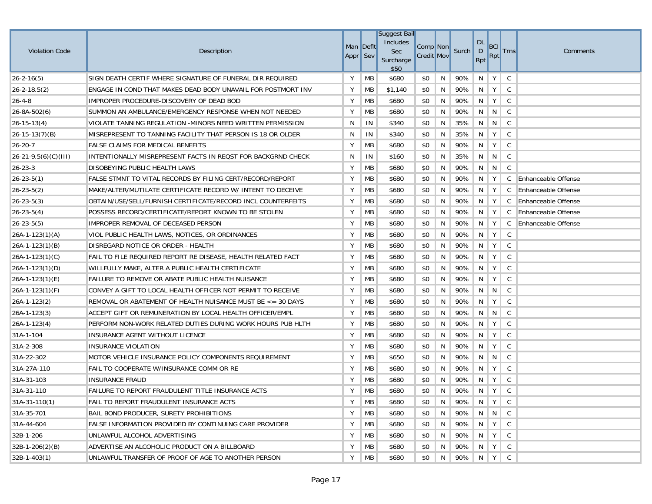| <b>Violation Code</b>      | Description                                                  | Man Deflt<br>Appr Sev |           | <b>Suggest Bail</b><br>Includes<br>Sec<br>Surcharge<br>\$50 | Comp Non<br><b>Credit Mov</b> |   | Surch | <b>DL</b><br>$\mathsf{D}$<br>Rpt | BCI<br>Rpt                | <b>Trns</b>  | Comments                   |
|----------------------------|--------------------------------------------------------------|-----------------------|-----------|-------------------------------------------------------------|-------------------------------|---|-------|----------------------------------|---------------------------|--------------|----------------------------|
| $26 - 2 - 16(5)$           | SIGN DEATH CERTIF WHERE SIGNATURE OF FUNERAL DIR REQUIRED    | Y                     | <b>MB</b> | \$680                                                       | \$0                           | N | 90%   | N                                | Y                         | C            |                            |
| $26 - 2 - 18.5(2)$         | ENGAGE IN COND THAT MAKES DEAD BODY UNAVAIL FOR POSTMORT INV | Y                     | MB        | \$1,140                                                     | \$0                           | N | 90%   | N                                | Y                         | C            |                            |
| $26 - 4 - 8$               | IMPROPER PROCEDURE-DISCOVERY OF DEAD BOD                     | Υ                     | MB        | \$680                                                       | \$0                           | N | 90%   | N                                | Y                         | C            |                            |
| $26 - 8A - 502(6)$         | SUMMON AN AMBULANCE/EMERGENCY RESPONSE WHEN NOT NEEDED       | Υ                     | MB        | \$680                                                       | \$0                           | N | 90%   | N.                               | N                         | $\mathsf{C}$ |                            |
| $26 - 15 - 13(4)$          | VIOLATE TANNING REGULATION -MINORS NEED WRITTEN PERMISSION   | N                     | IN        | \$340                                                       | \$0                           | N | 35%   | N                                | N                         | C            |                            |
| $26 - 15 - 13(7)(B)$       | MISREPRESENT TO TANNING FACILITY THAT PERSON IS 18 OR OLDER  | N                     | IN        | \$340                                                       | \$0                           | N | 35%   | N.                               | Y                         | C            |                            |
| $26 - 20 - 7$              | <b>FALSE CLAIMS FOR MEDICAL BENEFITS</b>                     | Υ                     | MB        | \$680                                                       | \$0                           | N | 90%   | N                                | Y                         | C            |                            |
| $26 - 21 - 9.5(6)(C)(III)$ | INTENTIONALLY MISREPRESENT FACTS IN REQST FOR BACKGRND CHECK | N                     | IN        | \$160                                                       | \$0                           | N | 35%   | N                                | N                         | $\mathsf{C}$ |                            |
| $26 - 23 - 3$              | DISOBEYING PUBLIC HEALTH LAWS                                | Υ                     | MB        | \$680                                                       | \$0                           | N | 90%   | N                                | N                         | C            |                            |
| $26 - 23 - 5(1)$           | FALSE STMNT TO VITAL RECORDS BY FILING CERT/RECORD/REPORT    | Y                     | MB        | \$680                                                       | \$0                           | N | 90%   | N                                | Y                         | C            | <b>Enhanceable Offense</b> |
| $26 - 23 - 5(2)$           | MAKE/ALTER/MUTILATE CERTIFICATE RECORD W/ INTENT TO DECEIVE  | Υ                     | MB        | \$680                                                       | \$0                           | N | 90%   | N                                | Y                         | C            | <b>Enhanceable Offense</b> |
| $26 - 23 - 5(3)$           | OBTAIN/USE/SELL/FURNISH CERTIFICATE/RECORD INCL COUNTERFEITS | Y                     | МB        | \$680                                                       | \$0                           | N | 90%   | N                                | Y                         | C            | <b>Enhanceable Offense</b> |
| $26 - 23 - 5(4)$           | POSSESS RECORD/CERTIFICATE/REPORT KNOWN TO BE STOLEN         | Υ                     | MB        | \$680                                                       | \$0                           | N | 90%   | N                                | Y                         | C            | Enhanceable Offense        |
| $26 - 23 - 5(5)$           | IMPROPER REMOVAL OF DECEASED PERSON                          | Y                     | МB        | \$680                                                       | \$0                           | N | 90%   | N                                | Y                         | C            | <b>Enhanceable Offense</b> |
| $26A-1-123(1)(A)$          | VIOL PUBLIC HEALTH LAWS, NOTICES, OR ORDINANCES              | Υ                     | МB        | \$680                                                       | \$0                           | N | 90%   | N                                | Y                         | C            |                            |
| 26A-1-123(1)(B)            | DISREGARD NOTICE OR ORDER - HEALTH                           | Υ                     | МB        | \$680                                                       | \$0                           | N | 90%   | N                                | Y                         | C            |                            |
| $26A-1-123(1)(C)$          | FAIL TO FILE REQUIRED REPORT RE DISEASE, HEALTH RELATED FACT | Υ                     | MB        | \$680                                                       | \$0                           | N | 90%   | N                                | Y                         | C            |                            |
| $26A-1-123(1)(D)$          | WILLFULLY MAKE, ALTER A PUBLIC HEALTH CERTIFICATE            | Y                     | МB        | \$680                                                       | \$0                           | N | 90%   | N                                | Y                         | C            |                            |
| $26A-1-123(1)(E)$          | FAILURE TO REMOVE OR ABATE PUBLIC HEALTH NUISANCE            | Υ                     | МB        | \$680                                                       | \$0                           | N | 90%   | N                                | Y                         | C            |                            |
| 26A-1-123(1)(F)            | CONVEY A GIFT TO LOCAL HEALTH OFFICER NOT PERMIT TO RECEIVE  | Υ                     | МB        | \$680                                                       | \$0                           | N | 90%   | N                                | N                         | C            |                            |
| 26A-1-123(2)               | REMOVAL OR ABATEMENT OF HEALTH NUISANCE MUST BE <= 30 DAYS   | Υ                     | MB        | \$680                                                       | \$0                           | N | 90%   | N                                | Y                         | C            |                            |
| 26A-1-123(3)               | ACCEPT GIFT OR REMUNERATION BY LOCAL HEALTH OFFICER/EMPL     | Υ                     | MB        | \$680                                                       | \$0                           | N | 90%   | N                                | N                         | C            |                            |
| $26A-1-123(4)$             | PERFORM NON-WORK RELATED DUTIES DURING WORK HOURS PUB HLTH   | Υ                     | МB        | \$680                                                       | \$0                           | N | 90%   | N                                | Y                         | C            |                            |
| 31A-1-104                  | INSURANCE AGENT WITHOUT LICENCE                              | Υ                     | MB        | \$680                                                       | \$0                           | N | 90%   | N                                | Y                         | C            |                            |
| 31A-2-308                  | INSURANCE VIOLATION                                          | Υ                     | MB        | \$680                                                       | \$0                           | N | 90%   | N                                | Y                         | C            |                            |
| 31A-22-302                 | MOTOR VEHICLE INSURANCE POLICY COMPONENTS REQUIREMENT        | Υ                     | MB        | \$650                                                       | \$0                           | N | 90%   | N                                | N                         | C            |                            |
| 31A-27A-110                | FAIL TO COOPERATE W/INSURANCE COMM OR RE                     | Υ                     | MB        | \$680                                                       | \$0                           | N | 90%   | N                                | Y                         | $\mathsf C$  |                            |
| 31A-31-103                 | <b>INSURANCE FRAUD</b>                                       | Y                     | MB        | \$680                                                       | \$0                           | N | 90%   | -N                               | Y                         | C            |                            |
| 31A-31-110                 | FAILURE TO REPORT FRAUDULENT TITLE INSURANCE ACTS            | Y                     | MB        | \$680                                                       | \$0                           | N | 90%   | N                                | Y                         | C            |                            |
| $31A-31-110(1)$            | FAIL TO REPORT FRAUDULENT INSURANCE ACTS                     | Y                     | <b>MB</b> | \$680                                                       | \$0                           | N | 90% N |                                  | $\parallel$ Y $\parallel$ | $\mathsf{C}$ |                            |
| 31A-35-701                 | BAIL BOND PRODUCER, SURETY PROHIBITIONS                      | Υ                     | MB        | \$680                                                       | \$0                           | N | 90%   |                                  | N N                       | $\mathsf{C}$ |                            |
| 31A-44-604                 | FALSE INFORMATION PROVIDED BY CONTINUING CARE PROVIDER       | Υ                     | <b>MB</b> | \$680                                                       | \$0                           | N | 90%   | N                                | Y                         | C            |                            |
| 32B-1-206                  | UNLAWFUL ALCOHOL ADVERTISING                                 | Υ                     | <b>MB</b> | \$680                                                       | \$0                           | N | 90%   | N                                | Y                         | $\mathsf{C}$ |                            |
| 32B-1-206(2)(B)            | ADVERTISE AN ALCOHOLIC PRODUCT ON A BILLBOARD                | Υ                     | <b>MB</b> | \$680                                                       | \$0                           | N | 90%   | N                                | Y                         | $\mathsf{C}$ |                            |
| $32B-1-403(1)$             | UNLAWFUL TRANSFER OF PROOF OF AGE TO ANOTHER PERSON          | Y                     | <b>MB</b> | \$680                                                       | \$0                           | N | 90%   |                                  | $N$ $Y$                   | $\mathsf{C}$ |                            |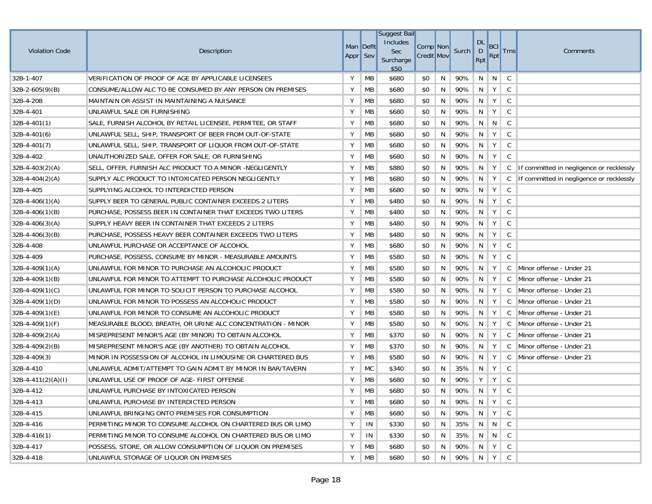| <b>Violation Code</b> | Description                                                  | Man Deflt<br>Appr Sev |           | Suggest Bail<br>Includes<br>Sec<br>Surcharge<br>\$50 | Comp Non<br><b>Credit Mov</b> |   | Surch | DL<br>D<br>Rpt | <b>BCI</b><br>Rpt                     | <b>Trns</b>  | Comments                                 |
|-----------------------|--------------------------------------------------------------|-----------------------|-----------|------------------------------------------------------|-------------------------------|---|-------|----------------|---------------------------------------|--------------|------------------------------------------|
| 32B-1-407             | VERIFICATION OF PROOF OF AGE BY APPLICABLE LICENSEES         | Υ                     | MB        | \$680                                                | \$0                           | N | 90%   | N              | N                                     | C            |                                          |
| $32B-2-605(9)(B)$     | CONSUME/ALLOW ALC TO BE CONSUMED BY ANY PERSON ON PREMISES   | Υ                     | MB        | \$680                                                | \$0                           | N | 90%   | N              | Y                                     | C            |                                          |
| 32B-4-208             | MAINTAIN OR ASSIST IN MAINTAINING A NUISANCE                 | Υ                     | <b>MB</b> | \$680                                                | \$0                           | N | 90%   | N              | Y                                     | C            |                                          |
| 32B-4-401             | UNLAWFUL SALE OR FURNISHING                                  | Υ                     | MB        | \$680                                                | \$0                           | N | 90%   | N              | Y                                     | $\mathsf{C}$ |                                          |
| $32B-4-401(1)$        | SALE, FURNISH ALCOHOL BY RETAIL LICENSEE, PERMITEE, OR STAFF | Υ                     | MB        | \$680                                                | \$0                           | N | 90%   | N              | N                                     | C            |                                          |
| $32B-4-401(6)$        | UNLAWFUL SELL, SHIP, TRANSPORT OF BEER FROM OUT-OF-STATE     | Υ                     | MB        | \$680                                                | \$0                           | N | 90%   | N              | Y                                     | C            |                                          |
| $32B-4-401(7)$        | UNLAWFUL SELL, SHIP, TRANSPORT OF LIQUOR FROM OUT-OF-STATE   | Υ                     | MB        | \$680                                                | \$0                           | N | 90%   | N              | Y                                     | C            |                                          |
| 32B-4-402             | UNAUTHORIZED SALE, OFFER FOR SALE, OR FURNISHING             | Υ                     | MB        | \$680                                                | \$0                           | N | 90%   | N              | Y                                     | $\mathsf C$  |                                          |
| $32B-4-403(2)(A)$     | SELL, OFFER, FURNISH ALC PRODUCT TO A MINOR -NEGLIGENTLY     | Υ                     | MB        | \$880                                                | \$0                           | N | 90%   | N              | Y                                     | $\mathsf{C}$ | If committed in negligence or recklessly |
| $32B-4-404(2)(A)$     | SUPPLY ALC PRODUCT TO INTOXICATED PERSON NEGLIGENTLY         | Υ                     | MB        | \$680                                                | \$0                           | N | 90%   | N              | Y                                     | C            | If committed in negligence or recklessly |
| 32B-4-405             | SUPPLYING ALCOHOL TO INTERDICTED PERSON                      | Υ                     | MB        | \$680                                                | \$0                           | N | 90%   | N              | Y                                     | $\mathsf{C}$ |                                          |
| $32B-4-406(1)(A)$     | SUPPLY BEER TO GENERAL PUBLIC CONTAINER EXCEEDS 2 LITERS     | Υ                     | МB        | \$480                                                | \$0                           | N | 90%   | N              | Y                                     | C            |                                          |
| $32B-4-406(1)(B)$     | PURCHASE, POSSESS BEER IN CONTAINER THAT EXCEEDS TWO LITERS  | Υ                     | MB        | \$480                                                | \$0                           | N | 90%   | N              | Y                                     | C            |                                          |
| $32B-4-406(3)(A)$     | SUPPLY HEAVY BEER IN CONTAINER THAT EXCEEDS 2 LITERS         | Υ                     | МB        | \$480                                                | \$0                           | N | 90%   | N              | Y                                     | C            |                                          |
| $32B-4-406(3)(B)$     | PURCHASE, POSSESS HEAVY BEER CONTAINER EXCEEDS TWO LITERS    | Υ                     | МB        | \$480                                                | \$0                           | N | 90%   | N              | Y                                     | C            |                                          |
| 32B-4-408             | UNLAWFUL PURCHASE OR ACCEPTANCE OF ALCOHOL                   | Υ                     | МB        | \$680                                                | \$0                           | N | 90%   | N              | Y                                     | C            |                                          |
| 32B-4-409             | PURCHASE, POSSESS, CONSUME BY MINOR - MEASURABLE AMOUNTS     | Υ                     | <b>MB</b> | \$580                                                | \$0                           | N | 90%   | N              | Y                                     | C            |                                          |
| $32B-4-409(1)(A)$     | UNLAWFUL FOR MINOR TO PURCHASE AN ALCOHOLIC PRODUCT          | Υ                     | МB        | \$580                                                | \$0                           | N | 90%   | N              | Y                                     |              | C Minor offense - Under 21               |
| $32B-4-409(1)(B)$     | UNLAWFUL FOR MINOR TO ATTEMPT TO PURCHASE ALCOHOLIC PRODUCT  | Υ                     | МB        | \$580                                                | \$0                           | N | 90%   | N              | Y                                     | C            | Minor offense - Under 21                 |
| $32B-4-409(1)(C)$     | UNLAWFUL FOR MINOR TO SOLICIT PERSON TO PURCHASE ALCOHOL     | Υ                     | МB        | \$580                                                | \$0                           | N | 90%   | N              | Y                                     | C            | Minor offense - Under 21                 |
| $32B-4-409(1)(D)$     | UNLAWFUL FOR MINOR TO POSSESS AN ALCOHOLIC PRODUCT           | Υ                     | MB        | \$580                                                | \$0                           | N | 90%   | N              | Y                                     | C            | Minor offense - Under 21                 |
| $32B-4-409(1)(E)$     | UNLAWFUL FOR MINOR TO CONSUME AN ALCOHOLIC PRODUCT           | Υ                     | <b>MB</b> | \$580                                                | \$0                           | N | 90%   | N              | Y                                     |              | C Minor offense - Under 21               |
| $32B-4-409(1)(F)$     | MEASURABLE BLOOD, BREATH, OR URINE ALC CONCENTRATION - MINOR | Υ                     | MB        | \$580                                                | \$0                           | N | 90%   | N              | Y                                     | $\mathsf{C}$ | Minor offense - Under 21                 |
| $32B-4-409(2)(A)$     | MISREPRESENT MINOR'S AGE (BY MINOR) TO OBTAIN ALCOHOL        | Υ                     | MB        | \$370                                                | \$0                           | N | 90%   | N              | Y                                     | C            | Minor offense - Under 21                 |
| $32B-4-409(2)(B)$     | MISREPRESENT MINOR'S AGE (BY ANOTHER) TO OBTAIN ALCOHOL      | Υ                     | MB        | \$370                                                | \$0                           | N | 90%   | N              | Y                                     |              | C Minor offense - Under 21               |
| 32B-4-409(3)          | MINOR IN POSSESSION OF ALCOHOL IN LIMOUSINE OR CHARTERED BUS | Υ                     | <b>MB</b> | \$580                                                | \$0                           | N | 90%   | N              | Y                                     |              | C Minor offense - Under 21               |
| 32B-4-410             | UNLAWFUL ADMIT/ATTEMPT TO GAIN ADMIT BY MINOR IN BAR/TAVERN  | Υ                     | <b>MC</b> | \$340                                                | \$0                           | N | 35%   | N              | Y                                     | $\mathsf{C}$ |                                          |
| $32B-4-411(2)(A)(I)$  | UNLAWFUL USE OF PROOF OF AGE- FIRST OFFENSE                  | Y                     | MB        | \$680                                                | \$0                           | N | 90%   | Y              | Y                                     | $\mathsf{C}$ |                                          |
| 32B-4-412             | UNLAWFUL PURCHASE BY INTOXICATED PERSON                      | Υ                     | MB        | \$680                                                | \$0                           | N | 90%   | N              | Y                                     | C            |                                          |
| 32B-4-413             | UNLAWFUL PURCHASE BY INTERDICTED PERSON                      | Y                     | МB        | \$680                                                | \$0                           | N | 90%   |                | $\parallel N \parallel Y \parallel C$ |              |                                          |
| 32B-4-415             | UNLAWFUL BRINGING ONTO PREMISES FOR CONSUMPTION              | Υ                     | МB        | \$680                                                | \$0                           | N | 90%   |                | $\parallel N \parallel Y \parallel$   | $\mathsf{C}$ |                                          |
| 32B-4-416             | PERMITING MINOR TO CONSUME ALCOHOL ON CHARTERED BUS OR LIMO  | Y                     | IN        | \$330                                                | \$0                           | N | 35%   |                | $N$   $N$                             | $\mathsf{C}$ |                                          |
| $32B-4-416(1)$        | PERMITING MINOR TO CONSUME ALCOHOL ON CHARTERED BUS OR LIMO  | Υ                     | IN        | \$330                                                | \$0                           | N | 35%   |                | N N C                                 |              |                                          |
| 32B-4-417             | POSSESS, STORE, OR ALLOW CONSUMPTION OF LIQUOR ON PREMISES   | Υ                     | МB        | \$680                                                | \$0                           | N | 90%   | N              | Y                                     | $\mathsf{C}$ |                                          |
| 32B-4-418             | UNLAWFUL STORAGE OF LIQUOR ON PREMISES                       | Υ                     | МB        | \$680                                                | \$0                           | N | 90%   |                | $\parallel N \parallel Y \parallel$   | $\mathsf{C}$ |                                          |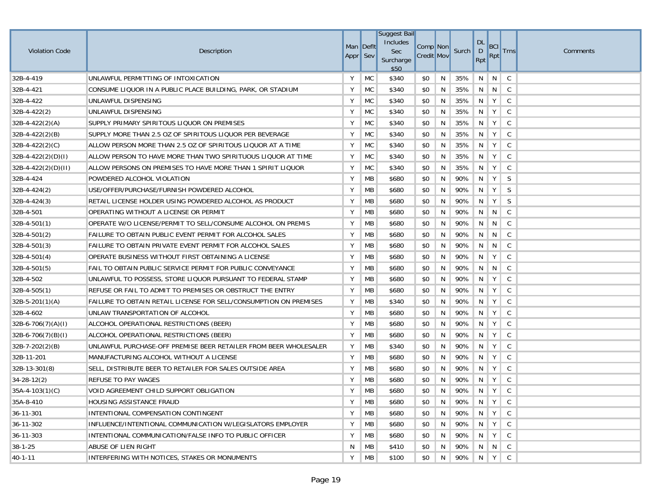| <b>Violation Code</b> | Description                                                       | Appr Sev | Man Deflt | <b>Suggest Bail</b><br>Includes<br>Sec<br>Surcharge<br>\$50 | Comp Non<br><b>Credit Mov</b> |    | Surch | DL<br>D<br>Rpt | <b>BCI</b><br><b>Rpt</b> | <b>Trns</b>  | Comments |
|-----------------------|-------------------------------------------------------------------|----------|-----------|-------------------------------------------------------------|-------------------------------|----|-------|----------------|--------------------------|--------------|----------|
| 32B-4-419             | UNLAWFUL PERMITTING OF INTOXICATION                               | Υ        | MC        | \$340                                                       | \$0                           | N  | 35%   | N              | $\vert N \vert$          | C            |          |
| 32B-4-421             | CONSUME LIQUOR IN A PUBLIC PLACE BUILDING, PARK, OR STADIUM       | Υ        | MC        | \$340                                                       | \$0                           | N  | 35%   | N              | $\vert N \vert$          | $\mathsf{C}$ |          |
| 32B-4-422             | UNLAWFUL DISPENSING                                               | Υ        | <b>MC</b> | \$340                                                       | \$0                           | N  | 35%   | N              | Υ                        | $\mathsf{C}$ |          |
| $32B-4-422(2)$        | UNLAWFUL DISPENSING                                               | Υ        | MC        | \$340                                                       | \$0                           | N  | 35%   | N              | Υ                        | $\mathsf{C}$ |          |
| $32B-4-422(2)(A)$     | SUPPLY PRIMARY SPIRITOUS LIQUOR ON PREMISES                       | Υ        | MC        | \$340                                                       | \$0                           | N  | 35%   | N              | Υ                        | $\mathsf{C}$ |          |
| $32B-4-422(2)(B)$     | SUPPLY MORE THAN 2.5 OZ OF SPIRITOUS LIQUOR PER BEVERAGE          | Υ        | MC        | \$340                                                       | \$0                           | N  | 35%   | N              | Y                        | $\mathsf{C}$ |          |
| 32B-4-422(2)(C)       | ALLOW PERSON MORE THAN 2.5 OZ OF SPIRITOUS LIQUOR AT A TIME       | Υ        | MC        | \$340                                                       | \$0                           | N  | 35%   | N              | Υ                        | $\mathsf{C}$ |          |
| $32B-4-422(2)(D)(I)$  | ALLOW PERSON TO HAVE MORE THAN TWO SPIRITUOUS LIQUOR AT TIME      | Υ        | <b>MC</b> | \$340                                                       | \$0                           | N  | 35%   | N              | Y                        | $\mathsf{C}$ |          |
| $32B-4-422(2)(D)(H)$  | ALLOW PERSONS ON PREMISES TO HAVE MORE THAN 1 SPIRIT LIQUOR       | Υ        | <b>MC</b> | \$340                                                       | \$0                           | N  | 35%   | N              | Y                        | $\mathsf{C}$ |          |
| 32B-4-424             | POWDERED ALCOHOL VIOLATION                                        | Υ        | MB        | \$680                                                       | \$0                           | N  | 90%   | N              | Y                        | <sub>S</sub> |          |
| $32B-4-424(2)$        | USE/OFFER/PURCHASE/FURNISH POWDERED ALCOHOL                       | Υ        | MB        | \$680                                                       | \$0                           | N  | 90%   | N              | Υ                        | <sub>S</sub> |          |
| $32B-4-424(3)$        | RETAIL LICENSE HOLDER USING POWDERED ALCOHOL AS PRODUCT           | Y        | МB        | \$680                                                       | \$0                           | N  | 90%   | N              | Y                        | S            |          |
| 32B-4-501             | OPERATING WITHOUT A LICENSE OR PERMIT                             | Υ        | MB        | \$680                                                       | \$0                           | N  | 90%   | N              | $\mathbb{N}$             | C            |          |
| $32B-4-501(1)$        | OPERATE W/O LICENSE/PERMIT TO SELL/CONSUME ALCOHOL ON PREMIS      | Υ        | МB        | \$680                                                       | \$0                           | N  | 90%   | N              | N                        | C            |          |
| $32B-4-501(2)$        | FAILURE TO OBTAIN PUBLIC EVENT PERMIT FOR ALCOHOL SALES           | Υ        | МB        | \$680                                                       | \$0                           | N  | 90%   | N              | N                        | $\mathsf{C}$ |          |
| $32B-4-501(3)$        | FAILURE TO OBTAIN PRIVATE EVENT PERMIT FOR ALCOHOL SALES          | Υ        | МB        | \$680                                                       | \$0                           | N  | 90%   | N              | N                        | C            |          |
| $32B-4-501(4)$        | OPERATE BUSINESS WITHOUT FIRST OBTAINING A LICENSE                | Y        | МB        | \$680                                                       | \$0                           | N  | 90%   | N              | Υ                        | C            |          |
| $32B-4-501(5)$        | FAIL TO OBTAIN PUBLIC SERVICE PERMIT FOR PUBLIC CONVEYANCE        | Υ        | MB        | \$680                                                       | \$0                           | N  | 90%   | N              | N                        | C            |          |
| 32B-4-502             | UNLAWFUL TO POSSESS, STORE LIQUOR PURSUANT TO FEDERAL STAMP       | Υ        | МB        | \$680                                                       | \$0                           | N  | 90%   | N              | Y                        | C            |          |
| $32B-4-505(1)$        | REFUSE OR FAIL TO ADMIT TO PREMISES OR OBSTRUCT THE ENTRY         | Υ        | МB        | \$680                                                       | \$0                           | N  | 90%   | N              | Y                        | C            |          |
| $32B-5-201(1)(A)$     | FAILURE TO OBTAIN RETAIL LICENSE FOR SELL/CONSUMPTION ON PREMISES | Υ        | МB        | \$340                                                       | \$0                           | N  | 90%   | N              | Y                        | C            |          |
| 32B-4-602             | UNLAW TRANSPORTATION OF ALCOHOL                                   | Υ        | MB        | \$680                                                       | \$0                           | N  | 90%   | N              | Y                        | C            |          |
| $32B-6-706(7)(A)(I)$  | ALCOHOL OPERATIONAL RESTRICTIONS (BEER)                           | Υ        | МB        | \$680                                                       | \$0                           | N  | 90%   | N              | Y                        | $\mathsf{C}$ |          |
| $32B-6-706(7)(B)(I)$  | ALCOHOL OPERATIONAL RESTRICTIONS (BEER)                           | Υ        | MB        | \$680                                                       | \$0                           | N  | 90%   | $\mathsf{N}$   | Y                        | $\mathsf{C}$ |          |
| $32B-7-202(2)(B)$     | UNLAWFUL PURCHASE-OFF PREMISE BEER RETAILER FROM BEER WHOLESALER  | Υ        | MB        | \$340                                                       | \$0                           | N  | 90%   | N              | Y                        | C            |          |
| 32B-11-201            | MANUFACTURING ALCOHOL WITHOUT A LICENSE                           | Υ        | MB        | \$680                                                       | \$0                           | N  | 90%   | N              | Υ                        | $\mathsf{C}$ |          |
| $32B-13-301(8)$       | SELL, DISTRIBUTE BEER TO RETAILER FOR SALES OUTSIDE AREA          | Υ        | МB        | \$680                                                       | \$0                           | N  | 90%   | N              | Y                        | $\mathsf{C}$ |          |
| $34 - 28 - 12(2)$     | <b>REFUSE TO PAY WAGES</b>                                        | Y        | MB        | \$680                                                       | \$0                           | N  | 90%   | N              | Υ                        | $\mathsf{C}$ |          |
| $35A-4-103(1)(C)$     | VOID AGREEMENT CHILD SUPPORT OBLIGATION                           | Y        | MB        | \$680                                                       | \$0                           | N  | 90%   | N              | Υ                        | C            |          |
| 35A-8-410             | HOUSING ASSISTANCE FRAUD                                          | Y        | МB        | \$680                                                       | \$0                           | N  | 90%   |                | N   Y   C                |              |          |
| 36-11-301             | INTENTIONAL COMPENSATION CONTINGENT                               | Υ        | MB        | \$680                                                       | \$0                           | N  | 90%   |                | $N$   $Y$                | $\mathsf{C}$ |          |
| 36-11-302             | INFLUENCE/INTENTIONAL COMMUNICATION W/LEGISLATORS EMPLOYER        | Υ        | MB        | \$680                                                       | \$0                           | N  | 90%   | $\mathbb{N}$   | Y                        | $\mathsf{C}$ |          |
| 36-11-303             | INTENTIONAL COMMUNICATION/FALSE INFO TO PUBLIC OFFICER            | Υ        | MВ        | \$680                                                       | \$0                           | N. | 90%   |                | $N$   $Y$                | $\mathsf{C}$ |          |
| $38 - 1 - 25$         | ABUSE OF LIEN RIGHT                                               | N        | МB        | \$410                                                       | \$0                           | N  | 90%   |                | N N C                    |              |          |
| 40-1-11               | INTERFERING WITH NOTICES, STAKES OR MONUMENTS                     | Y        | МB        | \$100                                                       | \$0                           | N  | 90%   |                | $N$ $Y$ $C$              |              |          |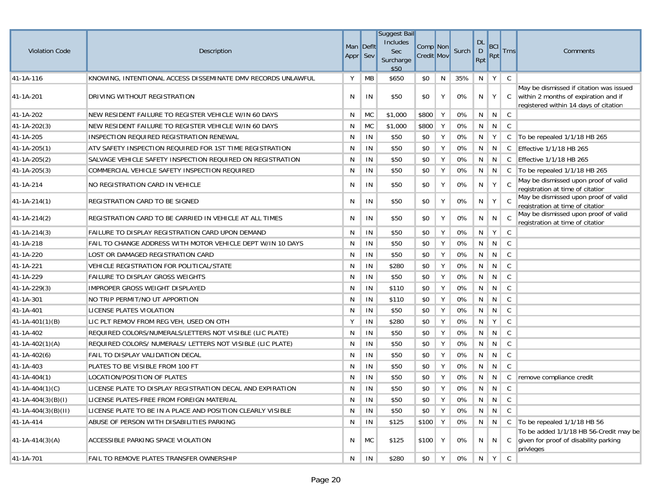|                          |                                                              |          |               | <b>Suggest Bail</b><br>Includes |                               |   |       | $DL$        |            |               |                                                                                                                          |
|--------------------------|--------------------------------------------------------------|----------|---------------|---------------------------------|-------------------------------|---|-------|-------------|------------|---------------|--------------------------------------------------------------------------------------------------------------------------|
| <b>Violation Code</b>    | Description                                                  | Appr Sev | Man Deflt     | Sec                             | Comp Non<br><b>Credit Mov</b> |   | Surch | $\mathsf D$ | BCI<br>Rpt | <b>Trns</b>   | Comments                                                                                                                 |
|                          |                                                              |          |               | Surcharge<br>\$50               |                               |   |       | Rpt         |            |               |                                                                                                                          |
| 41-1A-116                | KNOWING, INTENTIONAL ACCESS DISSEMINATE DMV RECORDS UNLAWFUL | Υ        | MB            | \$650                           | \$0                           | N | 35%   | N           | Y          | C             |                                                                                                                          |
| 41-1A-201                | DRIVING WITHOUT REGISTRATION                                 | N        | IN            | \$50                            | \$0                           | Υ | 0%    | N           | Y          | C             | May be dismissed if citation was issued<br>within 2 months of expiration and if<br>registered within 14 days of citation |
| 41-1A-202                | NEW RESIDENT FAILURE TO REGISTER VEHICLE W/IN 60 DAYS        | N        | <b>MC</b>     | \$1,000                         | \$800                         | Υ | 0%    | N           | N          | $\mathsf{C}$  |                                                                                                                          |
| 41-1A-202(3)             | NEW RESIDENT FAILURE TO REGISTER VEHICLE W/IN 60 DAYS        | N        | <b>MC</b>     | \$1,000                         | \$800                         | Y | 0%    | N           | N          | $\mathsf{C}$  |                                                                                                                          |
| 41-1A-205                | INSPECTION REQUIRED REGISTRATION RENEWAL                     | N        | IN            | \$50                            | \$0                           | Υ | 0%    | N           | Y          | C             | To be repealed 1/1/18 HB 265                                                                                             |
| 41-1A-205(1)             | ATV SAFETY INSPECTION REQUIRED FOR 1ST TIME REGISTRATION     | N        | IN            | \$50                            | \$0                           | Y | 0%    | N           | N          | C             | Effective 1/1/18 HB 265                                                                                                  |
| 41-1A-205(2)             | SALVAGE VEHICLE SAFETY INSPECTION REQUIRED ON REGISTRATION   | N        | IN            | \$50                            | \$0                           | Υ | 0%    | N           | N          | $\mathsf{C}$  | <b>Effective 1/1/18 HB 265</b>                                                                                           |
| $ 41-1A-205(3) $         | COMMERCIAL VEHICLE SAFETY INSPECTION REQUIRED                | N        | IN            | \$50                            | \$0                           | Υ | 0%    | N           | N          | C             | To be repealed 1/1/18 HB 265                                                                                             |
| 41-1A-214                | NO REGISTRATION CARD IN VEHICLE                              | N        | IN            | \$50                            | \$0                           | Υ | 0%    | N           | Y          | $\mathsf C$   | May be dismissed upon proof of valid<br>registration at time of citation                                                 |
| 41-1A-214(1)             | REGISTRATION CARD TO BE SIGNED                               | N        | IN            | \$50                            | \$0                           | Υ | 0%    | N           | Y          | C.            | May be dismissed upon proof of valid<br>registration at time of citation                                                 |
| $41 - 1A - 214(2)$       | REGISTRATION CARD TO BE CARRIED IN VEHICLE AT ALL TIMES      | N        | IN            | \$50                            | \$0                           | Υ | 0%    | N           | N          | C             | May be dismissed upon proof of valid<br>registration at time of citation                                                 |
| 41-1A-214(3)             | FAILURE TO DISPLAY REGISTRATION CARD UPON DEMAND             | N        | IN            | \$50                            | \$0                           | Υ | 0%    | N           | Y          | $\mathsf{C}$  |                                                                                                                          |
| 41-1A-218                | FAIL TO CHANGE ADDRESS WITH MOTOR VEHICLE DEPT W/IN 10 DAYS  | N        | IN            | \$50                            | \$0                           | Υ | 0%    | N           | N          | $\mathsf{C}$  |                                                                                                                          |
| 41-1A-220                | LOST OR DAMAGED REGISTRATION CARD                            | N        | IN            | \$50                            | \$0                           | Υ | 0%    | N           | N          | $\mathsf{C}$  |                                                                                                                          |
| 41-1A-221                | <b>VEHICLE REGISTRATION FOR POLITICAL/STATE</b>              | N        | IN            | \$280                           | \$0                           | Υ | 0%    | N           | N          | $\mathsf{C}$  |                                                                                                                          |
| 41-1A-229                | <b>FAILURE TO DISPLAY GROSS WEIGHTS</b>                      | N        | IN            | \$50                            | \$0                           | Υ | 0%    | N           | N          | $\mathsf{C}$  |                                                                                                                          |
| 41-1A-229(3)             | IMPROPER GROSS WEIGHT DISPLAYED                              | N        | IN            | \$110                           | \$0                           | Υ | 0%    | N           | N          | $\mathsf C$   |                                                                                                                          |
| 41-1A-301                | NO TRIP PERMIT/NO UT APPORTION                               | N        | IN            | \$110                           | \$0                           | Υ | 0%    | N           | N          | $\mathsf{C}$  |                                                                                                                          |
| 41-1A-401                | LICENSE PLATES VIOLATION                                     | N        | IN            | \$50                            | \$0                           | Υ | 0%    | N           | N          | $\mathsf{C}$  |                                                                                                                          |
| 41-1A-401(1)(B)          | LIC PLT REMOV FROM REG VEH, USED ON OTH                      | Υ        | IN            | \$280                           | \$0                           | Υ | 0%    | N           | Y          | $\mathsf C$   |                                                                                                                          |
| 41-1A-402                | REQUIRED COLORS/NUMERALS/LETTERS NOT VISIBLE (LIC PLATE)     | N        | IN            | \$50                            | \$0                           | Υ | 0%    | N           | N          | $\mathsf C$   |                                                                                                                          |
| $41 - 1A - 402(1)(A)$    | REQUIRED COLORS/ NUMERALS/ LETTERS NOT VISIBLE (LIC PLATE)   | N        | IN            | \$50                            | \$0                           | Υ | 0%    | N           | N          | $\mathsf C$   |                                                                                                                          |
| $41 - 1A - 402(6)$       | FAIL TO DISPLAY VALIDATION DECAL                             | N        | IN            | \$50                            | \$0                           | Υ | 0%    | N           | N          | C             |                                                                                                                          |
| 41-1A-403                | PLATES TO BE VISIBLE FROM 100 FT                             | N        | IN            | \$50                            | \$0                           | Υ | 0%    | N           | N          | C             |                                                                                                                          |
| $ 41 - 1A - 404(1) $     | LOCATION/POSITION OF PLATES                                  | N        | IN            | \$50                            | \$0                           | Υ | 0%    | N           | N          | C             | remove compliance credit                                                                                                 |
| $41 - 1A - 404(1)(C)$    | LICENSE PLATE TO DISPLAY REGISTRATION DECAL AND EXPIRATION   | N        | IN            | \$50                            | \$0                           | Υ | 0%    | N           | N          | C             |                                                                                                                          |
| $41 - 1A - 404(3)(B)(I)$ | LICENSE PLATES-FREE FROM FOREIGN MATERIAL                    | N        | IN            | \$50                            | \$0                           | Υ | 0%    |             | N N        | C             |                                                                                                                          |
| $41 - 1A - 404(3)(B)(H)$ | LICENSE PLATE TO BE IN A PLACE AND POSITION CLEARLY VISIBLE  | N        | IN            | \$50                            | \$0                           | Y | 0%    | N           | N          | C             |                                                                                                                          |
| 41-1A-414                | ABUSE OF PERSON WITH DISABILITIES PARKING                    | N        | IN            | \$125                           | \$100                         | Y | 0%    | N           | N          |               | C $\vert$ To be repealed 1/1/18 HB 56                                                                                    |
| $41 - 1A - 414(3)(A)$    | ACCESSIBLE PARKING SPACE VIOLATION                           | N        | MC            | \$125                           | \$100 Y                       |   | 0%    | N.          | N          | $\mathcal{C}$ | To be added 1/1/18 HB 56-Credit may be<br>given for proof of disability parking<br>privleges                             |
| 41-1A-701                | FAIL TO REMOVE PLATES TRANSFER OWNERSHIP                     | N        | $\mathsf{IN}$ | \$280                           | \$0                           | Y | 0%    |             | $N$ $Y$    | $\mathsf{C}$  |                                                                                                                          |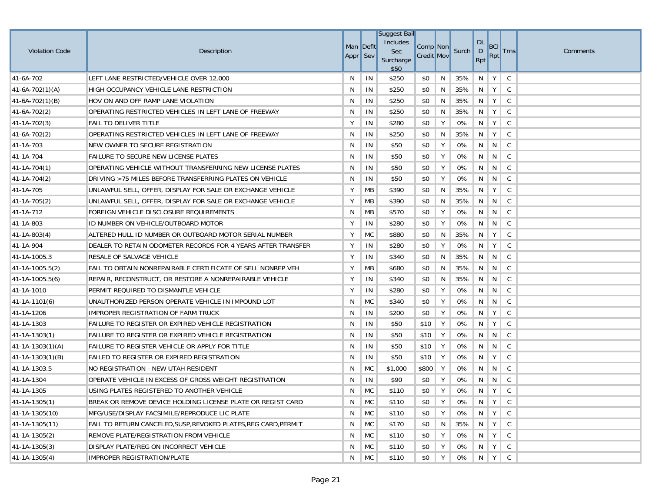|                        |                                                                 |                       |           | <b>Suggest Bail</b>          |                               |    |       |                                  |            |               |          |
|------------------------|-----------------------------------------------------------------|-----------------------|-----------|------------------------------|-------------------------------|----|-------|----------------------------------|------------|---------------|----------|
| <b>Violation Code</b>  | Description                                                     | Man Deflt<br>Appr Sev |           | Includes<br>Sec<br>Surcharge | Comp Non<br><b>Credit Mov</b> |    | Surch | <b>DL</b><br>$\mathsf{D}$<br>Rpt | BCI<br>Rpt | <b>Trns</b>   | Comments |
|                        |                                                                 |                       |           | \$50                         |                               |    |       |                                  |            |               |          |
| 41-6A-702              | LEFT LANE RESTRICTED/VEHICLE OVER 12,000                        | N                     | IN        | \$250                        | \$0                           | N  | 35%   | N                                | Y          | C             |          |
| $41-6A-702(1)(A)$      | HIGH OCCUPANCY VEHICLE LANE RESTRICTION                         | N                     | IN        | \$250                        | \$0                           | N  | 35%   | N                                | Y          | C             |          |
| $41-6A-702(1)(B)$      | HOV ON AND OFF RAMP LANE VIOLATION                              | N                     | IN        | \$250                        | \$0                           | N  | 35%   | N                                | Y          | C             |          |
| $41-6A-702(2)$         | OPERATING RESTRICTED VEHICLES IN LEFT LANE OF FREEWAY           | N                     | IN        | \$250                        | \$0                           | N  | 35%   | N                                | Y          | $\mathsf C$   |          |
| $41 - 1A - 702(3)$     | FAIL TO DELIVER TITLE                                           | Y                     | IN        | \$280                        | \$0                           | Y  | 0%    | N                                | Y          | C             |          |
| 41-6A-702(2)           | OPERATING RESTRICTED VEHICLES IN LEFT LANE OF FREEWAY           | N                     | IN        | \$250                        | \$0                           | N  | 35%   | N                                | Y          | C             |          |
| 41-1A-703              | NEW OWNER TO SECURE REGISTRATION                                | N                     | IN        | \$50                         | \$0                           | Y  | 0%    | N                                | N          | C             |          |
| 41-1A-704              | FAILURE TO SECURE NEW LICENSE PLATES                            | N                     | IN        | \$50                         | \$0                           | Υ  | 0%    | N                                | N          | $\mathsf{C}$  |          |
| $41 - 1A - 704(1)$     | OPERATING VEHICLE WITHOUT TRANSFERRING NEW LICENSE PLATES       | N                     | IN        | \$50                         | \$0                           | Y  | 0%    | N                                | N          | $\mathsf{C}$  |          |
| $ 41-1A-704(2) $       | DRIVING >75 MILES BEFORE TRANSFERRING PLATES ON VEHICLE         | N                     | IN        | \$50                         | \$0                           | Y  | 0%    | N                                | N          | C             |          |
| 41-1A-705              | UNLAWFUL SELL, OFFER, DISPLAY FOR SALE OR EXCHANGE VEHICLE      | Y                     | MB        | \$390                        | \$0                           | N  | 35%   | N                                | Y          | C             |          |
| $41 - 1A - 705(2)$     | UNLAWFUL SELL, OFFER, DISPLAY FOR SALE OR EXCHANGE VEHICLE      | Y                     | МB        | \$390                        | \$0                           | N  | 35%   | N                                | N          | C             |          |
| 41-1A-712              | FOREIGN VEHICLE DISCLOSURE REQUIREMENTS                         | N                     | МB        | \$570                        | \$0                           | Υ  | 0%    | N                                | N          | C             |          |
| 41-1A-803              | ID NUMBER ON VEHICLE/OUTBOARD MOTOR                             | Y                     | IN        | \$280                        | \$0                           | Υ  | 0%    | N                                | N          | C             |          |
| $41 - 1A - 803(4)$     | ALTERED HULL ID NUMBER OR OUTBOARD MOTOR SERIAL NUMBER          | Υ                     | <b>MC</b> | \$880                        | \$0                           | N  | 35%   | N                                | Y          | C             |          |
| 41-1A-904              | DEALER TO RETAIN ODOMETER RECORDS FOR 4 YEARS AFTER TRANSFER    | Y                     | IN        | \$280                        | \$0                           | Υ  | 0%    | N                                | Υ          | C             |          |
| 41-1A-1005.3           | RESALE OF SALVAGE VEHICLE                                       | Y                     | IN        | \$340                        | \$0                           | N  | 35%   | N                                | N          | C             |          |
| 41-1A-1005.5(2)        | FAIL TO OBTAIN NONREPAIRABLE CERTIFICATE OF SELL NONREP VEH     | Y                     | MB        | \$680                        | \$0                           | N  | 35%   | N                                | N          | C             |          |
| $41 - 1A - 1005.5(6)$  | REPAIR, RECONSTRUCT, OR RESTORE A NONREPAIRABLE VEHICLE         | Υ                     | IN        | \$340                        | \$0                           | N  | 35%   | N <sub>1</sub>                   | N          | C             |          |
| 41-1A-1010             | PERMIT REQUIRED TO DISMANTLE VEHICLE                            | Y                     | IN        | \$280                        | \$0                           | Υ  | 0%    | N                                | N          | C             |          |
| $41 - 1A - 1101(6)$    | UNAUTHORIZED PERSON OPERATE VEHICLE IN IMPOUND LOT              | N                     | <b>MC</b> | \$340                        | \$0                           | Υ  | 0%    | N                                | N          | C             |          |
| 41-1A-1206             | IMPROPER REGISTRATION OF FARM TRUCK                             | N                     | IN        | \$200                        | \$0                           | Υ  | 0%    | N                                | Y          | C             |          |
| 41-1A-1303             | FAILURE TO REGISTER OR EXPIRED VEHICLE REGISTRATION             | N                     | IN        | \$50                         | \$10                          | Υ  | 0%    | N                                | Y          | C             |          |
| $ 41-1A-1303(1)$       | FAILURE TO REGISTER OR EXPIRED VEHICLE REGISTRATION             | N                     | IN        | \$50                         | \$10                          | Υ  | 0%    | N                                | N          | C             |          |
| $ 41-1A-1303(1)(A) $   | FAILURE TO REGISTER VEHICLE OR APPLY FOR TITLE                  | N                     | IN        | \$50                         | \$10                          | Υ  | 0%    | N                                | N          | C             |          |
| $41 - 1A - 1303(1)(B)$ | FAILED TO REGISTER OR EXPIRED REGISTRATION                      | N                     | IN        | \$50                         | \$10                          | Υ  | 0%    | N                                | Y          | C             |          |
| 41-1A-1303.5           | NO REGISTRATION - NEW UTAH RESIDENT                             | N                     | <b>MC</b> | \$1,000                      | \$800                         | Υ  | 0%    | N                                | N          | $\mathsf C$   |          |
| 41-1A-1304             | OPERATE VEHICLE IN EXCESS OF GROSS WEIGHT REGISTRATION          | N                     | IN        | \$90                         | \$0                           | Υ  | 0%    | N                                | N          | C             |          |
| 41-1A-1305             | USING PLATES REGISTERED TO ANOTHER VEHICLE                      | N                     | MC        | \$110                        | \$0                           | Υ  | 0%    | N                                | Y          | C             |          |
| $41 - 1A - 1305(1)$    | BREAK OR REMOVE DEVICE HOLDING LICENSE PLATE OR REGIST CARD     | N                     | MC        | \$110                        | \$0                           | Y  | 0%    | N                                | Y          | $\mathsf{C}$  |          |
| 41-1A-1305(10)         | MFG/USE/DISPLAY FACSIMILE/REPRODUCE LIC PLATE                   | N                     | <b>MC</b> | \$110                        | \$0                           | Y  | 0%    | N                                | $Y \mid$   | C             |          |
| 41-1A-1305(11)         | FAIL TO RETURN CANCELED, SUSP, REVOKED PLATES, REG CARD, PERMIT | N                     | <b>MC</b> | \$170                        | \$0                           | N  | 35%   | N                                | Y          | C             |          |
| $41-1A-1305(2)$        | REMOVE PLATE/REGISTRATION FROM VEHICLE                          | N                     | <b>MC</b> | \$110                        | \$0                           | Y. | 0%    | N                                | Y          | $\mathsf{C}$  |          |
| $41 - 1A - 1305(3)$    | DISPLAY PLATE/REG ON INCORRECT VEHICLE                          | N                     | MC        | \$110                        | \$0                           | Y  | 0%    | N                                | Y          | $\mathsf{C}$  |          |
| $41 - 1A - 1305(4)$    | <b>IMPROPER REGISTRATION/PLATE</b>                              | N                     | MC        | \$110                        | \$0                           | Y  | 0%    | N                                | Y          | ${\mathbb C}$ |          |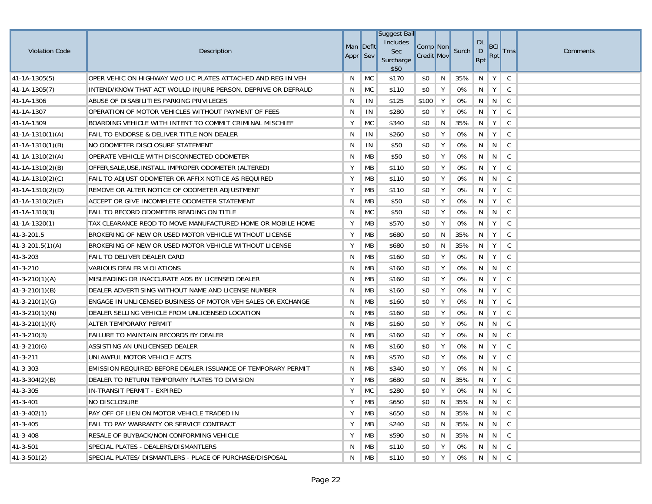|                        |                                                              |           |           | <b>Suggest Bail</b> |                   |   |       |                    |       |              |          |
|------------------------|--------------------------------------------------------------|-----------|-----------|---------------------|-------------------|---|-------|--------------------|-------|--------------|----------|
| <b>Violation Code</b>  | Description                                                  | Man Deflt |           | Includes<br>Sec     | Comp Non          |   | Surch | DL<br>$\mathsf{D}$ | BCI   | <b>Trns</b>  | Comments |
|                        |                                                              | Appr Sev  |           | Surcharge<br>\$50   | <b>Credit Mov</b> |   |       | Rpt                | Rpt   |              |          |
| $41 - 1A - 1305(5)$    | OPER VEHIC ON HIGHWAY W/O LIC PLATES ATTACHED AND REG IN VEH | N         | MC        | \$170               | \$0               | N | 35%   | N                  | Y     | C            |          |
| $41 - 1A - 1305(7)$    | INTEND/KNOW THAT ACT WOULD INJURE PERSON, DEPRIVE OR DEFRAUD | N         | MC        | \$110               | \$0               | Y | 0%    | N                  | Y     | C            |          |
| 41-1A-1306             | ABUSE OF DISABILITIES PARKING PRIVILEGES                     | N         | IN        | \$125               | \$100             | Y | 0%    | N                  | N     | $\mathsf{C}$ |          |
| 41-1A-1307             | OPERATION OF MOTOR VEHICLES WITHOUT PAYMENT OF FEES          | N         | IN        | \$280               | \$0               | Υ | 0%    | N                  | Y     | $\mathsf C$  |          |
| 41-1A-1309             | BOARDING VEHICLE WITH INTENT TO COMMIT CRIMINAL MISCHIEF     | Υ         | <b>MC</b> | \$340               | \$0               | N | 35%   | N                  | Y     | C            |          |
| $41-1A-1310(1)(A)$     | FAIL TO ENDORSE & DELIVER TITLE NON DEALER                   | N         | IN        | \$260               | \$0               | Y | 0%    | N                  | Y     | C            |          |
| $ 41-1A-1310(1)(B) $   | NO ODOMETER DISCLOSURE STATEMENT                             | N         | IN        | \$50                | \$0               | Y | 0%    | N                  | N     | C            |          |
| $41-1A-1310(2)(A)$     | OPERATE VEHICLE WITH DISCONNECTED ODOMETER                   | N         | MB        | \$50                | \$0               | Υ | 0%    | N                  | N     | $\mathsf{C}$ |          |
| $ 41-1A-1310(2)(B) $   | OFFER, SALE, USE, INSTALL IMPROPER ODOMETER (ALTERED)        | Y         | MB        | \$110               | \$0               | Y | 0%    | N                  | Y     | C            |          |
| $ 41-1A-1310(2)(C) $   | FAIL TO ADJUST ODOMETER OR AFFIX NOTICE AS REQUIRED          | Y         | MB        | \$110               | \$0               | Y | 0%    | N                  | N     | $\mathsf{C}$ |          |
| $ 41-1A-1310(2)(D) $   | REMOVE OR ALTER NOTICE OF ODOMETER ADJUSTMENT                | Y         | MB        | \$110               | \$0               | Υ | 0%    | N                  | Y     | C            |          |
| $41-1A-1310(2)(E)$     | ACCEPT OR GIVE INCOMPLETE ODOMETER STATEMENT                 | N         | МB        | \$50                | \$0               | Υ | 0%    | N                  | Y     | C            |          |
| $41 - 1A - 1310(3)$    | FAIL TO RECORD ODOMETER READING ON TITLE                     | N         | <b>MC</b> | \$50                | \$0               | Υ | 0%    | N                  | N     | C            |          |
| $41 - 1A - 1320(1)$    | TAX CLEARANCE REQD TO MOVE MANUFACTURED HOME OR MOBILE HOME  | Υ         | MB        | \$570               | \$0               | Υ | 0%    | N                  | Y     | C            |          |
| 41-3-201.5             | BROKERING OF NEW OR USED MOTOR VEHICLE WITHOUT LICENSE       | Υ         | МB        | \$680               | \$0               | N | 35%   | N                  | Y     | C            |          |
| $41 - 3 - 201.5(1)(A)$ | BROKERING OF NEW OR USED MOTOR VEHICLE WITHOUT LICENSE       | Υ         | MB        | \$680               | \$0               | N | 35%   | -N                 | Υ     | C            |          |
| $ 41-3-203 $           | FAIL TO DELIVER DEALER CARD                                  | N         | MB        | \$160               | \$0               | Υ | 0%    | N                  | Y     | C            |          |
| $ 41-3-210$            | VARIOUS DEALER VIOLATIONS                                    | N         | MB        | \$160               | \$0               | Υ | 0%    | N                  | N     | C            |          |
| $41 - 3 - 210(1)(A)$   | MISLEADING OR INACCURATE ADS BY LICENSED DEALER              | N         | MB        | \$160               | \$0               | Υ | 0%    | N                  | Y     | C            |          |
| $41 - 3 - 210(1)(B)$   | DEALER ADVERTISING WITHOUT NAME AND LICENSE NUMBER           | N         | МB        | \$160               | \$0               | Υ | 0%    | N                  | Y     | C            |          |
| $ 41-3-210(1)(G) $     | ENGAGE IN UNLICENSED BUSINESS OF MOTOR VEH SALES OR EXCHANGE | N         | MB        | \$160               | \$0               | Υ | 0%    | N                  | Y     | C            |          |
| $ 41-3-210(1)(N) $     | DEALER SELLING VEHICLE FROM UNLICENSED LOCATION              | N         | МB        | \$160               | \$0               | Y | 0%    | N                  | Y     | C            |          |
| $(41-3-210(1)(R))$     | ALTER TEMPORARY PERMIT                                       | N         | MB        | \$160               | \$0               | Υ | 0%    | N                  | N     | C            |          |
| $ 41-3-210(3) $        | FAILURE TO MAINTAIN RECORDS BY DEALER                        | N         | MB        | \$160               | \$0               | Υ | 0%    | N                  | N     | C            |          |
| $ 41-3-210(6) $        | ASSISTING AN UNLICENSED DEALER                               | N         | MB        | \$160               | \$0               | Υ | 0%    | N                  | Y     | C            |          |
| $ 41-3-211$            | UNLAWFUL MOTOR VEHICLE ACTS                                  | N         | MB        | \$570               | \$0               | Y | 0%    | N                  | Y     | C            |          |
| 41-3-303               | EMISSION REQUIRED BEFORE DEALER ISSUANCE OF TEMPORARY PERMIT | N         | MB        | \$340               | \$0               | Υ | 0%    | N                  | N     | $\mathsf C$  |          |
| $41 - 3 - 304(2)(B)$   | DEALER TO RETURN TEMPORARY PLATES TO DIVISION                | Y         | MB        | \$680               | \$0               | N | 35%   | N                  | Y     | C            |          |
| $ 41-3-305$            | IN-TRANSIT PERMIT - EXPIRED                                  | Υ         | <b>MC</b> | \$280               | \$0               | Y | 0%    | N                  | N     | C            |          |
| $ 41-3-401$            | NO DISCLOSURE                                                | Y         | MB        | \$650               | \$0               | N | 35%   |                    | N N C |              |          |
| $ 41-3-402(1) $        | PAY OFF OF LIEN ON MOTOR VEHICLE TRADED IN                   | Υ         | МB        | \$650               | \$0               | N | 35%   | N                  |       |              |          |
| 41-3-405               | FAIL TO PAY WARRANTY OR SERVICE CONTRACT                     | Υ         | MB        | \$240               | \$0               | N | 35%   | N                  | N     | $\mathsf{C}$ |          |
| 41-3-408               | RESALE OF BUYBACK/NON CONFORMING VEHICLE                     | Υ         | MB        | \$590               | \$0               | N | 35%   | N                  | N     | $\mathsf{C}$ |          |
| 41-3-501               | SPECIAL PLATES - DEALERS/DISMANTLERS                         | N         | МB        | \$110               | \$0               | Y | 0%    | N                  |       | $\mathsf{C}$ |          |
| $41 - 3 - 501(2)$      | SPECIAL PLATES/ DISMANTLERS - PLACE OF PURCHASE/DISPOSAL     | N         | МB        | \$110               | \$0               | Υ | 0%    |                    | N N C |              |          |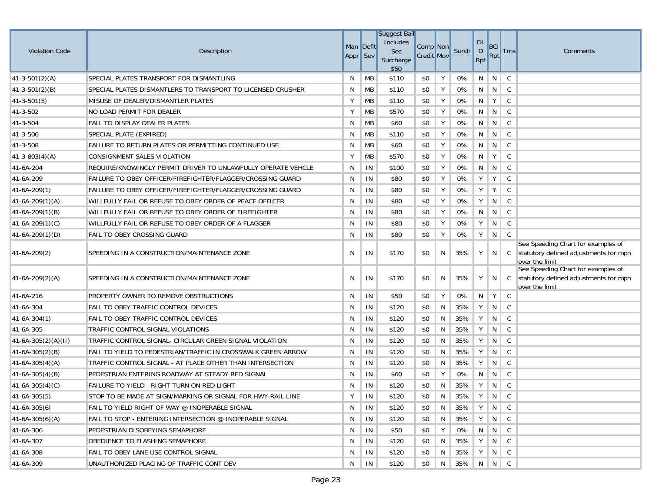|                       |                                                              |           |    | <b>Suggest Bail</b>      |                   |   |           |           |                 |                 |                                                                                               |
|-----------------------|--------------------------------------------------------------|-----------|----|--------------------------|-------------------|---|-----------|-----------|-----------------|-----------------|-----------------------------------------------------------------------------------------------|
|                       |                                                              | Man Deflt |    | Includes                 | Comp Non          |   |           | <b>DL</b> | <b>BCI</b>      |                 |                                                                                               |
| <b>Violation Code</b> | Description                                                  | Appr Sev  |    | Sec<br>Surcharge<br>\$50 | <b>Credit Mov</b> |   | Surch     | D<br>Rpt  | Rpt             | <b>Trns</b>     | Comments                                                                                      |
| $41 - 3 - 501(2)(A)$  | SPECIAL PLATES TRANSPORT FOR DISMANTLING                     | N         | MB | \$110                    | \$0               | Υ | 0%        | N         | N               | C               |                                                                                               |
| $41 - 3 - 501(2)(B)$  | SPECIAL PLATES DISMANTLERS TO TRANSPORT TO LICENSED CRUSHER  | N         | MB | \$110                    | \$0               | Υ | 0%        | N         | N               | C               |                                                                                               |
| $ 41-3-501(5) $       | MISUSE OF DEALER/DISMANTLER PLATES                           | Υ         | MB | \$110                    | \$0               | Υ | 0%        | N         | Y               | C               |                                                                                               |
| 41-3-502              | NO LOAD PERMIT FOR DEALER                                    | Υ         | MB | \$570                    | \$0               | Υ | 0%        | N         | N               | $\mathsf{C}$    |                                                                                               |
| 41-3-504              | FAIL TO DISPLAY DEALER PLATES                                | N         | MB | \$60                     | \$0               | Υ | 0%        | N         | N               | C               |                                                                                               |
| 41-3-506              | SPECIAL PLATE (EXPIRED)                                      | N         | MB | \$110                    | \$0               | Υ | 0%        | N         | N               | C               |                                                                                               |
| 41-3-508              | FAILURE TO RETURN PLATES OR PERMITTING CONTINUED USE         | N         | MB | \$60                     | \$0               | Υ | 0%        | N         | $\mathsf{N}$    | C               |                                                                                               |
| $41 - 3 - 803(4)(A)$  | CONSIGNMENT SALES VIOLATION                                  | Υ         | MB | \$570                    | \$0               | Υ | 0%        | N         | Y               | $\mathsf{C}$    |                                                                                               |
| 41-6A-204             | REQUIRE/KNOWINGLY PERMIT DRIVER TO UNLAWFULLY OPERATE VEHCLE | N         | IN | \$100                    | \$0               | Υ | 0%        | N         | N               | C               |                                                                                               |
| 41-6A-209             | FAILURE TO OBEY OFFICER/FIREFIGHTER/FLAGGER/CROSSING GUARD   | N         | IN | \$80                     | \$0               | Υ | 0%        | Y         | Y               | C               |                                                                                               |
| $ 41-6A-209(1) $      | FAILURE TO OBEY OFFICER/FIREFIGHTER/FLAGGER/CROSSING GUARD   | N         | IN | \$80                     | \$0               | Υ | 0%        | Υ         | Y               | C               |                                                                                               |
| $41-6A-209(1)(A)$     | WILLFULLY FAIL OR REFUSE TO OBEY ORDER OF PEACE OFFICER      | N         | IN | \$80                     | \$0               | Υ | $0\%$     | Υ         | N               | C               |                                                                                               |
| $41-6A-209(1)(B)$     | WILLFULLY FAIL OR REFUSE TO OBEY ORDER OF FIREFIGHTER        | N         | IN | \$80                     | \$0               | Υ | 0%        | N         | N               | C               |                                                                                               |
| $41-6A-209(1)(C)$     | WILLFULLY FAIL OR REFUSE TO OBEY ORDER OF A FLAGGER          | N         | IN | \$80                     | \$0               | Υ | 0%        | Y         | N               | C               |                                                                                               |
| $ 41-6A-209(1)(D) $   | FAIL TO OBEY CROSSING GUARD                                  | N         | IN | \$80                     | \$0               | Y | 0%        | Υ         | N               | $\mathsf{C}$    |                                                                                               |
| $ 41-6A-209(2) $      | SPEEDING IN A CONSTRUCTION/MAINTENANCE ZONE                  | N         | IN | \$170                    | \$0               | N | 35%       | Υ         | N               | C.              | See Speeding Chart for examples of<br>statutory defined adjustments for mph<br>over the limit |
| $41-6A-209(2)(A)$     | SPEEDING IN A CONSTRUCTION/MAINTENANCE ZONE                  | N         | IN | \$170                    | \$0               | N | 35%       | Υ         | N               | $\mathcal{C}$   | See Speeding Chart for examples of<br>statutory defined adjustments for mph<br>over the limit |
| 41-6A-216             | PROPERTY OWNER TO REMOVE OBSTRUCTIONS                        | N         | IN | \$50                     | \$0               | Υ | 0%        | N         | Y               | C               |                                                                                               |
| 41-6A-304             | FAIL TO OBEY TRAFFIC CONTROL DEVICES                         | N         | IN | \$120                    | \$0               | N | 35%       | Y         | N               | C               |                                                                                               |
| $41-6A-304(1)$        | FAIL TO OBEY TRAFFIC CONTROL DEVICES                         | N         | IN | \$120                    | \$0               | N | 35%       | Υ         | N               | C               |                                                                                               |
| 41-6A-305             | TRAFFIC CONTROL SIGNAL VIOLATIONS                            | N         | IN | \$120                    | \$0               | N | 35%       | Υ         | N               | C               |                                                                                               |
| $41-6A-305(2)(A)(II)$ | TRAFFIC CONTROL SIGNAL- CIRCULAR GREEN SIGNAL VIOLATION      | N         | IN | \$120                    | \$0               | N | 35%       | Y         | N               | C               |                                                                                               |
| $41-6A-305(2)(B)$     | FAIL TO YIELD TO PEDESTRIAN/TRAFFIC IN CROSSWALK GREEN ARROW | N         | IN | \$120                    | \$0               | N | 35%       | Y         | N               | C               |                                                                                               |
| $41-6A-305(4)(A)$     | TRAFFIC CONTROL SIGNAL - AT PLACE OTHER THAN INTERSECTION    | N         | IN | \$120                    | \$0               | N | 35%       | Υ         | N               | C               |                                                                                               |
| $41-6A-305(4)(B)$     | PEDESTRIAN ENTERING ROADWAY AT STEADY RED SIGNAL             | N         | IN | \$60                     | \$0               | Υ | 0%        | N         | N               | C               |                                                                                               |
| 41-6A-305(4)(C)       | FAILURE TO YIELD - RIGHT TURN ON RED LIGHT                   | N         | IN | \$120                    | \$0               | N | 35%       | Y         | N.              | C               |                                                                                               |
| $ 41-6A-305(5) $      | STOP TO BE MADE AT SIGN/MARKING OR SIGNAL FOR HWY-RAIL LINE  | Υ         | IN | \$120                    | \$0               |   | N 35% Y N |           |                 | C               |                                                                                               |
| $41-6A-305(6)$        | FAIL TO YIELD RIGHT OF WAY @ INOPERABLE SIGNAL               | N         | IN | \$120                    | \$0               | N | 35% Y N C |           |                 |                 |                                                                                               |
| $41-6A-305(6)(A)$     | FAIL TO STOP - ENTERING INTERSECTION @ INOPERABLE SIGNAL     | N         | IN | \$120                    | \$0               | N | 35%       | Y         | N               | $\mathbb{C}$    |                                                                                               |
| 41-6A-306             | PEDESTRIAN DISOBEYING SEMAPHORE                              | N         | IN | \$50                     | \$0               | Y | 0%        |           | $N$   $N$   $C$ |                 |                                                                                               |
| 41-6A-307             | OBEDIENCE TO FLASHING SEMAPHORE                              | N         | IN | \$120                    | \$0               | N | 35%       | Y         |                 | $N \mid C$      |                                                                                               |
| 41-6A-308             | FAIL TO OBEY LANE USE CONTROL SIGNAL                         | N         | IN | \$120                    | \$0               | N | $35\%$ Y  |           |                 | $N \parallel C$ |                                                                                               |
| 41-6A-309             | UNAUTHORIZED PLACING OF TRAFFIC CONT DEV                     | N         | IN | \$120                    | \$0               | N | 35% N N C |           |                 |                 |                                                                                               |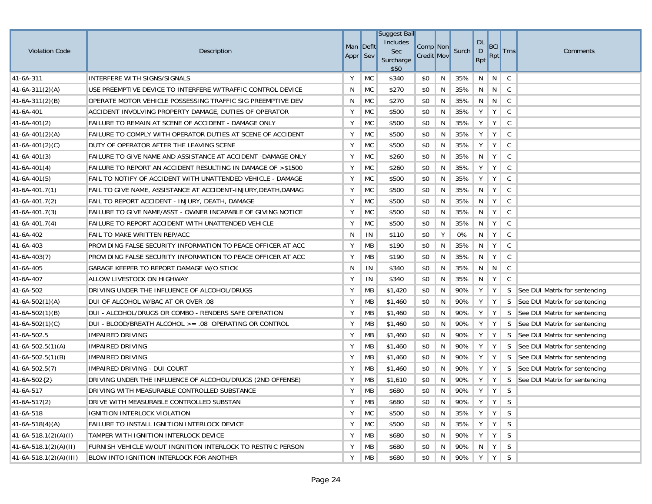| <b>Violation Code</b>    | Description                                                    | Man Deflt<br>Appr Sev |           | <b>Suggest Bail</b><br>Includes<br>Sec<br>Surcharge<br>\$50 | Comp <sup>Non</sup><br><b>Credit Mov</b> |   | Surch   | <b>DL</b><br>D<br>Rpt | <b>BCI</b><br>Rpt | <b>Trns</b>  | Comments                          |
|--------------------------|----------------------------------------------------------------|-----------------------|-----------|-------------------------------------------------------------|------------------------------------------|---|---------|-----------------------|-------------------|--------------|-----------------------------------|
| 41-6A-311                | INTERFERE WITH SIGNS/SIGNALS                                   | Y                     | <b>MC</b> | \$340                                                       | \$0                                      | N | 35%     | N                     | N                 | C            |                                   |
| $41-6A-311(2)(A)$        | USE PREEMPTIVE DEVICE TO INTERFERE W/TRAFFIC CONTROL DEVICE    | N                     | <b>MC</b> | \$270                                                       | \$0                                      | N | 35%     | N                     | N                 | C            |                                   |
| $41-6A-311(2)(B)$        | OPERATE MOTOR VEHICLE POSSESSING TRAFFIC SIG PREEMPTIVE DEV    | N                     | <b>MC</b> | \$270                                                       | \$0                                      | N | 35%     | N                     | N                 | C            |                                   |
| 41-6A-401                | ACCIDENT INVOLVING PROPERTY DAMAGE, DUTIES OF OPERATOR         | Υ                     | <b>MC</b> | \$500                                                       | \$0                                      | N | 35%     | Y                     | Y                 | C            |                                   |
| $41-6A-401(2)$           | FAILURE TO REMAIN AT SCENE OF ACCIDENT - DAMAGE ONLY           | Υ                     | <b>MC</b> | \$500                                                       | \$0                                      | N | 35%     | Y                     | Y                 | C            |                                   |
| $41-6A-401(2)(A)$        | FAILURE TO COMPLY WITH OPERATOR DUTIES AT SCENE OF ACCIDENT    | Υ                     | <b>MC</b> | \$500                                                       | \$0                                      | N | 35%     | Y                     | Y                 | C            |                                   |
| 41-6A-401(2)(C)          | DUTY OF OPERATOR AFTER THE LEAVING SCENE                       | Y                     | <b>MC</b> | \$500                                                       | \$0                                      | N | 35%     | Υ                     | Y                 | C            |                                   |
| $41-6A-401(3)$           | FAILURE TO GIVE NAME AND ASSISTANCE AT ACCIDENT -DAMAGE ONLY   | Υ                     | <b>MC</b> | \$260                                                       | \$0                                      | N | 35%     | N                     | Y                 | $\mathsf{C}$ |                                   |
| $41-6A-401(4)$           | FAILURE TO REPORT AN ACCIDENT RESULTING IN DAMAGE OF >\$1500   | Υ                     | <b>MC</b> | \$260                                                       | \$0                                      | N | 35%     | Y                     | Y                 | C            |                                   |
| $41-6A-401(5)$           | FAIL TO NOTIFY OF ACCIDENT WITH UNATTENDED VEHICLE - DAMAGE    | Υ                     | <b>MC</b> | \$500                                                       | \$0                                      | N | 35%     | Y                     | Y                 | C            |                                   |
| $ 41-6A-401.7(1)\rangle$ | FAIL TO GIVE NAME, ASSISTANCE AT ACCIDENT-INJURY, DEATH, DAMAG | Υ                     | <b>MC</b> | \$500                                                       | \$0                                      | N | 35%     | N                     | Y                 | C            |                                   |
| $ 41-6A-401.7(2) $       | FAIL TO REPORT ACCIDENT - INJURY, DEATH, DAMAGE                | Υ                     | <b>MC</b> | \$500                                                       | \$0                                      | N | 35%     | N                     | Y                 | C            |                                   |
| $ 41-6A-401.7(3) $       | FAILURE TO GIVE NAME/ASST - OWNER INCAPABLE OF GIVING NOTICE   | Υ                     | <b>MC</b> | \$500                                                       | \$0                                      | N | 35%     | N                     | Y                 | C            |                                   |
| $ 41-6A-401.7(4) $       | FAILURE TO REPORT ACCIDENT WITH UNATTENDED VEHICLE             | Υ                     | <b>MC</b> | \$500                                                       | \$0                                      | N | 35%     | N                     | Y                 | C            |                                   |
| 41-6A-402                | FAIL TO MAKE WRITTEN REP/ACC                                   | N                     | IN        | \$110                                                       | \$0                                      | Υ | 0%      | N                     | Y                 | C            |                                   |
| 41-6A-403                | PROVIDING FALSE SECURITY INFORMATION TO PEACE OFFICER AT ACC   | Υ                     | MB        | \$190                                                       | \$0                                      | N | 35%     | N                     | Y                 | C            |                                   |
| $41-6A-403(7)$           | PROVIDING FALSE SECURITY INFORMATION TO PEACE OFFICER AT ACC   | Υ                     | <b>MB</b> | \$190                                                       | \$0                                      | N | 35%     | N                     | Y                 | C            |                                   |
| 41-6A-405                | GARAGE KEEPER TO REPORT DAMAGE W/O STICK                       | N                     | IN        | \$340                                                       | \$0                                      | N | 35%     | N                     | N                 | C            |                                   |
| 41-6A-407                | ALLOW LIVESTOCK ON HIGHWAY                                     | Υ                     | IN        | \$340                                                       | \$0                                      | N | 35%     | N                     | Y                 | C            |                                   |
| 41-6A-502                | DRIVING UNDER THE INFLUENCE OF ALCOHOL/DRUGS                   | Υ                     | MB        | \$1,420                                                     | \$0                                      | N | 90%     | Υ                     | Y                 | S.           | See DUI Matrix for sentencing     |
| $41-6A-502(1)(A)$        | DUI OF ALCOHOL W/BAC AT OR OVER .08                            | Υ                     | МB        | \$1,460                                                     | \$0                                      | N | 90%     | Y                     | Y                 | <sub>S</sub> | See DUI Matrix for sentencing     |
| $41-6A-502(1)(B)$        | DUI - ALCOHOL/DRUGS OR COMBO - RENDERS SAFE OPERATION          | Υ                     | МB        | \$1,460                                                     | \$0                                      | N | 90%     | Υ                     | Y                 | S            | See DUI Matrix for sentencing     |
| $41-6A-502(1)(C)$        | DUI - BLOOD/BREATH ALCOHOL >= .08 OPERATING OR CONTROL         | Υ                     | МB        | \$1,460                                                     | \$0                                      | N | 90%     | Υ                     | Y                 | <sub>S</sub> | See DUI Matrix for sentencing     |
| 41-6A-502.5              | <b>IMPAIRED DRIVING</b>                                        | Υ                     | МB        | \$1,460                                                     | \$0                                      | N | 90%     | Υ                     | Y                 | S            | See DUI Matrix for sentencing     |
| $41-6A-502.5(1)(A)$      | <b>IMPAIRED DRIVING</b>                                        | Υ                     | МB        | \$1,460                                                     | \$0                                      | N | 90%     | Y                     | Y                 | S.           | See DUI Matrix for sentencing     |
| $41-6A-502.5(1)(B)$      | <b>IMPAIRED DRIVING</b>                                        | Υ                     | MB        | \$1,460                                                     | \$0                                      | N | 90%     | Υ                     | Y                 | S.           | See DUI Matrix for sentencing     |
| $ 41-6A-502.5(7) $       | IMPAIRED DRIVING - DUI COURT                                   | Υ                     | MB        | \$1,460                                                     | \$0                                      | N | 90%     | Y                     | Y                 |              | S   See DUI Matrix for sentencing |
| 41-6A-502{2}             | DRIVING UNDER THE INFLUENCE OF ALCOHOL/DRUGS (2ND OFFENSE)     | Υ                     | МB        | \$1,610                                                     | \$0                                      | N | 90%     | Y                     | Y                 | S.           | See DUI Matrix for sentencing     |
| 41-6A-517                | DRIVING WITH MEASURABLE CONTROLLED SUBSTANCE                   | Υ                     | <b>MB</b> | \$680                                                       | \$0                                      | N | 90%     | Y                     | Y                 | S.           |                                   |
| 41-6A-517(2)             | DRIVE WITH MEASURABLE CONTROLLED SUBSTAN                       | Y                     | МB        | \$680                                                       | \$0                                      | N | 90%     |                       | Y Y S             |              |                                   |
| 41-6A-518                | IGNITION INTERLOCK VIOLATION                                   | Υ                     | MC        | \$500                                                       | \$0                                      | N | 35% Y   |                       | $Y \mid$          | S            |                                   |
| $41-6A-518(4)(A)$        | <b>FAILURE TO INSTALL IGNITION INTERLOCK DEVICE</b>            | Y                     | <b>MC</b> | \$500                                                       | \$0                                      | N | 35%     | Y                     | Y                 | <sub>S</sub> |                                   |
| $41-6A-518.1(2)(A)(I)$   | TAMPER WITH IGNITION INTERLOCK DEVICE                          | Υ                     | МB        | \$680                                                       | \$0                                      | N | 90% Y   |                       | $Y \mid$          | S.           |                                   |
| $41-6A-518.1(2)(A)(II)$  | FURNISH VEHICLE W/OUT INGNITION INTERLOCK TO RESTRIC PERSON    | Υ                     | MB        | \$680                                                       | \$0                                      | N | 90%     |                       | $N$ $Y$           | S.           |                                   |
| $41-6A-518.1(2)(A)(III)$ | <b>BLOW INTO IGNITION INTERLOCK FOR ANOTHER</b>                | Υ                     | MB        | \$680                                                       | \$0                                      | N | 90% Y Y |                       |                   | S            |                                   |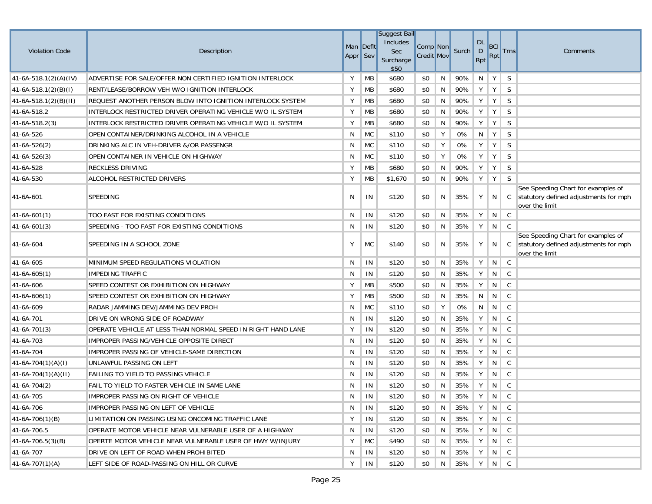| <b>Violation Code</b>   | Description                                                  | Man Deflt<br>Appr Sev |           | <b>Suggest Bail</b><br>Includes<br><b>Sec</b><br>Surcharge<br>\$50 | Comp Non<br><b>Credit Mov</b> |    | Surch       | DL<br>D<br>Rpt | BCI<br>Rpt      | <b>Trns</b>  | Comments                                                                                              |
|-------------------------|--------------------------------------------------------------|-----------------------|-----------|--------------------------------------------------------------------|-------------------------------|----|-------------|----------------|-----------------|--------------|-------------------------------------------------------------------------------------------------------|
| $41-6A-518.1(2)(A)(IV)$ | ADVERTISE FOR SALE/OFFER NON CERTIFIED IGNITION INTERLOCK    | Υ                     | MB        | \$680                                                              | \$0                           | N  | 90%         | N              | Y               | S            |                                                                                                       |
| $41-6A-518.1(2)(B)(I)$  | RENT/LEASE/BORROW VEH W/O IGNITION INTERLOCK                 | Y                     | МB        | \$680                                                              | \$0                           | N  | 90%         | Y              | Y               | S            |                                                                                                       |
| $41-6A-518.1(2)(B)(H)$  | REQUEST ANOTHER PERSON BLOW INTO IGNITION INTERLOCK SYSTEM   | Y                     | <b>MB</b> | \$680                                                              | \$0                           | N  | 90%         | Y              | Y               | S            |                                                                                                       |
| 41-6A-518.2             | INTERLOCK RESTRICTED DRIVER OPERATING VEHICLE W/O IL SYSTEM  | Υ                     | <b>MB</b> | \$680                                                              | \$0                           | N  | 90%         | Y              | Y               | S            |                                                                                                       |
| 41-6A-518.2(3)          | INTERLOCK RESTRICTED DRIVER OPERATING VEHICLE W/O IL SYSTEM  | Y                     | <b>MB</b> | \$680                                                              | \$0                           | N  | 90%         | Υ              | Y               | S            |                                                                                                       |
| 41-6A-526               | OPEN CONTAINER/DRINKING ALCOHOL IN A VEHICLE                 | N                     | MC        | \$110                                                              | \$0                           | Y  | 0%          | N              | Y               | S            |                                                                                                       |
| 41-6A-526(2)            | DRINKING ALC IN VEH-DRIVER &/OR PASSENGR                     | N                     | MC        | \$110                                                              | \$0                           | Y  | 0%          | Υ              | Y               | S            |                                                                                                       |
| 41-6A-526(3)            | OPEN CONTAINER IN VEHICLE ON HIGHWAY                         | N                     | <b>MC</b> | \$110                                                              | \$0                           | Y  | 0%          | Υ              | Y               | S            |                                                                                                       |
| 41-6A-528               | <b>RECKLESS DRIVING</b>                                      | Y                     | <b>MB</b> | \$680                                                              | \$0                           | N  | 90%         | Υ              | Y               | S            |                                                                                                       |
| 41-6A-530               | ALCOHOL RESTRICTED DRIVERS                                   | Υ                     | MB        | \$1,670                                                            | \$0                           | N  | 90%         | Y              | Y               | S            |                                                                                                       |
| 41-6A-601               | <b>SPEEDING</b>                                              | N                     | IN        | \$120                                                              | \$0                           | N  | 35%         | Υ              |                 |              | See Speeding Chart for examples of<br>$N$ $C$ statutory defined adjustments for mph<br>over the limit |
| $41 - 6A - 601(1)$      | TOO FAST FOR EXISTING CONDITIONS                             | N                     | IN        | \$120                                                              | \$0                           | N  | 35%         | Υ              | N               | $\mathsf{C}$ |                                                                                                       |
| $41 - 6A - 601(3)$      | SPEEDING - TOO FAST FOR EXISTING CONDITIONS                  | N                     | IN        | \$120                                                              | \$0                           | N  | 35%         | Y              | $N \parallel C$ |              |                                                                                                       |
| 41-6A-604               | SPEEDING IN A SCHOOL ZONE                                    | Υ                     | <b>MC</b> | \$140                                                              | \$0                           | N  | 35%         | Υ              | N               | $\mathbb{C}$ | See Speeding Chart for examples of<br>statutory defined adjustments for mph<br>over the limit         |
| 41-6A-605               | MINIMUM SPEED REGULATIONS VIOLATION                          | N                     | IN        | \$120                                                              | \$0                           | N  | 35%         | Υ              | N               | $\mathsf{C}$ |                                                                                                       |
| 41-6A-605(1)            | <b>IMPEDING TRAFFIC</b>                                      | N                     | IN        | \$120                                                              | \$0                           | N  | 35%         | Υ              | N               | C.           |                                                                                                       |
| 41-6A-606               | SPEED CONTEST OR EXHIBITION ON HIGHWAY                       | Υ                     | <b>MB</b> | \$500                                                              | \$0                           | N  | 35%         | Υ              | N               | C            |                                                                                                       |
| 41-6A-606(1)            | SPEED CONTEST OR EXHIBITION ON HIGHWAY                       | Y                     | <b>MB</b> | \$500                                                              | \$0                           | N  | 35%         | N              | N               | C            |                                                                                                       |
| 41-6A-609               | RADAR JAMMING DEV/JAMMING DEV PROH                           | N                     | <b>MC</b> | \$110                                                              | \$0                           | Υ  | 0%          | N              | N               | C            |                                                                                                       |
| 41-6A-701               | DRIVE ON WRONG SIDE OF ROADWAY                               | N                     | IN        | \$120                                                              | \$0                           | N  | 35%         | Y              | N               | C            |                                                                                                       |
| 41-6A-701(3)            | OPERATE VEHICLE AT LESS THAN NORMAL SPEED IN RIGHT HAND LANE | Υ                     | IN        | \$120                                                              | \$0                           | N  | 35%         | Υ              | N               | C            |                                                                                                       |
| 41-6A-703               | IMPROPER PASSING/VEHICLE OPPOSITE DIRECT                     | N                     | IN        | \$120                                                              | \$0                           | N  | 35%         | Υ              | N               | C            |                                                                                                       |
| 41-6A-704               | IMPROPER PASSING OF VEHICLE-SAME DIRECTION                   | N                     | IN        | \$120                                                              | \$0                           | N  | 35%         | Υ              | N               | C            |                                                                                                       |
| 41-6A-704(1)(A)(I)      | UNLAWFUL PASSING ON LEFT                                     | N                     | IN        | \$120                                                              | \$0                           | N  | 35%         | Υ              | N               | $\mathsf{C}$ |                                                                                                       |
| $41-6A-704(1)(A)(II)$   | <b>FAILING TO YIELD TO PASSING VEHICLE</b>                   | N                     | IN        | \$120                                                              | \$0                           | N  | 35%         | Y              | N               | C            |                                                                                                       |
| $41-6A-704(2)$          | FAIL TO YIELD TO FASTER VEHICLE IN SAME LANE                 | N                     | IN        | \$120                                                              | \$0                           | N  | 35%         | Y              | N               | C            |                                                                                                       |
| 41-6A-705               | IMPROPER PASSING ON RIGHT OF VEHICLE                         |                       | $N$   IN  | \$120                                                              | \$0                           |    | N 35% Y N C |                |                 |              |                                                                                                       |
| 41-6A-706               | IMPROPER PASSING ON LEFT OF VEHICLE                          | N                     | IN        | \$120                                                              | \$0                           | N. | 35% ∥       | Y              | $N \parallel C$ |              |                                                                                                       |
| $41-6A-706(1)(B)$       | LIMITATION ON PASSING USING ONCOMING TRAFFIC LANE            | Υ                     | IN        | \$120                                                              | \$0                           | N. | $35\%$      | $Y \mid$       | $N \parallel C$ |              |                                                                                                       |
| 41-6A-706.5             | OPERATE MOTOR VEHICLE NEAR VULNERABLE USER OF A HIGHWAY      | N                     | IN        | \$120                                                              | \$0                           | N  | 35%         | Y              | $N \parallel C$ |              |                                                                                                       |
| $41-6A-706.5(3)(B)$     | OPERTE MOTOR VEHICLE NEAR VULNERABLE USER OF HWY W/INJURY    | Υ                     | <b>MC</b> | \$490                                                              | \$0                           | N  | 35%         | Y              | $N \parallel C$ |              |                                                                                                       |
| 41-6A-707               | DRIVE ON LEFT OF ROAD WHEN PROHIBITED                        | N                     | IN        | \$120                                                              | \$0                           | N  | 35%         | Y              | N               | $\mathbf{C}$ |                                                                                                       |
| $41-6A-707(1)(A)$       | LEFT SIDE OF ROAD-PASSING ON HILL OR CURVE                   | Υ                     | IN        | \$120                                                              | \$0                           | N  | $35\%$      | Y              | $N \parallel C$ |              |                                                                                                       |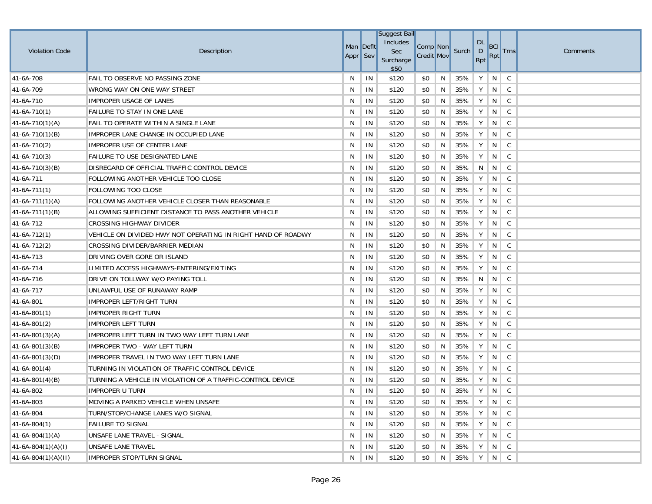|                       |                                                              |           |    | <b>Suggest Bail</b> |                   |   |       |                               |                                           |              |          |
|-----------------------|--------------------------------------------------------------|-----------|----|---------------------|-------------------|---|-------|-------------------------------|-------------------------------------------|--------------|----------|
| <b>Violation Code</b> | Description                                                  | Man Deflt |    | Includes<br>Sec     | Comp Non          |   | Surch | <b>DL</b><br>$\mathsf{D}$     | <b>BCI</b>                                | <b>Trns</b>  | Comments |
|                       |                                                              | Appr Sev  |    | Surcharge<br>\$50   | <b>Credit Mov</b> |   |       | Rpt                           | <b>Rpt</b>                                |              |          |
| 41-6A-708             | FAIL TO OBSERVE NO PASSING ZONE                              | N         | IN | \$120               | \$0               | N | 35%   | Υ                             | N                                         | C            |          |
| 41-6A-709             | WRONG WAY ON ONE WAY STREET                                  | N         | IN | \$120               | \$0               | N | 35%   | Y                             | N                                         | $\mathbf{C}$ |          |
| 41-6A-710             | <b>IMPROPER USAGE OF LANES</b>                               | N         | IN | \$120               | \$0               | N | 35%   | Υ                             | N                                         | C            |          |
| $ 41-6A-710(1) $      | <b>FAILURE TO STAY IN ONE LANE</b>                           | N         | IN | \$120               | \$0               | N | 35%   | Y                             | N                                         | C            |          |
| $ 41-6A-710(1)(A) $   | FAIL TO OPERATE WITHIN A SINGLE LANE                         | N         | IN | \$120               | \$0               | N | 35%   | Y                             | N                                         | C            |          |
| $ 41-6A-710(1)(B) $   | IMPROPER LANE CHANGE IN OCCUPIED LANE                        | N         | IN | \$120               | \$0               | N | 35%   | Υ                             | N                                         | C            |          |
| $41-6A-710(2)$        | IMPROPER USE OF CENTER LANE                                  | N         | IN | \$120               | \$0               | N | 35%   | Υ                             | N                                         | C            |          |
| $ 41-6A-710(3) $      | <b>FAILURE TO USE DESIGNATED LANE</b>                        | N         | IN | \$120               | \$0               | N | 35%   | Υ                             | N                                         | C            |          |
| $ 41-6A-710(3)(B) $   | DISREGARD OF OFFICIAL TRAFFIC CONTROL DEVICE                 | N         | IN | \$120               | \$0               | N | 35%   | N                             | N                                         | C            |          |
| 41-6A-711             | FOLLOWING ANOTHER VEHICLE TOO CLOSE                          | N         | IN | \$120               | \$0               | N | 35%   | Υ                             | N                                         | C            |          |
| $ 41-6A-711(1) $      | <b>FOLLOWING TOO CLOSE</b>                                   | N         | IN | \$120               | \$0               | N | 35%   | Υ                             | N                                         | C            |          |
| $ 41-6A-711(1)(A) $   | FOLLOWING ANOTHER VEHICLE CLOSER THAN REASONABLE             | N         | IN | \$120               | \$0               | N | 35%   | Υ                             | N                                         | C            |          |
| $ 41-6A-711(1)(B) $   | ALLOWING SUFFICIENT DISTANCE TO PASS ANOTHER VEHICLE         | N         | IN | \$120               | \$0               | N | 35%   | Υ                             | N                                         | C            |          |
| 41-6A-712             | <b>CROSSING HIGHWAY DIVIDER</b>                              | N         | IN | \$120               | \$0               | N | 35%   | Υ                             | N                                         | C            |          |
| $ 41-6A-712(1) $      | VEHICLE ON DIVIDED HWY NOT OPERATING IN RIGHT HAND OF ROADWY | N         | IN | \$120               | \$0               | N | 35%   | Υ                             | N                                         | C            |          |
| $41-6A-712(2)$        | CROSSING DIVIDER/BARRIER MEDIAN                              | N         | IN | \$120               | \$0               | N | 35%   | Υ                             | N                                         | C            |          |
| 41-6A-713             | DRIVING OVER GORE OR ISLAND                                  | N         | IN | \$120               | \$0               | N | 35%   | Y                             | N                                         | C            |          |
| 41-6A-714             | LIMITED ACCESS HIGHWAYS-ENTERING/EXITING                     | N         | IN | \$120               | \$0               | N | 35%   | Υ                             | N                                         | C            |          |
| 41-6A-716             | DRIVE ON TOLLWAY W/O PAYING TOLL                             | N         | IN | \$120               | \$0               | N | 35%   | N                             | N                                         | C            |          |
| 41-6A-717             | UNLAWFUL USE OF RUNAWAY RAMP                                 | N         | IN | \$120               | \$0               | N | 35%   | Y                             | N                                         | C            |          |
| 41-6A-801             | IMPROPER LEFT/RIGHT TURN                                     | N         | IN | \$120               | \$0               | N | 35%   | Y                             | N                                         | C            |          |
| $41-6A-801(1)$        | IMPROPER RIGHT TURN                                          | N         | IN | \$120               | \$0               | N | 35%   | Υ                             | N                                         | C            |          |
| $41-6A-801(2)$        | <b>IMPROPER LEFT TURN</b>                                    | N         | IN | \$120               | \$0               | N | 35%   | Υ                             | N                                         | C            |          |
| $41-6A-801(3)(A)$     | IMPROPER LEFT TURN IN TWO WAY LEFT TURN LANE                 | N         | IN | \$120               | \$0               | N | 35%   | Υ                             | N                                         | C            |          |
| $41-6A-801(3)(B)$     | IMPROPER TWO - WAY LEFT TURN                                 | N         | IN | \$120               | \$0               | N | 35%   | Υ                             | N                                         | C            |          |
| 41-6A-801(3)(D)       | <b>IMPROPER TRAVEL IN TWO WAY LEFT TURN LANE</b>             | N         | IN | \$120               | \$0               | N | 35%   | Υ                             | N                                         | C            |          |
| $ 41-6A-801(4) $      | TURNING IN VIOLATION OF TRAFFIC CONTROL DEVICE               | N         | IN | \$120               | \$0               | N | 35%   | Y                             | N                                         | C            |          |
| $41-6A-801(4)(B)$     | TURNING A VEHICLE IN VIOLATION OF A TRAFFIC-CONTROL DEVICE   | N         | IN | \$120               | \$0               | N | 35%   | Y                             | N                                         | C            |          |
| 41-6A-802             | IMPROPER U TURN                                              | N         | IN | \$120               | \$0               | N | 35%   | Υ                             | N                                         | $\mathsf{C}$ |          |
| 41-6A-803             | MOVING A PARKED VEHICLE WHEN UNSAFE                          | N         | IN | \$120               | \$0               | N | 35%   |                               | $\parallel$ Y $\parallel$ N $\parallel$ C |              |          |
| 41-6A-804             | TURN/STOP/CHANGE LANES W/O SIGNAL                            | N         | IN | \$120               | \$0               | N | 35%   | Y                             | $N \parallel C$                           |              |          |
| $41-6A-804(1)$        | <b>FAILURE TO SIGNAL</b>                                     | N         | IN | \$120               | \$0               | N | 35%   | Y                             | N                                         | $\mathsf{C}$ |          |
| $41-6A-804(1)(A)$     | UNSAFE LANE TRAVEL - SIGNAL                                  | N         | IN | \$120               | \$0               | N | 35%   | Y                             | $N \mid C$                                |              |          |
| $41-6A-804(1)(A)(I)$  | UNSAFE LANE TRAVEL                                           | N         | IN | \$120               | \$0               | N | 35%   | Y                             | $N \mid C$                                |              |          |
| $41-6A-804(1)(A)(II)$ | IMPROPER STOP/TURN SIGNAL                                    | N         | IN | \$120               | \$0               | N | 35%   | $\rightarrow$ Y $\rightarrow$ | $N \mid C$                                |              |          |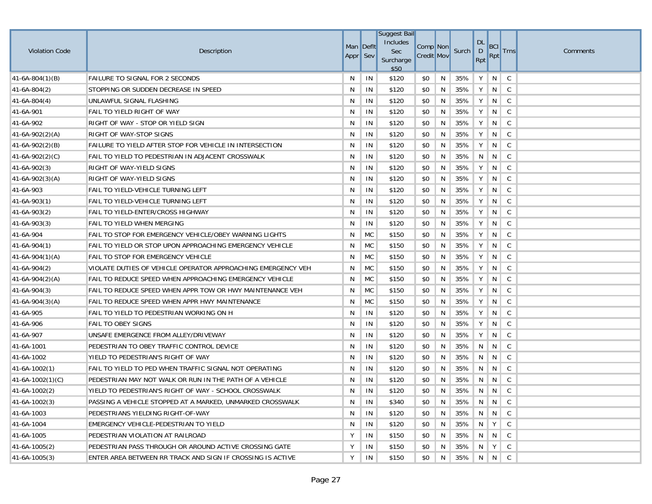|                       |                                                              |          |           | <b>Suggest Bail</b> |                   |   |       |                |                 |              |          |
|-----------------------|--------------------------------------------------------------|----------|-----------|---------------------|-------------------|---|-------|----------------|-----------------|--------------|----------|
| <b>Violation Code</b> | Description                                                  |          | Man Deflt | Includes<br>Sec     | Comp Non          |   | Surch | <b>DL</b><br>D | <b>BCI</b>      | <b>Trns</b>  | Comments |
|                       |                                                              | Appr Sev |           | Surcharge<br>\$50   | <b>Credit Mov</b> |   |       | Rpt            | Rpt             |              |          |
| $41-6A-804(1)(B)$     | <b>FAILURE TO SIGNAL FOR 2 SECONDS</b>                       | N        | IN        | \$120               | \$0               | N | 35%   | Y              | N               | $\mathsf{C}$ |          |
| $41-6A-804(2)$        | STOPPING OR SUDDEN DECREASE IN SPEED                         | N        | IN        | \$120               | \$0               | N | 35%   | Υ              | N               | $\mathsf{C}$ |          |
| $41-6A-804(4)$        | UNLAWFUL SIGNAL FLASHING                                     | N        | IN        | \$120               | \$0               | N | 35%   | Y              | N               | $\mathsf{C}$ |          |
| 41-6A-901             | FAIL TO YIELD RIGHT OF WAY                                   | N        | IN        | \$120               | \$0               | N | 35%   | Υ              | N               | $\mathsf{C}$ |          |
| 41-6A-902             | RIGHT OF WAY - STOP OR YIELD SIGN                            | N        | IN        | \$120               | \$0               | N | 35%   | Υ              | N               | C            |          |
| $41-6A-902(2)(A)$     | <b>RIGHT OF WAY-STOP SIGNS</b>                               | N        | IN        | \$120               | \$0               | N | 35%   | Y              | N               | C            |          |
| $41-6A-902(2)(B)$     | FAILURE TO YIELD AFTER STOP FOR VEHICLE IN INTERSECTION      | N        | IN        | \$120               | \$0               | N | 35%   | Υ              | N               | C            |          |
| $41-6A-902(2)(C)$     | FAIL TO YIELD TO PEDESTRIAN IN ADJACENT CROSSWALK            | N        | IN        | \$120               | \$0               | N | 35%   | N              | N               | C            |          |
| $41-6A-902(3)$        | RIGHT OF WAY-YIELD SIGNS                                     | N        | IN        | \$120               | \$0               | N | 35%   | Υ              | N               | C            |          |
| 41-6A-902(3)(A)       | RIGHT OF WAY-YIELD SIGNS                                     | N        | IN        | \$120               | \$0               | N | 35%   | Υ              | N               | C            |          |
| 41-6A-903             | FAIL TO YIELD-VEHICLE TURNING LEFT                           | N        | IN        | \$120               | \$0               | N | 35%   | Υ              | N               | C            |          |
| $41-6A-903(1)$        | FAIL TO YIELD-VEHICLE TURNING LEFT                           | N        | IN        | \$120               | \$0               | N | 35%   | Υ              | N               | C            |          |
| $41-6A-903(2)$        | FAIL TO YIELD-ENTER/CROSS HIGHWAY                            | N        | IN        | \$120               | \$0               | N | 35%   | Υ              | N               | C            |          |
| 41-6A-903(3)          | FAIL TO YIELD WHEN MERGING                                   | N        | IN        | \$120               | \$0               | N | 35%   | Y              | N               | C            |          |
| 41-6A-904             | FAIL TO STOP FOR EMERGENCY VEHICLE/OBEY WARNING LIGHTS       | N        | MC        | \$150               | \$0               | N | 35%   | Υ              | N               | C            |          |
| $ 41-6A-904(1) $      | FAIL TO YIELD OR STOP UPON APPROACHING EMERGENCY VEHICLE     | N        | <b>MC</b> | \$150               | \$0               | N | 35%   | Υ              | N               | C            |          |
| $41-6A-904(1)(A)$     | FAIL TO STOP FOR EMERGENCY VEHICLE                           | N        | MC        | \$150               | \$0               | N | 35%   | Υ              | N               | C            |          |
| $41-6A-904(2)$        | VIOLATE DUTIES OF VEHICLE OPERATOR APPROACHING EMERGENCY VEH | N        | <b>MC</b> | \$150               | \$0               | N | 35%   | Υ              | N               | C            |          |
| $41-6A-904(2)(A)$     | FAIL TO REDUCE SPEED WHEN APPROACHING EMERGENCY VEHICLE      | N        | MC        | \$150               | \$0               | N | 35%   | Y              | N               | C            |          |
| 41-6A-904(3)          | FAIL TO REDUCE SPEED WHEN APPR TOW OR HWY MAINTENANCE VEH    | N        | MC        | \$150               | \$0               | N | 35%   | Υ              | N               | C            |          |
| $41-6A-904(3)(A)$     | FAIL TO REDUCE SPEED WHEN APPR HWY MAINTENANCE               | N        | MC        | \$150               | \$0               | N | 35%   | Υ              | N               | C            |          |
| 41-6A-905             | FAIL TO YIELD TO PEDESTRIAN WORKING ON H                     | N        | IN        | \$120               | \$0               | N | 35%   | Υ              | N               | C            |          |
| 41-6A-906             | <b>FAIL TO OBEY SIGNS</b>                                    | N        | IN        | \$120               | \$0               | N | 35%   | Υ              | N               | $\mathsf{C}$ |          |
| 41-6A-907             | UNSAFE EMERGENCE FROM ALLEY/DRIVEWAY                         | N        | IN        | \$120               | \$0               | N | 35%   | Υ              | N               | C            |          |
| 41-6A-1001            | PEDESTRIAN TO OBEY TRAFFIC CONTROL DEVICE                    | N        | IN        | \$120               | \$0               | N | 35%   | N              | N               | $\mathsf{C}$ |          |
| 41-6A-1002            | YIELD TO PEDESTRIAN'S RIGHT OF WAY                           | N        | IN        | \$120               | \$0               | N | 35%   | N              | N               | C            |          |
| $41-6A-1002(1)$       | FAIL TO YIELD TO PED WHEN TRAFFIC SIGNAL NOT OPERATING       | N        | IN        | \$120               | \$0               | N | 35%   | N              | N               | C            |          |
| $41-6A-1002(1)(C)$    | PEDESTRIAN MAY NOT WALK OR RUN IN THE PATH OF A VEHICLE      | N        | IN        | \$120               | \$0               | N | 35%   | N              | N               | C            |          |
| $41-6A-1002(2)$       | YIELD TO PEDESTRIAN'S RIGHT OF WAY - SCHOOL CROSSWALK        | N        | IN        | \$120               | \$0               | N | 35%   | N              | N               | $\mathsf{C}$ |          |
| 41-6A-1002(3)         | PASSING A VEHICLE STOPPED AT A MARKED, UNMARKED CROSSWALK    | N        | IN        | \$340               | \$0               | N | 35%   |                |                 |              |          |
| 41-6A-1003            | PEDESTRIANS YIELDING RIGHT-OF-WAY                            | N        | IN        | \$120               | \$0               | N | 35%   | N              | $\vert N \vert$ | $\mathsf{C}$ |          |
| 41-6A-1004            | EMERGENCY VEHICLE-PEDESTRIAN TO YIELD                        | N        | IN        | \$120               | \$0               | N | 35%   | N              | Y               | C            |          |
| 41-6A-1005            | PEDESTRIAN VIOLATION AT RAILROAD                             | Υ        | IN        | \$150               | \$0               | N | 35%   | N              | $\mathsf{N}$    | $\mathsf{C}$ |          |
| $41-6A-1005(2)$       | PEDESTRIAN PASS THROUGH OR AROUND ACTIVE CROSSING GATE       | Υ        | IN        | \$150               | \$0               | N | 35%   | N              | $Y \mid$        | $\mathsf{C}$ |          |
| $41-6A-1005(3)$       | ENTER AREA BETWEEN RR TRACK AND SIGN IF CROSSING IS ACTIVE   | Y        | IN        | \$150               | \$0               | N | 35%   |                | $N$ $N$         | $\mathsf{C}$ |          |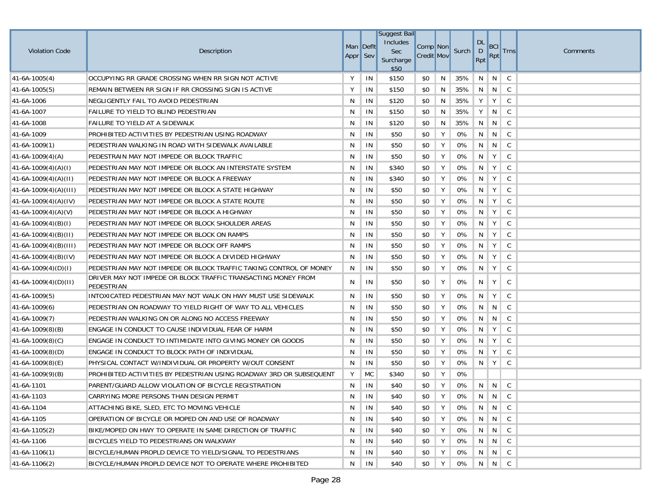|                         |                                                                             |          |           | <b>Suggest Bail</b> |                   |               |                |                     |                             |              |          |
|-------------------------|-----------------------------------------------------------------------------|----------|-----------|---------------------|-------------------|---------------|----------------|---------------------|-----------------------------|--------------|----------|
| <b>Violation Code</b>   |                                                                             |          | Man Deflt | Includes<br>Sec     | Comp Non          |               | Surch          | <b>DL</b>           | BCI                         |              |          |
|                         | Description                                                                 | Appr Sev |           | Surcharge<br>\$50   | <b>Credit Mov</b> |               |                | $\mathsf{D}$<br>Rpt | Rpt                         | <b>Trns</b>  | Comments |
| $41-6A-1005(4)$         | OCCUPYING RR GRADE CROSSING WHEN RR SIGN NOT ACTIVE                         | Y        | IN        | \$150               | \$0               | N             | 35%            | N                   | N                           | C            |          |
| $41-6A-1005(5)$         | REMAIN BETWEEN RR SIGN IF RR CROSSING SIGN IS ACTIVE                        | Y        | IN        | \$150               | \$0               | N             | 35%            | N                   | $\vert N \vert$             | $\mathsf{C}$ |          |
| 41-6A-1006              | NEGLIGENTLY FAIL TO AVOID PEDESTRIAN                                        | N        | IN        | \$120               | \$0               | N             | 35%            | Y                   | Y                           | C            |          |
| 41-6A-1007              | FAILURE TO YIELD TO BLIND PEDESTRIAN                                        | N        | IN        | \$150               | \$0               | N             | 35%            | Y                   | N                           | $\mathsf{C}$ |          |
| 41-6A-1008              | FAILURE TO YIELD AT A SIDEWALK                                              | N        | IN        | \$120               | \$0               | N             | 35%            | N                   | N                           | C            |          |
| 41-6A-1009              | PROHIBITED ACTIVITIES BY PEDESTRIAN USING ROADWAY                           | N        | IN        | \$50                | \$0               | Y             | 0%             | N                   | N                           | C            |          |
| $41-6A-1009(1)$         | PEDESTRIAN WALKING IN ROAD WITH SIDEWALK AVAILABLE                          | N        | IN        | \$50                | \$0               | Y             | 0%             | N                   | N                           | C            |          |
| $41-6A-1009(4)(A)$      | PEDESTRAIN MAY NOT IMPEDE OR BLOCK TRAFFIC                                  | N        | IN        | \$50                | \$0               | Υ             | 0%             | N                   | Y                           | C            |          |
| $41-6A-1009(4)(A)(I)$   | PEDESTRIAN MAY NOT IMPEDE OR BLOCK AN INTERSTATE SYSTEM                     | N        | IN        | \$340               | \$0               | Υ             | 0%             | N                   | Y                           | C            |          |
| $41-6A-1009(4)(A)(II)$  | PEDESTRIAN MAY NOT IMPEDE OR BLOCK A FREEWAY                                | N        | IN        | \$340               | \$0               | Y             | 0%             | N                   | Y                           | C            |          |
| $41-6A-1009(4)(A)(III)$ | PEDESTRIAN MAY NOT IMPEDE OR BLOCK A STATE HIGHWAY                          | N        | IN        | \$50                | \$0               | Y             | 0%             | N                   | Y                           | C            |          |
| $41-6A-1009(4)(A)(IV)$  | PEDESTRIAN MAY NOT IMPEDE OR BLOCK A STATE ROUTE                            | N        | IN        | \$50                | \$0               | Υ             | 0%             | N                   | Y                           | C            |          |
| $ 41-6A-1009(4)(A)(V) $ | PEDESTRIAN MAY NOT IMPEDE OR BLOCK A HIGHWAY                                | N        | IN        | \$50                | \$0               | Υ             | 0%             | N                   | Y                           | C            |          |
| $41-6A-1009(4)(B)(I)$   | PEDESTRIAN MAY NOT IMPEDE OR BLOCK SHOULDER AREAS                           | N        | IN        | \$50                | \$0               | Υ             | 0%             | N                   | Y                           | C            |          |
| $41-6A-1009(4)(B)(H)$   | PEDESTRIAN MAY NOT IMPEDE OR BLOCK ON RAMPS                                 | N        | IN        | \$50                | \$0               | Y             | 0%             | N                   | Y                           | C            |          |
| $41-6A-1009(4)(B)(III)$ | PEDESTRIAN MAY NOT IMPEDE OR BLOCK OFF RAMPS                                | N        | IN        | \$50                | \$0               | Υ             | 0%             | N                   | Υ                           | C            |          |
| $41-6A-1009(4)(B)(IV)$  | PEDESTRIAN MAY NOT IMPEDE OR BLOCK A DIVIDED HIGHWAY                        | N        | IN        | \$50                | \$0               | Y             | 0%             | N                   | Y                           | C            |          |
| $ 41-6A-1009(4)(D)(I) $ | PEDESTRIAN MAY NOT IMPEDE OR BLOCK TRAFFIC TAKING CONTROL OF MONEY          | N        | IN        | \$50                | \$0               | Υ             | 0%             | N                   | Y                           | C            |          |
| $41-6A-1009(4)(D)(H)$   | DRIVER MAY NOT IMPEDE OR BLOCK TRAFFIC TRANSACTING MONEY FROM<br>PEDESTRIAN | N        | IN        | \$50                | \$0               | Υ             | 0%             | N                   | Y                           | C            |          |
| $41-6A-1009(5)$         | INTOXICATED PEDESTRIAN MAY NOT WALK ON HWY MUST USE SIDEWALK                | N        | IN        | \$50                | \$0               | Υ             | 0%             | N                   | Y                           | C            |          |
| $41-6A-1009(6)$         | PEDESTRIAN ON ROADWAY TO YIELD RIGHT OF WAY TO ALL VEHICLES                 | N        | IN        | \$50                | \$0               | Υ             | 0%             | N                   | N                           | C            |          |
| $ 41-6A-1009(7) $       | PEDESTRIAN WALKING ON OR ALONG NO ACCESS FREEWAY                            | N        | IN        | \$50                | \$0               | Υ             | 0%             | N                   | N                           | C            |          |
| $41-6A-1009(8)(B)$      | ENGAGE IN CONDUCT TO CAUSE INDIVIDUAL FEAR OF HARM                          | N        | IN        | \$50                | \$0               | Y             | 0%             | N                   | Y                           | C            |          |
| $41-6A-1009(8)(C)$      | ENGAGE IN CONDUCT TO INTIMIDATE INTO GIVING MONEY OR GOODS                  | N        | IN        | \$50                | \$0               | Y             | 0%             | N                   | Y                           | C            |          |
| $41-6A-1009(8)(D)$      | ENGAGE IN CONDUCT TO BLOCK PATH OF INDIVIDUAL                               | N        | IN        | \$50                | \$0               | Y             | 0%             | N                   | Y                           | C            |          |
| $41-6A-1009(8)(E)$      | PHYSICAL CONTACT W/INDIVIDUAL OR PROPERTY W/OUT CONSENT                     | N        | IN        | \$50                | \$0               | Y             | 0%             | N                   | Y                           | C            |          |
| $41-6A-1009(9)(B)$      | PROHIBITED ACTIVITIES BY PEDESTRIAN USING ROADWAY 3RD OR SUBSEQUENT         | Υ        | <b>MC</b> | \$340               | \$0               | Y             | 0%             |                     |                             |              |          |
| 41-6A-1101              | PARENT/GUARD ALLOW VIOLATION OF BICYCLE REGISTRATION                        | N        | IN        | \$40                | \$0               | Y             | 0%             |                     | N N                         | C            |          |
| $ 41-6A-1103 $          | CARRYING MORE PERSONS THAN DESIGN PERMIT                                    |          | $N$   IN  | \$40                | \$0               | $Y \parallel$ | 0%   N   N   C |                     |                             |              |          |
| 41-6A-1104              | ATTACHING BIKE, SLED, ETC TO MOVING VEHICLE                                 | N        | IN        | \$40                | \$0               | Y             | 0%             |                     | $N \parallel N \parallel C$ |              |          |
| 41-6A-1105              | OPERATION OF BICYCLE OR MOPED ON AND USE OF ROADWAY                         | N        | IN        | \$40                | \$0               | Y             | 0%             | N                   |                             |              |          |
| $41-6A-1105(2)$         | BIKE/MOPED ON HWY TO OPERATE IN SAME DIRECTION OF TRAFFIC                   | N        | IN        | \$40                | \$0               | Y             | 0%             |                     | N N C                       |              |          |
| 41-6A-1106              | BICYCLES YIELD TO PEDESTRIANS ON WALKWAY                                    | N        | IN        | \$40                | \$0               | Y             | 0%             | N                   |                             |              |          |
| $41-6A-1106(1)$         | BICYCLE/HUMAN PROPLD DEVICE TO YIELD/SIGNAL TO PEDESTRIANS                  | N        | IN        | \$40                | \$0               | Y             | 0%             |                     | N N C                       |              |          |
| $ 41-6A-1106(2) $       | BICYCLE/HUMAN PROPLD DEVICE NOT TO OPERATE WHERE PROHIBITED                 | N        | IN        | \$40                | \$0               | Υ             | 0%             |                     | $N$   $N$   $C$             |              |          |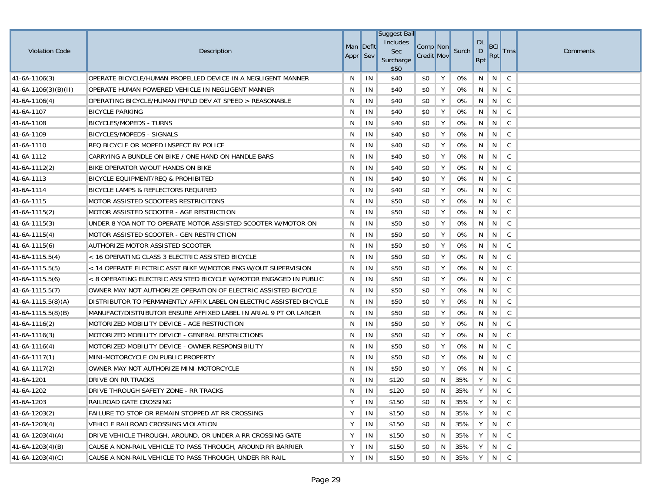| <b>Violation Code</b>  | Description                                                         | Man Deflt<br>Appr Sev |    | <b>Suggest Bail</b><br>Includes<br>Sec<br>Surcharge<br>\$50 | Comp Non<br><b>Credit Mov</b> |   | Surch | DL<br>D<br>Rpt | <b>BCI</b><br><b>Rpt</b> | <b>Trns</b>    | Comments |
|------------------------|---------------------------------------------------------------------|-----------------------|----|-------------------------------------------------------------|-------------------------------|---|-------|----------------|--------------------------|----------------|----------|
| $ 41-6A-1106(3) $      | OPERATE BICYCLE/HUMAN PROPELLED DEVICE IN A NEGLIGENT MANNER        | N                     | IN | \$40                                                        | \$0                           | Υ | 0%    | N              | N                        | C <sub>.</sub> |          |
| $41-6A-1106(3)(B)(H)$  | OPERATE HUMAN POWERED VEHICLE IN NEGLIGENT MANNER                   | N                     | IN | \$40                                                        | \$0                           | Y | 0%    | N              | $\parallel$ N            | $\mathsf{C}$   |          |
| $ 41-6A-1106(4) $      | OPERATING BICYCLE/HUMAN PRPLD DEV AT SPEED > REASONABLE             | N                     | IN | \$40                                                        | \$0                           | Υ | 0%    | N              | N                        | $\mathsf{C}$   |          |
| 41-6A-1107             | <b>BICYCLE PARKING</b>                                              | N                     | IN | \$40                                                        | \$0                           | Υ | 0%    | N              | N                        | $\mathsf{C}$   |          |
| 41-6A-1108             | <b>BICYCLES/MOPEDS - TURNS</b>                                      | N                     | IN | \$40                                                        | \$0                           | Υ | 0%    | N              | N                        | $\mathsf{C}$   |          |
| 41-6A-1109             | BICYCLES/MOPEDS - SIGNALS                                           | N                     | IN | \$40                                                        | \$0                           | Y | 0%    | N              | $\overline{N}$           | C              |          |
| 41-6A-1110             | REQ BICYCLE OR MOPED INSPECT BY POLICE                              | N                     | IN | \$40                                                        | \$0                           | Υ | 0%    | N              | N                        | $\mathsf{C}$   |          |
| 41-6A-1112             | CARRYING A BUNDLE ON BIKE / ONE HAND ON HANDLE BARS                 | N                     | IN | \$40                                                        | \$0                           | Υ | 0%    | N              | N                        | C.             |          |
| $ 41-6A-1112(2) $      | BIKE OPERATOR W/OUT HANDS ON BIKE                                   | N                     | IN | \$40                                                        | \$0                           | Υ | 0%    | N              | $\overline{N}$           | C              |          |
| 41-6A-1113             | BICYCLE EQUIPMENT/REQ & PROHIBITED                                  | N                     | IN | \$40                                                        | \$0                           | Υ | 0%    | N              | $\vert N \vert$          | $\mathsf{C}$   |          |
| 41-6A-1114             | BICYCLE LAMPS & REFLECTORS REQUIRED                                 | N                     | IN | \$40                                                        | \$0                           | Υ | 0%    | N              | N                        | $\mathsf{C}$   |          |
| 41-6A-1115             | MOTOR ASSISTED SCOOTERS RESTRICITONS                                | N                     | IN | \$50                                                        | \$0                           | Υ | 0%    | N              | N                        | C <sub>.</sub> |          |
| $ 41-6A-1115(2) $      | MOTOR ASSISTED SCOOTER - AGE RESTRICTION                            | N                     | IN | \$50                                                        | \$0                           | Y | 0%    | N              | N                        | C              |          |
| $ 41-6A-1115(3) $      | UNDER 8 YOA NOT TO OPERATE MOTOR ASSISTED SCOOTER W/MOTOR ON        | N                     | IN | \$50                                                        | \$0                           | Υ | 0%    | N              | N                        | C              |          |
| $ 41-6A-1115(4) $      | MOTOR ASSISTED SCOOTER - GEN RESTRICTION                            | N                     | IN | \$50                                                        | \$0                           | Y | 0%    | N              | N                        | $\mathsf{C}$   |          |
| $ 41-6A-1115(6) $      | AUTHORIZE MOTOR ASSISTED SCOOTER                                    | N                     | IN | \$50                                                        | \$0                           | Y | 0%    | N              | N                        | C              |          |
| $ 41-6A-1115.5(4) $    | < 16 OPERATING CLASS 3 ELECTRIC ASSISTED BICYCLE                    | N                     | IN | \$50                                                        | \$0                           | Y | 0%    | N              | N                        | C              |          |
| 41-6A-1115.5(5)        | < 14 OPERATE ELECTRIC ASST BIKE W/MOTOR ENG W/OUT SUPERVISION       | N                     | IN | \$50                                                        | \$0                           | Υ | 0%    | N              | N                        | C              |          |
| $ 41-6A-1115.5(6) $    | < 8 OPERATING ELECTRIC ASSISTED BICYCLE W/MOTOR ENGAGED IN PUBLIC   | N                     | IN | \$50                                                        | \$0                           | Y | 0%    | N              | N                        | $\mathsf{C}$   |          |
| $ 41-6A-1115.5(7) $    | OWNER MAY NOT AUTHORIZE OPERATION OF ELECTRIC ASSISTED BICYCLE      | N                     | IN | \$50                                                        | \$0                           | Υ | 0%    | N              | N                        | C              |          |
| $ 41-6A-1115.5(8)(A) $ | DISTRIBUTOR TO PERMANENTLY AFFIX LABEL ON ELECTRIC ASSISTED BICYCLE | N                     | IN | \$50                                                        | \$0                           | Y | 0%    | N              | N                        | C              |          |
| $41-6A-1115.5(8)(B)$   | MANUFACT/DISTRIBUTOR ENSURE AFFIXED LABEL IN ARIAL 9 PT OR LARGER   | N                     | IN | \$50                                                        | \$0                           | Υ | 0%    | N              | N                        | C              |          |
| $ 41-6A-1116(2) $      | MOTORIZED MOBILITY DEVICE - AGE RESTRICTION                         | N                     | IN | \$50                                                        | \$0                           | Y | 0%    | N              | N                        | C              |          |
| $ 41-6A-1116(3) $      | MOTORIZED MOBILITY DEVICE - GENERAL RESTRICTIONS                    | N                     | IN | \$50                                                        | \$0                           | Υ | 0%    | N              | N                        | C              |          |
| $ 41-6A-1116(4) $      | MOTORIZED MOBILITY DEVICE - OWNER RESPONSIBILITY                    | N                     | IN | \$50                                                        | \$0                           | Υ | 0%    | N              | N                        | C <sub>.</sub> |          |
| $41-6A-1117(1)$        | MINI-MOTORCYCLE ON PUBLIC PROPERTY                                  | N                     | IN | \$50                                                        | \$0                           | Υ | 0%    | N              | N                        | C              |          |
| $ 41-6A-1117(2) $      | OWNER MAY NOT AUTHORIZE MINI-MOTORCYCLE                             | N                     | IN | \$50                                                        | \$0                           | Υ | 0%    | N              | N                        | $\mathsf{C}$   |          |
| 41-6A-1201             | DRIVE ON RR TRACKS                                                  | N                     | IN | \$120                                                       | \$0                           | N | 35%   | Y              | N                        | $\mathsf{C}$   |          |
| 41-6A-1202             | DRIVE THROUGH SAFETY ZONE - RR TRACKS                               | N                     | IN | \$120                                                       | \$0                           | N | 35%   | Υ              | N                        | C              |          |
| 41-6A-1203             | RAILROAD GATE CROSSING                                              | Y                     | IN | \$150                                                       | \$0                           | N | 35%   |                | Y N C                    |                |          |
| 41-6A-1203(2)          | FAILURE TO STOP OR REMAIN STOPPED AT RR CROSSING                    | Υ                     | IN | \$150                                                       | \$0                           | N | 35%   | Y              | $N \mid C$               |                |          |
| $41-6A-1203(4)$        | VEHICLE RAILROAD CROSSING VIOLATION                                 | Υ                     | IN | \$150                                                       | \$0                           | N | 35%   | Y              | N                        | $\mathsf{C}$   |          |
| $41-6A-1203(4)(A)$     | DRIVE VEHICLE THROUGH, AROUND, OR UNDER A RR CROSSING GATE          | Υ                     | IN | \$150                                                       | \$0                           | N | 35%   | Y              | $N \parallel C$          |                |          |
| $41-6A-1203(4)(B)$     | CAUSE A NON-RAIL VEHICLE TO PASS THROUGH, AROUND RR BARRIER         | Υ                     | IN | \$150                                                       | \$0                           | N | 35%   | Y              | $N \mid C$               |                |          |
| $41-6A-1203(4)(C)$     | CAUSE A NON-RAIL VEHICLE TO PASS THROUGH, UNDER RR RAIL             | Y                     | IN | \$150                                                       | \$0                           | N | 35%   |                | YNC                      |                |          |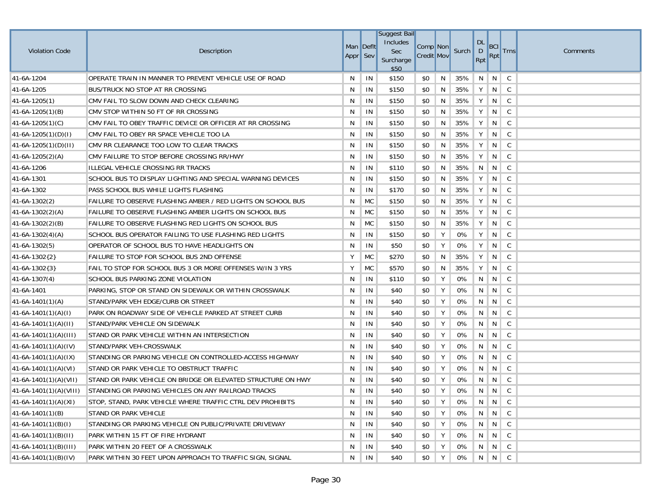|                          |                                                              |           |           | <b>Suggest Bail</b> |                   |   |       |                           |                 |               |          |
|--------------------------|--------------------------------------------------------------|-----------|-----------|---------------------|-------------------|---|-------|---------------------------|-----------------|---------------|----------|
| <b>Violation Code</b>    | Description                                                  | Man Deflt |           | Includes<br>Sec     | Comp Non          |   | Surch | <b>DL</b><br>$\mathsf{D}$ | BCI             | <b>Trns</b>   | Comments |
|                          |                                                              | Appr Sev  |           | Surcharge<br>\$50   | <b>Credit Mov</b> |   |       | Rpt                       | Rpt             |               |          |
| 41-6A-1204               | OPERATE TRAIN IN MANNER TO PREVENT VEHICLE USE OF ROAD       | N         | IN        | \$150               | \$0               | N | 35%   | N                         | N               | C             |          |
| 41-6A-1205               | BUS/TRUCK NO STOP AT RR CROSSING                             | N         | IN        | \$150               | \$0               | N | 35%   | Y                         | N               | $\mathsf{C}$  |          |
| $41-6A-1205(1)$          | CMV FAIL TO SLOW DOWN AND CHECK CLEARING                     | N         | IN        | \$150               | \$0               | N | 35%   | Y                         | N               | C             |          |
| $41-6A-1205(1)(B)$       | CMV STOP WITHIN 50 FT OF RR CROSSING                         | N         | IN        | \$150               | \$0               | N | 35%   | Υ                         | N               | $\mathsf C$   |          |
| 41-6A-1205(1)(C)         | CMV FAIL TO OBEY TRAFFIC DEVICE OR OFFICER AT RR CROSSING    | N         | IN        | \$150               | \$0               | N | 35%   | Y                         | N               | C             |          |
| $41-6A-1205(1)(D)(I)$    | CMV FAIL TO OBEY RR SPACE VEHICLE TOO LA                     | N         | IN        | \$150               | \$0               | N | 35%   | Y                         | N               | $\mathsf{C}$  |          |
| 41-6A-1205(1)(D)(II)     | CMV RR CLEARANCE TOO LOW TO CLEAR TRACKS                     | N         | IN        | \$150               | \$0               | N | 35%   | Υ                         | N               | C             |          |
| $41-6A-1205(2)(A)$       | CMV FAILURE TO STOP BEFORE CROSSING RR/HWY                   | N         | IN        | \$150               | \$0               | N | 35%   | Υ                         | N               | $\mathsf{C}$  |          |
| 41-6A-1206               | ILLEGAL VEHICLE CROSSING RR TRACKS                           | N         | IN        | \$110               | \$0               | N | 35%   | N                         | N               | C             |          |
| 41-6A-1301               | SCHOOL BUS TO DISPLAY LIGHTING AND SPECIAL WARNING DEVICES   | N         | IN        | \$150               | \$0               | N | 35%   | Y                         | N               | $\mathsf{C}$  |          |
| 41-6A-1302               | PASS SCHOOL BUS WHILE LIGHTS FLASHING                        | N         | IN        | \$170               | \$0               | N | 35%   | Y                         | N               | C             |          |
| $41-6A-1302(2)$          | FAILURE TO OBSERVE FLASHING AMBER / RED LIGHTS ON SCHOOL BUS | N         | MC        | \$150               | \$0               | N | 35%   | Υ                         | N               | C             |          |
| $41-6A-1302(2)(A)$       | FAILURE TO OBSERVE FLASHING AMBER LIGHTS ON SCHOOL BUS       | N         | <b>MC</b> | \$150               | \$0               | N | 35%   | Υ                         | N               | C             |          |
| 41-6A-1302(2)(B)         | FAILURE TO OBSERVE FLASHING RED LIGHTS ON SCHOOL BUS         | N         | <b>MC</b> | \$150               | \$0               | N | 35%   | Y                         | N               | C             |          |
| $41-6A-1302(4)(A)$       | SCHOOL BUS OPERATOR FAILING TO USE FLASHING RED LIGHTS       | N         | IN        | \$150               | \$0               | Y | 0%    | Υ                         | N               | C             |          |
| $41-6A-1302(5)$          | OPERATOR OF SCHOOL BUS TO HAVE HEADLIGHTS ON                 | N         | IN        | \$50                | \$0               | Y | 0%    | Υ                         | N               | $\mathsf C$   |          |
| $41-6A-1302{2}$          | FAILURE TO STOP FOR SCHOOL BUS 2ND OFFENSE                   | Υ         | <b>MC</b> | \$270               | \$0               | N | 35%   | Υ                         | N               | C             |          |
| $41-6A-1302\{3\}$        | FAIL TO STOP FOR SCHOOL BUS 3 OR MORE OFFENSES W/IN 3 YRS    | Υ         | <b>MC</b> | \$570               | \$0               | N | 35%   | Υ                         | N               | C             |          |
| $41-6A-1307(4)$          | SCHOOL BUS PARKING ZONE VIOLATION                            | N         | IN        | \$110               | \$0               | Υ | 0%    | N                         | N               | C             |          |
| 41-6A-1401               | PARKING, STOP OR STAND ON SIDEWALK OR WITHIN CROSSWALK       | N         | IN        | \$40                | \$0               | Υ | 0%    | N                         | N               | C             |          |
| $41-6A-1401(1)(A)$       | STAND/PARK VEH EDGE/CURB OR STREET                           | N         | IN        | \$40                | \$0               | Υ | 0%    | N                         | N               | C             |          |
| $41-6A-1401(1)(A)(I)$    | PARK ON ROADWAY SIDE OF VEHICLE PARKED AT STREET CURB        | N         | IN        | \$40                | \$0               | Υ | 0%    | N                         | N               | C             |          |
| $41-6A-1401(1)(A)(II)$   | STAND/PARK VEHICLE ON SIDEWALK                               | N         | IN        | \$40                | \$0               | Υ | 0%    | N                         | N               | C             |          |
| $41-6A-1401(1)(A)(III)$  | STAND OR PARK VEHICLE WITHIN AN INTERSECTION                 | N         | IN        | \$40                | \$0               | Y | 0%    | N                         | N               | C             |          |
| $41-6A-1401(1)(A)(IV)$   | STAND/PARK VEH-CROSSWALK                                     | N         | IN        | \$40                | \$0               | Υ | 0%    | N                         | N               | C             |          |
| $41-6A-1401(1)(A)(IX)$   | STANDING OR PARKING VEHICLE ON CONTROLLED-ACCESS HIGHWAY     | N         | IN        | \$40                | \$0               | Y | 0%    | N                         | N               | C             |          |
| $41-6A-1401(1)(A)(V)$    | STAND OR PARK VEHICLE TO OBSTRUCT TRAFFIC                    | N         | IN        | \$40                | \$0               | Υ | 0%    | N                         | N               | $\mathsf C$   |          |
| $41-6A-1401(1)(A)(VII)$  | STAND OR PARK VEHICLE ON BRIDGE OR ELEVATED STRUCTURE ON HWY | N         | IN        | \$40                | \$0               | Υ | 0%    | N                         | N               | C             |          |
| $41-6A-1401(1)(A)(VIII)$ | STANDING OR PARKING VEHICLES ON ANY RAILROAD TRACKS          | N         | IN        | \$40                | \$0               | Y | 0%    | N                         | N               | $\parallel$ C |          |
| $41-6A-1401(1)(A)(XI)$   | STOP, STAND, PARK VEHICLE WHERE TRAFFIC CTRL DEV PROHIBITS   | N         | IN        | \$40                | \$0               | Y | 0%    |                           | $N$   $N$   $C$ |               |          |
| $41-6A-1401(1)(B)$       | STAND OR PARK VEHICLE                                        | N         | IN        | \$40                | \$0               | Y | 0%    | N                         | $N \mid C$      |               |          |
| $41-6A-1401(1)(B)(I)$    | STANDING OR PARKING VEHICLE ON PUBLIC/PRIVATE DRIVEWAY       | N         | IN        | \$40                | \$0               | Y | 0%    | N                         | N               | $\mathsf{C}$  |          |
| $41-6A-1401(1)(B)(II)$   | PARK WITHIN 15 FT OF FIRE HYDRANT                            | N         | IN        | \$40                | \$0               | Y | 0%    | N                         | $N \mid C$      |               |          |
| $41-6A-1401(1)(B)(III)$  | PARK WITHIN 20 FEET OF A CROSSWALK                           | N         | IN        | \$40                | \$0               | Υ | 0%    | N                         | N C             |               |          |
| $41-6A-1401(1)(B)(IV)$   | PARK WITHIN 30 FEET UPON APPROACH TO TRAFFIC SIGN, SIGNAL    | N         | IN        | \$40                | \$0               | Υ | 0%    |                           | N N C           |               |          |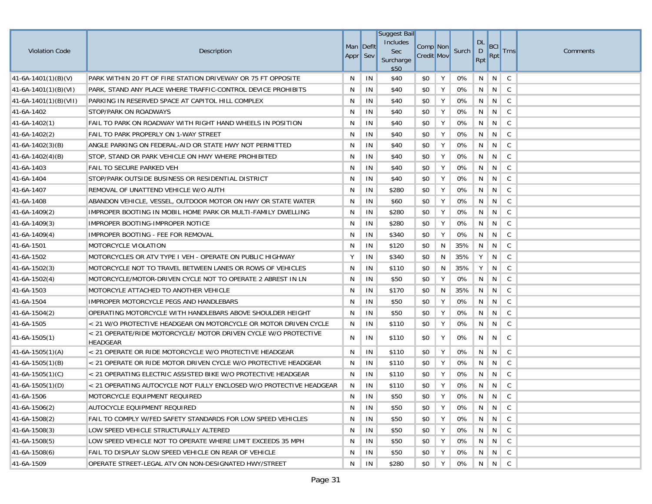|                         |                                                                                    |           |    | <b>Suggest Bail</b>     |                   |   |       |                     |                       |              |          |
|-------------------------|------------------------------------------------------------------------------------|-----------|----|-------------------------|-------------------|---|-------|---------------------|-----------------------|--------------|----------|
|                         |                                                                                    | Man Deflt |    | Includes                | Comp Non          |   |       | <b>DL</b>           | <b>BCI</b>            |              |          |
| <b>Violation Code</b>   | Description                                                                        | Appr Sev  |    | <b>Sec</b><br>Surcharge | <b>Credit Mov</b> |   | Surch | $\mathsf{D}$<br>Rpt | Rpt                   | <b>Trns</b>  | Comments |
|                         |                                                                                    |           |    | \$50                    |                   |   |       |                     |                       |              |          |
| $41-6A-1401(1)(B)(V)$   | PARK WITHIN 20 FT OF FIRE STATION DRIVEWAY OR 75 FT OPPOSITE                       | N         | IN | \$40                    | \$0               | Υ | 0%    | N                   | N                     | C            |          |
| $41-6A-1401(1)(B)(VI)$  | PARK, STAND ANY PLACE WHERE TRAFFIC-CONTROL DEVICE PROHIBITS                       | N         | IN | \$40                    | \$0               | Υ | 0%    | N                   | $\in \overline{N}$ ). | $\mathsf{C}$ |          |
| $41-6A-1401(1)(B)(VII)$ | PARKING IN RESERVED SPACE AT CAPITOL HILL COMPLEX                                  | N         | IN | \$40                    | \$0               | Υ | 0%    | N                   | N                     | C            |          |
| 41-6A-1402              | STOP/PARK ON ROADWAYS                                                              | N         | IN | \$40                    | \$0               | Υ | 0%    | N                   | N                     | C            |          |
| $41-6A-1402(1)$         | FAIL TO PARK ON ROADWAY WITH RIGHT HAND WHEELS IN POSITION                         | N         | IN | \$40                    | \$0               | Υ | 0%    | N                   | N                     | C            |          |
| $41-6A-1402(2)$         | FAIL TO PARK PROPERLY ON 1-WAY STREET                                              | N         | IN | \$40                    | \$0               | Υ | 0%    | N                   |                       |              |          |
| $41-6A-1402(3)(B)$      | ANGLE PARKING ON FEDERAL-AID OR STATE HWY NOT PERMITTED                            | N         | IN | \$40                    | \$0               | Y | 0%    | N                   | N                     | C            |          |
| $41-6A-1402(4)(B)$      | STOP, STAND OR PARK VEHICLE ON HWY WHERE PROHIBITED                                | N         | IN | \$40                    | \$0               | Υ | 0%    | $\mathsf{N}$        | N                     | C            |          |
| 41-6A-1403              | FAIL TO SECURE PARKED VEH                                                          | N         | IN | \$40                    | \$0               | Y | 0%    | N                   | N                     | C            |          |
| 41-6A-1404              | STOP/PARK OUTSIDE BUSINESS OR RESIDENTIAL DISTRICT                                 | N         | IN | \$40                    | \$0               | Y | 0%    | N                   | N                     | C            |          |
| 41-6A-1407              | REMOVAL OF UNATTEND VEHICLE W/O AUTH                                               | N         | IN | \$280                   | \$0               | Y | 0%    | N                   | N                     | C            |          |
| 41-6A-1408              | ABANDON VEHICLE, VESSEL, OUTDOOR MOTOR ON HWY OR STATE WATER                       | N         | IN | \$60                    | \$0               | Υ | 0%    | N                   | N                     | C            |          |
| $41-6A-1409(2)$         | IMPROPER BOOTING IN MOBIL HOME PARK OR MULTI-FAMILY DWELLING                       | N         | IN | \$280                   | \$0               | Υ | 0%    | N                   | N                     | C            |          |
| $41-6A-1409(3)$         | IMPROPER BOOTING-IMPROPER NOTICE                                                   | N         | IN | \$280                   | \$0               | Y | 0%    | N                   | N                     | C            |          |
| $41-6A-1409(4)$         | IMPROPER BOOTING - FEE FOR REMOVAL                                                 | N         | IN | \$340                   | \$0               | Y | 0%    | N                   | N                     | $\mathsf{C}$ |          |
| 41-6A-1501              | MOTORCYCLE VIOLATION                                                               | N         | IN | \$120                   | \$0               | N | 35%   | N                   | N                     | C            |          |
| 41-6A-1502              | MOTORCYCLES OR ATV TYPE I VEH - OPERATE ON PUBLIC HIGHWAY                          | Υ         | IN | \$340                   | \$0               | N | 35%   | Υ                   | N                     | C            |          |
| $ 41-6A-1502(3) $       | MOTORCYCLE NOT TO TRAVEL BETWEEN LANES OR ROWS OF VEHICLES                         | N         | IN | \$110                   | \$0               | N | 35%   | Υ                   | N                     | C            |          |
| $ 41-6A-1502(4) $       | MOTORCYCLE/MOTOR-DRIVEN CYCLE NOT TO OPERATE 2 ABREST IN LN                        | N         | IN | \$50                    | \$0               | Υ | 0%    | N                   | N                     | C            |          |
| 41-6A-1503              | MOTORCYLE ATTACHED TO ANOTHER VEHICLE                                              | N         | IN | \$170                   | \$0               | N | 35%   | N                   | N                     | C            |          |
| 41-6A-1504              | IMPROPER MOTORCYCLE PEGS AND HANDLEBARS                                            | N         | IN | \$50                    | \$0               | Y | 0%    | N                   | N                     | C            |          |
| $41-6A-1504(2)$         | OPERATING MOTORCYCLE WITH HANDLEBARS ABOVE SHOULDER HEIGHT                         | N         | IN | \$50                    | \$0               | Υ | 0%    | N                   | N                     | C            |          |
| 41-6A-1505              | < 21 W/O PROTECTIVE HEADGEAR ON MOTORCYCLE OR MOTOR DRIVEN CYCLE                   | N         | IN | \$110                   | \$0               | Υ | 0%    | N                   | N                     | C            |          |
| $41-6A-1505(1)$         | < 21 OPERATE/RIDE MOTORCYCLE/ MOTOR DRIVEN CYCLE W/O PROTECTIVE<br><b>HEADGEAR</b> | N         | IN | \$110                   | \$0               | Υ | 0%    | N                   | N                     | C            |          |
| $ 41-6A-1505(1)(A) $    | < 21 OPERATE OR RIDE MOTORCYCLE W/O PROTECTIVE HEADGEAR                            | N         | IN | \$110                   | \$0               | Y | 0%    | N                   | N                     | C            |          |
| $ 41-6A-1505(1)(B) $    | < 21 OPERATE OR RIDE MOTOR DRIVEN CYCLE W/O PROTECTIVE HEADGEAR                    | N         | IN | \$110                   | \$0               | Υ | 0%    | N                   | N                     | $\mathsf{C}$ |          |
| $(41-6A-1505(1)(C))$    | < 21 OPERATING ELECTRIC ASSISTED BIKE W/O PROTECTIVE HEADGEAR                      | N         | IN | \$110                   | \$0               | Υ | 0%    | N                   | N <sub>1</sub>        | C            |          |
| $ 41-6A-1505(1)(D) $    | < 21 OPERATING AUTOCYCLE NOT FULLY ENCLOSED W/O PROTECTIVE HEADGEAR                | N         | IN | \$110                   | \$0               | Υ | 0%    | N                   | N                     | C.           |          |
| 41-6A-1506              | MOTORCYCLE EQUIPMENT REQUIRED                                                      | N         | IN | \$50                    | \$0               | Υ | 0%    | N                   | $N \parallel C$       |              |          |
| $ 41-6A-1506(2) $       | AUTOCYCLE EQUIPMENT REQUIRED                                                       | N.        | IN | \$50                    | \$0               | Y | 0%    |                     | N N C                 |              |          |
| $ 41-6A-1508(2) $       | FAIL TO COMPLY W/FED SAFETY STANDARDS FOR LOW SPEED VEHICLES                       | N         | IN | \$50                    | \$0               | Y | 0%    | N                   |                       |              |          |
| 41-6A-1508(3)           | LOW SPEED VEHICLE STRUCTURALLY ALTERED                                             | N         | IN | \$50                    | \$0               | Y | 0%    |                     | N N C                 |              |          |
| 41-6A-1508(5)           | LOW SPEED VEHICLE NOT TO OPERATE WHERE LIMIT EXCEEDS 35 MPH                        | N         | IN | \$50                    | \$0               | Y | 0%    | N                   | $N$ C                 |              |          |
| 41-6A-1508(6)           | FAIL TO DISPLAY SLOW SPEED VEHICLE ON REAR OF VEHICLE                              | N         | IN | \$50                    | \$0               | Y | 0%    | N                   | $N$ C                 |              |          |
| 41-6A-1509              | OPERATE STREET-LEGAL ATV ON NON-DESIGNATED HWY/STREET                              | N         | IN | \$280                   | \$0               | Υ | 0%    | N                   | $\vert N \vert C$     |              |          |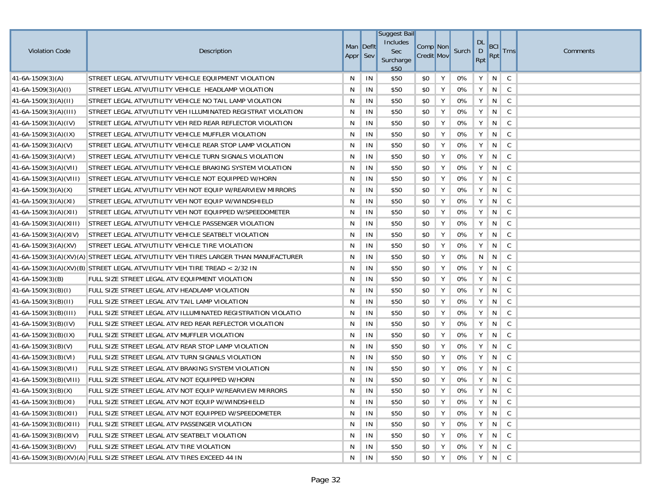| <b>Violation Code</b>     | Description                                                                         | Man Deflt<br>Appr Sev |    | <b>Suggest Bail</b><br>Includes<br>Sec<br>Surcharge<br>\$50 | Comp Non<br><b>Credit Mov</b> |   | Surch | <b>DL</b><br>$\mathsf{D}$<br>Rpt | <b>BCI</b><br>Rpt           | <b>Trns</b>     | Comments |
|---------------------------|-------------------------------------------------------------------------------------|-----------------------|----|-------------------------------------------------------------|-------------------------------|---|-------|----------------------------------|-----------------------------|-----------------|----------|
| $ 41-6A-1509(3)(A) $      | STREET LEGAL ATV/UTILITY VEHICLE EQUIPMENT VIOLATION                                | N                     | IN | \$50                                                        | \$0                           | Υ | 0%    | Υ                                | N                           | C               |          |
| $(41-6A-1509(3)(A)(I))$   | STREET LEGAL ATV/UTILITY VEHICLE HEADLAMP VIOLATION                                 | N                     | IN | \$50                                                        | \$0                           | Υ | 0%    | Y                                | N                           | $\mathsf{C}$    |          |
| $41-6A-1509(3)(A)(II)$    | STREET LEGAL ATV/UTILITY VEHICLE NO TAIL LAMP VIOLATION                             | N                     | IN | \$50                                                        | \$0                           | Y | 0%    | Υ                                | N                           | $\mathsf{C}$    |          |
| $ 41-6A-1509(3)(A)(III) $ | STREET LEGAL ATV/UTILITY VEH ILLUMINATED REGISTRAT VIOLATION                        | N                     | IN | \$50                                                        | \$0                           | Υ | $0\%$ | Υ                                | N                           | $\mathsf C$     |          |
| $ 41-6A-1509(3)(A)(IV) $  | STREET LEGAL ATV/UTILITY VEH RED REAR REFLECTOR VIOLATION                           | N                     | IN | \$50                                                        | \$0                           | Υ | 0%    | Υ                                | N                           | $\mathsf{C}$    |          |
| $ 41-6A-1509(3)(A)(IX) $  | STREET LEGAL ATV/UTILITY VEHICLE MUFFLER VIOLATION                                  | N                     | IN | \$50                                                        | \$0                           | Y | 0%    | Y                                | N                           | $\mathsf{C}$    |          |
| $41-6A-1509(3)(A)(V)$     | STREET LEGAL ATV/UTILITY VEHICLE REAR STOP LAMP VIOLATION                           | N                     | IN | \$50                                                        | \$0                           | Υ | 0%    | Υ                                | N                           | $\mathsf{C}$    |          |
| $ 41-6A-1509(3)(A)(VI) $  | STREET LEGAL ATV/UTILITY VEHICLE TURN SIGNALS VIOLATION                             | N                     | IN | \$50                                                        | \$0                           | Υ | $0\%$ | Υ                                | N                           | $\mathsf{C}$    |          |
| $ 41-6A-1509(3)(A)(VII) $ | STREET LEGAL ATV/UTILITY VEHICLE BRAKING SYSTEM VIOLATION                           | N                     | IN | \$50                                                        | \$0                           | Υ | 0%    | Υ                                | N                           | $\mathsf{C}$    |          |
| $41-6A-1509(3)(A)(VIII)$  | STREET LEGAL ATV/UTILITY VEHICLE NOT EQUIPPED W/HORN                                | N                     | IN | \$50                                                        | \$0                           | Υ | 0%    | Y                                | N                           | $\mathsf{C}$    |          |
| $41-6A-1509(3)(A)(X)$     | STREET LEGAL ATV/UTILITY VEH NOT EQUIP W/REARVIEW MIRRORS                           | N                     | IN | \$50                                                        | \$0                           | Υ | 0%    | Y                                | N                           | $\mathsf{C}$    |          |
| $41-6A-1509(3)(A)(XI)$    | STREET LEGAL ATV/UTILITY VEH NOT EQUIP W/WINDSHIELD                                 | N                     | IN | \$50                                                        | \$0                           | Υ | 0%    | Υ                                | N                           | C               |          |
| $ 41-6A-1509(3)(A)(X11) $ | STREET LEGAL ATV/UTILITY VEH NOT EQUIPPED W/SPEEDOMETER                             | N                     | IN | \$50                                                        | \$0                           | Υ | 0%    | Υ                                | N                           | C               |          |
| 41-6A-1509(3)(A)(XIII)    | STREET LEGAL ATV/UTILITY VEHICLE PASSENGER VIOLATION                                | N                     | IN | \$50                                                        | \$0                           | Υ | 0%    | Y                                | N                           | $\mathsf{C}$    |          |
| $ 41-6A-1509(3)(A)(XIV) $ | STREET LEGAL ATV/UTILITY VEHICLE SEATBELT VIOLATION                                 | N                     | IN | \$50                                                        | \$0                           | Υ | 0%    | Υ                                | N                           | $\mathsf{C}$    |          |
| $41-6A-1509(3)(A)(XV)$    | STREET LEGAL ATV/UTILITY VEHICLE TIRE VIOLATION                                     | N                     | IN | \$50                                                        | \$0                           | Υ | 0%    | Υ                                | N                           | $\mathsf C$     |          |
|                           | 41-6A-1509(3)(A)(XV)(A) STREET LEGAL ATV/UTILITY VEH TIRES LARGER THAN MANUFACTURER | N                     | IN | \$50                                                        | \$0                           | Υ | 0%    | N                                | N                           | C               |          |
|                           | 41-6A-1509(3)(A)(XV)(B) STREET LEGAL ATV/UTILITY VEH TIRE TREAD < 2/32 IN           | N                     | IN | \$50                                                        | \$0                           | Υ | 0%    | Υ                                | N                           | C               |          |
| $ 41-6A-1509(3)(B) $      | FULL SIZE STREET LEGAL ATV EQUIPMENT VIOLATION                                      | N                     | IN | \$50                                                        | \$0                           | Υ | 0%    | Υ                                | N                           | $\mathsf C$     |          |
| $ 41-6A-1509(3)(B)(I) $   | FULL SIZE STREET LEGAL ATV HEADLAMP VIOLATION                                       | N                     | IN | \$50                                                        | \$0                           | Υ | 0%    | Υ                                | N                           | $\mathsf C$     |          |
| $41-6A-1509(3)(B)(II)$    | FULL SIZE STREET LEGAL ATV TAIL LAMP VIOLATION                                      | N                     | IN | \$50                                                        | \$0                           | Υ | 0%    | Y                                | N                           | C               |          |
| $ 41-6A-1509(3)(B)(III) $ | FULL SIZE STREET LEGAL ATV ILLUMINATED REGISTRATION VIOLATIO                        | N                     | IN | \$50                                                        | \$0                           | Υ | 0%    | Υ                                | N                           | C               |          |
| $ 41-6A-1509(3)(B)(IV) $  | FULL SIZE STREET LEGAL ATV RED REAR REFLECTOR VIOLATION                             | N                     | IN | \$50                                                        | \$0                           | Υ | $0\%$ | Υ                                | N                           | $\mathsf C$     |          |
| $ 41-6A-1509(3)(B)(IX) $  | FULL SIZE STREET LEGAL ATV MUFFLER VIOLATION                                        | N                     | IN | \$50                                                        | \$0                           | Υ | 0%    | Υ                                | N                           | $\mathsf C$     |          |
| $ 41-6A-1509(3)(B)(V) $   | FULL SIZE STREET LEGAL ATV REAR STOP LAMP VIOLATION                                 | N                     | IN | \$50                                                        | \$0                           | Υ | 0%    | Y                                | N                           | C               |          |
| $41-6A-1509(3)(B)(VI)$    | FULL SIZE STREET LEGAL ATV TURN SIGNALS VIOLATION                                   | N                     | IN | \$50                                                        | \$0                           | Υ | 0%    | Υ                                | N                           | C               |          |
| $ 41-6A-1509(3)(B)(VII)$  | FULL SIZE STREET LEGAL ATV BRAKING SYSTEM VIOLATION                                 | N                     | IN | \$50                                                        | \$0                           | Υ | 0%    | Υ                                | N                           | $\mathsf{C}$    |          |
| $41-6A-1509(3)(B)(VIII)$  | FULL SIZE STREET LEGAL ATV NOT EQUIPPED W/HORN                                      | N                     | IN | \$50                                                        | \$0                           | Y | 0%    | Υ                                | N                           | $\mathsf{C}$    |          |
| $41-6A-1509(3)(B)(X)$     | FULL SIZE STREET LEGAL ATV NOT EQUIP W/REARVIEW MIRRORS                             | N                     | IN | \$50                                                        | \$0                           | Υ | 0%    | Υ                                | $N \mid C$                  |                 |          |
| 41-6A-1509(3)(B)(XI)      | FULL SIZE STREET LEGAL ATV NOT EQUIP W/WINDSHIELD                                   | N                     | IN | \$50                                                        | \$0                           | Υ | 0%    | Y                                | $N \parallel C$             |                 |          |
| $ 41-6A-1509(3)(B)(X11) $ | FULL SIZE STREET LEGAL ATV NOT EQUIPPED W/SPEEDOMETER                               | N                     | IN | \$50                                                        | \$0                           | Υ | 0%    | Y                                |                             | $N \parallel C$ |          |
| $41-6A-1509(3)(B)(XIII)$  | FULL SIZE STREET LEGAL ATV PASSENGER VIOLATION                                      | N                     | IN | \$50                                                        | \$0                           | Y | 0%    | Υ                                | N                           | $\mathsf{C}$    |          |
| $ 41-6A-1509(3)(B)(XIV) $ | FULL SIZE STREET LEGAL ATV SEATBELT VIOLATION                                       | N                     | IN | \$50                                                        | \$0                           | Y | 0%    | Y                                | $N \mid C$                  |                 |          |
| 41-6A-1509(3)(B)(XV)      | FULL SIZE STREET LEGAL ATV TIRE VIOLATION                                           | N                     | IN | \$50                                                        | \$0                           | Υ | 0%    | Y                                | $N \mid C$                  |                 |          |
|                           | 41-6A-1509(3)(B)(XV)(A) FULL SIZE STREET LEGAL ATV TIRES EXCEED 44 IN               | N                     | IN | \$50                                                        | \$0                           | Υ | 0%    |                                  | $Y \parallel N \parallel C$ |                 |          |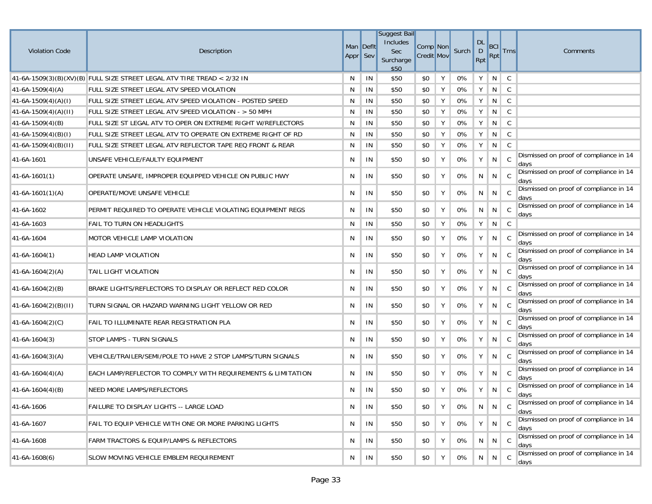| <b>Violation Code</b>  | Description                                                             | Appr Sev | Man Defit | <b>Suggest Bail</b><br>Includes<br>Sec<br>Surcharge<br>\$50 | Comp Non<br><b>Credit Mov</b> |   | Surch | <b>DL</b><br>$\mathsf D$<br>Rpt | BCI<br>Rpt      | <b>Trns</b>  | Comments                                       |
|------------------------|-------------------------------------------------------------------------|----------|-----------|-------------------------------------------------------------|-------------------------------|---|-------|---------------------------------|-----------------|--------------|------------------------------------------------|
|                        | 41-6A-1509(3)(B)(XV)(B) FULL SIZE STREET LEGAL ATV TIRE TREAD < 2/32 IN | N        | IN        | \$50                                                        | \$0                           | Y | 0%    | Y                               | N               | C            |                                                |
| $41-6A-1509(4)(A)$     | FULL SIZE STREET LEGAL ATV SPEED VIOLATION                              | N        | IN        | \$50                                                        | \$0                           | Y | 0%    | Y                               | N               | $\mathsf{C}$ |                                                |
| $41-6A-1509(4)(A)(I)$  | FULL SIZE STREET LEGAL ATV SPEED VIOLATION - POSTED SPEED               | N        | IN        | \$50                                                        | \$0                           | Y | 0%    | Y                               | N               | C            |                                                |
| $41-6A-1509(4)(A)(II)$ | FULL SIZE STREET LEGAL ATV SPEED VIOLATION - > 50 MPH                   | N        | IN        | \$50                                                        | \$0                           | Y | 0%    | Y                               | N               | $\mathsf{C}$ |                                                |
| $41-6A-1509(4)(B)$     | FULL SIZE ST LEGAL ATV TO OPER ON EXTREME RIGHT W/REFLECTORS            | N        | IN        | \$50                                                        | \$0                           | Υ | 0%    | Y                               | N               | C            |                                                |
| $41-6A-1509(4)(B)(I)$  | FULL SIZE STREET LEGAL ATV TO OPERATE ON EXTREME RIGHT OF RD            | N        | IN        | \$50                                                        | \$0                           | Υ | 0%    | Y                               | N               | C            |                                                |
| $41-6A-1509(4)(B)(H)$  | FULL SIZE STREET LEGAL ATV REFLECTOR TAPE REQ FRONT & REAR              | N        | IN        | \$50                                                        | \$0                           | Υ | 0%    | Y                               | N               | $\mathsf{C}$ |                                                |
| 41-6A-1601             | UNSAFE VEHICLE/FAULTY EQUIPMENT                                         | N        | IN        | \$50                                                        | \$0                           | Υ | 0%    | Y                               | N               | C            | Dismissed on proof of compliance in 14<br>days |
| $41-6A-1601(1)$        | OPERATE UNSAFE, IMPROPER EQUIPPED VEHICLE ON PUBLIC HWY                 | N        | IN        | \$50                                                        | \$0                           | Y | 0%    | N                               | N               | - C          | Dismissed on proof of compliance in 14<br>days |
| $41-6A-1601(1)(A)$     | OPERATE/MOVE UNSAFE VEHICLE                                             | N        | IN        | \$50                                                        | \$0                           | Υ | 0%    | N                               | N               | C            | Dismissed on proof of compliance in 14<br>days |
| 41-6A-1602             | PERMIT REQUIRED TO OPERATE VEHICLE VIOLATING EQUIPMENT REGS             | N        | IN        | \$50                                                        | \$0                           | Y | 0%    | N                               | $N \mid C$      |              | Dismissed on proof of compliance in 14<br>days |
| 41-6A-1603             | FAIL TO TURN ON HEADLIGHTS                                              | N        | IN        | \$50                                                        | \$0                           | Y | 0%    | Y                               | N               | C            |                                                |
| 41-6A-1604             | <b>MOTOR VEHICLE LAMP VIOLATION</b>                                     | N        | IN        | \$50                                                        | \$0                           | Υ | 0%    | Υ                               | N               | C            | Dismissed on proof of compliance in 14<br>days |
| $41-6A-1604(1)$        | <b>HEAD LAMP VIOLATION</b>                                              | N        | IN        | \$50                                                        | \$0                           | Y | 0%    | Y                               | N               | C            | Dismissed on proof of compliance in 14<br>days |
| $41-6A-1604(2)(A)$     | TAIL LIGHT VIOLATION                                                    | N        | IN        | \$50                                                        | \$0                           | Y | 0%    | Y                               | N               | C            | Dismissed on proof of compliance in 14<br>days |
| $41-6A-1604(2)(B)$     | BRAKE LIGHTS/REFLECTORS TO DISPLAY OR REFLECT RED COLOR                 | N        | IN        | \$50                                                        | \$0                           | Y | 0%    | Y                               | N C             |              | Dismissed on proof of compliance in 14<br>days |
| $41-6A-1604(2)(B)(H)$  | TURN SIGNAL OR HAZARD WARNING LIGHT YELLOW OR RED                       | N        | IN        | \$50                                                        | \$0                           | Y | 0%    | Y                               | N I             | - C          | Dismissed on proof of compliance in 14<br>days |
| $41-6A-1604(2)(C)$     | FAIL TO ILLUMINATE REAR REGISTRATION PLA                                | N        | IN        | \$50                                                        | \$0                           | Y | 0%    | Y                               | N               | C            | Dismissed on proof of compliance in 14<br>days |
| $41-6A-1604(3)$        | STOP LAMPS - TURN SIGNALS                                               | N        | IN        | \$50                                                        | \$0                           | Y | 0%    | Y                               | N               | - C          | Dismissed on proof of compliance in 14<br>days |
| $41-6A-1604(3)(A)$     | VEHICLE/TRAILER/SEMI/POLE TO HAVE 2 STOP LAMPS/TURN SIGNALS             | N        | IN        | \$50                                                        | \$0                           | Y | 0%    | Υ                               | N               | C            | Dismissed on proof of compliance in 14<br>days |
| $41-6A-1604(4)(A)$     | EACH LAMP/REFLECTOR TO COMPLY WITH REQUIREMENTS & LIMITATION            | N        | IN        | \$50                                                        | \$0                           | Y | 0%    | Υ                               | $N \parallel C$ |              | Dismissed on proof of compliance in 14<br>days |
| $41-6A-1604(4)(B)$     | NEED MORE LAMPS/REFLECTORS                                              | N        | IN        | \$50                                                        | \$0                           | Y | 0%    | Y                               | N               | C            | Dismissed on proof of compliance in 14<br>days |
| 41-6A-1606             | FAILURE TO DISPLAY LIGHTS -- LARGE LOAD                                 | N        | IN        | \$50                                                        | \$0                           | Y | 0%    | N                               | N C             |              | Dismissed on proof of compliance in 14<br>days |
| 41-6A-1607             | FAIL TO EQUIP VEHICLE WITH ONE OR MORE PARKING LIGHTS                   | N        | IN        | \$50                                                        | \$0                           | Y | 0%    | Y                               | $N \parallel C$ |              | Dismissed on proof of compliance in 14<br>days |
| 41-6A-1608             | FARM TRACTORS & EQUIP/LAMPS & REFLECTORS                                | N        | IN        | \$50                                                        | \$0                           | Y | 0%    | N                               | N               | C            | Dismissed on proof of compliance in 14<br>days |
| $ 41-6A-1608(6) $      | SLOW MOVING VEHICLE EMBLEM REQUIREMENT                                  | N        | IN        | \$50                                                        | \$0                           | Y | 0%    | N                               | $N \mid C$      |              | Dismissed on proof of compliance in 14<br>days |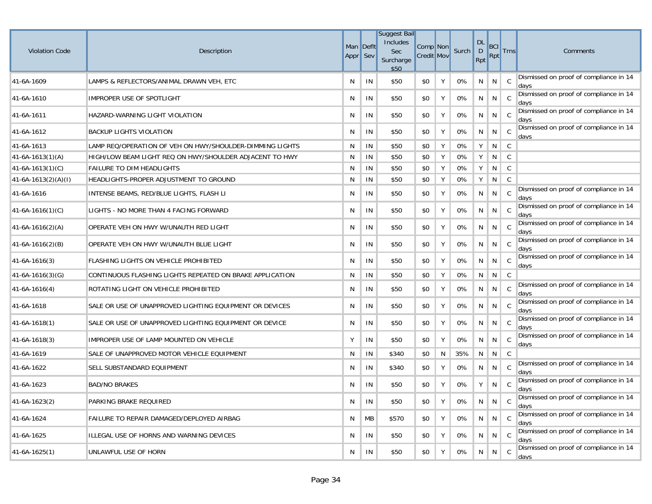| <b>Violation Code</b> | Description                                              | Appr Sev | Man Deflt | <b>Suggest Bail</b><br>Includes<br>Sec<br>Surcharge<br>\$50 | Comp Non<br><b>Credit Mov</b> |   | Surch | <b>DL</b><br>$\mathsf D$<br>Rpt | BCI<br>Rpt      | <b>Trns</b>    | Comments                                       |
|-----------------------|----------------------------------------------------------|----------|-----------|-------------------------------------------------------------|-------------------------------|---|-------|---------------------------------|-----------------|----------------|------------------------------------------------|
| 41-6A-1609            | LAMPS & REFLECTORS/ANIMAL DRAWN VEH, ETC                 | N        | IN        | \$50                                                        | \$0                           | Y | 0%    | N                               | N               | $\overline{C}$ | Dismissed on proof of compliance in 14<br>days |
| 41-6A-1610            | IMPROPER USE OF SPOTLIGHT                                | N        | IN        | \$50                                                        | \$0                           | Y | 0%    | N                               | N               | - C            | Dismissed on proof of compliance in 14<br>days |
| 41-6A-1611            | HAZARD-WARNING LIGHT VIOLATION                           | N        | IN        | \$50                                                        | \$0                           | Y | 0%    | N.                              | N               | C              | Dismissed on proof of compliance in 14<br>days |
| 41-6A-1612            | <b>BACKUP LIGHTS VIOLATION</b>                           | N        | IN        | \$50                                                        | \$0                           | Y | 0%    | N                               | N               | - C            | Dismissed on proof of compliance in 14<br>days |
| 41-6A-1613            | LAMP REQ/OPERATION OF VEH ON HWY/SHOULDER-DIMMING LIGHTS | N        | IN        | \$50                                                        | \$0                           | Y | 0%    | Y                               | N               | $\mathsf{C}$   |                                                |
| 41-6A-1613(1)(A)      | HIGH/LOW BEAM LIGHT REQ ON HWY/SHOULDER ADJACENT TO HWY  | N        | IN        | \$50                                                        | \$0                           | Y | 0%    | Y                               | N               | C              |                                                |
| $41-6A-1613(1)(C)$    | <b>FAILURE TO DIM HEADLIGHTS</b>                         | N        | IN        | \$50                                                        | \$0                           | Y | 0%    | Y                               | N               | $\mathsf{C}$   |                                                |
| $41-6A-1613(2)(A)(I)$ | HEADLIGHTS-PROPER ADJUSTMENT TO GROUND                   | N        | IN        | \$50                                                        | \$0                           | Y | 0%    | Y                               | N               | $\mathsf{C}$   |                                                |
| 41-6A-1616            | INTENSE BEAMS, RED/BLUE LIGHTS, FLASH LI                 | N        | IN        | \$50                                                        | \$0                           | Y | 0%    | N                               | N               | C              | Dismissed on proof of compliance in 14<br>days |
| $41-6A-1616(1)(C)$    | LIGHTS - NO MORE THAN 4 FACING FORWARD                   | N        | IN        | \$50                                                        | \$0                           | Y | 0%    | N                               | N C             |                | Dismissed on proof of compliance in 14<br>days |
| $41-6A-1616(2)(A)$    | OPERATE VEH ON HWY W/UNAUTH RED LIGHT                    | N        | IN        | \$50                                                        | \$0                           | Υ | 0%    | N                               | N               | C              | Dismissed on proof of compliance in 14<br>days |
| $41-6A-1616(2)(B)$    | OPERATE VEH ON HWY W/UNAUTH BLUE LIGHT                   | N        | IN        | \$50                                                        | \$0                           | Y | 0%    | N                               | N <sub>1</sub>  | C <sub>c</sub> | Dismissed on proof of compliance in 14<br>days |
| 41-6A-1616(3)         | FLASHING LIGHTS ON VEHICLE PROHIBITED                    | N        | IN        | \$50                                                        | \$0                           | Y | 0%    | N                               | N               | - C            | Dismissed on proof of compliance in 14<br>days |
| $41-6A-1616(3)(G)$    | CONTINUOUS FLASHING LIGHTS REPEATED ON BRAKE APPLICATION | N        | IN        | \$50                                                        | \$0                           | Y | 0%    | N                               | N               | C              |                                                |
| 41-6A-1616(4)         | ROTATING LIGHT ON VEHICLE PROHIBITED                     | N        | IN        | \$50                                                        | \$0                           | Y | 0%    | N                               | N               | C              | Dismissed on proof of compliance in 14<br>days |
| 41-6A-1618            | SALE OR USE OF UNAPPROVED LIGHTING EQUIPMENT OR DEVICES  | N        | IN        | \$50                                                        | \$0                           | Υ | 0%    | N                               | N               | C              | Dismissed on proof of compliance in 14<br>days |
| 41-6A-1618(1)         | SALE OR USE OF UNAPPROVED LIGHTING EQUIPMENT OR DEVICE   | N        | IN        | \$50                                                        | \$0                           | Y | 0%    | N                               | N C             |                | Dismissed on proof of compliance in 14<br>days |
| 41-6A-1618(3)         | IMPROPER USE OF LAMP MOUNTED ON VEHICLE                  | Y        | IN        | \$50                                                        | \$0                           | Y | 0%    | N                               | N               | - C            | Dismissed on proof of compliance in 14<br>days |
| 41-6A-1619            | SALE OF UNAPPROVED MOTOR VEHICLE EQUIPMENT               | N        | IN        | \$340                                                       | \$0                           | N | 35%   | N                               | N               | C              |                                                |
| 41-6A-1622            | SELL SUBSTANDARD EQUIPMENT                               | N        | ΙN        | \$340                                                       | \$0                           | Y | 0%    | N                               | N               | $\mathbf{C}$   | Dismissed on proof of compliance in 14<br>days |
| 41-6A-1623            | <b>BAD/NO BRAKES</b>                                     | N        | IN        | \$50                                                        | \$0                           | Υ | 0%    | Y                               | N               | - C            | Dismissed on proof of compliance in 14<br>days |
| 41-6A-1623(2)         | PARKING BRAKE REQUIRED                                   | N        | IN        | \$50                                                        | \$0                           | Y | 0%    | N                               | $N \mid C$      |                | Dismissed on proof of compliance in 14<br>days |
| 41-6A-1624            | FAILURE TO REPAIR DAMAGED/DEPLOYED AIRBAG                | N        | МB        | \$570                                                       | \$0                           | Y | 0%    | N                               | $N \parallel C$ |                | Dismissed on proof of compliance in 14<br>days |
| 41-6A-1625            | ILLEGAL USE OF HORNS AND WARNING DEVICES                 | N        | IN        | \$50                                                        | \$0                           | Y | 0%    | N                               | N <sub>1</sub>  | C              | Dismissed on proof of compliance in 14<br>days |
| 41-6A-1625(1)         | UNLAWFUL USE OF HORN                                     | N        | IN        | \$50                                                        | \$0                           | Y | 0%    | N                               | N               | - C            | Dismissed on proof of compliance in 14<br>days |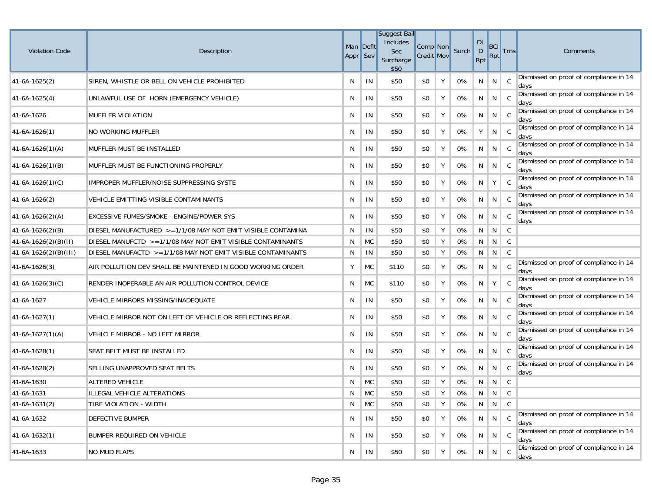| <b>Violation Code</b> | Description                                                 | Appr Sev | Man Deflt | <b>Suggest Bail</b><br>Includes<br><b>Sec</b><br>Surcharge<br>\$50 | Comp Non<br><b>Credit Mov</b> |   | Surch | <b>DL</b><br>$\mathsf{D}$<br>Rpt | BCI<br>Rpt | <b>Trns</b>  | Comments                                       |
|-----------------------|-------------------------------------------------------------|----------|-----------|--------------------------------------------------------------------|-------------------------------|---|-------|----------------------------------|------------|--------------|------------------------------------------------|
| 41-6A-1625(2)         | SIREN, WHISTLE OR BELL ON VEHICLE PROHIBITED                | N        | IN        | \$50                                                               | \$0                           | Υ | 0%    | N                                | N          | C            | Dismissed on proof of compliance in 14<br>days |
| 41-6A-1625(4)         | UNLAWFUL USE OF HORN (EMERGENCY VEHICLE)                    | N        | IN        | \$50                                                               | \$0                           | Υ | 0%    | N                                | N          | C            | Dismissed on proof of compliance in 14<br>days |
| 41-6A-1626            | <b>MUFFLER VIOLATION</b>                                    | N        | IN        | \$50                                                               | \$0                           | Υ | 0%    | N                                | N          | C            | Dismissed on proof of compliance in 14<br>days |
| $ 41-6A-1626(1) $     | NO WORKING MUFFLER                                          | N        | IN        | \$50                                                               | \$0                           | Υ | 0%    | Y                                | N          | C            | Dismissed on proof of compliance in 14<br>days |
| $41-6A-1626(1)(A)$    | MUFFLER MUST BE INSTALLED                                   | N        | IN        | \$50                                                               | \$0                           | Υ | 0%    | N                                | N          | C            | Dismissed on proof of compliance in 14<br>davs |
| $41-6A-1626(1)(B)$    | MUFFLER MUST BE FUNCTIONING PROPERLY                        | N        | IN        | \$50                                                               | \$0                           | Υ | 0%    | N                                | N          | C            | Dismissed on proof of compliance in 14<br>days |
| $41-6A-1626(1)(C)$    | IMPROPER MUFFLER/NOISE SUPPRESSING SYSTE                    | N        | IN        | \$50                                                               | \$0                           | Υ | 0%    | N                                | Y          | C            | Dismissed on proof of compliance in 14<br>days |
| $41-6A-1626(2)$       | VEHICLE EMITTING VISIBLE CONTAMINANTS                       | N        | IN        | \$50                                                               | \$0                           | Υ | 0%    | N                                | N I        | C            | Dismissed on proof of compliance in 14<br>days |
| $41-6A-1626(2)(A)$    | EXCESSIVE FUMES/SMOKE - ENGINE/POWER SYS                    | N        | IN        | \$50                                                               | \$0                           | Υ | 0%    | N                                | N          | C            | Dismissed on proof of compliance in 14<br>days |
| $41-6A-1626(2)(B)$    | DIESEL MANUFACTURED >=1/1/08 MAY NOT EMIT VISIBLE CONTAMINA | N        | IN        | \$50                                                               | \$0                           | Υ | 0%    | N                                | N          | C            |                                                |
| $41-6A-1626(2)(B)(H)$ | DIESEL MANUFCTD >=1/1/08 MAY NOT EMIT VISIBLE CONTAMINANTS  | N        | <b>MC</b> | \$50                                                               | \$0                           | Y | 0%    | N                                | N          | C            |                                                |
| 41-6A-1626(2)(B)(III) | DIESEL MANUFACTD >=1/1/08 MAY NOT EMIT VISIBLE CONTAMINANTS | N        | IN        | \$50                                                               | \$0                           | Υ | 0%    | N                                | N          | C            |                                                |
| 41-6A-1626(3)         | AIR POLLUTION DEV SHALL BE MAINTENED IN GOOD WORKING ORDER  | Y        | <b>MC</b> | \$110                                                              | \$0                           | Υ | 0%    | N                                | N          | C            | Dismissed on proof of compliance in 14<br>days |
| $41-6A-1626(3)(C)$    | RENDER INOPERABLE AN AIR POLLUTION CONTROL DEVICE           | N        | МC        | \$110                                                              | \$0                           | Υ | 0%    | N                                | Y          | C            | Dismissed on proof of compliance in 14<br>days |
| 41-6A-1627            | VEHICLE MIRRORS MISSING/INADEQUATE                          | N        | IN        | \$50                                                               | \$0                           | Υ | 0%    | N                                | N          | C            | Dismissed on proof of compliance in 14<br>days |
| $41-6A-1627(1)$       | VEHICLE MIRROR NOT ON LEFT OF VEHICLE OR REFLECTING REAR    | N        | IN        | \$50                                                               | \$0                           | Υ | 0%    | N                                | N          | C            | Dismissed on proof of compliance in 14<br>days |
| $41-6A-1627(1)(A)$    | VEHICLE MIRROR - NO LEFT MIRROR                             | N        | IN        | \$50                                                               | \$0                           | Υ | 0%    | N                                | N          | C            | Dismissed on proof of compliance in 14<br>days |
| 41-6A-1628(1)         | SEAT BELT MUST BE INSTALLED                                 | N        | IN        | \$50                                                               | \$0                           | Υ | 0%    | N                                | N          | C            | Dismissed on proof of compliance in 14<br>days |
| 41-6A-1628(2)         | SELLING UNAPPROVED SEAT BELTS                               | N        | IN        | \$50                                                               | \$0                           | Υ | 0%    | N                                | N          | C            | Dismissed on proof of compliance in 14<br>days |
| 41-6A-1630            | ALTERED VEHICLE                                             | N        | MC        | \$50                                                               | \$0                           | Υ | 0%    | N                                | N          | C            |                                                |
| 41-6A-1631            | ILLEGAL VEHICLE ALTERATIONS                                 | N        | <b>MC</b> | \$50                                                               | \$0                           | Y | 0%    | N                                | N          | C            |                                                |
| 41-6A-1631(2)         | TIRE VIOLATION - WIDTH                                      | N        | <b>MC</b> | \$50                                                               | \$0                           | Y | 0%    | N                                |            | $N \mid C$   |                                                |
| 41-6A-1632            | <b>DEFECTIVE BUMPER</b>                                     | N        | IN        | \$50                                                               | \$0                           | Y | 0%    | N                                | N          | $\mathsf{C}$ | Dismissed on proof of compliance in 14<br>days |
| 41-6A-1632(1)         | BUMPER REQUIRED ON VEHICLE                                  | N        | IN        | \$50                                                               | \$0                           | Υ | 0%    | N                                | N          | C            | Dismissed on proof of compliance in 14<br>days |
| 41-6A-1633            | <b>NO MUD FLAPS</b>                                         | N        | IN        | \$50                                                               | \$0                           | Υ | 0%    | N                                | N          | C            | Dismissed on proof of compliance in 14<br>days |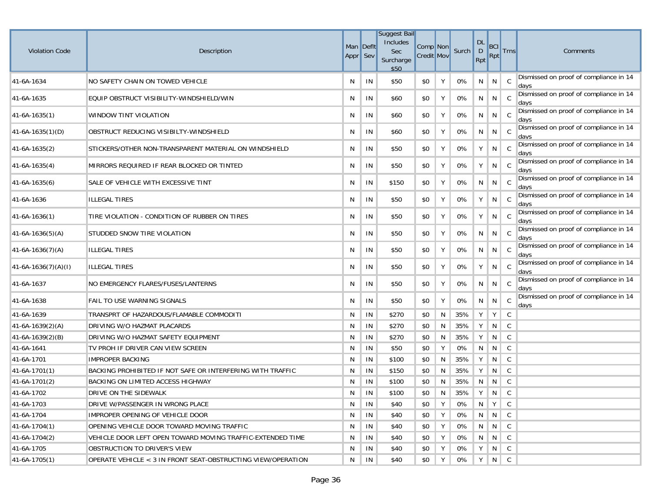| <b>Violation Code</b> | Description                                                  | Appr Sev | Man Defit | <b>Suggest Bail</b><br>Includes<br>Sec<br>Surcharge<br>\$50 | Comp Non<br><b>Credit Mov</b> |   | Surch | <b>DL</b><br>$\mathsf D$<br>Rpt | BCI<br>Rpt      | <b>Trns</b>  | Comments                                       |
|-----------------------|--------------------------------------------------------------|----------|-----------|-------------------------------------------------------------|-------------------------------|---|-------|---------------------------------|-----------------|--------------|------------------------------------------------|
| 41-6A-1634            | NO SAFETY CHAIN ON TOWED VEHICLE                             | N        | IN        | \$50                                                        | \$0                           | Y | 0%    | N                               | N               | $\mathbf{C}$ | Dismissed on proof of compliance in 14<br>days |
| 41-6A-1635            | EQUIP OBSTRUCT VISIBILITY-WINDSHIELD/WIN                     | N        | IN        | \$60                                                        | \$0                           | Y | 0%    | N                               | N               | - C          | Dismissed on proof of compliance in 14<br>days |
| 41-6A-1635(1)         | WINDOW TINT VIOLATION                                        | N        | IN        | \$60                                                        | \$0                           | Y | 0%    | N                               | N               | C            | Dismissed on proof of compliance in 14<br>days |
| $41-6A-1635(1)(D)$    | OBSTRUCT REDUCING VISIBILTY-WINDSHIELD                       | N        | IN        | \$60                                                        | \$0                           | Y | 0%    | N                               | $N \parallel C$ |              | Dismissed on proof of compliance in 14<br>days |
| 41-6A-1635(2)         | STICKERS/OTHER NON-TRANSPARENT MATERIAL ON WINDSHIELD        | N        | IN        | \$50                                                        | \$0                           | Y | 0%    | Υ                               | N               | C            | Dismissed on proof of compliance in 14<br>days |
| 41-6A-1635(4)         | MIRRORS REQUIRED IF REAR BLOCKED OR TINTED                   | N        | IN        | \$50                                                        | \$0                           | Y | 0%    | Y                               | $N \parallel C$ |              | Dismissed on proof of compliance in 14<br>days |
| 41-6A-1635(6)         | SALE OF VEHICLE WITH EXCESSIVE TINT                          | N        | IN        | \$150                                                       | \$0                           | Y | 0%    | N                               | N C             |              | Dismissed on proof of compliance in 14<br>days |
| 41-6A-1636            | <b>ILLEGAL TIRES</b>                                         | N        | IN        | \$50                                                        | \$0                           | Y | 0%    | Y                               | N               | C            | Dismissed on proof of compliance in 14<br>days |
| 41-6A-1636(1)         | TIRE VIOLATION - CONDITION OF RUBBER ON TIRES                | N        | IN        | \$50                                                        | \$0                           | Y | 0%    | Υ                               | N               | - C          | Dismissed on proof of compliance in 14<br>days |
| $41-6A-1636(5)(A)$    | STUDDED SNOW TIRE VIOLATION                                  | N        | IN        | \$50                                                        | \$0                           | Y | 0%    | N                               | N               | C            | Dismissed on proof of compliance in 14<br>days |
| $41-6A-1636(7)(A)$    | <b>ILLEGAL TIRES</b>                                         | N        | IN        | \$50                                                        | \$0                           | Y | 0%    | N                               | $N \parallel C$ |              | Dismissed on proof of compliance in 14<br>days |
| $41-6A-1636(7)(A)(I)$ | <b>ILLEGAL TIRES</b>                                         | N        | IN        | \$50                                                        | \$0                           | Υ | 0%    | Υ                               | N               | C            | Dismissed on proof of compliance in 14<br>days |
| 41-6A-1637            | NO EMERGENCY FLARES/FUSES/LANTERNS                           | N        | IN        | \$50                                                        | \$0                           | Y | 0%    | N                               | N               | - C          | Dismissed on proof of compliance in 14<br>days |
| 41-6A-1638            | FAIL TO USE WARNING SIGNALS                                  | N        | IN        | \$50                                                        | \$0                           | Y | 0%    | N                               | N               | C            | Dismissed on proof of compliance in 14<br>days |
| 41-6A-1639            | TRANSPRT OF HAZARDOUS/FLAMABLE COMMODITI                     | N        | IN        | \$270                                                       | \$0                           | N | 35%   | Υ                               | Υ               | C            |                                                |
| 41-6A-1639(2)(A)      | DRIVING W/O HAZMAT PLACARDS                                  | N        | IN        | \$270                                                       | \$0                           | N | 35%   | Y                               | N               | C            |                                                |
| 41-6A-1639(2)(B)      | DRIVING W/O HAZMAT SAFETY EQUIPMENT                          | N        | IN        | \$270                                                       | \$0                           | N | 35%   | Υ                               | N               | C            |                                                |
| 41-6A-1641            | TV PROH IF DRIVER CAN VIEW SCREEN                            | N        | IN        | \$50                                                        | \$0                           | Y | 0%    | N                               | N               | C            |                                                |
| 41-6A-1701            | <b>IMPROPER BACKING</b>                                      | N        | IN        | \$100                                                       | \$0                           | N | 35%   | Y                               | N               | C            |                                                |
| 41-6A-1701(1)         | BACKING PROHIBITED IF NOT SAFE OR INTERFERING WITH TRAFFIC   | N        | IN        | \$150                                                       | \$0                           | N | 35%   | Y                               | N               | $\mathsf{C}$ |                                                |
| 41-6A-1701(2)         | BACKING ON LIMITED ACCESS HIGHWAY                            | N        | IN        | \$100                                                       | \$0                           | N | 35%   | N                               | N               | C            |                                                |
| 41-6A-1702            | DRIVE ON THE SIDEWALK                                        | N        | IN        | \$100                                                       | \$0                           | N | 35%   | Y                               | N               | $\mathsf{C}$ |                                                |
| 41-6A-1703            | DRIVE W/PASSENGER IN WRONG PLACE                             | N        | IN        | \$40                                                        | \$0                           | Y | 0%    | N                               | Y               | C            |                                                |
| 41-6A-1704            | IMPROPER OPENING OF VEHICLE DOOR                             | N        | IN        | \$40                                                        | \$0                           | Y | 0%    |                                 | $N \parallel N$ | $\mathsf{C}$ |                                                |
| 41-6A-1704(1)         | OPENING VEHICLE DOOR TOWARD MOVING TRAFFIC                   | N        | IN        | \$40                                                        | \$0                           | Y | 0%    |                                 | $N \parallel N$ | $\mathsf{C}$ |                                                |
| 41-6A-1704(2)         | VEHICLE DOOR LEFT OPEN TOWARD MOVING TRAFFIC-EXTENDED TIME   | N        | IN        | \$40                                                        | \$0                           | Y | 0%    |                                 | $N \parallel N$ | $\mathsf{C}$ |                                                |
| 41-6A-1705            | OBSTRUCTION TO DRIVER'S VIEW                                 | N        | IN        | \$40                                                        | \$0                           | Y | 0%    | Y                               | N               | $\mathsf{C}$ |                                                |
| 41-6A-1705(1)         | OPERATE VEHICLE < 3 IN FRONT SEAT-OBSTRUCTING VIEW/OPERATION | N        | IN        | \$40                                                        | \$0                           | Y | 0%    |                                 | Y N C           |              |                                                |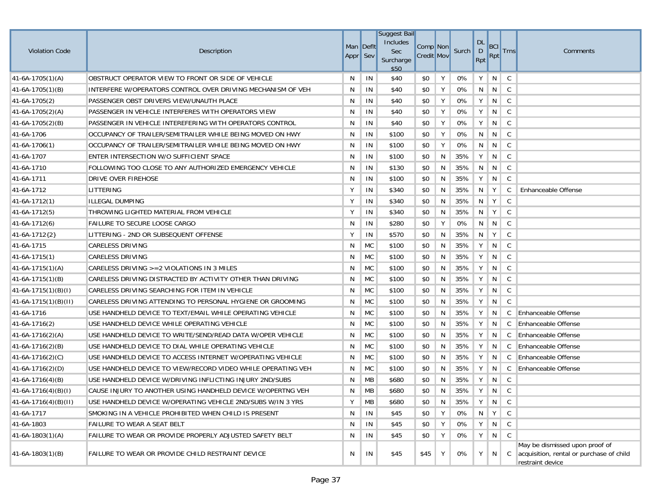| <b>Violation Code</b>  | Description                                                  | Man Deflt<br>Appr Sev |               | <b>Suggest Bail</b><br>Includes<br>Sec<br>Surcharge<br>\$50 | Comp Non<br><b>Credit Mov</b> |   | Surch | <b>DL</b><br>$\mathsf D$<br>Rpt | <b>BCI</b><br>Rpt | <b>Trns</b>  | Comments                                                                                       |
|------------------------|--------------------------------------------------------------|-----------------------|---------------|-------------------------------------------------------------|-------------------------------|---|-------|---------------------------------|-------------------|--------------|------------------------------------------------------------------------------------------------|
| $41-6A-1705(1)(A)$     | OBSTRUCT OPERATOR VIEW TO FRONT OR SIDE OF VEHICLE           | N                     | IN            | \$40                                                        | \$0                           | Υ | 0%    | Y                               | N                 | C            |                                                                                                |
| $41-6A-1705(1)(B)$     | INTERFERE W/OPERATORS CONTROL OVER DRIVING MECHANISM OF VEH  | N                     | IN            | \$40                                                        | \$0                           | Y | 0%    | N                               | N                 | $\mathsf{C}$ |                                                                                                |
| 41-6A-1705(2)          | PASSENGER OBST DRIVERS VIEW/UNAUTH PLACE                     | N                     | IN            | \$40                                                        | \$0                           | Υ | 0%    | Y                               | N                 | C            |                                                                                                |
| $41-6A-1705(2)(A)$     | PASSENGER IN VEHICLE INTERFERES WITH OPERATORS VIEW          | N                     | IN            | \$40                                                        | \$0                           | Υ | 0%    | Υ                               | N                 | $\mathsf{C}$ |                                                                                                |
| $41-6A-1705(2)(B)$     | PASSENGER IN VEHICLE INTEREFERING WITH OPERATORS CONTROL     | N                     | IN            | \$40                                                        | \$0                           | Υ | 0%    | Υ                               | N                 | C            |                                                                                                |
| 41-6A-1706             | OCCUPANCY OF TRAILER/SEMITRAILER WHILE BEING MOVED ON HWY    | N                     | IN            | \$100                                                       | \$0                           | Y | 0%    | N                               | N                 | C            |                                                                                                |
| 41-6A-1706(1)          | OCCUPANCY OF TRAILER/SEMITRAILER WHILE BEING MOVED ON HWY    | N                     | IN            | \$100                                                       | \$0                           | Y | 0%    | N                               | N                 | C            |                                                                                                |
| 41-6A-1707             | ENTER INTERSECTION W/O SUFFICIENT SPACE                      | N                     | IN            | \$100                                                       | \$0                           | N | 35%   | Y                               | N                 | $\mathsf{C}$ |                                                                                                |
| 41-6A-1710             | FOLLOWING TOO CLOSE TO ANY AUTHORIZED EMERGENCY VEHICLE      | N                     | IN            | \$130                                                       | \$0                           | N | 35%   | N                               | N                 | C            |                                                                                                |
| 41-6A-1711             | DRIVE OVER FIREHOSE                                          | N                     | IN            | \$100                                                       | \$0                           | N | 35%   | Y                               | N                 | C            |                                                                                                |
| 41-6A-1712             | LITTERING                                                    | Υ                     | IN            | \$340                                                       | \$0                           | N | 35%   | N                               | Y                 | C            | Enhanceable Offense                                                                            |
| $41-6A-1712(1)$        | ILLEGAL DUMPING                                              | Υ                     | IN            | \$340                                                       | \$0                           | N | 35%   | N                               | Y                 | C            |                                                                                                |
| $41-6A-1712(5)$        | THROWING LIGHTED MATERIAL FROM VEHICLE                       | Υ                     | IN            | \$340                                                       | \$0                           | N | 35%   | N                               | Y                 | C            |                                                                                                |
| $41-6A-1712(6)$        | <b>FAILURE TO SECURE LOOSE CARGO</b>                         | N                     | IN            | \$280                                                       | \$0                           | Υ | 0%    | N                               | N                 | C            |                                                                                                |
| 41-6A-1712{2}          | LITTERING - 2ND OR SUBSEQUENT OFFENSE                        | Υ                     | IN            | \$570                                                       | \$0                           | N | 35%   | N <sub>1</sub>                  | Y                 | C            |                                                                                                |
| 41-6A-1715             | <b>CARELESS DRIVING</b>                                      | N                     | МC            | \$100                                                       | \$0                           | N | 35%   | Υ                               | N                 | C            |                                                                                                |
| $41-6A-1715(1)$        | <b>CARELESS DRIVING</b>                                      | N                     | <b>MC</b>     | \$100                                                       | \$0                           | N | 35%   | Υ                               | N                 | C            |                                                                                                |
| $41-6A-1715(1)(A)$     | CARELESS DRIVING $>=2$ VIOLATIONS IN 3 MILES                 | N                     | <b>MC</b>     | \$100                                                       | \$0                           | N | 35%   | Υ                               | N                 | C            |                                                                                                |
| $41-6A-1715(1)(B)$     | CARELESS DRIVING DISTRACTED BY ACTIVITY OTHER THAN DRIVING   | N                     | MC            | \$100                                                       | \$0                           | N | 35%   | Y                               | N                 | C            |                                                                                                |
| $41-6A-1715(1)(B)(I)$  | CARELESS DRIVING SEARCHING FOR ITEM IN VEHICLE               | N                     | <b>MC</b>     | \$100                                                       | \$0                           | N | 35%   | Y                               | N                 | C            |                                                                                                |
| $41-6A-1715(1)(B)(II)$ | CARELESS DRIVING ATTENDING TO PERSONAL HYGIENE OR GROOMING   | N                     | <b>MC</b>     | \$100                                                       | \$0                           | N | 35%   | Υ                               | N                 | C            |                                                                                                |
| 41-6A-1716             | USE HANDHELD DEVICE TO TEXT/EMAIL WHILE OPERATING VEHICLE    | N                     | <b>MC</b>     | \$100                                                       | \$0                           | N | 35%   | Υ                               | N                 |              | C Enhanceable Offense                                                                          |
| $41-6A-1716(2)$        | USE HANDHELD DEVICE WHILE OPERATING VEHICLE                  | N                     | MC            | \$100                                                       | \$0                           | N | 35%   | Y                               | N                 | C            | <b>Enhanceable Offense</b>                                                                     |
| $41-6A-1716(2)(A)$     | USE HANDHELD DEVICE TO WRITE/SEND/READ DATA W/OPER VEHICLE   | N                     | <b>MC</b>     | \$100                                                       | \$0                           | N | 35%   | Y                               | N                 | C            | <b>Enhanceable Offense</b>                                                                     |
| $41-6A-1716(2)(B)$     | USE HANDHELD DEVICE TO DIAL WHILE OPERATING VEHICLE          | N                     | <b>MC</b>     | \$100                                                       | \$0                           | N | 35%   | Υ                               | N                 |              | C Enhanceable Offense                                                                          |
| $41-6A-1716(2)(C)$     | USE HANDHELD DEVICE TO ACCESS INTERNET W/OPERATING VEHICLE   | N                     | <b>MC</b>     | \$100                                                       | \$0                           | N | 35%   | Υ                               | N                 |              | C Enhanceable Offense                                                                          |
| $41-6A-1716(2)(D)$     | USE HANDHELD DEVICE TO VIEW/RECORD VIDEO WHILE OPERATING VEH | N                     | <b>MC</b>     | \$100                                                       | \$0                           | N | 35%   | Y                               | N                 |              | C Enhanceable Offense                                                                          |
| $41-6A-1716(4)(B)$     | USE HANDHELD DEVICE W/DRIVING INFLICTING INJURY 2ND/SUBS     | N                     | MB            | \$680                                                       | \$0                           | N | 35%   | Υ                               | N                 | C            |                                                                                                |
| $41-6A-1716(4)(B)(I)$  | CAUSE INJURY TO ANOTHER USING HANDHELD DEVICE W/OPERTNG VEH  | N                     | MB            | \$680                                                       | \$0                           | N | 35%   | Y                               | N                 | $\mathsf{C}$ |                                                                                                |
| $41-6A-1716(4)(B)(II)$ | USE HANDHELD DEVICE W/OPERATING VEHICLE 2ND/SUBS W/IN 3 YRS  | Υ                     | МB            | \$680                                                       | \$0                           | N | 35%   | $Y \mid$                        | $N \parallel C$   |              |                                                                                                |
| 41-6A-1717             | SMOKING IN A VEHICLE PROHIBITED WHEN CHILD IS PRESENT        | N                     | IN            | \$45                                                        | \$0                           | Υ | 0%    | N                               | Y                 | C            |                                                                                                |
| 41-6A-1803             | FAILURE TO WEAR A SEAT BELT                                  | N                     | $\mathsf{IN}$ | \$45                                                        | \$0                           | Υ | 0%    | Υ                               | N                 | C            |                                                                                                |
| $41-6A-1803(1)(A)$     | FAILURE TO WEAR OR PROVIDE PROPERLY ADJUSTED SAFETY BELT     | N                     | IN            | \$45                                                        | \$0                           | Υ | 0%    | Y                               | N                 | $\mathsf{C}$ |                                                                                                |
| $41-6A-1803(1)(B)$     | FAILURE TO WEAR OR PROVIDE CHILD RESTRAINT DEVICE            | N                     | IN            | \$45                                                        | \$45                          | Y | 0%    | Υ                               | N                 | C            | May be dismissed upon proof of<br>acquisition, rental or purchase of child<br>restraint device |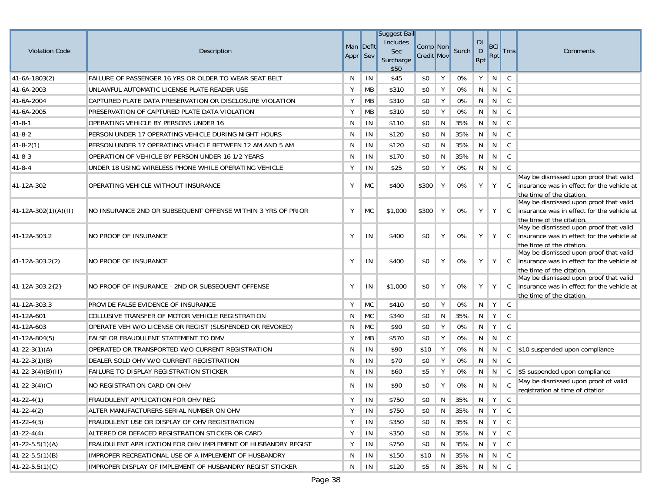|                          |                                                              |           |           | <b>Suggest Bail</b>    |                   |    |            |                |                |                     |                                                                                      |
|--------------------------|--------------------------------------------------------------|-----------|-----------|------------------------|-------------------|----|------------|----------------|----------------|---------------------|--------------------------------------------------------------------------------------|
| <b>Violation Code</b>    | Description                                                  | Man Deflt |           | Includes<br><b>Sec</b> | Comp Non          |    | Surch      | <b>DL</b><br>D | <b>BCI</b>     | <b>Trns</b>         | Comments                                                                             |
|                          |                                                              | Appr Sev  |           | Surcharge<br>\$50      | <b>Credit Mov</b> |    |            | Rpt            | Rpt            |                     |                                                                                      |
| 41-6A-1803(2)            | FAILURE OF PASSENGER 16 YRS OR OLDER TO WEAR SEAT BELT       | N         | IN        | \$45                   | \$0               | Υ  | 0%         | Υ              | N              | C                   |                                                                                      |
| 41-6A-2003               | UNLAWFUL AUTOMATIC LICENSE PLATE READER USE                  | Υ         | MB        | \$310                  | \$0               | Y  | 0%         | N              | N              | $\mathsf{C}$        |                                                                                      |
| 41-6A-2004               | CAPTURED PLATE DATA PRESERVATION OR DISCLOSURE VIOLATION     | Υ         | MB        | \$310                  | \$0               | Y  | 0%         | N              | N              | $\mathsf{C}$        |                                                                                      |
| 41-6A-2005               | PRESERVATION OF CAPTURED PLATE DATA VIOLATION                | Υ         | MB        | \$310                  | \$0               | Υ  | 0%         | N              | N              | $\mathsf{C}$        |                                                                                      |
| 41-8-1                   | OPERATING VEHICLE BY PERSONS UNDER 16                        | N         | IN        | \$110                  | \$0               | N  | 35%        | N              | N              | $\mathsf{C}$        |                                                                                      |
| 41-8-2                   | PERSON UNDER 17 OPERATING VEHICLE DURING NIGHT HOURS         | N         | IN        | \$120                  | \$0               | N  | 35%        | N              | N              | C                   |                                                                                      |
| $ 41-8-2(1) $            | PERSON UNDER 17 OPERATING VEHICLE BETWEEN 12 AM AND 5 AM     | N         | IN        | \$120                  | \$0               | N  | 35%        | N              | N              | C                   |                                                                                      |
| $41 - 8 - 3$             | OPERATION OF VEHICLE BY PERSON UNDER 16 1/2 YEARS            | N         | IN        | \$170                  | \$0               | N  | 35%        | N              | N              | $\mathsf C$         |                                                                                      |
| $41 - 8 - 4$             | UNDER 18 USING WIRELESS PHONE WHILE OPERATING VEHICLE        | Υ         | IN        | \$25                   | \$0               | Y  | 0%         | N              | N              | C                   |                                                                                      |
|                          |                                                              |           |           |                        |                   |    |            |                |                |                     | May be dismissed upon proof that valid                                               |
| 41-12A-302               | OPERATING VEHICLE WITHOUT INSURANCE                          | Y         | <b>MC</b> | \$400                  | \$300             | Y  | 0%         | Υ              | Y              | $\mathsf{C}$        | Insurance was in effect for the vehicle at<br>the time of the citation.              |
|                          |                                                              |           |           |                        |                   |    |            |                |                |                     | May be dismissed upon proof that valid                                               |
| $ 41-12A-302(1)(A)(II) $ | NO INSURANCE 2ND OR SUBSEQUENT OFFENSE WITHIN 3 YRS OF PRIOR | Υ         | <b>MC</b> | \$1,000                | \$300             | Y  | 0%         | Υ              | Y              | $\mathbb{C}$        | insurance was in effect for the vehicle at                                           |
|                          |                                                              |           |           |                        |                   |    |            |                |                |                     | the time of the citation.<br>May be dismissed upon proof that valid                  |
| 41-12A-303.2             | NO PROOF OF INSURANCE                                        | Υ         | IN        | \$400                  | \$0               | Y  | 0%         | Y              | Y              | $\mathbf{C}$        | insurance was in effect for the vehicle at                                           |
|                          |                                                              |           |           |                        |                   |    |            |                |                |                     | the time of the citation.                                                            |
| 41-12A-303.2(2)          | NO PROOF OF INSURANCE                                        | Y         | IN        | \$400                  | \$0               | Υ  | 0%         | Y              | Y <sub>1</sub> | $\lfloor C \rfloor$ | May be dismissed upon proof that valid<br>insurance was in effect for the vehicle at |
|                          |                                                              |           |           |                        |                   |    |            |                |                |                     | the time of the citation.                                                            |
|                          |                                                              |           |           |                        |                   |    |            |                |                |                     | May be dismissed upon proof that valid                                               |
| 41-12A-303.2{2}          | NO PROOF OF INSURANCE - 2ND OR SUBSEQUENT OFFENSE            | Υ         | IN        | \$1,000                | \$0               | Y  | 0%         | Y              | Y              | C                   | insurance was in effect for the vehicle at<br>the time of the citation.              |
| 41-12A-303.3             | PROVIDE FALSE EVIDENCE OF INSURANCE                          | Υ         | <b>MC</b> | \$410                  | \$0               | Υ  | 0%         | N              | Y              | $\mathsf{C}$        |                                                                                      |
| 41-12A-601               | COLLUSIVE TRANSFER OF MOTOR VEHICLE REGISTRATION             | N         | <b>MC</b> | \$340                  | \$0               | N  | 35%        | N              | Y              | C                   |                                                                                      |
| 41-12A-603               | OPERATE VEH W/O LICENSE OR REGIST (SUSPENDED OR REVOKED)     | N         | <b>MC</b> | \$90                   | \$0               | Υ  | 0%         | N              | Y              | C                   |                                                                                      |
| $ 41-12A-804(5) $        | <b>FALSE OR FRAUDULENT STATEMENT TO DMV</b>                  | Υ         | <b>MB</b> | \$570                  | \$0               | Υ  | 0%         | N              | N              | $\mathsf{C}$        |                                                                                      |
| $41 - 22 - 3(1)(A)$      | OPERATED OR TRANSPORTED W/O CURRENT REGISTRATION             | N         | IN        | \$90                   | \$10              | Υ  | 0%         | N              | N              | C                   | \$10 suspended upon compliance                                                       |
| $41 - 22 - 3(1)(B)$      | DEALER SOLD OHV W/O CURRENT REGISTRATION                     | N         | IN        | \$70                   | \$0               | Y  | 0%         | N              | N              | C                   |                                                                                      |
| $41-22-3(4)(B)(H)$       | <b>FAILURE TO DISPLAY REGISTRATION STICKER</b>               | N         | IN        | \$60                   | \$5               | Υ  | 0%         | N              | N              |                     | C \$5 suspended upon compliance                                                      |
| $41 - 22 - 3(4)(C)$      | NO REGISTRATION CARD ON OHV                                  | N         | IN        | \$90                   | \$0               | Υ  | 0%         | N              | N              | $\mathsf{C}$        | May be dismissed upon proof of valid<br>registration at time of citation             |
| $ 41-22-4(1) $           | FRAUDULENT APPLICATION FOR OHV REG                           | Υ         | IN        | \$750                  | \$0               | N  | $35\%$ N Y |                |                | C                   |                                                                                      |
| $41 - 22 - 4(2)$         | ALTER MANUFACTURERS SERIAL NUMBER ON OHV                     | Y         | IN        | \$750                  | \$0               | N  | 35%        |                | $N$   Y        | C                   |                                                                                      |
| $41 - 22 - 4(3)$         | FRAUDULENT USE OR DISPLAY OF OHV REGISTRATION                | Y         | IN        | \$350                  | \$0               | N  | 35% N Y    |                |                | C                   |                                                                                      |
| $41 - 22 - 4(4)$         | ALTERED OR DEFACED REGISTRATION STICKER OR CARD              | Υ         | IN        | \$350                  | \$0               | N  | 35%        | N              | Y              | C                   |                                                                                      |
| $ 41-22-5.5(1)(A) $      | FRAUDULENT APPLICATION FOR OHV IMPLEMENT OF HUSBANDRY REGIST | Υ         | IN        | \$750                  | \$0               | N. | 35%        | N.             | Y              | C                   |                                                                                      |
| $41 - 22 - 5.5(1)(B)$    | IMPROPER RECREATIONAL USE OF A IMPLEMENT OF HUSBANDRY        | N         | IN        | \$150                  | \$10              | N  | 35%        | N              | N              | C                   |                                                                                      |
| $41 - 22 - 5.5(1)(C)$    | IMPROPER DISPLAY OF IMPLEMENT OF HUSBANDRY REGIST STICKER    | N         | IN        | \$120                  | \$5               | N  | 35% N N C  |                |                |                     |                                                                                      |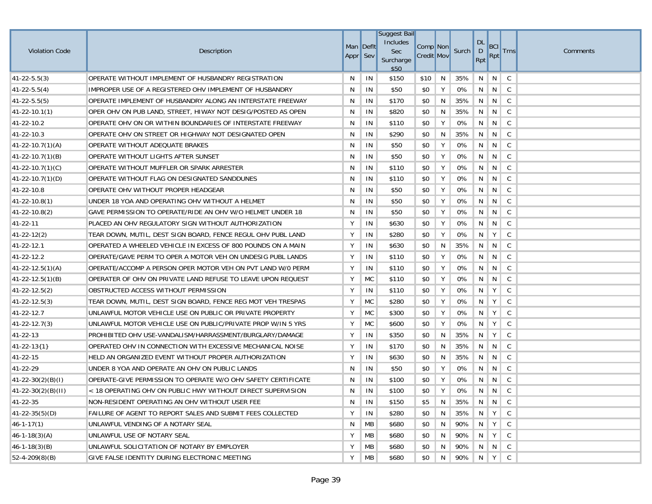|                         |                                                               |           |               | <b>Suggest Bail</b> |                   |   |       |                           |            |              |          |
|-------------------------|---------------------------------------------------------------|-----------|---------------|---------------------|-------------------|---|-------|---------------------------|------------|--------------|----------|
| <b>Violation Code</b>   | Description                                                   | Man Deflt |               | Includes<br>Sec     | Comp Non          |   | Surch | <b>DL</b><br>$\mathsf{D}$ | <b>BCI</b> | <b>Trns</b>  | Comments |
|                         |                                                               | Appr Sev  |               | Surcharge<br>\$50   | <b>Credit Mov</b> |   |       | Rpt                       | Rpt        |              |          |
| $41 - 22 - 5.5(3)$      | OPERATE WITHOUT IMPLEMENT OF HUSBANDRY REGISTRATION           | N         | IN            | \$150               | \$10              | N | 35%   | N                         | N          | C            |          |
| $41 - 22 - 5.5(4)$      | IMPROPER USE OF A REGISTERED OHV IMPLEMENT OF HUSBANDRY       | N         | $\mathsf{IN}$ | \$50                | \$0               | Y | 0%    | N                         | N          | $\mathsf{C}$ |          |
| $41 - 22 - 5.5(5)$      | OPERATE IMPLEMENT OF HUSBANDRY ALONG AN INTERSTATE FREEWAY    | N         | IN            | \$170               | \$0               | N | 35%   | N                         | N          | C            |          |
| $ 41-22-10.1(1) $       | OPER OHV ON PUB LAND, STREET, HIWAY NOT DESIG/POSTED AS OPEN  | N         | IN            | \$820               | \$0               | N | 35%   | N                         | N          | $\mathsf C$  |          |
| 41-22-10.2              | OPERATE OHV ON OR WITHIN BOUNDARIES OF INTERSTATE FREEWAY     | N         | IN            | \$110               | \$0               | Υ | 0%    | N                         | N          | C            |          |
| 41-22-10.3              | OPERATE OHV ON STREET OR HIGHWAY NOT DESIGNATED OPEN          | N         | IN            | \$290               | \$0               | N | 35%   | N                         | N          | C            |          |
| $41 - 22 - 10.7(1)(A)$  | OPERATE WITHOUT ADEQUATE BRAKES                               | N         | IN            | \$50                | \$0               | Y | 0%    | N                         | N          | $\mathsf{C}$ |          |
| $ 41-22-10.7(1)(B) $    | OPERATE WITHOUT LIGHTS AFTER SUNSET                           | N         | IN            | \$50                | \$0               | Y | 0%    | N                         | N          | $\mathsf C$  |          |
| $(41-22-10.7(1)(C))$    | OPERATE WITHOUT MUFFLER OR SPARK ARRESTER                     | N         | IN            | \$110               | \$0               | Υ | 0%    | N                         | N          | $\mathsf{C}$ |          |
| $ 41-22-10.7(1)(D) $    | OPERATE WITHOUT FLAG ON DESIGNATED SANDDUNES                  | N         | IN            | \$110               | \$0               | Y | 0%    | N                         | N          | C            |          |
| 41-22-10.8              | OPERATE OHV WITHOUT PROPER HEADGEAR                           | N         | IN            | \$50                | \$0               | Y | 0%    | N                         | N          | C            |          |
| $41 - 22 - 10.8(1)$     | UNDER 18 YOA AND OPERATING OHV WITHOUT A HELMET               | N         | IN            | \$50                | \$0               | Υ | 0%    | N                         | N          | C            |          |
| $41 - 22 - 10.8(2)$     | GAVE PERMISSION TO OPERATE/RIDE AN OHV W/O HELMET UNDER 18    | N         | IN            | \$50                | \$0               | Υ | 0%    | N                         | N          | C            |          |
| 41-22-11                | PLACED AN OHV REGULATORY SIGN WITHOUT AUTHORIZATION           | Υ         | IN            | \$630               | \$0               | Y | 0%    | N                         | N          | C            |          |
| $41 - 22 - 12(2)$       | TEAR DOWN, MUTIL, DEST SIGN BOARD, FENCE REGUL OHV PUBL LAND  | Y         | IN            | \$280               | \$0               | Υ | 0%    | N                         | Y          | C            |          |
| 41-22-12.1              | OPERATED A WHEELED VEHICLE IN EXCESS OF 800 POUNDS ON A MAIN  | Υ         | IN            | \$630               | \$0               | N | 35%   | N                         | N          | C            |          |
| 41-22-12.2              | OPERATE/GAVE PERM TO OPER A MOTOR VEH ON UNDESIG PUBL LANDS   | Y         | IN            | \$110               | \$0               | Υ | 0%    | N                         | N          | C            |          |
| $41 - 22 - 12.5(1)(A)$  | OPERATE/ACCOMP A PERSON OPER MOTOR VEH ON PVT LAND W/0 PERM   | Y         | IN            | \$110               | \$0               | Υ | 0%    | N                         | N          | C            |          |
| $(41-22-12.5(1)(B))$    | OPERATER OF OHV ON PRIVATE LAND REFUSE TO LEAVE UPON REQUEST  | Υ         | <b>MC</b>     | \$110               | \$0               | Υ | 0%    | N                         | N          | C            |          |
| $41 - 22 - 12.5(2)$     | OBSTRUCTED ACCESS WITHOUT PERMISSION                          | Υ         | IN            | \$110               | \$0               | Υ | 0%    | N                         | Υ          | C            |          |
| $41 - 22 - 12.5(3)$     | TEAR DOWN, MUTIL, DEST SIGN BOARD, FENCE REG MOT VEH TRESPAS  | Υ         | <b>MC</b>     | \$280               | \$0               | Υ | 0%    | N                         | Y          | C            |          |
| 41-22-12.7              | UNLAWFUL MOTOR VEHICLE USE ON PUBLIC OR PRIVATE PROPERTY      | Υ         | <b>MC</b>     | \$300               | \$0               | Υ | 0%    | N                         | Y          | C            |          |
| $41 - 22 - 12.7(3)$     | UNLAWFUL MOTOR VEHICLE USE ON PUBLIC/PRIVATE PROP W/IN 5 YRS  | Υ         | <b>MC</b>     | \$600               | \$0               | Υ | 0%    | N                         | Y          | C            |          |
| 41-22-13                | PROHIBITED OHV USE-VANDALISM/HARRASSMENT/BURGLARY/DAMAGE      | Υ         | IN            | \$350               | \$0               | N | 35%   | N                         | Y          | C            |          |
| 41-22-13{1}             | OPERATED OHV IN CONNECTION WITH EXCESSIVE MECHANICAL NOISE    | Υ         | IN            | \$170               | \$0               | N | 35%   | N                         | N.         | C            |          |
| 41-22-15                | HELD AN ORGANIZED EVENT WITHOUT PROPER AUTHORIZATION          | Υ         | IN            | \$630               | \$0               | N | 35%   | N                         | N          | C            |          |
| 41-22-29                | UNDER 8 YOA AND OPERATE AN OHV ON PUBLIC LANDS                | N         | IN            | \$50                | \$0               | Υ | 0%    | N                         | N          | $\mathsf C$  |          |
| $(41-22-30(2)(B)(I))$   | OPERATE-GIVE PERMISSION TO OPERATE W/O OHV SAFETY CERTIFICATE | N         | IN            | \$100               | \$0               | Y | 0%    | N                         | N          | C            |          |
| $41 - 22 - 30(2)(B)(H)$ | < 18 OPERATING OHV ON PUBLIC HWY WITHOUT DIRECT SUPERVISION   | N         | IN            | \$100               | \$0               | Υ | 0%    | N                         | N          | $\mathsf{C}$ |          |
| 41-22-35                | NON-RESIDENT OPERATING AN OHV WITHOUT USER FEE                | N         | IN            | \$150               | \$5               | N | 35%   |                           | N N C      |              |          |
| $41 - 22 - 35(5)(D)$    | FAILURE OF AGENT TO REPORT SALES AND SUBMIT FEES COLLECTED    | Υ         | IN            | \$280               | \$0               | N | 35%   | N <sub>N</sub>            | $Y \mid$   | $\mathsf{C}$ |          |
| $46 - 1 - 17(1)$        | UNLAWFUL VENDING OF A NOTARY SEAL                             | N         | MB            | \$680               | \$0               | N | 90%   | N                         | Y          | C            |          |
| $46 - 1 - 18(3)(A)$     | UNLAWFUL USE OF NOTARY SEAL                                   | Υ         | MB            | \$680               | \$0               | N | 90%   | N.                        | Y          | $\mathsf{C}$ |          |
| $46 - 1 - 18(3)(B)$     | UNLAWFUL SOLICITATION OF NOTARY BY EMPLOYER                   | Υ         | MB            | \$680               | \$0               | N | 90%   | N                         | $N \mid C$ |              |          |
| $52 - 4 - 209(8)(B)$    | GIVE FALSE IDENTITY DURING ELECTRONIC MEETING                 | Υ         | MB            | \$680               | \$0               | N | 90%   | $\parallel$ N             | Y          | $\mathsf{C}$ |          |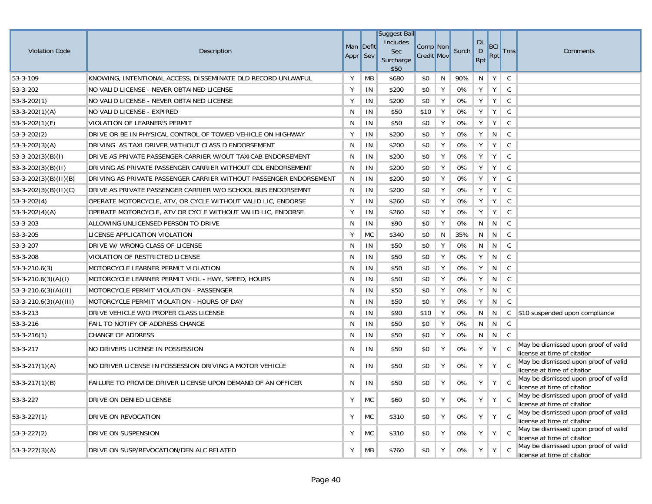| <b>Violation Code</b>     | Description                                                        | Man Deflt<br>Appr Sev |           | Suggest Bail<br>Includes<br>Sec<br>Surcharge<br>\$50 | Comp Non<br><b>Credit Mov</b> |   | Surch | <b>DL</b><br>$\mathsf D$<br>Rpt | <b>BCI</b><br><b>Rpt</b> | <b>Trns</b>  | Comments                                                            |
|---------------------------|--------------------------------------------------------------------|-----------------------|-----------|------------------------------------------------------|-------------------------------|---|-------|---------------------------------|--------------------------|--------------|---------------------------------------------------------------------|
| 53-3-109                  | KNOWING, INTENTIONAL ACCESS, DISSEMINATE DLD RECORD UNLAWFUL       | Y                     | MB        | \$680                                                | \$0                           | N | 90%   | N                               | Y                        | $\mathsf{C}$ |                                                                     |
| 53-3-202                  | NO VALID LICENSE - NEVER OBTAINED LICENSE                          | Y                     | IN        | \$200                                                | \$0                           | Y | 0%    | Y                               | Y                        | C            |                                                                     |
| $53 - 3 - 202(1)$         | NO VALID LICENSE - NEVER OBTAINED LICENSE                          | Y                     | IN        | \$200                                                | \$0                           | Y | 0%    | $Y \mid$                        | Y                        | $\mathsf{C}$ |                                                                     |
| $53-3-202(1)(A)$          | NO VALID LICENSE - EXPIRED                                         | N                     | IN        | \$50                                                 | \$10                          | Y | 0%    | Y                               | Y                        | $\mathsf{C}$ |                                                                     |
| $53-3-202(1)(F)$          | VIOLATION OF LEARNER'S PERMIT                                      | N                     | IN        | \$50                                                 | \$0                           | Y | 0%    | Υ                               | Y                        | $\mathsf C$  |                                                                     |
| $53-3-202(2)$             | DRIVE OR BE IN PHYSICAL CONTROL OF TOWED VEHICLE ON HIGHWAY        | Y                     | IN        | \$200                                                | \$0                           | Y | 0%    | Υ                               | N                        | $\mathsf{C}$ |                                                                     |
| $53-3-202(3)(A)$          | DRIVING AS TAXI DRIVER WITHOUT CLASS D ENDORSEMENT                 | N                     | IN        | \$200                                                | \$0                           | Y | 0%    | Υ                               | Y                        | $\mathsf{C}$ |                                                                     |
| $53-3-202(3)(B)(I)$       | DRIVE AS PRIVATE PASSENGER CARRIER W/OUT TAXICAB ENDORSEMENT       | N                     | IN        | \$200                                                | \$0                           | Y | 0%    | Υ                               | Y                        | $\mathsf{C}$ |                                                                     |
| $53-3-202(3)(B)(II)$      | DRIVING AS PRIVATE PASSENGER CARRIER WITHOUT CDL ENDORSEMENT       | N                     | IN        | \$200                                                | \$0                           | Y | 0%    | Υ                               | Y                        | $\mathsf{C}$ |                                                                     |
| $ 53-3-202(3)(B)(H)(B) $  | DRIVING AS PRIVATE PASSENGER CARRIER WITHOUT PASSENGER ENDORSEMENT | N                     | IN        | \$200                                                | \$0                           | Y | 0%    | Y                               | Y                        | $\mathsf{C}$ |                                                                     |
| 53-3-202(3)(B)(II)(C)     | DRIVE AS PRIVATE PASSENGER CARRIER W/O SCHOOL BUS ENDORSEMNT       | N                     | IN        | \$200                                                | \$0                           | Y | 0%    | Y                               | Y                        | $\mathsf{C}$ |                                                                     |
| $53 - 3 - 202(4)$         | OPERATE MOTORCYCLE, ATV, OR CYCLE WITHOUT VALID LIC, ENDORSE       | Y                     | IN        | \$260                                                | \$0                           | Y | 0%    | Υ                               | Y                        | C            |                                                                     |
| $53-3-202(4)(A)$          | OPERATE MOTORCYCLE, ATV OR CYCLE WITHOUT VALID LIC, ENDORSE        | Υ                     | IN        | \$260                                                | \$0                           | Y | 0%    | Υ                               | Y                        | $\mathsf{C}$ |                                                                     |
| 53-3-203                  | ALLOWING UNLICENSED PERSON TO DRIVE                                | N                     | IN        | \$90                                                 | \$0                           | Y | 0%    | N                               | N                        | $\mathsf{C}$ |                                                                     |
| 53-3-205                  | LICENSE APPLICATION VIOLATION                                      | Y                     | <b>MC</b> | \$340                                                | \$0                           | N | 35%   | N                               | N                        | C            |                                                                     |
| 53-3-207                  | DRIVE W/ WRONG CLASS OF LICENSE                                    | N                     | IN        | \$50                                                 | \$0                           | Y | 0%    | N                               | N                        | C            |                                                                     |
| 53-3-208                  | VIOLATION OF RESTRICTED LICENSE                                    | N                     | IN        | \$50                                                 | \$0                           | Y | $0\%$ | Υ                               | N                        | $\mathsf{C}$ |                                                                     |
| $53 - 3 - 210.6(3)$       | MOTORCYCLE LEARNER PERMIT VIOLATION                                | N                     | IN        | \$50                                                 | \$0                           | Y | 0%    | Υ                               | N                        | $\mathsf C$  |                                                                     |
| $53-3-210.6(3)(A)(I)$     | MOTORCYCLE LEARNER PERMIT VIOL - HWY, SPEED, HOURS                 | N                     | IN        | \$50                                                 | \$0                           | Y | 0%    | Y                               | N                        | C            |                                                                     |
| $53-3-210.6(3)(A)(II)$    | MOTORCYCLE PERMIT VIOLATION - PASSENGER                            | N                     | IN        | \$50                                                 | \$0                           | Y | 0%    | Υ                               | N                        | C            |                                                                     |
| $ 53-3-210.6(3)(A)(III) $ | MOTORCYCLE PERMIT VIOLATION - HOURS OF DAY                         | N                     | IN        | \$50                                                 | \$0                           | Y | 0%    | Υ                               | N                        | $\mathsf C$  |                                                                     |
| 53-3-213                  | DRIVE VEHICLE W/O PROPER CLASS LICENSE                             | N                     | IN        | \$90                                                 | \$10                          | Y | 0%    | N                               | N                        |              | C \$10 suspended upon compliance                                    |
| 53-3-216                  | <b>FAIL TO NOTIFY OF ADDRESS CHANGE</b>                            | N                     | IN        | \$50                                                 | \$0                           | Y | 0%    | N                               | N                        | C            |                                                                     |
| $53 - 3 - 216(1)$         | <b>CHANGE OF ADDRESS</b>                                           | N                     | IN        | \$50                                                 | \$0                           | Y | 0%    | N                               | N                        | C            |                                                                     |
| 53-3-217                  | NO DRIVERS LICENSE IN POSSESSION                                   | N                     | IN        | \$50                                                 | \$0                           | Y | 0%    | Υ                               | Y                        | $\mathsf{C}$ | May be dismissed upon proof of valid<br>license at time of citation |
| $53 - 3 - 217(1)(A)$      | NO DRIVER LICENSE IN POSSESSION DRIVING A MOTOR VEHICLE            | N                     | IN        | \$50                                                 | \$0                           | Υ | 0%    | Υ                               | Y                        | C            | May be dismissed upon proof of valid<br>license at time of citation |
| $53 - 3 - 217(1)(B)$      | FAILURE TO PROVIDE DRIVER LICENSE UPON DEMAND OF AN OFFICER        | N                     | IN        | \$50                                                 | \$0                           | Y | 0%    | Υ                               | Y                        | C            | May be dismissed upon proof of valid<br>license at time of citation |
| 53-3-227                  | DRIVE ON DENIED LICENSE                                            | Y                     | <b>MC</b> | \$60                                                 | \$0                           | Y | 0%    | Υ                               | Y                        | $\mathsf{C}$ | May be dismissed upon proof of valid<br>license at time of citation |
| $53 - 3 - 227(1)$         | DRIVE ON REVOCATION                                                | Y                     | <b>MC</b> | \$310                                                | \$0                           | Y | 0%    | Υ                               | Y                        | $\mathbf{C}$ | May be dismissed upon proof of valid<br>license at time of citation |
| $53 - 3 - 227(2)$         | DRIVE ON SUSPENSION                                                | Y                     | <b>MC</b> | \$310                                                | \$0                           | Y | 0%    | Υ                               | Y                        | $\mathsf{C}$ | May be dismissed upon proof of valid<br>license at time of citation |
| $53-3-227(3)(A)$          | DRIVE ON SUSP/REVOCATION/DEN ALC RELATED                           | Y                     | <b>MB</b> | \$760                                                | \$0                           | Y | 0%    | Υ                               | Y                        | $\mathsf{C}$ | May be dismissed upon proof of valid<br>license at time of citation |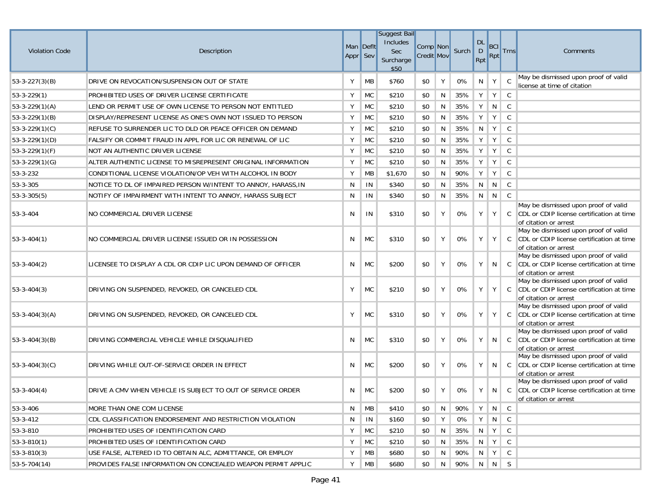| <b>Violation Code</b> | Description                                                   | Man Deflt<br>Appr Sev |           | Suggest Bail<br>Includes<br>Sec<br>Surcharge<br>\$50 | Comp Non<br><b>Credit Mov</b> |   | Surch | <b>DL</b><br>$\mathsf{D}$<br>Rpt | BCI<br>Rpt | <b>Trns</b>   | Comments                                                                                                   |
|-----------------------|---------------------------------------------------------------|-----------------------|-----------|------------------------------------------------------|-------------------------------|---|-------|----------------------------------|------------|---------------|------------------------------------------------------------------------------------------------------------|
| $53-3-227(3)(B)$      | DRIVE ON REVOCATION/SUSPENSION OUT OF STATE                   | Υ                     | MВ        | \$760                                                | \$0                           | Υ | 0%    | N                                | Y          | $\mathsf{C}$  | May be dismissed upon proof of valid<br>license at time of citation                                        |
| $53 - 3 - 229(1)$     | PROHIBITED USES OF DRIVER LICENSE CERTIFICATE                 | Υ                     | <b>MC</b> | \$210                                                | \$0                           | N | 35%   | Y                                | Y          | C             |                                                                                                            |
| $53-3-229(1)(A)$      | LEND OR PERMIT USE OF OWN LICENSE TO PERSON NOT ENTITLED      | Υ                     | <b>MC</b> | \$210                                                | \$0                           | N | 35%   | Υ                                | N          | $\mathsf{C}$  |                                                                                                            |
| $53-3-229(1)(B)$      | DISPLAY/REPRESENT LICENSE AS ONE'S OWN NOT ISSUED TO PERSON   | Υ                     | <b>MC</b> | \$210                                                | \$0                           | N | 35%   | Υ                                | Y          | $\mathsf{C}$  |                                                                                                            |
| $53-3-229(1)(C)$      | REFUSE TO SURRENDER LIC TO DLD OR PEACE OFFICER ON DEMAND     | Υ                     | <b>MC</b> | \$210                                                | \$0                           | N | 35%   | N                                | Y          | $\mathsf{C}$  |                                                                                                            |
| $53-3-229(1)(D)$      | FALSIFY OR COMMIT FRAUD IN APPL FOR LIC OR RENEWAL OF LIC     | Υ                     | <b>MC</b> | \$210                                                | \$0                           | N | 35%   | Y                                | Y          | C             |                                                                                                            |
| $53-3-229(1)(F)$      | NOT AN AUTHENTIC DRIVER LICENSE                               | Υ                     | <b>MC</b> | \$210                                                | \$0                           | N | 35%   | Y                                | Y          | $\mathsf{C}$  |                                                                                                            |
| $53-3-229(1)(G)$      | ALTER AUTHENTIC LICENSE TO MISREPRESENT ORIGINAL INFORMATION  | Υ                     | <b>MC</b> | \$210                                                | \$0                           | N | 35%   | Y                                | Y          | $\mathsf{C}$  |                                                                                                            |
| 53-3-232              | CONDITIONAL LICENSE VIOLATION/OP VEH WITH ALCOHOL IN BODY     | Υ                     | <b>MB</b> | \$1,670                                              | \$0                           | N | 90%   | Y                                | Y          | $\mathsf C$   |                                                                                                            |
| 53-3-305              | NOTICE TO DL OF IMPAIRED PERSON W/INTENT TO ANNOY, HARASS, IN | N                     | IN        | \$340                                                | \$0                           | N | 35%   | N                                | N          | $\mathsf{C}$  |                                                                                                            |
| $53 - 3 - 305(5)$     | NOTIFY OF IMPAIRMENT WITH INTENT TO ANNOY, HARASS SUBJECT     | N                     | IN        | \$340                                                | \$0                           | N | 35%   | N                                | N          | $\mathsf{C}$  |                                                                                                            |
| 53-3-404              | NO COMMERCIAL DRIVER LICENSE                                  | N                     | IN        | \$310                                                | \$0                           | Υ | 0%    | Υ                                | Y          | C             | May be dismissed upon proof of valid<br>CDL or CDIP license certification at time<br>of citation or arrest |
| $53 - 3 - 404(1)$     | NO COMMERCIAL DRIVER LICENSE ISSUED OR IN POSSESSION          | N                     | <b>MC</b> | \$310                                                | \$0                           | Υ | 0%    | Υ                                | Y          | $\mathcal{C}$ | May be dismissed upon proof of valid<br>CDL or CDIP license certification at time<br>of citation or arrest |
| $53 - 3 - 404(2)$     | LICENSEE TO DISPLAY A CDL OR CDIP LIC UPON DEMAND OF OFFICER  | N                     | <b>MC</b> | \$200                                                | \$0                           | Y | 0%    | Υ                                | N          | $\mathsf{C}$  | May be dismissed upon proof of valid<br>CDL or CDIP license certification at time<br>of citation or arrest |
| $53 - 3 - 404(3)$     | DRIVING ON SUSPENDED, REVOKED, OR CANCELED CDL                | Υ                     | <b>MC</b> | \$210                                                | \$0                           | Y | 0%    | Y                                | Y          | $\mathsf{C}$  | May be dismissed upon proof of valid<br>CDL or CDIP license certification at time<br>of citation or arrest |
| $53 - 3 - 404(3)(A)$  | DRIVING ON SUSPENDED, REVOKED, OR CANCELED CDL                | Υ                     | <b>MC</b> | \$310                                                | \$0                           | Y | 0%    | Υ                                | Y          | C             | May be dismissed upon proof of valid<br>CDL or CDIP license certification at time<br>of citation or arrest |
| $53 - 3 - 404(3)(B)$  | DRIVING COMMERCIAL VEHICLE WHILE DISQUALIFIED                 | N                     | <b>MC</b> | \$310                                                | \$0                           | Y | 0%    | Υ                                | N          | $\mathsf{C}$  | May be dismissed upon proof of valid<br>CDL or CDIP license certification at time<br>of citation or arrest |
| $53 - 3 - 404(3)(C)$  | DRIVING WHILE OUT-OF-SERVICE ORDER IN EFFECT                  | N                     | <b>MC</b> | \$200                                                | \$0                           | Υ | 0%    | Y                                | N          | $\mathsf{C}$  | May be dismissed upon proof of valid<br>CDL or CDIP license certification at time<br>of citation or arrest |
| $53 - 3 - 404(4)$     | DRIVE A CMV WHEN VEHICLE IS SUBJECT TO OUT OF SERVICE ORDER   | N                     | <b>MC</b> | \$200                                                | \$0                           | Υ | 0%    | Υ                                | N          | $\mathsf{C}$  | May be dismissed upon proof of valid<br>CDL or CDIP license certification at time<br>of citation or arrest |
| 53-3-406              | MORE THAN ONE COM LICENSE                                     | N                     | MB        | \$410                                                | \$0                           | N | 90%   | Y                                | N          | $\mathsf{C}$  |                                                                                                            |
| 53-3-412              | CDL CLASSIFICATION ENDORSEMENT AND RESTRICTION VIOLATION      | N                     | IN        | \$160                                                | \$0                           | Υ | 0%    | Y                                | N          | C             |                                                                                                            |
| 53-3-810              | PROHIBITED USES OF IDENTIFICATION CARD                        | Υ                     | <b>MC</b> | \$210                                                | \$0                           | N | 35%   | N                                | Y          | C             |                                                                                                            |
| $53 - 3 - 810(1)$     | PROHIBITED USES OF IDENTIFICATION CARD                        | Υ                     | <b>MC</b> | \$210                                                | \$0                           | N | 35%   | N I                              | Y          | C             |                                                                                                            |
| $53 - 3 - 810(3)$     | USE FALSE, ALTERED ID TO OBTAIN ALC, ADMITTANCE, OR EMPLOY    | Υ                     | МB        | \$680                                                | \$0                           | N | 90%   | N                                | Y          | C             |                                                                                                            |
| $53-5-704(14)$        | PROVIDES FALSE INFORMATION ON CONCEALED WEAPON PERMIT APPLIC  | Y                     | MB        | \$680                                                | \$0                           | N | 90%   | N                                | N          | S.            |                                                                                                            |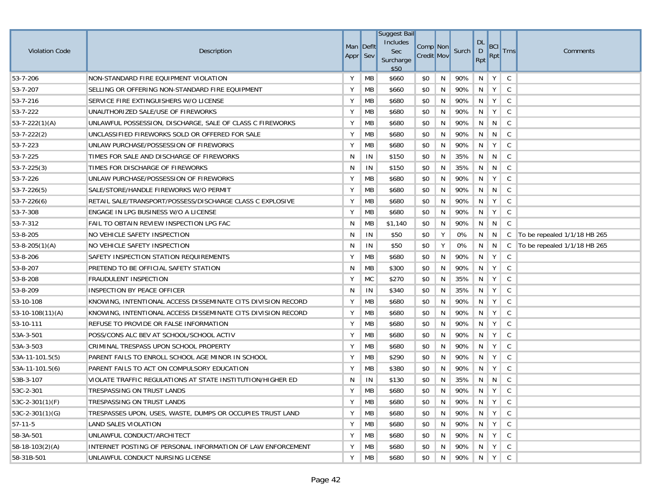|                       |                                                              |                       |           | <b>Suggest Bail</b><br>Includes |                               |   |                 | <b>DL</b>     |                   |              |                              |
|-----------------------|--------------------------------------------------------------|-----------------------|-----------|---------------------------------|-------------------------------|---|-----------------|---------------|-------------------|--------------|------------------------------|
| <b>Violation Code</b> | Description                                                  | Man Deflt<br>Appr Sev |           | Sec<br>Surcharge<br>\$50        | Comp Non<br><b>Credit Mov</b> |   | Surch           | D<br>Rpt      | <b>BCI</b><br>Rpt | <b>Trns</b>  | Comments                     |
| 53-7-206              | NON-STANDARD FIRE EQUIPMENT VIOLATION                        | Υ                     | MB        | \$660                           | \$0                           | N | 90%             | N             | Y                 | C            |                              |
| 53-7-207              | SELLING OR OFFERING NON-STANDARD FIRE EQUIPMENT              | Υ                     | MB        | \$660                           | \$0                           | N | 90%             | N             | Y                 | C            |                              |
| 53-7-216              | SERVICE FIRE EXTINGUISHERS W/O LICENSE                       | Υ                     | <b>MB</b> | \$680                           | \$0                           | N | 90%             | N             | Y                 | C            |                              |
| 53-7-222              | UNAUTHORIZED SALE/USE OF FIREWORKS                           | Υ                     | MB        | \$680                           | \$0                           | N | 90%             | N             | Y                 | $\mathsf{C}$ |                              |
| $53 - 7 - 222(1)(A)$  | UNLAWFUL POSSESSION, DISCHARGE, SALE OF CLASS C FIREWORKS    | Υ                     | MB        | \$680                           | \$0                           | N | 90%             | N             | N                 | C            |                              |
| $53 - 7 - 222(2)$     | UNCLASSIFIED FIREWORKS SOLD OR OFFERED FOR SALE              | Υ                     | MB        | \$680                           | \$0                           | N | 90%             | N             | N                 | C            |                              |
| 53-7-223              | UNLAW PURCHASE/POSSESSION OF FIREWORKS                       | Υ                     | MB        | \$680                           | \$0                           | N | 90%             | N             | Y                 | C            |                              |
| 53-7-225              | TIMES FOR SALE AND DISCHARGE OF FIREWORKS                    | N                     | IN        | \$150                           | \$0                           | N | 35%             | N             | N                 | C            |                              |
| $53 - 7 - 225(3)$     | TIMES FOR DISCHARGE OF FIREWORKS                             | N                     | IN        | \$150                           | \$0                           | N | 35%             | N             | N                 | C            |                              |
| 53-7-226              | UNLAW PURCHASE/POSSESSION OF FIREWORKS                       | Υ                     | MB        | \$680                           | \$0                           | N | 90%             | N             | Y                 | C            |                              |
| $53 - 7 - 226(5)$     | SALE/STORE/HANDLE FIREWORKS W/O PERMIT                       | Υ                     | МB        | \$680                           | \$0                           | N | 90%             | N             | N                 | C            |                              |
| $53 - 7 - 226(6)$     | RETAIL SALE/TRANSPORT/POSSESS/DISCHARGE CLASS C EXPLOSIVE    | Υ                     | МB        | \$680                           | \$0                           | N | 90%             | N             | Y                 | C            |                              |
| 53-7-308              | ENGAGE IN LPG BUSINESS W/O A LICENSE                         | Υ                     | MB        | \$680                           | \$0                           | N | 90%             | N             | Y                 | C            |                              |
| 53-7-312              | FAIL TO OBTAIN REVIEW INSPECTION LPG FAC                     | N                     | МB        | \$1,140                         | \$0                           | N | 90%             | N             | N                 | C            |                              |
| 53-8-205              | NO VEHICLE SAFETY INSPECTION                                 | N                     | IN        | \$50                            | \$0                           | Υ | 0%              | N             | N                 | C            | To be repealed 1/1/18 HB 265 |
| $53 - 8 - 205(1)(A)$  | NO VEHICLE SAFETY INSPECTION                                 | N                     | IN        | \$50                            | \$0                           | Υ | 0%              | N             | N                 | C            | To be repealed 1/1/18 HB 265 |
| 53-8-206              | SAFETY INSPECTION STATION REQUIREMENTS                       | Υ                     | MB        | \$680                           | \$0                           | N | 90%             | N             | Y                 | C            |                              |
| 53-8-207              | PRETEND TO BE OFFICIAL SAFETY STATION                        | N                     | MB        | \$300                           | \$0                           | N | 90%             | N             | Y                 | C            |                              |
| 53-8-208              | <b>FRAUDULENT INSPECTION</b>                                 | Υ                     | <b>MC</b> | \$270                           | \$0                           | N | 35%             | N             | Y                 | C            |                              |
| 53-8-209              | INSPECTION BY PEACE OFFICER                                  | N                     | IN        | \$340                           | \$0                           | N | 35%             | N             | Y                 | C            |                              |
| 53-10-108             | KNOWING, INTENTIONAL ACCESS DISSEMINATE CITS DIVISION RECORD | Y                     | MB        | \$680                           | \$0                           | N | 90%             | N             | Y                 | C            |                              |
| 53-10-108(11)(A)      | KNOWING, INTENTIONAL ACCESS DISSEMINATE CITS DIVISION RECORD | Υ                     | MB        | \$680                           | \$0                           | N | 90%             | N             | Y                 | C            |                              |
| 53-10-111             | REFUSE TO PROVIDE OR FALSE INFORMATION                       | Υ                     | МB        | \$680                           | \$0                           | N | 90%             | N             | Y                 | C            |                              |
| 53A-3-501             | POSS/CONS ALC BEV AT SCHOOL/SCHOOL ACTIV                     | Υ                     | MB        | \$680                           | \$0                           | N | 90%             | N             | Y                 | C            |                              |
| 53A-3-503             | CRIMINAL TRESPASS UPON SCHOOL PROPERTY                       | Υ                     | MB        | \$680                           | \$0                           | N | 90%             | N             | Y                 | C            |                              |
| 53A-11-101.5(5)       | PARENT FAILS TO ENROLL SCHOOL AGE MINOR IN SCHOOL            | Υ                     | MB        | \$290                           | \$0                           | N | 90%             | N             | Y                 | C            |                              |
| 53A-11-101.5(6)       | PARENT FAILS TO ACT ON COMPULSORY EDUCATION                  | Υ                     | MB        | \$380                           | \$0                           | N | 90%             | N             | Y                 | $\mathsf{C}$ |                              |
| 53B-3-107             | VIOLATE TRAFFIC REGULATIONS AT STATE INSTITUTION/HIGHER ED   | N                     | IN        | \$130                           | \$0                           | N | 35%             | N             | N                 | C            |                              |
| 53C-2-301             | TRESPASSING ON TRUST LANDS                                   | Y                     | MB        | \$680                           | \$0                           | N | 90%             | N             | Y                 | C            |                              |
| $53C-2-301(1)(F)$     | TRESPASSING ON TRUST LANDS                                   | Y                     | <b>MB</b> | \$680                           | \$0                           | N | 90%   N   Y   C |               |                   |              |                              |
| $53C-2-301(1)(G)$     | TRESPASSES UPON, USES, WASTE, DUMPS OR OCCUPIES TRUST LAND   | Υ                     | <b>MB</b> | \$680                           | \$0                           | N | 90%             | $N$ $Y$       |                   | C            |                              |
| $57-11-5$             | LAND SALES VIOLATION                                         | Υ                     | МB        | \$680                           | \$0                           | N | 90%             | $\parallel$ N | $\mathsf{Y}$      | C            |                              |
| 58-3A-501             | UNLAWFUL CONDUCT/ARCHITECT                                   | Υ                     | МB        | \$680                           | \$0                           | N | 90%             |               | $N$   $Y$         | $\mathsf{C}$ |                              |
| $58-18-103(2)(A)$     | INTERNET POSTING OF PERSONAL INFORMATION OF LAW ENFORCEMENT  | Υ                     | МB        | \$680                           | \$0                           | N | 90%             |               | $N$ $Y$           | $\mathsf{C}$ |                              |
| 58-31B-501            | UNLAWFUL CONDUCT NURSING LICENSE                             | Y                     | МB        | \$680                           | \$0                           | N | $90\%$ N Y      |               |                   | $\mathsf{C}$ |                              |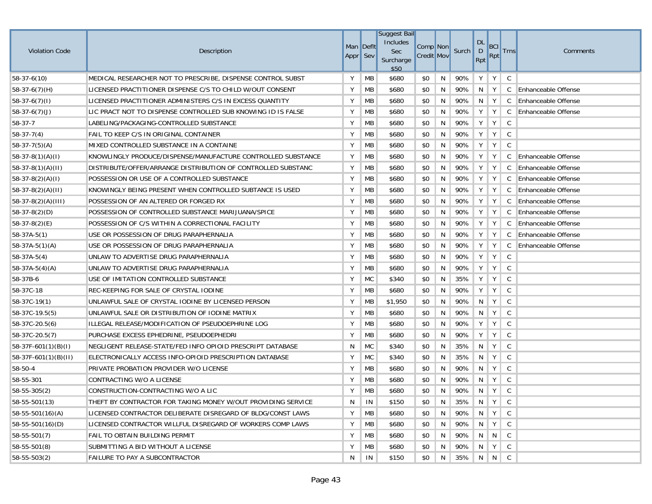| <b>Violation Code</b>  | Description                                                  | Man Deflt<br>Appr Sev |           | <b>Suggest Bail</b><br>Includes<br>Sec<br>Surcharge<br>\$50 | Comp Non<br><b>Credit Mov</b> |   | Surch | <b>DL</b><br>$\mathsf{D}$<br>Rpt | <b>BCI</b><br>Rpt         | <b>Trns</b>  | Comments                   |
|------------------------|--------------------------------------------------------------|-----------------------|-----------|-------------------------------------------------------------|-------------------------------|---|-------|----------------------------------|---------------------------|--------------|----------------------------|
| 58-37-6(10)            | MEDICAL RESEARCHER NOT TO PRESCRIBE, DISPENSE CONTROL SUBST  | Y                     | MB        | \$680                                                       | \$0                           | N | 90%   | Y                                | Y                         | C            |                            |
| $58-37-6(7)(H)$        | LICENSED PRACTITIONER DISPENSE C/S TO CHILD W/OUT CONSENT    | Υ                     | MB        | \$680                                                       | \$0                           | N | 90%   | N                                | Y                         | C            | <b>Enhanceable Offense</b> |
| $58-37-6(7)(1)$        | LICENSED PRACTITIONER ADMINISTERS C/S IN EXCESS QUANTITY     | Υ                     | MB        | \$680                                                       | \$0                           | N | 90%   | N                                | Y                         | C            | <b>Enhanceable Offense</b> |
| $58-37-6(7)(J)$        | LIC PRACT NOT TO DISPENSE CONTROLLED SUB KNOWING ID IS FALSE | Υ                     | MB        | \$680                                                       | \$0                           | N | 90%   | Y                                | Y                         | C            | <b>Enhanceable Offense</b> |
| 58-37-7                | LABELING/PACKAGING-CONTROLLED SUBSTANCE                      | Υ                     | MB        | \$680                                                       | \$0                           | N | 90%   | Y                                | Y                         | C            |                            |
| $58-37-7(4)$           | FAIL TO KEEP C/S IN ORIGINAL CONTAINER                       | Υ                     | MB        | \$680                                                       | \$0                           | N | 90%   | Y                                | Y                         | C            |                            |
| $58-37-7(5)(A)$        | MIXED CONTROLLED SUBSTANCE IN A CONTAINE                     | Υ                     | MB        | \$680                                                       | \$0                           | N | 90%   | Υ                                | Y                         | C            |                            |
| $ 58-37-8(1)(A)(I) $   | KNOWLINGLY PRODUCE/DISPENSE/MANUFACTURE CONTROLLED SUBSTANCE | Υ                     | МB        | \$680                                                       | \$0                           | N | 90%   | Υ                                | Υ                         | C            | Enhanceable Offense        |
| $ 58-37-8(1)(A)(II) $  | DISTRIBUTE/OFFER/ARRANGE DISTRIBUTION OF CONTROLLED SUBSTANC | Υ                     | MB        | \$680                                                       | \$0                           | N | 90%   | Υ                                | Y                         | C            | Enhanceable Offense        |
| $58-37-8(2)(A)(I)$     | POSSESSION OR USE OF A CONTROLLED SUBSTANCE                  | Υ                     | MB        | \$680                                                       | \$0                           | N | 90%   | Υ                                | Y                         | C            | <b>Enhanceable Offense</b> |
| $58-37-8(2)(A)(II)$    | KNOWINGLY BEING PRESENT WHEN CONTROLLED SUBTANCE IS USED     | Υ                     | MB        | \$680                                                       | \$0                           | N | 90%   | Y                                | Y                         | C            | Enhanceable Offense        |
| $ 58-37-8(2)(A)(III) $ | POSSESSION OF AN ALTERED OR FORGED RX                        | Υ                     | МB        | \$680                                                       | \$0                           | N | 90%   | Υ                                | Y                         | C            | <b>Enhanceable Offense</b> |
| $58-37-8(2)(D)$        | POSSESSION OF CONTROLLED SUBSTANCE MARIJUANA/SPICE           | Υ                     | MB        | \$680                                                       | \$0                           | N | 90%   | Υ                                | Y                         | C            | Enhanceable Offense        |
| $58-37-8(2)(E)$        | POSSESSION OF C/S WITHIN A CORRECTIONAL FACILITY             | Y                     | МB        | \$680                                                       | \$0                           | N | 90%   | Y                                | Y                         | C            | Enhanceable Offense        |
| $58-37A-5(1)$          | USE OR POSSESSION OF DRUG PARAPHERNALIA                      | Υ                     | МB        | \$680                                                       | \$0                           | N | 90%   | Υ                                | Υ                         | C            | Enhanceable Offense        |
| $58-37A-5(1)(A)$       | USE OR POSSESSION OF DRUG PARAPHERNALIA                      | Υ                     | MB        | \$680                                                       | \$0                           | N | 90%   | Υ                                | Y                         | C            | <b>Enhanceable Offense</b> |
| $58-37A-5(4)$          | UNLAW TO ADVERTISE DRUG PARAPHERNALIA                        | Υ                     | MB        | \$680                                                       | \$0                           | N | 90%   | Υ                                | Υ                         | C            |                            |
| $58-37A-5(4)(A)$       | UNLAW TO ADVERTISE DRUG PARAPHERNALIA                        | Υ                     | MB        | \$680                                                       | \$0                           | N | 90%   | Υ                                | Y                         | C            |                            |
| 58-37B-6               | USE OF IMITATION CONTROLLED SUBSTANCE                        | Υ                     | MC        | \$340                                                       | \$0                           | N | 35%   | Υ                                | Υ                         | C            |                            |
| 58-37C-18              | REC-KEEPING FOR SALE OF CRYSTAL IODINE                       | Υ                     | МB        | \$680                                                       | \$0                           | N | 90%   | Υ                                | Υ                         | C            |                            |
| 58-37C-19(1)           | UNLAWFUL SALE OF CRYSTAL IODINE BY LICENSED PERSON           | Υ                     | МB        | \$1,950                                                     | \$0                           | N | 90%   | N                                | Y                         | C            |                            |
| 58-37C-19.5(5)         | UNLAWFUL SALE OR DISTRIBUTION OF IODINE MATRIX               | Υ                     | MB        | \$680                                                       | \$0                           | N | 90%   | N                                | Y                         | C            |                            |
| $58-37C-20.5(6)$       | ILLEGAL RELEASE/MODIFICATION OF PSEUDOEPHRINE LOG            | Υ                     | МB        | \$680                                                       | \$0                           | N | 90%   | Υ                                | Υ                         | C            |                            |
| 58-37C-20.5(7)         | PURCHASE EXCESS EPHEDRINE, PSEUDOEPHEDRI                     | Υ                     | MB        | \$680                                                       | \$0                           | N | 90%   | Υ                                | Υ                         | C            |                            |
| 58-37F-601(1)(B)(I)    | NEGLIGENT RELEASE-STATE/FED INFO OPIOID PRESCRIPT DATABASE   | N                     | MC        | \$340                                                       | \$0                           | N | 35%   | N                                | Y                         | C            |                            |
| 58-37F-601(1)(B)(II)   | ELECTRONICALLY ACCESS INFO-OPIOID PRESCRIPTION DATABASE      | Υ                     | <b>MC</b> | \$340                                                       | \$0                           | N | 35%   | N                                | Y                         | C            |                            |
| 58-50-4                | PRIVATE PROBATION PROVIDER W/O LICENSE                       | Υ                     | MB        | \$680                                                       | \$0                           | N | 90%   | N                                | Y                         | $\mathsf C$  |                            |
| 58-55-301              | CONTRACTING W/O A LICENSE                                    | Υ                     | MB        | \$680                                                       | \$0                           | N | 90%   | N                                | Υ                         | C            |                            |
| $58 - 55 - 305(2)$     | CONSTRUCTION-CONTRACTING W/O A LIC                           | Y                     | MB        | \$680                                                       | \$0                           | N | 90%   | N                                | Y                         | C            |                            |
| 58-55-501(13)          | THEFT BY CONTRACTOR FOR TAKING MONEY W/OUT PROVIDING SERVICE | N                     | IN        | \$150                                                       | \$0                           | N | 35%   | $\parallel$ N                    | $\parallel$ Y $\parallel$ | $\mathsf{C}$ |                            |
| $58-55-501(16)(A)$     | LICENSED CONTRACTOR DELIBERATE DISREGARD OF BLDG/CONST LAWS  | Υ                     | МB        | \$680                                                       | \$0                           | N | 90%   | $\parallel$ N                    | $Y \mid$                  | $\mathsf{C}$ |                            |
| $58 - 55 - 501(16)(D)$ | LICENSED CONTRACTOR WILLFUL DISREGARD OF WORKERS COMP LAWS   | Y                     | MB        | \$680                                                       | \$0                           | N | 90%   | N.                               | Y                         | C            |                            |
| $58 - 55 - 501(7)$     | <b>FAIL TO OBTAIN BUILDING PERMIT</b>                        | Υ                     | МB        | \$680                                                       | \$0                           | N | 90%   | N                                | $\vert N \vert C$         |              |                            |
| 58-55-501(8)           | SUBMITTING A BID WITHOUT A LICENSE                           | Υ                     | МB        | \$680                                                       | \$0                           | N | 90%   | N                                | Y                         | $\mathsf{C}$ |                            |
| 58-55-503(2)           | <b>FAILURE TO PAY A SUBCONTRACTOR</b>                        | N                     | IN        | \$150                                                       | \$0                           | N | 35%   |                                  | NNC                       |              |                            |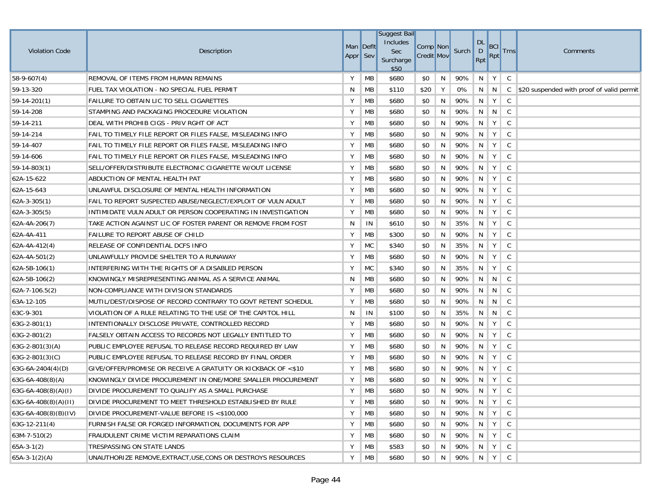|                        |                                                               |           |           | <b>Suggest Bail</b> |                   |   |       |                |            |              |                                           |
|------------------------|---------------------------------------------------------------|-----------|-----------|---------------------|-------------------|---|-------|----------------|------------|--------------|-------------------------------------------|
| <b>Violation Code</b>  | Description                                                   | Man Deflt |           | Includes<br>Sec     | Comp Non          |   | Surch | <b>DL</b><br>D | <b>BCI</b> | <b>Trns</b>  | Comments                                  |
|                        |                                                               | Appr Sev  |           | Surcharge<br>\$50   | <b>Credit Mov</b> |   |       | Rpt            | Rpt        |              |                                           |
| $58-9-607(4)$          | REMOVAL OF ITEMS FROM HUMAN REMAINS                           | Υ         | <b>MB</b> | \$680               | \$0               | N | 90%   | N              | Y          | C            |                                           |
| 59-13-320              | FUEL TAX VIOLATION - NO SPECIAL FUEL PERMIT                   | N         | МB        | \$110               | \$20              | Y | 0%    | N              | N          | $\mathsf{C}$ | \$20 suspended with proof of valid permit |
| 59-14-201(1)           | FAILURE TO OBTAIN LIC TO SELL CIGARETTES                      | Υ         | MB        | \$680               | \$0               | N | 90%   | $\mathsf{N}$   | Y          | C            |                                           |
| 59-14-208              | STAMPING AND PACKAGING PROCEDURE VIOLATION                    | Υ         | MB        | \$680               | \$0               | N | 90%   | N              | N          | $\mathsf C$  |                                           |
| 59-14-211              | DEAL WITH PROHIB CIGS - PRIV RGHT OF ACT                      | Υ         | MB        | \$680               | \$0               | N | 90%   | -N             | Y          | C            |                                           |
| 59-14-214              | FAIL TO TIMELY FILE REPORT OR FILES FALSE, MISLEADING INFO    | Y         | МB        | \$680               | \$0               | N | 90%   | N              | Y          | C            |                                           |
| 59-14-407              | FAIL TO TIMELY FILE REPORT OR FILES FALSE, MISLEADING INFO    | Υ         | МB        | \$680               | \$0               | N | 90%   | N              | Y          | C            |                                           |
| 59-14-606              | FAIL TO TIMELY FILE REPORT OR FILES FALSE, MISLEADING INFO    | Υ         | МB        | \$680               | \$0               | N | 90%   | N              | Y          | C            |                                           |
| $59-14-803(1)$         | SELL/OFFER/DISTRIBUTE ELECTRONIC CIGARETTE W/OUT LICENSE      | Υ         | MB        | \$680               | \$0               | N | 90%   | N              | Y          | C            |                                           |
| 62A-15-622             | ABDUCTION OF MENTAL HEALTH PAT                                | Υ         | MB        | \$680               | \$0               | N | 90%   | N              | Y          | C            |                                           |
| 62A-15-643             | UNLAWFUL DISCLOSURE OF MENTAL HEALTH INFORMATION              | Υ         | MB        | \$680               | \$0               | N | 90%   | N              | Y          | C            |                                           |
| $62A-3-305(1)$         | FAIL TO REPORT SUSPECTED ABUSE/NEGLECT/EXPLOIT OF VULN ADULT  | Υ         | МB        | \$680               | \$0               | N | 90%   | -N             | Y          | C            |                                           |
| 62A-3-305(5)           | INTIMIDATE VULN ADULT OR PERSON COOPERATING IN INVESTIGATION  | Υ         | MB        | \$680               | \$0               | N | 90%   | N              | Y          | C            |                                           |
| 62A-4A-206(7)          | TAKE ACTION AGAINST LIC OF FOSTER PARENT OR REMOVE FROM FOST  | N         | IN        | \$610               | \$0               | N | 35%   | N              | Y          | C            |                                           |
| 62A-4A-411             | FAILURE TO REPORT ABUSE OF CHILD                              | Υ         | МB        | \$300               | \$0               | N | 90%   | N              | Y          | C            |                                           |
| 62A-4A-412(4)          | RELEASE OF CONFIDENTIAL DCFS INFO                             | Υ         | <b>MC</b> | \$340               | \$0               | N | 35%   | N              | Y          | C            |                                           |
| 62A-4A-501(2)          | UNLAWFULLY PROVIDE SHELTER TO A RUNAWAY                       | Υ         | MB        | \$680               | \$0               | N | 90%   | N              | Y          | C            |                                           |
| 62A-5B-106(1)          | INTERFERING WITH THE RIGHTS OF A DISABLED PERSON              | Υ         | <b>MC</b> | \$340               | \$0               | N | 35%   | N              | Y          | C            |                                           |
| 62A-5B-106(2)          | KNOWINGLY MISREPRESENTING ANIMAL AS A SERVICE ANIMAL          | N         | МB        | \$680               | \$0               | N | 90%   | N.             | N          | $\mathsf C$  |                                           |
| 62A-7-106.5(2)         | NON-COMPLIANCE WITH DIVISION STANDARDS                        | Υ         | MB        | \$680               | \$0               | N | 90%   | N              | N          | C            |                                           |
| 63A-12-105             | MUTIL/DEST/DISPOSE OF RECORD CONTRARY TO GOVT RETENT SCHEDUL  | Υ         | MB        | \$680               | \$0               | N | 90%   | N              | N          | $\mathsf{C}$ |                                           |
| 63C-9-301              | VIOLATION OF A RULE RELATING TO THE USE OF THE CAPITOL HILL   | N         | IN        | \$100               | \$0               | N | 35%   | N              | N          | C            |                                           |
| $63G-2-801(1)$         | INTENTIONALLY DISCLOSE PRIVATE, CONTROLLED RECORD             | Υ         | MB        | \$680               | \$0               | N | 90%   | N              | Y          | $\mathsf C$  |                                           |
| $63G-2-801(2)$         | FALSELY OBTAIN ACCESS TO RECORDS NOT LEGALLY ENTITLED TO      | Υ         | MB        | \$680               | \$0               | N | 90%   | N              | Y          | C            |                                           |
| $63G-2-801(3)(A)$      | PUBLIC EMPLOYEE REFUSAL TO RELEASE RECORD REQUIRED BY LAW     | Υ         | MB        | \$680               | \$0               | N | 90%   | N              | Y          | C            |                                           |
| $63G-2-801(3)(C)$      | PUBLIC EMPLOYEE REFUSAL TO RELEASE RECORD BY FINAL ORDER      | Υ         | MB        | \$680               | \$0               | N | 90%   | $\mathsf{N}$   | Y          | C            |                                           |
| $63G-6A-2404(4)(D)$    | GIVE/OFFER/PROMISE OR RECEIVE A GRATUITY OR KICKBACK OF <\$10 | Υ         | MB        | \$680               | \$0               | N | 90%   | N              | Y          | $\mathsf C$  |                                           |
| 63G-6A-408(8)(A)       | KNOWINGLY DIVIDE PROCUREMENT IN ONE/MORE SMALLER PROCUREMENT  | Υ         | MB        | \$680               | \$0               | N | 90%   | -N             | Y          | C            |                                           |
| $63G-6A-408(8)(A)(I)$  | DIVIDE PROCUREMENT TO QUALIFY AS A SMALL PURCHASE             | Y         | MB        | \$680               | \$0               | N | 90%   | N              | Y          | C            |                                           |
| $63G-6A-408(8)(A)(II)$ | DIVIDE PROCUREMENT TO MEET THRESHOLD ESTABLISHED BY RULE      | Y         | <b>MB</b> | \$680               | \$0               | N | 90% N |                | Y          | $\mathsf{C}$ |                                           |
| $63G-6A-408(8)(B)(IV)$ | DIVIDE PROCUREMENT-VALUE BEFORE IS <\$100,000                 | Y         | <b>MB</b> | \$680               | \$0               | N | 90%   | N.             | Y          | C            |                                           |
| 63G-12-211(4)          | FURNISH FALSE OR FORGED INFORMATION, DOCUMENTS FOR APP        | Υ         | <b>MB</b> | \$680               | \$0               | N | 90%   | N              | Y          | C            |                                           |
| 63M-7-510(2)           | FRAUDULENT CRIME VICTIM REPARATIONS CLAIM                     | Υ         | МB        | \$680               | \$0               | N | 90%   | N <sub>1</sub> | Y          | C            |                                           |
| $65A-3-1(2)$           | TRESPASSING ON STATE LANDS                                    | Υ         | МB        | \$583               | \$0               | N | 90%   | N.             | Y          | C            |                                           |
| $65A-3-1(2)(A)$        | UNAUTHORIZE REMOVE,EXTRACT,USE,CONS OR DESTROYS RESOURCES     | Y         | MB        | \$680               | \$0               | N | 90%   | N              | Y          | C            |                                           |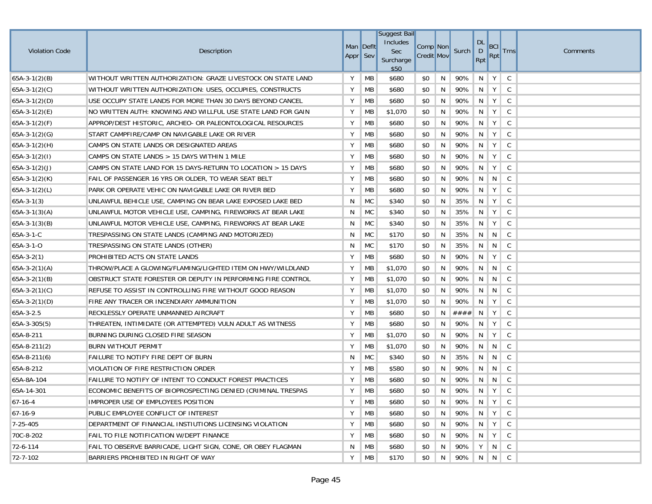|                       |                                                              |                       |           | <b>Suggest Bail</b><br>Includes |                               |   |       | <b>DL</b>      |                                       |              |          |
|-----------------------|--------------------------------------------------------------|-----------------------|-----------|---------------------------------|-------------------------------|---|-------|----------------|---------------------------------------|--------------|----------|
| <b>Violation Code</b> | Description                                                  | Man Deflt<br>Appr Sev |           | Sec                             | Comp Non<br><b>Credit Mov</b> |   | Surch | D              | BCI<br>Rpt                            | <b>Trns</b>  | Comments |
|                       |                                                              |                       |           | Surcharge<br>\$50               |                               |   |       | Rpt            |                                       |              |          |
| $65A-3-1(2)(B)$       | WITHOUT WRITTEN AUTHORIZATION: GRAZE LIVESTOCK ON STATE LAND | Υ                     | MB        | \$680                           | \$0                           | N | 90%   | N              | Y                                     | C            |          |
| $65A-3-1(2)(C)$       | WITHOUT WRITTEN AUTHORIZATION: USES, OCCUPIES, CONSTRUCTS    | Υ                     | MB        | \$680                           | \$0                           | N | 90%   | N              | Y                                     | C            |          |
| $65A-3-1(2)(D)$       | USE OCCUPY STATE LANDS FOR MORE THAN 30 DAYS BEYOND CANCEL   | Υ                     | MB        | \$680                           | \$0                           | N | 90%   | N              | Y                                     | $\mathsf C$  |          |
| $65A-3-1(2)(E)$       | NO WRITTEN AUTH: KNOWING AND WILLFUL USE STATE LAND FOR GAIN | Υ                     | MB        | \$1,070                         | \$0                           | N | 90%   | N              | Y                                     | $\mathsf C$  |          |
| $65A-3-1(2)(F)$       | APPROP/DEST HISTORIC, ARCHEO- OR PALEONTOLOGICAL RESOURCES   | Υ                     | MB        | \$680                           | \$0                           | N | 90%   | N              | Y                                     | C            |          |
| $65A-3-1(2)(G)$       | START CAMPFIRE/CAMP ON NAVIGABLE LAKE OR RIVER               | Υ                     | MB        | \$680                           | \$0                           | N | 90%   | N              | Y                                     | C            |          |
| $65A-3-1(2)(H)$       | CAMPS ON STATE LANDS OR DESIGNATED AREAS                     | Υ                     | MB        | \$680                           | \$0                           | N | 90%   | N              | Y                                     | C            |          |
| $65A-3-1(2)(1)$       | CAMPS ON STATE LANDS > 15 DAYS WITHIN 1 MILE                 | Υ                     | MB        | \$680                           | \$0                           | N | 90%   | N              | Y                                     | $\mathsf C$  |          |
| $65A-3-1(2)(J)$       | CAMPS ON STATE LAND FOR 15 DAYS-RETURN TO LOCATION > 15 DAYS | Y                     | <b>MB</b> | \$680                           | \$0                           | N | 90%   | N              | Y                                     | C            |          |
| $65A-3-1(2)(K)$       | FAIL OF PASSENGER 16 YRS OR OLDER, TO WEAR SEAT BELT         | Υ                     | MB        | \$680                           | \$0                           | N | 90%   | N <sub>1</sub> | N                                     | C            |          |
| $65A-3-1(2)(L)$       | PARK OR OPERATE VEHIC ON NAVIGABLE LAKE OR RIVER BED         | Υ                     | <b>MB</b> | \$680                           | \$0                           | N | 90%   | N              | Y                                     | C            |          |
| $65A-3-1(3)$          | UNLAWFUL BEHICLE USE, CAMPING ON BEAR LAKE EXPOSED LAKE BED  | N                     | МC        | \$340                           | \$0                           | N | 35%   | N              | Y                                     | C            |          |
| $65A-3-1(3)(A)$       | UNLAWFUL MOTOR VEHICLE USE, CAMPING, FIREWORKS AT BEAR LAKE  | N                     | <b>MC</b> | \$340                           | \$0                           | N | 35%   | N              | Y                                     | C            |          |
| $65A-3-1(3)(B)$       | UNLAWFUL MOTOR VEHICLE USE, CAMPING, FIREWORKS AT BEAR LAKE  | N                     | <b>MC</b> | \$340                           | \$0                           | N | 35%   | N              | Y                                     | C            |          |
| 65A-3-1-C             | TRESPASSING ON STATE LANDS (CAMPING AND MOTORIZED)           | N                     | МC        | \$170                           | \$0                           | N | 35%   | N <sub>1</sub> | N                                     | C            |          |
| 65A-3-1-O             | TRESPASSING ON STATE LANDS (OTHER)                           | N                     | <b>MC</b> | \$170                           | \$0                           | N | 35%   | N              | N                                     | C            |          |
| $65A-3-2(1)$          | PROHIBITED ACTS ON STATE LANDS                               | Y                     | MB        | \$680                           | \$0                           | N | 90%   | N              | Y                                     | C            |          |
| $65A-3-2(1)(A)$       | THROW/PLACE A GLOWING/FLAMING/LIGHTED ITEM ON HWY/WILDLAND   | Y                     | MB        | \$1,070                         | \$0                           | N | 90%   | N              | N                                     | C            |          |
| $65A-3-2(1)(B)$       | OBSTRUCT STATE FORESTER OR DEPUTY IN PERFORMING FIRE CONTROL | Υ                     | МB        | \$1,070                         | \$0                           | N | 90%   | N              | N                                     | C            |          |
| 65A-3-2(1)(C)         | REFUSE TO ASSIST IN CONTROLLING FIRE WITHOUT GOOD REASON     | Υ                     | МB        | \$1,070                         | \$0                           | N | 90%   | N              | N                                     | C            |          |
| $65A-3-2(1)(D)$       | FIRE ANY TRACER OR INCENDIARY AMMUNITION                     | Υ                     | MB        | \$1,070                         | \$0                           | N | 90%   | N              | Y                                     | C            |          |
| 65A-3-2.5             | RECKLESSLY OPERATE UNMANNED AIRCRAFT                         | Υ                     | MB        | \$680                           | \$0                           | N | ####  | N              | Y                                     | C            |          |
| $65A-3-305(5)$        | THREATEN, INTIMIDATE (OR ATTEMPTED) VULN ADULT AS WITNESS    | Υ                     | МB        | \$680                           | \$0                           | N | 90%   | - N            | Y                                     | C            |          |
| 65A-8-211             | BURNING DURING CLOSED FIRE SEASON                            | Υ                     | MB        | \$1,070                         | \$0                           | N | 90%   | N              | Y                                     | C            |          |
| $65A-8-211(2)$        | <b>BURN WITHOUT PERMIT</b>                                   | Υ                     | MB        | \$1,070                         | \$0                           | N | 90%   | N <sub>1</sub> | N                                     | C            |          |
| $65A-8-211(6)$        | FAILURE TO NOTIFY FIRE DEPT OF BURN                          | N                     | <b>MC</b> | \$340                           | \$0                           | N | 35%   | N              | N                                     | C            |          |
| 65A-8-212             | VIOLATION OF FIRE RESTRICTION ORDER                          | Υ                     | МB        | \$580                           | \$0                           | N | 90%   | N              | N                                     | $\mathsf C$  |          |
| 65A-8A-104            | FAILURE TO NOTIFY OF INTENT TO CONDUCT FOREST PRACTICES      | Υ                     | MB        | \$680                           | \$0                           | N | 90%   | N              | N                                     | C            |          |
| 65A-14-301            | ECONOMIC BENEFITS OF BIOPROSPECTING DENIED (CRIMINAL TRESPAS | Y                     | MB        | \$680                           | \$0                           | N | 90%   | N              | Y                                     | C            |          |
| $67 - 16 - 4$         | IMPROPER USE OF EMPLOYEES POSITION                           | Y                     | <b>MB</b> | \$680                           | \$0                           | N | 90%   |                | $\parallel N \parallel Y \parallel C$ |              |          |
| $67-16-9$             | PUBLIC EMPLOYEE CONFLICT OF INTEREST                         | Y                     | MB        | \$680                           | \$0                           | N | 90%   | $\parallel$ N  | Y                                     | $\mathsf{C}$ |          |
| $7 - 25 - 405$        | DEPARTMENT OF FINANCIAL INSTIUTIONS LICENSING VIOLATION      | Υ                     | <b>MB</b> | \$680                           | \$0                           | N | 90%   | N              | Y                                     | $\mathsf{C}$ |          |
| 70C-8-202             | <b>FAIL TO FILE NOTIFICATION W/DEPT FINANCE</b>              | Υ                     | <b>MB</b> | \$680                           | \$0                           | N | 90%   | N.             | Y                                     | $\mathsf{C}$ |          |
| 72-6-114              | FAIL TO OBSERVE BARRICADE, LIGHT SIGN, CONE, OR OBEY FLAGMAN | N                     | МB        | \$680                           | \$0                           | N | 90%   |                | YNC                                   |              |          |
| 72-7-102              | BARRIERS PROHIBITED IN RIGHT OF WAY                          | Y                     | <b>MB</b> | \$170                           | \$0                           | N | 90%   |                | N N C                                 |              |          |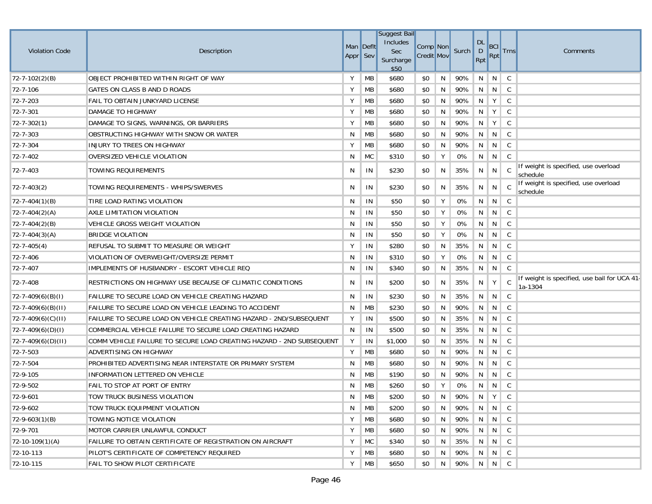| <b>Violation Code</b>   | Description                                                          | Man Deflt<br>Appr Sev |                   | <b>Suggest Bail</b><br>Includes<br><b>Sec</b><br>Surcharge<br>\$50 | Comp Non<br><b>Credit Mov</b> |    | Surch                     | DL<br>D<br>Rpt | BCI<br><b>Rpt</b> | <b>Trns</b>  | Comments                                                |
|-------------------------|----------------------------------------------------------------------|-----------------------|-------------------|--------------------------------------------------------------------|-------------------------------|----|---------------------------|----------------|-------------------|--------------|---------------------------------------------------------|
| $72 - 7 - 102(2)(B)$    | OBJECT PROHIBITED WITHIN RIGHT OF WAY                                | Υ                     | <b>MB</b>         | \$680                                                              | \$0                           | N  | 90%                       | N              | N                 | C            |                                                         |
| 72-7-106                | GATES ON CLASS B AND D ROADS                                         | Υ                     | <b>MB</b>         | \$680                                                              | \$0                           | N  | 90%                       | N              | N                 | C            |                                                         |
| 72-7-203                | FAIL TO OBTAIN JUNKYARD LICENSE                                      | Y                     | <b>MB</b>         | \$680                                                              | \$0                           | N  | 90%                       | N              | Y                 | C            |                                                         |
| 72-7-301                | DAMAGE TO HIGHWAY                                                    | Υ                     | МB                | \$680                                                              | \$0                           | N  | 90%                       | N              | Y                 | $\mathsf{C}$ |                                                         |
| $72 - 7 - 302(1)$       | DAMAGE TO SIGNS, WARNINGS, OR BARRIERS                               | Y                     | MB                | \$680                                                              | \$0                           | N  | 90%                       | N              | Y                 | C            |                                                         |
| 72-7-303                | OBSTRUCTING HIGHWAY WITH SNOW OR WATER                               | N                     | МB                | \$680                                                              | \$0                           | N  | 90%                       | N              | N                 | C            |                                                         |
| 72-7-304                | INJURY TO TREES ON HIGHWAY                                           | Y                     | MB                | \$680                                                              | \$0                           | N  | 90%                       | N              | N                 | C            |                                                         |
| 72-7-402                | OVERSIZED VEHICLE VIOLATION                                          | N                     | MC                | \$310                                                              | \$0                           | Υ  | 0%                        | N              | N                 | C            |                                                         |
| 72-7-403                | TOWING REQUIREMENTS                                                  | N                     | ΙN                | \$230                                                              | \$0                           | N  | 35%                       | N              | N                 | $\mathsf{C}$ | If weight is specified, use overload<br>schedule        |
| 72-7-403(2)             | TOWING REQUIREMENTS - WHIPS/SWERVES                                  | N                     | -IN               | \$230                                                              | \$0                           | N  | 35%                       | N              | N                 | - C          | If weight is specified, use overload<br>schedule        |
| $72 - 7 - 404(1)(B)$    | TIRE LOAD RATING VIOLATION                                           | N                     | IN                | \$50                                                               | \$0                           | Y  | 0%                        | N              | N                 | C            |                                                         |
| $72 - 7 - 404(2)(A)$    | AXLE LIMITATION VIOLATION                                            | N                     | IN                | \$50                                                               | \$0                           | Y  | 0%                        | N              | N                 | C            |                                                         |
| $72 - 7 - 404(2)(B)$    | VEHICLE GROSS WEIGHT VIOLATION                                       | N                     | IN                | \$50                                                               | \$0                           | Υ  | 0%                        | N              | N                 | C            |                                                         |
| $72 - 7 - 404(3)(A)$    | <b>BRIDGE VIOLATION</b>                                              | N                     | IN                | \$50                                                               | \$0                           | Y  | 0%                        | N              | N                 | $\mathsf{C}$ |                                                         |
| $72 - 7 - 405(4)$       | REFUSAL TO SUBMIT TO MEASURE OR WEIGHT                               | Υ                     | IN                | \$280                                                              | \$0                           | N  | 35%                       | N              | N                 | C            |                                                         |
| 72-7-406                | VIOLATION OF OVERWEIGHT/OVERSIZE PERMIT                              | N                     | IN                | \$310                                                              | \$0                           | Υ  | 0%                        | N              | N                 | C            |                                                         |
| 72-7-407                | IMPLEMENTS OF HUSBANDRY - ESCORT VEHICLE REQ                         | N                     | IN                | \$340                                                              | \$0                           | N  | 35%                       | N              | N                 | C            |                                                         |
| 72-7-408                | RESTRICTIONS ON HIGHWAY USE BECAUSE OF CLIMATIC CONDITIONS           | N                     | IN                | \$200                                                              | \$0                           | N  | 35%                       | N              | Υ                 | C            | If weight is specified, use bail for UCA 41-<br>1a-1304 |
| $ 72-7-409(6)(B)(I) $   | FAILURE TO SECURE LOAD ON VEHICLE CREATING HAZARD                    | N                     | IN                | \$230                                                              | \$0                           | N  | 35%                       | N              | N.                | C            |                                                         |
| $72 - 7 - 409(6)(B)(H)$ | FAILURE TO SECURE LOAD ON VEHICLE LEADING TO ACCIDENT                | N                     | MB                | \$230                                                              | \$0                           | N  | 90%                       | N              | N                 | C            |                                                         |
| 72-7-409(6)(C)(II)      | FAILURE TO SECURE LOAD ON VEHICLE CREATING HAZARD - 2ND/SUBSEQUENT   | Υ                     | IN                | \$500                                                              | \$0                           | N  | 35%                       | N              | N                 | C            |                                                         |
| $72 - 7 - 409(6)(D)(I)$ | COMMERCIAL VEHICLE FAILURE TO SECURE LOAD CREATING HAZARD            | N                     | IN                | \$500                                                              | \$0                           | N  | 35%                       | N              | N                 | C            |                                                         |
| $72 - 7 - 409(6)(D)(H)$ | COMM VEHICLE FAILURE TO SECURE LOAD CREATING HAZARD - 2ND SUBSEQUENT | Y                     | IN                | \$1,000                                                            | \$0                           | N  | 35%                       | N              | N                 | C            |                                                         |
| 72-7-503                | ADVERTISING ON HIGHWAY                                               | Υ                     | <b>MB</b>         | \$680                                                              | \$0                           | N  | 90%                       | N              | N                 | C            |                                                         |
| 72-7-504                | PROHIBITED ADVERTISING NEAR INTERSTATE OR PRIMARY SYSTEM             | N                     | МB                | \$680                                                              | \$0                           | N  | 90%                       | N              | N                 | C            |                                                         |
| 72-9-105                | INFORMATION LETTERED ON VEHICLE                                      | N                     | <b>MB</b>         | \$190                                                              | \$0                           | N  | 90%                       | N              | N                 | C            |                                                         |
| 72-9-502                | FAIL TO STOP AT PORT OF ENTRY                                        | N                     | МB                | \$260                                                              | \$0                           | Υ  | 0%                        | N              | N                 | C.           |                                                         |
| 72-9-601                | TOW TRUCK BUSINESS VIOLATION                                         |                       | $N$ MB            | \$200                                                              |                               |    | \$0   N   90%   N   Y   C |                |                   |              |                                                         |
| 72-9-602                | TOW TRUCK EQUIPMENT VIOLATION                                        | N                     | $\blacksquare$ MB | \$200                                                              | \$0                           | N. | 90% N N C                 |                |                   |              |                                                         |
| $72 - 9 - 603(1)(B)$    | TOWING NOTICE VIOLATION                                              | Υ                     | MB                | \$680                                                              | \$0                           | N  | 90% N N C                 |                |                   |              |                                                         |
| 72-9-701                | MOTOR CARRIER UNLAWFUL CONDUCT                                       | Υ                     | МB                | \$680                                                              | \$0                           | N  | 90%                       |                | N N C             |              |                                                         |
| $72-10-109(1)(A)$       | FAILURE TO OBTAIN CERTIFICATE OF REGISTRATION ON AIRCRAFT            | Υ                     | MC                | \$340                                                              | \$0                           | N  | $35\%$                    |                | N N C             |              |                                                         |
| 72-10-113               | PILOT'S CERTIFICATE OF COMPETENCY REQUIRED                           | Υ                     | <b>MB</b>         | \$680                                                              | \$0                           | N  | 90%                       |                | N N C             |              |                                                         |
| 72-10-115               | FAIL TO SHOW PILOT CERTIFICATE                                       | Υ                     | M <sub>B</sub>    | \$650                                                              | \$0                           | N  | $90\%$                    |                | N N C             |              |                                                         |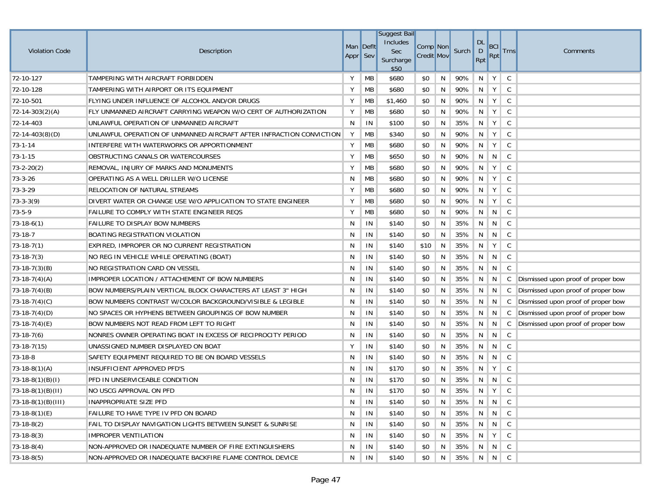| <b>Violation Code</b> | Description                                                         | Man Deflt<br>Appr Sev |           | <b>Suggest Bail</b><br>Includes<br><b>Sec</b><br>Surcharge<br>\$50 | Comp Non<br><b>Credit Mov</b> |    | Surch  | <b>DL</b><br>D<br>Rpt | BCI<br>Rpt      | <b>Trns</b>  | Comments                           |
|-----------------------|---------------------------------------------------------------------|-----------------------|-----------|--------------------------------------------------------------------|-------------------------------|----|--------|-----------------------|-----------------|--------------|------------------------------------|
| 72-10-127             | TAMPERING WITH AIRCRAFT FORBIDDEN                                   | Υ                     | MB        | \$680                                                              | \$0                           | N  | 90%    | N                     | Y               | C            |                                    |
| 72-10-128             | TAMPERING WITH AIRPORT OR ITS EQUIPMENT                             | Υ                     | MB        | \$680                                                              | \$0                           | N  | 90%    | N                     | Y               | C            |                                    |
| 72-10-501             | FLYING UNDER INFLUENCE OF ALCOHOL AND/OR DRUGS                      | Υ                     | MB        | \$1,460                                                            | \$0                           | N  | 90%    | N                     | Y               | C            |                                    |
| $ 72-14-303(2)(A) $   | FLY UNMANNED AIRCRAFT CARRYING WEAPON W/O CERT OF AUTHORIZATION     | Υ                     | MB        | \$680                                                              | \$0                           | N  | 90%    | N                     | Y               | $\mathsf{C}$ |                                    |
| 72-14-403             | UNLAWFUL OPERATION OF UNMANNED AIRCRAFT                             | N                     | IN        | \$100                                                              | \$0                           | N  | 35%    | N                     | Y               | C            |                                    |
| 72-14-403(8)(D)       | UNLAWFUL OPERATION OF UNMANNED AIRCRAFT AFTER INFRACTION CONVICTION | Y                     | MB        | \$340                                                              | \$0                           | N  | 90%    | N                     | Y               | C            |                                    |
| $73 - 1 - 14$         | INTERFERE WITH WATERWORKS OR APPORTIONMENT                          | Υ                     | MB        | \$680                                                              | \$0                           | N  | 90%    | N                     | Y               | C            |                                    |
| 73-1-15               | OBSTRUCTING CANALS OR WATERCOURSES                                  | Υ                     | MB        | \$650                                                              | \$0                           | N  | 90%    | N                     | N               | C            |                                    |
| $73 - 2 - 20(2)$      | REMOVAL, INJURY OF MARKS AND MONUMENTS                              | Y                     | <b>MB</b> | \$680                                                              | \$0                           | N  | 90%    | N                     | Y               | C            |                                    |
| 73-3-26               | OPERATING AS A WELL DRILLER W/O LICENSE                             | N                     | MB        | \$680                                                              | \$0                           | N  | 90%    | N                     | Y               | C            |                                    |
| 73-3-29               | RELOCATION OF NATURAL STREAMS                                       | Y                     | MB        | \$680                                                              | \$0                           | N  | 90%    | N                     | Y               | C            |                                    |
| $73 - 3 - 3(9)$       | DIVERT WATER OR CHANGE USE W/O APPLICATION TO STATE ENGINEER        | Υ                     | <b>MB</b> | \$680                                                              | \$0                           | N  | 90%    | N                     | Υ               | C            |                                    |
| $73 - 5 - 9$          | FAILURE TO COMPLY WITH STATE ENGINEER REQS                          | Υ                     | <b>MB</b> | \$680                                                              | \$0                           | N  | 90%    | N                     | N               | C            |                                    |
| $73-18-6(1)$          | <b>FAILURE TO DISPLAY BOW NUMBERS</b>                               | N                     | IN        | \$140                                                              | \$0                           | N  | 35%    | N                     | N               | C            |                                    |
| 73-18-7               | BOATING REGISTRATION VIOLATION                                      | N                     | IN        | \$140                                                              | \$0                           | N  | 35%    | N                     | N               | C            |                                    |
| $73-18-7(1)$          | EXPIRED, IMPROPER OR NO CURRENT REGISTRATION                        | N                     | IN        | \$140                                                              | \$10                          | N  | 35%    | N                     | Y               | C            |                                    |
| $73-18-7(3)$          | NO REG IN VEHICLE WHILE OPERATING (BOAT)                            | N                     | IN        | \$140                                                              | \$0                           | N  | 35%    | N                     | N               | C            |                                    |
| $73-18-7(3)(B)$       | NO REGISTRATION CARD ON VESSEL                                      | N                     | IN        | \$140                                                              | \$0                           | N  | 35%    | N                     | N               | C            |                                    |
| $73-18-7(4)(A)$       | <b>IMPROPER LOCATION / ATTACHEMENT OF BOW NUMBERS</b>               | N                     | IN        | \$140                                                              | \$0                           | N  | 35%    | N                     | N               | C            | Dismissed upon proof of proper bow |
| $73-18-7(4)(B)$       | BOW NUMBERS/PLAIN VERTICAL BLOCK CHARACTERS AT LEAST 3" HIGH        | N                     | IN        | \$140                                                              | \$0                           | N  | 35%    | N                     | N               | C            | Dismissed upon proof of proper bow |
| $73-18-7(4)(C)$       | BOW NUMBERS CONTRAST W/COLOR BACKGROUND/VISIBLE & LEGIBLE           | N                     | IN        | \$140                                                              | \$0                           | N  | 35%    | N                     | N               | C            | Dismissed upon proof of proper bow |
| $73-18-7(4)(D)$       | NO SPACES OR HYPHENS BETWEEN GROUPINGS OF BOW NUMBER                | N                     | IN        | \$140                                                              | \$0                           | N  | 35%    | N                     | N               | C            | Dismissed upon proof of proper bow |
| $73-18-7(4)(E)$       | BOW NUMBERS NOT READ FROM LEFT TO RIGHT                             | N                     | IN        | \$140                                                              | \$0                           | N  | 35%    | N                     | N               | C            | Dismissed upon proof of proper bow |
| $73-18-7(6)$          | NONRES OWNER OPERATING BOAT IN EXCESS OF RECIPROCITY PERIOD         | N                     | IN        | \$140                                                              | \$0                           | N  | 35%    | N                     | N               | $\mathsf{C}$ |                                    |
| $73-18-7(15)$         | UNASSIGNED NUMBER DISPLAYED ON BOAT                                 | Y                     | IN        | \$140                                                              | \$0                           | N  | 35%    | N                     | N               | C            |                                    |
| 73-18-8               | SAFETY EQUIPMENT REQUIRED TO BE ON BOARD VESSELS                    | N                     | IN        | \$140                                                              | \$0                           | N  | 35%    | N                     | N               | C            |                                    |
| $73-18-8(1)(A)$       | INSUFFICIENT APPROVED PFD'S                                         | N                     | IN        | \$170                                                              | \$0                           | N  | 35%    | N                     | Y               | $\mathsf{C}$ |                                    |
| $(73-18-8(1)(B)(I))$  | PFD IN UNSERVICEABLE CONDITION                                      | N                     | IN        | \$170                                                              | \$0                           | N  | 35%    | N                     | N               | C            |                                    |
| $73-18-8(1)(B)(II)$   | NO USCG APPROVAL ON PFD                                             | N                     | IN        | \$170                                                              | \$0                           | N  | 35%    | N                     | Y               | C            |                                    |
| $73-18-8(1)(B)(III)$  | INAPPROPRIATE SIZE PFD                                              | N                     | IN        | \$140                                                              | \$0                           | N  | $35\%$ |                       | N N C           |              |                                    |
| $73-18-8(1)(E)$       | FAILURE TO HAVE TYPE IV PFD ON BOARD                                | N                     | IN        | \$140                                                              | \$0                           | N  | 35%    | N I                   | $N \parallel C$ |              |                                    |
| $73-18-8(2)$          | FAIL TO DISPLAY NAVIGATION LIGHTS BETWEEN SUNSET & SUNRISE          | N                     | IN        | \$140                                                              | \$0                           | N. | 35%    | N I                   | $N \parallel C$ |              |                                    |
| $73-18-8(3)$          | <b>IMPROPER VENTILATION</b>                                         | N                     | IN        | \$140                                                              | \$0                           | N  | 35%    | N                     | Y               | C            |                                    |
| $73-18-8(4)$          | NON-APPROVED OR INADEQUATE NUMBER OF FIRE EXTINGUISHERS             | N                     | IN        | \$140                                                              | \$0                           | N  | 35%    |                       | N N C           |              |                                    |
| $73-18-8(5)$          | NON-APPROVED OR INADEQUATE BACKFIRE FLAME CONTROL DEVICE            | N                     | IN        | \$140                                                              | \$0                           | N  | 35%    |                       | N N C           |              |                                    |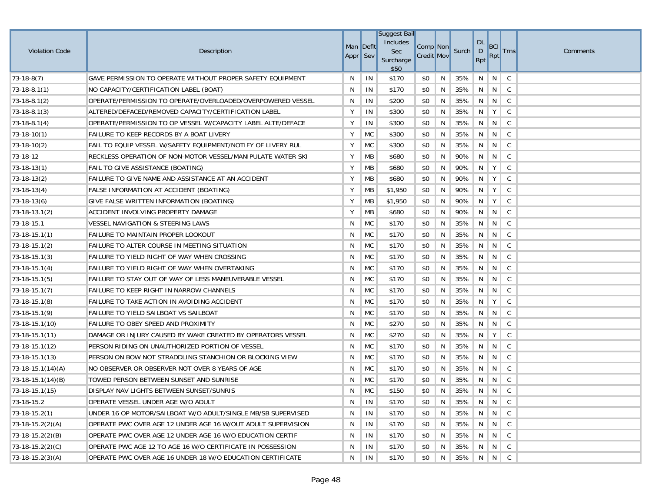| <b>Violation Code</b> | Description                                                  |          | Man Deflt | Suggest Bail<br>Includes<br>Sec | Comp Non          |   | Surch | <b>DL</b><br>D | BCI   | <b>Trns</b>  | Comments |
|-----------------------|--------------------------------------------------------------|----------|-----------|---------------------------------|-------------------|---|-------|----------------|-------|--------------|----------|
|                       |                                                              | Appr Sev |           | Surcharge<br>\$50               | <b>Credit Mov</b> |   |       | Rpt            | Rpt   |              |          |
| $73-18-8(7)$          | GAVE PERMISSION TO OPERATE WITHOUT PROPER SAFETY EQUIPMENT   | N        | IN        | \$170                           | \$0               | N | 35%   | N              | N     | C            |          |
| $73-18-8.1(1)$        | NO CAPACITY/CERTIFICATION LABEL (BOAT)                       | N        | IN        | \$170                           | \$0               | N | 35%   | N              | N     | $\mathsf{C}$ |          |
| $73-18-8.1(2)$        | OPERATE/PERMISSION TO OPERATE/OVERLOADED/OVERPOWERED VESSEL  | N        | IN        | \$200                           | \$0               | N | 35%   | N              | N     | C            |          |
| $73-18-8.1(3)$        | ALTERED/DEFACED/REMOVED CAPACITY/CERTIFICATION LABEL         | Υ        | IN        | \$300                           | \$0               | N | 35%   | N              | Y     | $\mathsf C$  |          |
| $73-18-8.1(4)$        | OPERATE/PERMISSION TO OP VESSEL W/CAPACITY LABEL ALTE/DEFACE | Υ        | IN        | \$300                           | \$0               | N | 35%   | N              | N     | C            |          |
| $73-18-10(1)$         | FAILURE TO KEEP RECORDS BY A BOAT LIVERY                     | Υ        | MC        | \$300                           | \$0               | N | 35%   | N              | N     | C            |          |
| $73-18-10(2)$         | FAIL TO EQUIP VESSEL W/SAFETY EQUIPMENT/NOTIFY OF LIVERY RUL | Υ        | MC        | \$300                           | \$0               | N | 35%   | N              | N     | C            |          |
| 73-18-12              | RECKLESS OPERATION OF NON-MOTOR VESSEL/MANIPULATE WATER SKI  | Υ        | МB        | \$680                           | \$0               | N | 90%   | N              | N     | $\mathsf{C}$ |          |
| $73-18-13(1)$         | FAIL TO GIVE ASSISTANCE (BOATING)                            | Υ        | MB        | \$680                           | \$0               | N | 90%   | N              | Y     | C            |          |
| $73-18-13(2)$         | FAILURE TO GIVE NAME AND ASSISTANCE AT AN ACCIDENT           | Υ        | MB        | \$680                           | \$0               | N | 90%   | N              | Y     | C            |          |
| $73-18-13(4)$         | FALSE INFORMATION AT ACCIDENT (BOATING)                      | Υ        | MB        | \$1,950                         | \$0               | N | 90%   | N              | Y     | C            |          |
| $73-18-13(6)$         | GIVE FALSE WRITTEN INFORMATION (BOATING)                     | Υ        | МB        | \$1,950                         | \$0               | N | 90%   | N              | Y     | C            |          |
| $73-18-13.1(2)$       | ACCIDENT INVOLVING PROPERTY DAMAGE                           | Υ        | MB        | \$680                           | \$0               | N | 90%   | N              | N     | C            |          |
| 73-18-15.1            | <b>VESSEL NAVIGATION &amp; STEERING LAWS</b>                 | N        | МC        | \$170                           | \$0               | N | 35%   | N              | N     | C            |          |
| $73-18-15.1(1)$       | <b>FAILURE TO MAINTAIN PROPER LOOKOUT</b>                    | N        | МC        | \$170                           | \$0               | N | 35%   | N              | N     | C            |          |
| $73-18-15.1(2)$       | <b>FAILURE TO ALTER COURSE IN MEETING SITUATION</b>          | N        | МC        | \$170                           | \$0               | N | 35%   | N              | N     | C            |          |
| $73-18-15.1(3)$       | FAILURE TO YIELD RIGHT OF WAY WHEN CROSSING                  | N        | MC        | \$170                           | \$0               | N | 35%   | N              | N     | C            |          |
| $73-18-15.1(4)$       | FAILURE TO YIELD RIGHT OF WAY WHEN OVERTAKING                | N        | <b>MC</b> | \$170                           | \$0               | N | 35%   | N              | N     | C            |          |
| $73-18-15.1(5)$       | FAILURE TO STAY OUT OF WAY OF LESS MANEUVERABLE VESSEL       | N        | МC        | \$170                           | \$0               | N | 35%   | N              | N     | C            |          |
| $73-18-15.1(7)$       | <b>FAILURE TO KEEP RIGHT IN NARROW CHANNELS</b>              | N        | МC        | \$170                           | \$0               | N | 35%   | N              | N     | C            |          |
| $73-18-15.1(8)$       | FAILURE TO TAKE ACTION IN AVOIDING ACCIDENT                  | N        | MC        | \$170                           | \$0               | N | 35%   | N              | Y     | C            |          |
| $73-18-15.1(9)$       | FAILURE TO YIELD SAILBOAT VS SAILBOAT                        | N        | <b>MC</b> | \$170                           | \$0               | N | 35%   | N              | N     | C            |          |
| 73-18-15.1(10)        | FAILURE TO OBEY SPEED AND PROXIMITY                          | N        | MC        | \$270                           | \$0               | N | 35%   | N              | N     | C            |          |
| $73-18-15.1(11)$      | DAMAGE OR INJURY CAUSED BY WAKE CREATED BY OPERATORS VESSEL  | N        | MC        | \$270                           | \$0               | N | 35%   | N              | Y     | C            |          |
| $73-18-15.1(12)$      | PERSON RIDING ON UNAUTHORIZED PORTION OF VESSEL              | N        | MC        | \$170                           | \$0               | N | 35%   | N              | N     | C            |          |
| $73-18-15.1(13)$      | PERSON ON BOW NOT STRADDLING STANCHION OR BLOCKING VIEW      | N        | <b>MC</b> | \$170                           | \$0               | N | 35%   | N              | N     | C            |          |
| $73-18-15.1(14)(A)$   | NO OBSERVER OR OBSERVER NOT OVER 8 YEARS OF AGE              | N        | MC        | \$170                           | \$0               | N | 35%   | N              | N     | $\mathsf C$  |          |
| $(73-18-15.1(14)(B))$ | TOWED PERSON BETWEEN SUNSET AND SUNRISE                      | N        | <b>MC</b> | \$170                           | \$0               | N | 35%   | N              | N     | C            |          |
| $73-18-15.1(15)$      | DISPLAY NAV LIGHTS BETWEEN SUNSET/SUNRIS                     | N        | <b>MC</b> | \$150                           | \$0               | N | 35%   | N              | N     | C            |          |
| 73-18-15.2            | OPERATE VESSEL UNDER AGE W/O ADULT                           | N        | IN        | \$170                           | \$0               | N | 35%   |                | N N C |              |          |
| $73-18-15.2(1)$       | UNDER 16 OP MOTOR/SAILBOAT W/O ADULT/SINGLE MB/SB SUPERVISED | N        | IN        | \$170                           | \$0               | N | 35%   | N              |       |              |          |
| $73-18-15.2(2)(A)$    | OPERATE PWC OVER AGE 12 UNDER AGE 16 W/OUT ADULT SUPERVISION | N        | IN        | \$170                           | \$0               | N | 35%   | N              | N     | $\mathsf{C}$ |          |
| $73-18-15.2(2)(B)$    | OPERATE PWC OVER AGE 12 UNDER AGE 16 W/O EDUCATION CERTIF    | N        | IN        | \$170                           | \$0               | N | 35%   |                | N N C |              |          |
| $73-18-15.2(2)(C)$    | OPERATE PWC AGE 12 TO AGE 16 W/O CERTIFICATE IN POSSESSION   | N        | IN        | \$170                           | \$0               | N | 35%   |                | N N C |              |          |
| $73-18-15.2(3)(A)$    | OPERATE PWC OVER AGE 16 UNDER 18 W/O EDUCATION CERTIFICATE   | N        | IN        | \$170                           | \$0               | N | 35%   |                | NNC   |              |          |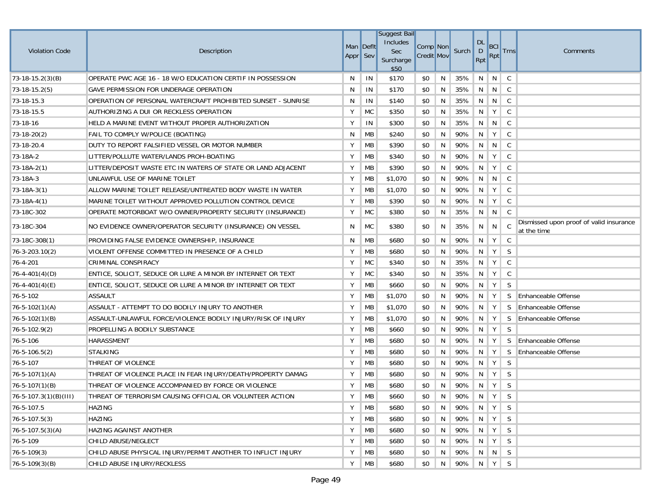|                        |                                                              |           |                | <b>Suggest Bail</b>    |                   |   |                 |                        |                         |              |                                                        |
|------------------------|--------------------------------------------------------------|-----------|----------------|------------------------|-------------------|---|-----------------|------------------------|-------------------------|--------------|--------------------------------------------------------|
| <b>Violation Code</b>  | Description                                                  | Man Defit |                | Includes<br><b>Sec</b> | Comp Non          |   | Surch           | <b>DL</b><br>$\vert$ D | <b>BCI</b>              | <b>Trns</b>  | Comments                                               |
|                        |                                                              | Appr Sev  |                | Surcharge<br>\$50      | <b>Credit Mov</b> |   |                 | Rpt                    | <b>Rpt</b>              |              |                                                        |
| $(73-18-15.2(3)(B))$   | OPERATE PWC AGE 16 - 18 W/O EDUCATION CERTIF IN POSSESSION   | N         | IN             | \$170                  | \$0               | N | 35%             | N                      | N                       | C            |                                                        |
| $73-18-15.2(5)$        | GAVE PERMISSION FOR UNDERAGE OPERATION                       | N         | IN             | \$170                  | \$0               | N | 35%             |                        | $N$ $N$                 | C            |                                                        |
| 73-18-15.3             | OPERATION OF PERSONAL WATERCRAFT PROHIBITED SUNSET - SUNRISE | N         | IN             | \$140                  | \$0               | N | 35%             | N                      | N                       | C            |                                                        |
| 73-18-15.5             | AUTHORIZING A DUI OR RECKLESS OPERATION                      | Υ         | <b>MC</b>      | \$350                  | \$0               | N | 35%             | N                      | Y                       | C            |                                                        |
| 73-18-16               | HELD A MARINE EVENT WITHOUT PROPER AUTHORIZATION             | Υ         | IN             | \$300                  | \$0               | N | 35%             | N                      | N                       | C            |                                                        |
| $73-18-20(2)$          | FAIL TO COMPLY W/POLICE (BOATING)                            | N         | МB             | \$240                  | \$0               | N | 90%             | N                      | Y                       | C            |                                                        |
| 73-18-20.4             | DUTY TO REPORT FALSIFIED VESSEL OR MOTOR NUMBER              | Υ         | МB             | \$390                  | \$0               | N | 90%             | N                      | N                       | C            |                                                        |
| 73-18A-2               | LITTER/POLLUTE WATER/LANDS PROH-BOATING                      | Υ         | МB             | \$340                  | \$0               | N | 90%             | N                      | Y                       | C            |                                                        |
| $73-18A-2(1)$          | LITTER/DEPOSIT WASTE ETC IN WATERS OF STATE OR LAND ADJACENT | Υ         | МB             | \$390                  | \$0               | N | 90%             | N                      | Y                       | C            |                                                        |
| 73-18A-3               | UNLAWFUL USE OF MARINE TOILET                                | Υ         | МB             | \$1,070                | \$0               | N | 90%             | N                      | N                       | C            |                                                        |
| $73-18A-3(1)$          | ALLOW MARINE TOILET RELEASE/UNTREATED BODY WASTE IN WATER    | Υ         | МB             | \$1,070                | \$0               | N | 90%             | N                      | Y                       | C            |                                                        |
| $73-18A-4(1)$          | MARINE TOILET WITHOUT APPROVED POLLUTION CONTROL DEVICE      | Υ         | МB             | \$390                  | \$0               | N | 90%             | N                      | Y                       | C            |                                                        |
| 73-18C-302             | OPERATE MOTORBOAT W/O OWNER/PROPERTY SECURITY (INSURANCE)    | Υ         | MC             | \$380                  | \$0               | N | 35%             | N                      | N                       | C            |                                                        |
| 73-18C-304             | NO EVIDENCE OWNER/OPERATOR SECURITY (INSURANCE) ON VESSEL    | N         | MC             | \$380                  | \$0               | N | 35%             | N                      | N                       | C.           | Dismissed upon proof of valid insurance<br>at the time |
| $73-18C-308(1)$        | PROVIDING FALSE EVIDENCE OWNERSHIP, INSURANCE                | N         | МB             | \$680                  | \$0               | N | 90%             | N                      | Y                       | C            |                                                        |
| $76 - 3 - 203.10(2)$   | VIOLENT OFFENSE COMMITTED IN PRESENCE OF A CHILD             | Υ         | МB             | \$680                  | \$0               | N | 90%             | N                      | Y                       | S            |                                                        |
| 76-4-201               | CRIMINAL CONSPIRACY                                          | Υ         | МC             | \$340                  | \$0               | N | 35%             | N                      | Y                       | C            |                                                        |
| $76 - 4 - 401(4)(D)$   | ENTICE, SOLICIT, SEDUCE OR LURE A MINOR BY INTERNET OR TEXT  | Υ         | MC             | \$340                  | \$0               | N | 35%             | N                      | Y                       | C            |                                                        |
| $76 - 4 - 401(4)(E)$   | ENTICE, SOLICIT, SEDUCE OR LURE A MINOR BY INTERNET OR TEXT  | Υ         | МB             | \$660                  | \$0               | N | 90%             | N                      | Y                       | S            |                                                        |
| 76-5-102               | <b>ASSAULT</b>                                               | Υ         | МB             | \$1,070                | \$0               | N | 90%             | N                      | Y                       | S.           | <b>Enhanceable Offense</b>                             |
| $76 - 5 - 102(1)(A)$   | ASSAULT - ATTEMPT TO DO BODILY INJURY TO ANOTHER             | Υ         | МB             | \$1,070                | \$0               | N | 90%             | N                      | Y                       | <sub>S</sub> | Enhanceable Offense                                    |
| $76 - 5 - 102(1)(B)$   | ASSAULT-UNLAWFUL FORCE/VIOLENCE BODILY INJURY/RISK OF INJURY | Υ         | МB             | \$1,070                | \$0               | N | 90%             | N                      | Y                       | S.           | <b>Enhanceable Offense</b>                             |
| $76 - 5 - 102.9(2)$    | PROPELLING A BODILY SUBSTANCE                                | Υ         | MB             | \$660                  | \$0               | N | 90%             | N                      | Y                       | S            |                                                        |
| 76-5-106               | <b>HARASSMENT</b>                                            | Υ         | <b>MB</b>      | \$680                  | \$0               | N | 90%             | N                      | Y                       | S.           | <b>Enhanceable Offense</b>                             |
| $76 - 5 - 106.5(2)$    | <b>STALKING</b>                                              | Υ         | МB             | \$680                  | \$0               | N | 90%             | N                      | Y                       | S            | <b>Enhanceable Offense</b>                             |
| 76-5-107               | THREAT OF VIOLENCE                                           | Υ         | MB             | \$680                  | \$0               | N | 90%             | N.                     | Y                       | S            |                                                        |
| $76 - 5 - 107(1)(A)$   | THREAT OF VIOLENCE PLACE IN FEAR INJURY/DEATH/PROPERTY DAMAG | Υ         | MB             | \$680                  | \$0               | N | 90%             | N                      | Y                       | S            |                                                        |
| $76 - 5 - 107(1)(B)$   | THREAT OF VIOLENCE ACCOMPANIED BY FORCE OR VIOLENCE          | Υ         | MB             | \$680                  | \$0               | N | 90%             |                        | $N$ $Y$                 | <sub>S</sub> |                                                        |
| 76-5-107.3(1)(B)(III)  | THREAT OF TERRORISM CAUSING OFFICIAL OR VOLUNTEER ACTION     | Υ         | $\parallel$ MB | \$660                  |                   |   | $$0$ N 90% N Y  |                        |                         | S            |                                                        |
| 76-5-107.5             | HAZING                                                       | Y         | MB             | \$680                  | \$0               | N | 90% N Y         |                        |                         | S.           |                                                        |
| $76 - 5 - 107.5(3)$    | <b>HAZING</b>                                                | Y         | MB             | \$680                  | \$0               | N | 90% N Y         |                        |                         | <sub>S</sub> |                                                        |
| $76 - 5 - 107.5(3)(A)$ | HAZING AGAINST ANOTHER                                       | Υ         | MB             | \$680                  | \$0               | N | 90% N Y S       |                        |                         |              |                                                        |
| 76-5-109               | CHILD ABUSE/NEGLECT                                          | Y         | MB             | \$680                  | \$0               | N | 90%             |                        | $\vert N \vert Y \vert$ | <sub>S</sub> |                                                        |
| $76 - 5 - 109(3)$      | CHILD ABUSE PHYSICAL INJURY/PERMIT ANOTHER TO INFLICT INJURY | Y         | МB             | \$680                  | \$0               | N | 90%   N   N   S |                        |                         |              |                                                        |
| $76 - 5 - 109(3)(B)$   | CHILD ABUSE INJURY/RECKLESS                                  | Y         | $\parallel$ MB | \$680                  | \$0               | N | 90% N Y S       |                        |                         |              |                                                        |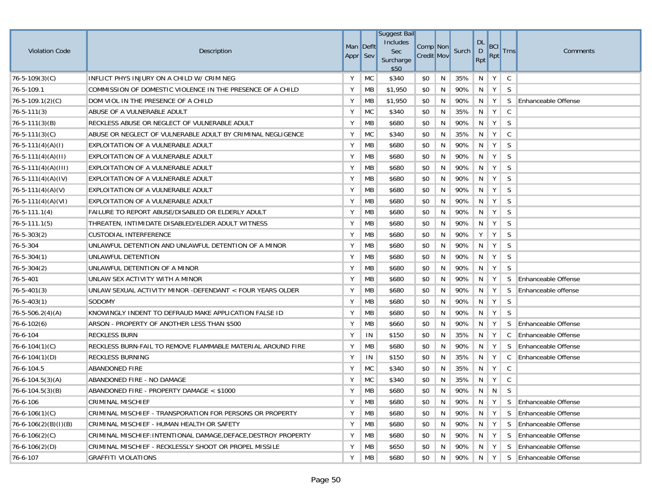| <b>Violation Code</b>    | Description                                                     | Man Deflt<br>Appr Sev |           | Suggest Bail<br>Includes<br>Sec<br>Surcharge<br>\$50 | Comp Non<br><b>Credit Mov</b> |   | Surch   | <b>DL</b><br>D<br><b>Rpt</b> | BCI<br>Rpt | <b>Trns</b>  | Comments                   |
|--------------------------|-----------------------------------------------------------------|-----------------------|-----------|------------------------------------------------------|-------------------------------|---|---------|------------------------------|------------|--------------|----------------------------|
| $76 - 5 - 109(3)(C)$     | INFLICT PHYS INJURY ON A CHILD W/ CRIM NEG                      | Y                     | <b>MC</b> | \$340                                                | \$0                           | N | 35%     | N                            | Y          | C            |                            |
| 76-5-109.1               | COMMISSION OF DOMESTIC VIOLENCE IN THE PRESENCE OF A CHILD      | Y                     | MB        | \$1,950                                              | \$0                           | N | 90%     | N                            | Y          | <sub>S</sub> |                            |
| $76 - 5 - 109.1(2)(C)$   | DOM VIOL IN THE PRESENCE OF A CHILD                             | Y                     | MB        | \$1,950                                              | \$0                           | N | 90%     | N                            | Y          |              | S Enhanceable Offense      |
| $76 - 5 - 111(3)$        | ABUSE OF A VULNERABLE ADULT                                     | Υ                     | <b>MC</b> | \$340                                                | \$0                           | N | 35%     | N                            | Y          | C            |                            |
| $76 - 5 - 111(3)(B)$     | RECKLESS ABUSE OR NEGLECT OF VULNERABLE ADULT                   | Y                     | MB        | \$680                                                | \$0                           | N | 90%     | N                            | Y          | S            |                            |
| $76 - 5 - 111(3)(C)$     | ABUSE OR NEGLECT OF VULNERABLE ADULT BY CRIMINAL NEGLIGENCE     | Y                     | <b>MC</b> | \$340                                                | \$0                           | N | 35%     | N                            | Y          | C            |                            |
| $76 - 5 - 111(4)(A)(I)$  | EXPLOITATION OF A VULNERABLE ADULT                              | Y                     | МB        | \$680                                                | \$0                           | N | 90%     | N                            | Y          | S            |                            |
| $76 - 5 - 111(4)(A)(II)$ | EXPLOITATION OF A VULNERABLE ADULT                              | Y                     | MB        | \$680                                                | \$0                           | N | 90%     | N                            | Y          | S            |                            |
| $ 76-5-111(4)(A)(III) $  | EXPLOITATION OF A VULNERABLE ADULT                              | Y                     | MB        | \$680                                                | \$0                           | N | 90%     | N                            | Y          | S            |                            |
| $76 - 5 - 111(4)(A)(IV)$ | EXPLOITATION OF A VULNERABLE ADULT                              | Y                     | MB        | \$680                                                | \$0                           | N | 90%     | N                            | Y          | S            |                            |
| $76 - 5 - 111(4)(A)(V)$  | EXPLOITATION OF A VULNERABLE ADULT                              | Y                     | МB        | \$680                                                | \$0                           | N | 90%     | N                            | Y          | S            |                            |
| $76 - 5 - 111(4)(A)(V)$  | EXPLOITATION OF A VULNERABLE ADULT                              | Y                     | MB        | \$680                                                | \$0                           | N | 90%     | N                            | Y          | S            |                            |
| $76 - 5 - 111.1(4)$      | FAILURE TO REPORT ABUSE/DISABLED OR ELDERLY ADULT               | Y                     | MB        | \$680                                                | \$0                           | N | 90%     | N                            | Y          | S            |                            |
| $76 - 5 - 111.1(5)$      | THREATEN, INTIMIDATE DISABLED/ELDER ADULT WITNESS               | Υ                     | MB        | \$680                                                | \$0                           | N | 90%     | N                            | Y          | S            |                            |
| $76 - 5 - 303(2)$        | <b>CUSTODIAL INTERFERENCE</b>                                   | Υ                     | МB        | \$680                                                | \$0                           | N | 90%     | Υ                            | Y          | S            |                            |
| 76-5-304                 | UNLAWFUL DETENTION AND UNLAWFUL DETENTION OF A MINOR            | Υ                     | MB        | \$680                                                | \$0                           | N | 90%     | N                            | Y          | S            |                            |
| $76 - 5 - 304(1)$        | UNLAWFUL DETENTION                                              | Y                     | MB        | \$680                                                | \$0                           | N | 90%     | N                            | Y          | S            |                            |
| $76 - 5 - 304(2)$        | UNLAWFUL DETENTION OF A MINOR                                   | Υ                     | MB        | \$680                                                | \$0                           | N | 90%     | N                            | Y          | S            |                            |
| 76-5-401                 | UNLAW SEX ACTIVITY WITH A MINOR                                 | Υ                     | MB        | \$680                                                | \$0                           | N | 90%     | N                            | Y          |              | S Enhanceable Offense      |
| $76 - 5 - 401(3)$        | UNLAW SEXUAL ACTIVITY MINOR -DEFENDANT < FOUR YEARS OLDER       | Υ                     | MB        | \$680                                                | \$0                           | N | 90%     | N                            | Y          | S            | Enhanceable offense        |
| $76 - 5 - 403(1)$        | SODOMY                                                          | Y                     | <b>MB</b> | \$680                                                | \$0                           | N | 90%     | N                            | Y          | S            |                            |
| $76 - 5 - 506.2(4)(A)$   | KNOWINGLY INDENT TO DEFRAUD MAKE APPLICATION FALSE ID           | Y                     | MB        | \$680                                                | \$0                           | N | 90%     | N                            | Y          | S            |                            |
| $76 - 6 - 102(6)$        | ARSON - PROPERTY OF ANOTHER LESS THAN \$500                     | Y                     | MB        | \$660                                                | \$0                           | N | 90%     | N                            | Y          |              | S Enhanceable Offense      |
| 76-6-104                 | <b>RECKLESS BURN</b>                                            | Y                     | IN        | \$150                                                | \$0                           | N | 35%     | N                            | Y          | C            | <b>Enhanceable Offense</b> |
| $76 - 6 - 104(1)(C)$     | RECKLESS BURN-FAIL TO REMOVE FLAMMABLE MATERIAL AROUND FIRE     | Y                     | MB        | \$680                                                | \$0                           | N | 90%     | $N$   $Y$                    |            |              | S Enhanceable Offense      |
| $76 - 6 - 104(1)(D)$     | <b>RECKLESS BURNING</b>                                         | Y                     | IN        | \$150                                                | \$0                           | N | 35%     | N                            | Y          |              | C Enhanceable Offense      |
| 76-6-104.5               | <b>ABANDONED FIRE</b>                                           | Υ                     | <b>MC</b> | \$340                                                | \$0                           | N | 35%     | N                            | Y          | C            |                            |
| $76-6-104.5(3)(A)$       | ABANDONED FIRE - NO DAMAGE                                      | Y                     | <b>MC</b> | \$340                                                | \$0                           | N | 35%     | N                            | Y          | C            |                            |
| $76 - 6 - 104.5(3)(B)$   | ABANDONED FIRE - PROPERTY DAMAGE < \$1000                       | Y                     | MB        | \$680                                                | \$0                           | N | 90%     | N                            | N          | S            |                            |
| 76-6-106                 | <b>CRIMINAL MISCHIEF</b>                                        | Y                     | МB        | \$680                                                | \$0                           | N | 90% N Y |                              |            |              | S Enhanceable Offense      |
| $76 - 6 - 106(1)(C)$     | CRIMINAL MISCHIEF - TRANSPORATION FOR PERSONS OR PROPERTY       | Y                     | МB        | \$680                                                | \$0                           | N | 90%     | N                            | Y          |              | S Enhanceable Offense      |
| $76-6-106(2)(B)(I)(B)$   | CRIMINAL MISCHIEF - HUMAN HEALTH OR SAFETY                      | Y                     | MB        | \$680                                                | \$0                           | N | 90%     | N.                           | Y          |              | S Enhanceable Offense      |
| $76 - 6 - 106(2)(C)$     | CRIMINAL MISCHIEF: INTENTIONAL DAMAGE, DEFACE, DESTROY PROPERTY | Υ                     | МB        | \$680                                                | \$0                           | N | 90%     | N                            | Y          |              | S Enhanceable Offense      |
| $76 - 6 - 106(2)(D)$     | CRIMINAL MISCHIEF - RECKLESSLY SHOOT OR PROPEL MISSILE          | Υ                     | МB        | \$650                                                | \$0                           | N | 90%     | N.                           | Y          | S.           | <b>Enhanceable Offense</b> |
| 76-6-107                 | <b>GRAFFITI VIOLATIONS</b>                                      | Y                     | МB        | \$680                                                | \$0                           | N | 90%     | N                            | Y          |              | S Enhanceable Offense      |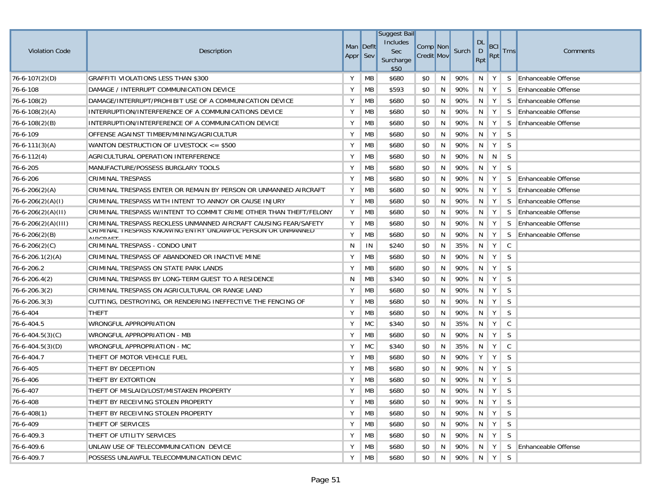| <b>Violation Code</b>   | Description                                                                      | Man Deflt<br>Appr Sev |           | <b>Suggest Bail</b><br>Includes<br>Sec<br>Surcharge<br>\$50 | Comp Non<br><b>Credit Mov</b> |    | Surch   | <b>DL</b><br>$\mathsf{D}$<br>Rpt | <b>BCI</b><br>Rpt | <b>Trns</b> | Comments                   |
|-------------------------|----------------------------------------------------------------------------------|-----------------------|-----------|-------------------------------------------------------------|-------------------------------|----|---------|----------------------------------|-------------------|-------------|----------------------------|
| $76 - 6 - 107(2)(D)$    | <b>GRAFFITI VIOLATIONS LESS THAN \$300</b>                                       | Y                     | MB        | \$680                                                       | \$0                           | N  | 90%     | N                                | Y                 | S.          | Enhanceable Offense        |
| 76-6-108                | DAMAGE / INTERRUPT COMMUNICATION DEVICE                                          | Υ                     | MB        | \$593                                                       | \$0                           | N  | 90%     | N                                | Y                 | S           | <b>Enhanceable Offense</b> |
| 76-6-108(2)             | DAMAGE/INTERRUPT/PROHIBIT USE OF A COMMUNICATION DEVICE                          | Υ                     | MB        | \$680                                                       | \$0                           | N  | 90%     | N                                | Y                 | S.          | Enhanceable Offense        |
| $76 - 6 - 108(2)(A)$    | INTERRUPTION/INTERFERENCE OF A COMMUNICATIONS DEVICE                             | Υ                     | MB        | \$680                                                       | \$0                           | N  | 90%     | -N                               | Y                 | S.          | <b>Enhanceable Offense</b> |
| $76 - 6 - 108(2)(B)$    | INTERRUPTION/INTERFERENCE OF A COMMUNICATION DEVICE                              | Υ                     | MB        | \$680                                                       | \$0                           | N  | 90%     | N                                | Y                 | S           | <b>Enhanceable Offense</b> |
| 76-6-109                | OFFENSE AGAINST TIMBER/MINING/AGRICULTUR                                         | Υ                     | <b>MB</b> | \$680                                                       | \$0                           | N  | 90%     | N                                | Y                 | S           |                            |
| $76 - 6 - 111(3)(A)$    | WANTON DESTRUCTION OF LIVESTOCK $\le$ \$500                                      | Y                     | MB        | \$680                                                       | \$0                           | N  | 90%     | N                                | Y                 | S           |                            |
| $76 - 6 - 112(4)$       | AGRICULTURAL OPERATION INTERFERENCE                                              | Υ                     | MB        | \$680                                                       | \$0                           | N  | 90%     | N                                | N                 | S           |                            |
| 76-6-205                | MANUFACTURE/POSSESS BURGLARY TOOLS                                               | Υ                     | MB        | \$680                                                       | \$0                           | N  | 90%     | N                                | Y                 | S           |                            |
| 76-6-206                | <b>CRIMINAL TRESPASS</b>                                                         | Υ                     | MB        | \$680                                                       | \$0                           | N  | 90%     | N                                | Y                 | S           | <b>Enhanceable Offense</b> |
| $76 - 6 - 206(2)(A)$    | CRIMINAL TRESPASS ENTER OR REMAIN BY PERSON OR UNMANNED AIRCRAFT                 | Υ                     | <b>MB</b> | \$680                                                       | \$0                           | N  | 90%     | N                                | Y                 | S           | <b>Enhanceable Offense</b> |
| $76 - 6 - 206(2)(A)(I)$ | CRIMINAL TRESPASS WITH INTENT TO ANNOY OR CAUSE INJURY                           | Υ                     | <b>MB</b> | \$680                                                       | \$0                           | N  | 90%     | N                                | Y                 | S           | Enhanceable Offense        |
| $76-6-206(2)(A)(II)$    | CRIMINAL TRESPASS W/INTENT TO COMMIT CRIME OTHER THAN THEFT/FELONY               | Υ                     | MB        | \$680                                                       | \$0                           | N  | 90%     | N                                | Y                 | S           | Enhanceable Offense        |
| 76-6-206(2)(A)(III)     | CRIMINAL TRESPASS RECKLESS UNMANNED AIRCRAFT CAUSING FEAR/SAFETY                 | Υ                     | MB        | \$680                                                       | \$0                           | N  | 90%     | N                                | Y                 | S           | <b>Enhanceable Offense</b> |
| 76-6-206(2)(B)          | URIINIINAL TRESPASS KNUWING ENTRY UNLAWFUL PERSUN UR UNMANNED<br><b>AIDCDAET</b> | Υ                     | <b>MB</b> | \$680                                                       | \$0                           | N  | 90%     | N                                | Y                 | S           | Enhanceable Offense        |
| $76 - 6 - 206(2)(C)$    | CRIMINAL TRESPASS - CONDO UNIT                                                   | N                     | IN        | \$240                                                       | \$0                           | N  | 35%     | N                                | Y                 | C           |                            |
| $76 - 6 - 206.1(2)(A)$  | CRIMINAL TRESPASS OF ABANDONED OR INACTIVE MINE                                  | Υ                     | MB        | \$680                                                       | \$0                           | N  | 90%     | N                                | Y                 | S           |                            |
| 76-6-206.2              | CRIMINAL TRESPASS ON STATE PARK LANDS                                            | Υ                     | МB        | \$680                                                       | \$0                           | N  | 90%     | N                                | Y                 | S           |                            |
| $76 - 6 - 206.4(2)$     | CRIMINAL TRESPASS BY LONG-TERM GUEST TO A RESIDENCE                              | N                     | МB        | \$340                                                       | \$0                           | N  | 90%     | N                                | Y                 | S           |                            |
| 76-6-206.3(2)           | CRIMINAL TRESPASS ON AGRICULTURAL OR RANGE LAND                                  | Υ                     | MB        | \$680                                                       | \$0                           | N  | 90%     | N                                | Y                 | S           |                            |
| $76 - 6 - 206.3(3)$     | CUTTING, DESTROYING, OR RENDERING INEFFECTIVE THE FENCING OF                     | Υ                     | <b>MB</b> | \$680                                                       | \$0                           | N  | 90%     | N                                | Y                 | S           |                            |
| 76-6-404                | <b>THEFT</b>                                                                     | Υ                     | <b>MB</b> | \$680                                                       | \$0                           | N  | 90%     | N                                | Y                 | S           |                            |
| 76-6-404.5              | WRONGFUL APPROPRIATION                                                           | Υ                     | <b>MC</b> | \$340                                                       | \$0                           | N  | 35%     | N                                | Y                 | C           |                            |
| $76 - 6 - 404.5(3)(C)$  | WRONGFUL APPROPRIATION - MB                                                      | Υ                     | <b>MB</b> | \$680                                                       | \$0                           | N  | 90%     | N                                | Y                 | S           |                            |
| $76 - 6 - 404.5(3)(D)$  | WRONGFUL APPROPRIATION - MC                                                      | Υ                     | <b>MC</b> | \$340                                                       | \$0                           | N  | 35%     | N                                | Y                 | C           |                            |
| 76-6-404.7              | THEFT OF MOTOR VEHICLE FUEL                                                      | Υ                     | <b>MB</b> | \$680                                                       | \$0                           | N  | 90%     | Υ                                | Y                 | S           |                            |
| 76-6-405                | THEFT BY DECEPTION                                                               | Υ                     | MB        | \$680                                                       | \$0                           | N  | 90%     | N                                | Y                 | S           |                            |
| 76-6-406                | THEFT BY EXTORTION                                                               | Y                     | <b>MB</b> | \$680                                                       | \$0                           | N  | 90%     | N                                | Y                 | S           |                            |
| 76-6-407                | THEFT OF MISLAID/LOST/MISTAKEN PROPERTY                                          | Υ                     | MB        | \$680                                                       | \$0                           | N  | 90%     | N                                | Y                 | S           |                            |
| 76-6-408                | THEFT BY RECEIVING STOLEN PROPERTY                                               | Y                     | MB        | \$680                                                       | \$0                           | N  | 90% N Y |                                  |                   | S.          |                            |
| $76 - 6 - 408(1)$       | THEFT BY RECEIVING STOLEN PROPERTY                                               | Y                     | МB        | \$680                                                       | \$0                           | N. | 90%     | $\parallel$ N                    | Y                 | S           |                            |
| 76-6-409                | THEFT OF SERVICES                                                                | Y                     | MB        | \$680                                                       | \$0                           | N  | 90%     | N                                | Y                 | S           |                            |
| 76-6-409.3              | THEFT OF UTILITY SERVICES                                                        | Υ                     | MB        | \$680                                                       | \$0                           | N  | 90%     | N                                | Y                 | S.          |                            |
| 76-6-409.6              | UNLAW USE OF TELECOMMUNICATION DEVICE                                            | Υ                     | МB        | \$680                                                       | \$0                           | N  | 90%     | N                                | Y                 | S           | <b>Enhanceable Offense</b> |
| 76-6-409.7              | POSSESS UNLAWFUL TELECOMMUNICATION DEVIC                                         | Υ                     | MB        | \$680                                                       | \$0                           | N  | 90%     | $\parallel$ N                    | $\parallel$ Y     | S           |                            |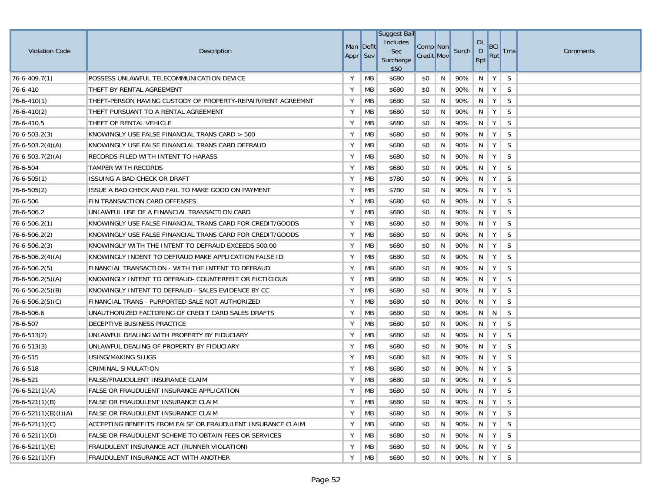|                        |                                                              |          |           | <b>Suggest Bail</b> |                   |   |       |                |            |              |          |
|------------------------|--------------------------------------------------------------|----------|-----------|---------------------|-------------------|---|-------|----------------|------------|--------------|----------|
| <b>Violation Code</b>  | Description                                                  |          | Man Defit | Includes<br>Sec     | Comp Non          |   | Surch | <b>DL</b><br>D | <b>BCI</b> | <b>Trns</b>  | Comments |
|                        |                                                              | Appr Sev |           | Surcharge<br>\$50   | <b>Credit Mov</b> |   |       | Rpt            | <b>Rpt</b> |              |          |
| $76 - 6 - 409.7(1)$    | POSSESS UNLAWFUL TELECOMMUNICATION DEVICE                    | Y        | MB        | \$680               | \$0               | N | 90%   | N              | Y          | S            |          |
| 76-6-410               | THEFT BY RENTAL AGREEMENT                                    | Υ        | MB        | \$680               | \$0               | N | 90%   | N              | Y          | <sub>S</sub> |          |
| $76 - 6 - 410(1)$      | THEFT-PERSON HAVING CUSTODY OF PROPERTY-REPAIR/RENT AGREEMNT | Υ        | MB        | \$680               | \$0               | N | 90%   | N              | Y          | S            |          |
| $76 - 6 - 410(2)$      | THEFT PURSUANT TO A RENTAL AGREEMENT                         | Υ        | <b>MB</b> | \$680               | \$0               | N | 90%   | N              | Y          | S            |          |
| 76-6-410.5             | THEFT OF RENTAL VEHICLE                                      | Υ        | MB        | \$680               | \$0               | N | 90%   | N              | Y          | S            |          |
| $76 - 6 - 503.2(3)$    | KNOWINGLY USE FALSE FINANCIAL TRANS CARD > 500               | Υ        | MB        | \$680               | \$0               | N | 90%   | N              | Y          | S            |          |
| $76 - 6 - 503.2(4)(A)$ | KNOWINGLY USE FALSE FINANCIAL TRANS CARD DEFRAUD             | Υ        | MB        | \$680               | \$0               | N | 90%   | N              | Y          | S            |          |
| $76 - 6 - 503.7(2)(A)$ | RECORDS FILED WITH INTENT TO HARASS                          | Υ        | MB        | \$680               | \$0               | N | 90%   | N              | Y          | S            |          |
| 76-6-504               | TAMPER WITH RECORDS                                          | Υ        | MB        | \$680               | \$0               | N | 90%   | N              | Y          | S            |          |
| $76 - 6 - 505(1)$      | ISSUING A BAD CHECK OR DRAFT                                 | Υ        | MB        | \$780               | \$0               | N | 90%   | N              | Y          | S            |          |
| $76 - 6 - 505(2)$      | ISSUE A BAD CHECK AND FAIL TO MAKE GOOD ON PAYMENT           | Υ        | MB        | \$780               | \$0               | N | 90%   | N              | Y          | S            |          |
| 76-6-506               | FIN TRANSACTION CARD OFFENSES                                | Υ        | <b>MB</b> | \$680               | \$0               | N | 90%   | N              | Y          | S            |          |
| 76-6-506.2             | UNLAWFUL USE OF A FINANCIAL TRANSACTION CARD                 | Υ        | MB        | \$680               | \$0               | N | 90%   | N              | Y          | S            |          |
| $76 - 6 - 506.2(1)$    | KNOWINGLY USE FALSE FINANCIAL TRANS CARD FOR CREDIT/GOODS    | Υ        | <b>MB</b> | \$680               | \$0               | N | 90%   | N              | Y          | S            |          |
| $76 - 6 - 506.2(2)$    | KNOWINGLY USE FALSE FINANCIAL TRANS CARD FOR CREDIT/GOODS    | Υ        | MB        | \$680               | \$0               | N | 90%   | N              | Y          | S            |          |
| $76 - 6 - 506.2(3)$    | KNOWINGLY WITH THE INTENT TO DEFRAUD EXCEEDS 500.00          | Υ        | MB        | \$680               | \$0               | N | 90%   | N              | Y          | S            |          |
| $76 - 6 - 506.2(4)(A)$ | KNOWINGLY INDENT TO DEFRAUD MAKE APPLICATION FALSE ID        | Υ        | MB        | \$680               | \$0               | N | 90%   | N              | Y          | S            |          |
| $76 - 6 - 506.2(5)$    | FINANCIAL TRANSACTION - WITH THE INTENT TO DEFRAUD           | Υ        | MB        | \$680               | \$0               | N | 90%   | N              | Y          | S            |          |
| $76 - 6 - 506.2(5)(A)$ | KNOWINGLY INTENT TO DEFRAUD- COUNTERFEIT OR FICTICIOUS       | Υ        | MB        | \$680               | \$0               | N | 90%   | N <sub>N</sub> | Y          | S            |          |
| $76 - 6 - 506.2(5)(B)$ | KNOWINGLY INTENT TO DEFRAUD - SALES EVIDENCE BY CC           | Υ        | MB        | \$680               | \$0               | N | 90%   | N              | Y          | S            |          |
| $76 - 6 - 506.2(5)(C)$ | FINANCIAL TRANS - PURPORTED SALE NOT AUTHORIZED              | Υ        | MB        | \$680               | \$0               | N | 90%   | N              | Y          | S            |          |
| 76-6-506.6             | UNAUTHORIZED FACTORING OF CREDIT CARD SALES DRAFTS           | Υ        | MB        | \$680               | \$0               | N | 90%   | N              | N          | S            |          |
| 76-6-507               | DECEPTIVE BUSINESS PRACTICE                                  | Υ        | MB        | \$680               | \$0               | N | 90%   | $\mathsf{N}$   | Y          | S            |          |
| $76 - 6 - 513(2)$      | UNLAWFUL DEALING WITH PROPERTY BY FIDUCIARY                  | Υ        | MB        | \$680               | \$0               | N | 90%   | N              | Y          | S            |          |
| $76 - 6 - 513(3)$      | UNLAWFUL DEALING OF PROPERTY BY FIDUCIARY                    | Υ        | MB        | \$680               | \$0               | N | 90%   | N              | Y          | S            |          |
| 76-6-515               | USING/MAKING SLUGS                                           | Υ        | MB        | \$680               | \$0               | N | 90%   | $\mathsf{N}$   | Y          | S            |          |
| 76-6-518               | CRIMINAL SIMULATION                                          | Υ        | MB        | \$680               | \$0               | N | 90%   | N              | Y          | S            |          |
| 76-6-521               | FALSE/FRAUDULENT INSURANCE CLAIM                             | Y        | MB        | \$680               | \$0               | N | 90%   | N              | Y          | S            |          |
| $76 - 6 - 521(1)(A)$   | FALSE OR FRAUDULENT INSURANCE APPLICATION                    | Υ        | MB        | \$680               | \$0               | N | 90%   | $\mathsf{N}$   | Y          | S            |          |
| $76 - 6 - 521(1)(B)$   | FALSE OR FRAUDULENT INSURANCE CLAIM                          | Y        | <b>MB</b> | \$680               | \$0               | N | 90%   | $\blacksquare$ | $Y \mid$   | S            |          |
| $76-6-521(1)(B)(I)(A)$ | FALSE OR FRAUDULENT INSURANCE CLAIM                          | Υ        | МB        | \$680               | \$0               | N | 90%   | N.             | Y          | S            |          |
| $76-6-521(1)(C)$       | ACCEPTING BENEFITS FROM FALSE OR FRAUDULENT INSURANCE CLAIM  | Y        | MB        | \$680               | \$0               | N | 90%   | N              | Y          | S            |          |
| $76-6-521(1)(D)$       | FALSE OR FRAUDULENT SCHEME TO OBTAIN FEES OR SERVICES        | Υ        | МB        | \$680               | \$0               | N | 90%   | N <sub>1</sub> | Y          | S            |          |
| 76-6-521(1)(E)         | FRAUDULENT INSURANCE ACT (RUNNER VIOLATION)                  | Υ        | МB        | \$680               | \$0               | N | 90%   | N              | $Y \mid$   | S.           |          |
| $76 - 6 - 521(1)(F)$   | FRAUDULENT INSURANCE ACT WITH ANOTHER                        | Y        | MB        | \$680               | \$0               | N | 90%   | $\parallel$ N  | Y          | S            |          |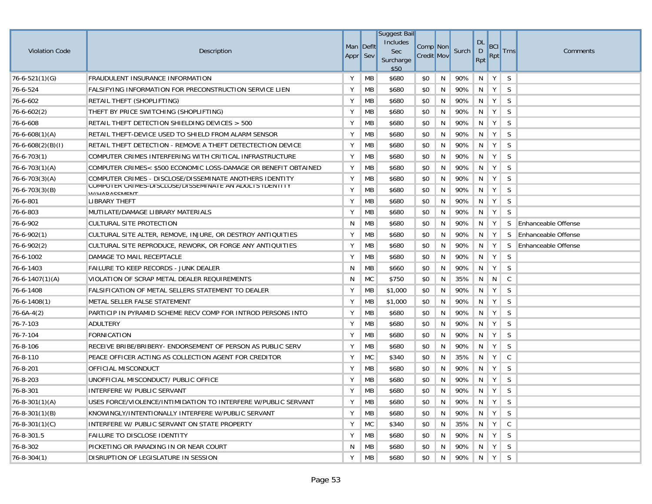|                       |                                                                                             |           |           | <b>Suggest Bail</b>    |                   |   |       |                |                         |              |                            |
|-----------------------|---------------------------------------------------------------------------------------------|-----------|-----------|------------------------|-------------------|---|-------|----------------|-------------------------|--------------|----------------------------|
| <b>Violation Code</b> | Description                                                                                 | Man Deflt |           | Includes<br><b>Sec</b> | Comp Non          |   | Surch | <b>DL</b><br>D | <b>BCI</b>              | <b>Trns</b>  | Comments                   |
|                       |                                                                                             | Appr Sev  |           | Surcharge<br>\$50      | <b>Credit Mov</b> |   |       | Rpt            | <b>Rpt</b>              |              |                            |
| $76 - 6 - 521(1)(G)$  | FRAUDULENT INSURANCE INFORMATION                                                            | Υ         | <b>MB</b> | \$680                  | \$0               | N | 90%   | N              | Y                       | S            |                            |
| 76-6-524              | FALSIFYING INFORMATION FOR PRECONSTRUCTION SERVICE LIEN                                     | Y         | МB        | \$680                  | \$0               | N | 90%   | N              | Y                       | S            |                            |
| 76-6-602              | RETAIL THEFT (SHOPLIFTING)                                                                  | Υ         | MB        | \$680                  | \$0               | N | 90%   | N              | Y                       | S            |                            |
| $76 - 6 - 602(2)$     | THEFT BY PRICE SWITCHING (SHOPLIFTING)                                                      | Υ         | МB        | \$680                  | \$0               | N | 90%   | N              | Y                       | S            |                            |
| 76-6-608              | RETAIL THEFT DETECTION SHIELDING DEVICES > 500                                              | Υ         | MB        | \$680                  | \$0               | N | 90%   | N              | Y                       | S            |                            |
| 76-6-608(1)(A)        | RETAIL THEFT-DEVICE USED TO SHIELD FROM ALARM SENSOR                                        | Y         | МB        | \$680                  | \$0               | N | 90%   | N              | Y                       | S            |                            |
| $ 76-6-608(2)(B)(I) $ | RETAIL THEFT DETECTION - REMOVE A THEFT DETECTECTION DEVICE                                 | Y         | МB        | \$680                  | \$0               | N | 90%   | N              | Y                       | S            |                            |
| $76 - 6 - 703(1)$     | COMPUTER CRIMES INTERFERING WITH CRITICAL INFRASTRUCTURE                                    | Υ         | МB        | \$680                  | \$0               | N | 90%   | N              | Y                       | S            |                            |
| $76 - 6 - 703(1)(A)$  | COMPUTER CRIMES< \$500 ECONOMIC LOSS-DAMAGE OR BENEFIT OBTAINED                             | Y         | МB        | \$680                  | \$0               | N | 90%   | N              | Y                       | S            |                            |
| $76 - 6 - 703(3)(A)$  | COMPUTER CRIMES - DISCLOSE/DISSEMINATE ANOTHERS IDENTITY                                    | Y         | МB        | \$680                  | \$0               | N | 90%   | N              | Y                       | S            |                            |
| $76 - 6 - 703(3)(B)$  | <b>UUIMPUTER URIIMES-DISULUSE/DISSEMIINATE AN ADULTS IDENTITY</b><br><b>W//LIADACCMENIT</b> | Y         | МB        | \$680                  | \$0               | N | 90%   | N              | Y                       | S            |                            |
| 76-6-801              | LIBRARY THEFT                                                                               | Υ         | МB        | \$680                  | \$0               | N | 90%   | N              | Y                       | S            |                            |
| 76-6-803              | MUTILATE/DAMAGE LIBRARY MATERIALS                                                           | Y         | МB        | \$680                  | \$0               | N | 90%   | N              | Y                       | S            |                            |
| 76-6-902              | <b>CULTURAL SITE PROTECTION</b>                                                             | N         | МB        | \$680                  | \$0               | N | 90%   | N              | Y                       | S.           | <b>Enhanceable Offense</b> |
| 76-6-902(1)           | CULTURAL SITE ALTER, REMOVE, INJURE, OR DESTROY ANTIQUITIES                                 | Υ         | MВ        | \$680                  | \$0               | N | 90%   | N              | Y                       | S            | <b>Enhanceable Offense</b> |
| 76-6-902(2)           | CULTURAL SITE REPRODUCE, REWORK, OR FORGE ANY ANTIQUITIES                                   | Υ         | MB        | \$680                  | \$0               | N | 90%   | N              | Y                       | S            | <b>Enhanceable Offense</b> |
| 76-6-1002             | DAMAGE TO MAIL RECEPTACLE                                                                   | Υ         | МB        | \$680                  | \$0               | N | 90%   | N              | Y                       | S            |                            |
| 76-6-1403             | FAILURE TO KEEP RECORDS - JUNK DEALER                                                       | N         | MB        | \$660                  | \$0               | N | 90%   | N              | Y                       | S            |                            |
| $76 - 6 - 1407(1)(A)$ | VIOLATION OF SCRAP METAL DEALER REQUIREMENTS                                                | N         | MC        | \$750                  | \$0               | N | 35%   | N              | N                       | C            |                            |
| 76-6-1408             | FALSIFICATION OF METAL SELLERS STATEMENT TO DEALER                                          | Υ         | МB        | \$1,000                | \$0               | N | 90%   | N              | Y                       | S            |                            |
| $76 - 6 - 1408(1)$    | METAL SELLER FALSE STATEMENT                                                                | Y         | MB        | \$1,000                | \$0               | N | 90%   | N              | Y                       | S            |                            |
| $76 - 6A - 4(2)$      | PARTICIP IN PYRAMID SCHEME RECV COMP FOR INTROD PERSONS INTO                                | Υ         | MB        | \$680                  | \$0               | N | 90%   | N              | Y                       | S            |                            |
| 76-7-103              | ADULTERY                                                                                    | Υ         | MB        | \$680                  | \$0               | N | 90%   | N              | Y                       | S            |                            |
| 76-7-104              | FORNICATION                                                                                 | Υ         | MB        | \$680                  | \$0               | N | 90%   | N              | Y                       | S            |                            |
| 76-8-106              | RECEIVE BRIBE/BRIBERY- ENDORSEMENT OF PERSON AS PUBLIC SERV                                 | Υ         | MB        | \$680                  | \$0               | N | 90%   | N              | Y                       | S            |                            |
| 76-8-110              | PEACE OFFICER ACTING AS COLLECTION AGENT FOR CREDITOR                                       | Υ         | <b>MC</b> | \$340                  | \$0               | N | 35%   | N              | Y                       | C            |                            |
| 76-8-201              | OFFICIAL MISCONDUCT                                                                         | Y         | МB        | \$680                  | \$0               | N | 90%   | N              | Y                       | S            |                            |
| 76-8-203              | UNOFFICIAL MISCONDUCT/ PUBLIC OFFICE                                                        | Υ         | МB        | \$680                  | \$0               | N | 90%   | N              | Y                       | S            |                            |
| 76-8-301              | INTERFERE W/ PUBLIC SERVANT                                                                 | Y         | MB        | \$680                  | \$0               | N | 90%   | N              | Y                       | S            |                            |
| $76 - 8 - 301(1)(A)$  | USES FORCE/VIOLENCE/INTIMIDATION TO INTERFERE W/PUBLIC SERVANT                              | Y         | <b>MB</b> | \$680                  | \$0               | N | 90%   |                | $N$ $Y$ $S$             |              |                            |
| $76 - 8 - 301(1)(B)$  | KNOWINGLY/INTENTIONALLY INTERFERE W/PUBLIC SERVANT                                          | Υ         | MB        | \$680                  | \$0               | N | 90%   | N.             | Y                       | S.           |                            |
| $76 - 8 - 301(1)(C)$  | INTERFERE W/ PUBLIC SERVANT ON STATE PROPERTY                                               | Υ         | <b>MC</b> | \$340                  | \$0               | N | 35%   | N              | $Y \mid$                | $\mathsf{C}$ |                            |
| 76-8-301.5            | <b>FAILURE TO DISCLOSE IDENTITY</b>                                                         | Y         | МB        | \$680                  | \$0               | N | 90%   | N              | Y                       | S            |                            |
| 76-8-302              | PICKETING OR PARADING IN OR NEAR COURT                                                      | N         | <b>MB</b> | \$680                  | \$0               | N | 90%   | N              | Y                       | S.           |                            |
| $76 - 8 - 304(1)$     | DISRUPTION OF LEGISLATURE IN SESSION                                                        | Y         | <b>MB</b> | \$680                  | \$0               | N | 90%   |                | $\vert N \vert Y \vert$ | S.           |                            |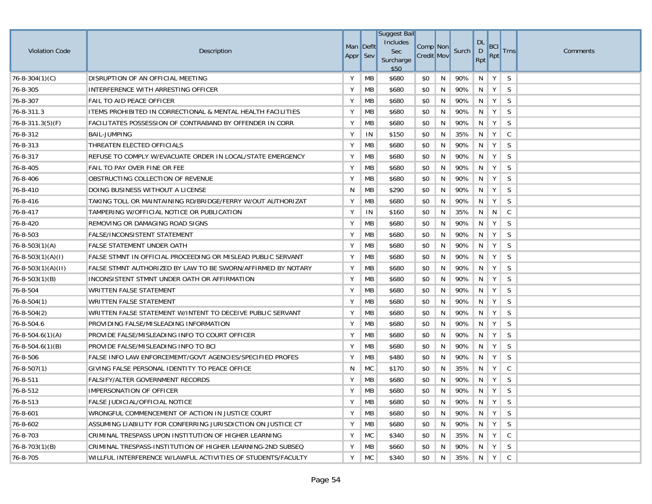| <b>Violation Code</b>    | Description                                                  | Man Deflt<br>Appr Sev |    | <b>Suggest Bail</b><br>Includes<br>Sec<br>Surcharge<br>\$50 | Comp <sup>Non</sup><br><b>Credit Mov</b> |   | Surch | <b>DL</b><br>$\mathsf{D}$<br>Rpt | <b>BCI</b><br>Rpt | <b>Trns</b>  | <b>Comments</b> |
|--------------------------|--------------------------------------------------------------|-----------------------|----|-------------------------------------------------------------|------------------------------------------|---|-------|----------------------------------|-------------------|--------------|-----------------|
| $76 - 8 - 304(1)(C)$     | DISRUPTION OF AN OFFICIAL MEETING                            | Υ                     | MB | \$680                                                       | \$0                                      | N | 90%   | N                                | Y                 | S            |                 |
| 76-8-305                 | INTERFERENCE WITH ARRESTING OFFICER                          | Y                     | MB | \$680                                                       | \$0                                      | N | 90%   | N                                | Y                 | S            |                 |
| 76-8-307                 | FAIL TO AID PEACE OFFICER                                    | Υ                     | MB | \$680                                                       | \$0                                      | N | 90%   | N                                | Y                 | <sub>S</sub> |                 |
| 76-8-311.3               | ITEMS PROHIBITED IN CORRECTIONAL & MENTAL HEALTH FACILITIES  | Υ                     | MB | \$680                                                       | \$0                                      | N | 90%   | N                                | Y                 | S            |                 |
| $76 - 8 - 311.3(5) (F)$  | FACILITATES POSSESSION OF CONTRABAND BY OFFENDER IN CORR     | Υ                     | MB | \$680                                                       | \$0                                      | N | 90%   | N                                | Υ                 | S            |                 |
| 76-8-312                 | <b>BAIL-JUMPING</b>                                          | Υ                     | IN | \$150                                                       | \$0                                      | N | 35%   | N                                | Υ                 | $\mathsf{C}$ |                 |
| 76-8-313                 | THREATEN ELECTED OFFICIALS                                   | Υ                     | МB | \$680                                                       | \$0                                      | N | 90%   | N                                | Y                 | <sub>S</sub> |                 |
| 76-8-317                 | REFUSE TO COMPLY W/EVACUATE ORDER IN LOCAL/STATE EMERGENCY   | Υ                     | МB | \$680                                                       | \$0                                      | N | 90%   | N                                | Y                 | S            |                 |
| 76-8-405                 | FAIL TO PAY OVER FINE OR FEE                                 | Υ                     | MB | \$680                                                       | \$0                                      | N | 90%   | N                                | Y                 | S            |                 |
| 76-8-406                 | OBSTRUCTING COLLECTION OF REVENUE                            | Y                     | MB | \$680                                                       | \$0                                      | N | 90%   | N                                | Y                 | S            |                 |
| 76-8-410                 | DOING BUSINESS WITHOUT A LICENSE                             | N                     | MB | \$290                                                       | \$0                                      | N | 90%   | N                                | Υ                 | S            |                 |
| 76-8-416                 | TAKING TOLL OR MAINTAINING RD/BRIDGE/FERRY W/OUT AUTHORIZAT  | Y                     | МB | \$680                                                       | \$0                                      | N | 90%   | N                                | Υ                 | S            |                 |
| 76-8-417                 | TAMPERING W/OFFICIAL NOTICE OR PUBLICATION                   | Υ                     | IN | \$160                                                       | \$0                                      | N | 35%   | N                                | N                 | C.           |                 |
| 76-8-420                 | REMOVING OR DAMAGING ROAD SIGNS                              | Υ                     | МB | \$680                                                       | \$0                                      | N | 90%   | N                                | Υ                 | S            |                 |
| 76-8-503                 | <b>FALSE/INCONSISTENT STATEMENT</b>                          | Υ                     | МB | \$680                                                       | \$0                                      | N | 90%   | N                                | Υ                 | S            |                 |
| $76 - 8 - 503(1)(A)$     | <b>FALSE STATEMENT UNDER OATH</b>                            | Υ                     | MB | \$680                                                       | \$0                                      | N | 90%   | N                                | Υ                 | S            |                 |
| $76 - 8 - 503(1)(A)(I)$  | FALSE STMNT IN OFFICIAL PROCEEDING OR MISLEAD PUBLIC SERVANT | Υ                     | MB | \$680                                                       | \$0                                      | N | 90%   | N                                | Y                 | S            |                 |
| $76 - 8 - 503(1)(A)(II)$ | FALSE STMNT AUTHORIZED BY LAW TO BE SWORN/AFFIRMED BY NOTARY | Y                     | MB | \$680                                                       | \$0                                      | N | 90%   | N                                | Y                 | S            |                 |
| $76 - 8 - 503(1)(B)$     | INCONSISTENT STMNT UNDER OATH OR AFFIRMATION                 | Υ                     | МB | \$680                                                       | \$0                                      | N | 90%   | N                                | Υ                 | S            |                 |
| 76-8-504                 | WRITTEN FALSE STATEMENT                                      | Υ                     | МB | \$680                                                       | \$0                                      | N | 90%   | N                                | Υ                 | S            |                 |
| $76 - 8 - 504(1)$        | <b>WRITTEN FALSE STATEMENT</b>                               | Υ                     | МB | \$680                                                       | \$0                                      | N | 90%   | N                                | Υ                 | S            |                 |
| $76 - 8 - 504(2)$        | WRITTEN FALSE STATEMENT W/INTENT TO DECEIVE PUBLIC SERVANT   | Υ                     | MB | \$680                                                       | \$0                                      | N | 90%   | N                                | Y                 | S            |                 |
| 76-8-504.6               | PROVIDING FALSE/MISLEADING INFORMATION                       | Υ                     | МB | \$680                                                       | \$0                                      | N | 90%   | N                                | Υ                 | S            |                 |
| $76 - 8 - 504.6(1)(A)$   | PROVIDE FALSE/MISLEADING INFO TO COURT OFFICER               | Υ                     | МB | \$680                                                       | \$0                                      | N | 90%   | N                                | Y                 | S            |                 |
| 76-8-504.6(1)(B)         | PROVIDE FALSE/MISLEADING INFO TO BCI                         | Υ                     | МB | \$680                                                       | \$0                                      | N | 90%   | N                                | Υ                 | S            |                 |
| 76-8-506                 | FALSE INFO LAW ENFORCEMEMT/GOVT AGENCIES/SPECIFIED PROFES    | Υ                     | MB | \$480                                                       | \$0                                      | N | 90%   | N                                | Υ                 | S            |                 |
| $76 - 8 - 507(1)$        | GIVING FALSE PERSONAL IDENTITY TO PEACE OFFICE               | N                     | MC | \$170                                                       | \$0                                      | N | 35%   | N                                | Υ                 | C            |                 |
| 76-8-511                 | <b>FALSIFY/ALTER GOVERNMENT RECORDS</b>                      | Υ                     | MB | \$680                                                       | \$0                                      | N | 90%   | N                                | Υ                 | S            |                 |
| 76-8-512                 | IMPERSONATION OF OFFICER                                     | Y                     | MB | \$680                                                       | \$0                                      | N | 90%   | N                                | Υ                 | S            |                 |
| 76-8-513                 | FALSE JUDICIAL/OFFICIAL NOTICE                               | Y                     | МB | \$680                                                       | \$0                                      | N | 90%   |                                  | N Y S             |              |                 |
| 76-8-601                 | WRONGFUL COMMENCEMENT OF ACTION IN JUSTICE COURT             | Υ                     | МB | \$680                                                       | \$0                                      | N | 90%   | N.                               | Y                 | S            |                 |
| 76-8-602                 | ASSUMING LIABILITY FOR CONFERRING JURISDICTION ON JUSTICE CT | Υ                     | MB | \$680                                                       | \$0                                      | N | 90%   | N                                | Y                 | S            |                 |
| 76-8-703                 | CRIMINAL TRESPASS UPON INSTITUTION OF HIGHER LEARNING        | Υ                     | MC | \$340                                                       | \$0                                      | N | 35%   | $N$   Y                          |                   | $\mathsf{C}$ |                 |
| $76 - 8 - 703(1)(B)$     | CRIMINAL TRESPASS-INSTITUTION OF HIGHER LEARNING-2ND SUBSEQ  | Υ                     | МB | \$660                                                       | \$0                                      | N | 90%   | N                                | Y                 | S.           |                 |
| 76-8-705                 | WILLFUL INTERFERENCE W/LAWFUL ACTIVITIES OF STUDENTS/FACULTY | Υ                     | MC | \$340                                                       | \$0                                      | N | 35%   | $N$ $Y$                          |                   | $\mathsf{C}$ |                 |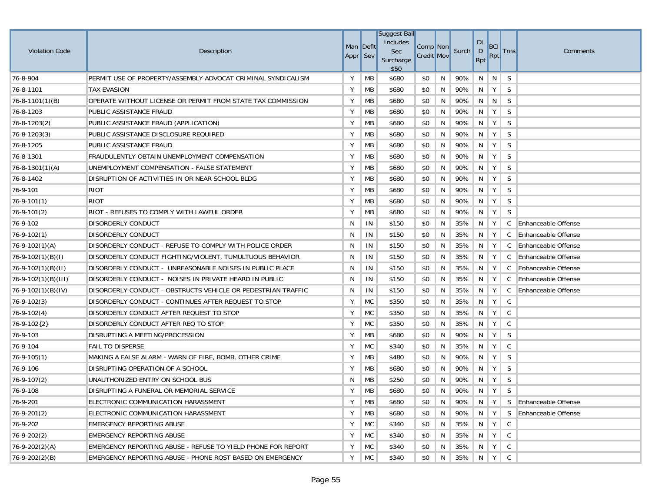| <b>Violation Code</b> | Description                                                  | Man Deflt<br>Appr Sev |           | <b>Suggest Bail</b><br>Includes<br>Sec<br>Surcharge<br>\$50 | Comp Non<br><b>Credit Mov</b> |   | Surch   | <b>DL</b><br>$\mathsf{D}$<br>Rpt    | <b>BCI</b><br>Rpt | <b>Trns</b>  | Comments                   |
|-----------------------|--------------------------------------------------------------|-----------------------|-----------|-------------------------------------------------------------|-------------------------------|---|---------|-------------------------------------|-------------------|--------------|----------------------------|
| 76-8-904              | PERMIT USE OF PROPERTY/ASSEMBLY ADVOCAT CRIMINAL SYNDICALISM | Y                     | <b>MB</b> | \$680                                                       | \$0                           | N | 90%     | N                                   | N                 | <sub>S</sub> |                            |
| 76-8-1101             | <b>TAX EVASION</b>                                           | Υ                     | MB        | \$680                                                       | \$0                           | N | 90%     | N                                   | Y                 | S            |                            |
| $76 - 8 - 1101(1)(B)$ | OPERATE WITHOUT LICENSE OR PERMIT FROM STATE TAX COMMISSION  | Υ                     | MB        | \$680                                                       | \$0                           | N | 90%     | N                                   | N                 | S            |                            |
| 76-8-1203             | PUBLIC ASSISTANCE FRAUD                                      | Υ                     | MB        | \$680                                                       | \$0                           | N | 90%     | N.                                  | Y                 | S            |                            |
| $76 - 8 - 1203(2)$    | PUBLIC ASSISTANCE FRAUD (APPLICATION)                        | Υ                     | MB        | \$680                                                       | \$0                           | N | 90%     | N                                   | Y                 | S            |                            |
| $76 - 8 - 1203(3)$    | PUBLIC ASSISTANCE DISCLOSURE REQUIRED                        | Υ                     | MB        | \$680                                                       | \$0                           | N | 90%     | N                                   | Y                 | S            |                            |
| 76-8-1205             | PUBLIC ASSISTANCE FRAUD                                      | Υ                     | MB        | \$680                                                       | \$0                           | N | 90%     | N                                   | Y                 | S            |                            |
| 76-8-1301             | FRAUDULENTLY OBTAIN UNEMPLOYMENT COMPENSATION                | Υ                     | MB        | \$680                                                       | \$0                           | N | 90%     | N                                   | Y                 | S            |                            |
| $76 - 8 - 1301(1)(A)$ | UNEMPLOYMENT COMPENSATION - FALSE STATEMENT                  | Υ                     | MB        | \$680                                                       | \$0                           | N | 90%     | N                                   | Y                 | S            |                            |
| 76-8-1402             | DISRUPTION OF ACTIVITIES IN OR NEAR SCHOOL BLDG              | Υ                     | MB        | \$680                                                       | \$0                           | N | 90%     | N                                   | Y                 | S            |                            |
| 76-9-101              | <b>RIOT</b>                                                  | Υ                     | MB        | \$680                                                       | \$0                           | N | 90%     | N                                   | Y                 | S            |                            |
| $76 - 9 - 101(1)$     | <b>RIOT</b>                                                  | Υ                     | MB        | \$680                                                       | \$0                           | N | 90%     | N                                   | Y                 | S            |                            |
| $76-9-101(2)$         | RIOT - REFUSES TO COMPLY WITH LAWFUL ORDER                   | Υ                     | MB        | \$680                                                       | \$0                           | N | 90%     | N                                   | Y                 | S            |                            |
| 76-9-102              | <b>DISORDERLY CONDUCT</b>                                    | N                     | IN        | \$150                                                       | \$0                           | N | 35%     | N                                   | Y                 |              | C Enhanceable Offense      |
| $76 - 9 - 102(1)$     | <b>DISORDERLY CONDUCT</b>                                    | N                     | IN        | \$150                                                       | \$0                           | N | 35%     | N                                   | Y                 | $\mathsf{C}$ | <b>Enhanceable Offense</b> |
| $76 - 9 - 102(1)(A)$  | DISORDERLY CONDUCT - REFUSE TO COMPLY WITH POLICE ORDER      | N                     | IN        | \$150                                                       | \$0                           | N | 35%     | N                                   | Y                 | $\mathsf{C}$ | Enhanceable Offense        |
| $76-9-102(1)(B)(I)$   | DISORDERLY CONDUCT FIGHTING/VIOLENT, TUMULTUOUS BEHAVIOR     | N                     | IN        | \$150                                                       | \$0                           | N | 35%     | N                                   | Y                 | C            | <b>Enhanceable Offense</b> |
| $76-9-102(1)(B)(II)$  | DISORDERLY CONDUCT - UNREASONABLE NOISES IN PUBLIC PLACE     | N                     | IN        | \$150                                                       | \$0                           | N | 35%     | N                                   | Y                 | C            | <b>Enhanceable Offense</b> |
| $76-9-102(1)(B)(III)$ | DISORDERLY CONDUCT - NOISES IN PRIVATE HEARD IN PUBLIC       | N                     | IN        | \$150                                                       | \$0                           | N | 35%     | N                                   | Y                 | C            | <b>Enhanceable Offense</b> |
| $16-9-102(1)(B)(IV)$  | DISORDERLY CONDUCT - OBSTRUCTS VEHICLE OR PEDESTRIAN TRAFFIC | N                     | IN        | \$150                                                       | \$0                           | N | 35%     | N                                   | Y                 | $\mathsf{C}$ | <b>Enhanceable Offense</b> |
| $76 - 9 - 102(3)$     | DISORDERLY CONDUCT - CONTINUES AFTER REQUEST TO STOP         | Υ                     | <b>MC</b> | \$350                                                       | \$0                           | N | 35%     | N                                   | Y                 | C            |                            |
| $76-9-102(4)$         | DISORDERLY CONDUCT AFTER REQUEST TO STOP                     | Y                     | <b>MC</b> | \$350                                                       | \$0                           | N | 35%     | N                                   | Y                 | C            |                            |
| $76-9-102{2}$         | DISORDERLY CONDUCT AFTER REQ TO STOP                         | Υ                     | MC        | \$350                                                       | \$0                           | N | 35%     | N                                   | Y                 | C            |                            |
| 76-9-103              | DISRUPTING A MEETING/PROCESSION                              | Υ                     | MB        | \$680                                                       | \$0                           | N | 90%     | N                                   | Y                 | S            |                            |
| 76-9-104              | <b>FAIL TO DISPERSE</b>                                      | Υ                     | <b>MC</b> | \$340                                                       | \$0                           | N | 35%     | N                                   | Y                 | C            |                            |
| $76-9-105(1)$         | MAKING A FALSE ALARM - WARN OF FIRE, BOMB, OTHER CRIME       | Υ                     | MB        | \$480                                                       | \$0                           | N | 90%     | N                                   | Y                 | S            |                            |
| 76-9-106              | DISRUPTING OPERATION OF A SCHOOL                             | Υ                     | MB        | \$680                                                       | \$0                           | N | 90%     | N                                   | Y                 | S            |                            |
| $76-9-107(2)$         | UNAUTHORIZED ENTRY ON SCHOOL BUS                             | N                     | MB        | \$250                                                       | \$0                           | N | 90%     | N                                   | Y                 | S            |                            |
| 76-9-108              | DISRUPTING A FUNERAL OR MEMORIAL SERVICE                     | Υ                     | MB        | \$680                                                       | \$0                           | N | 90%     | N                                   | Y                 | <sub>S</sub> |                            |
| 76-9-201              | ELECTRONIC COMMUNICATION HARASSMENT                          | Y                     | МB        | \$680                                                       | \$0                           | N | 90%     | $\parallel N \parallel Y \parallel$ |                   |              | S Enhanceable Offense      |
| $76-9-201(2)$         | ELECTRONIC COMMUNICATION HARASSMENT                          | Υ                     | МB        | \$680                                                       | \$0                           | N | 90%     | $\parallel$ N $\parallel$           | Y                 |              | S Enhanceable Offense      |
| 76-9-202              | <b>EMERGENCY REPORTING ABUSE</b>                             | Υ                     | <b>MC</b> | \$340                                                       | \$0                           | N | 35%     | $N$ $Y$                             |                   | C            |                            |
| $76-9-202(2)$         | EMERGENCY REPORTING ABUSE                                    | Υ                     | <b>MC</b> | \$340                                                       | \$0                           | N | 35%     |                                     | $N$   $Y$         | $\mathsf{C}$ |                            |
| $76 - 9 - 202(2)(A)$  | EMERGENCY REPORTING ABUSE - REFUSE TO YIELD PHONE FOR REPORT | Υ                     | <b>MC</b> | \$340                                                       | \$0                           | N | 35%     |                                     | $N$ $Y$           | C            |                            |
| $76-9-202(2)(B)$      | EMERGENCY REPORTING ABUSE - PHONE ROST BASED ON EMERGENCY    | Υ                     | <b>MC</b> | \$340                                                       | \$0                           | N | 35% N Y |                                     |                   | C            |                            |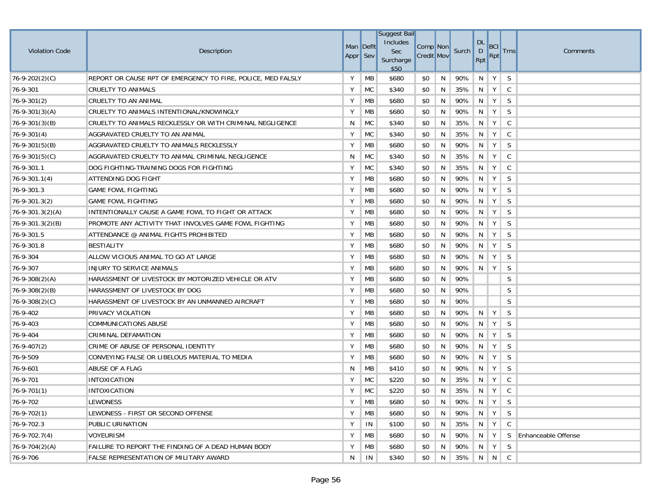|                        |                                                              |           |           | <b>Suggest Bail</b> |                   |   |       |                           |             |             |                            |
|------------------------|--------------------------------------------------------------|-----------|-----------|---------------------|-------------------|---|-------|---------------------------|-------------|-------------|----------------------------|
| <b>Violation Code</b>  | Description                                                  | Man Deflt |           | Includes<br>Sec     | Comp Non          |   | Surch | <b>DL</b><br>$\mathsf{D}$ | <b>BCI</b>  | <b>Trns</b> | Comments                   |
|                        |                                                              | Appr Sev  |           | Surcharge<br>\$50   | <b>Credit Mov</b> |   |       | Rpt                       | Rpt         |             |                            |
| $76 - 9 - 202(2)(C)$   | REPORT OR CAUSE RPT OF EMERGENCY TO FIRE, POLICE, MED FALSLY | Y         | <b>MB</b> | \$680               | \$0               | N | 90%   | N                         | Y           | S           |                            |
| 76-9-301               | CRUELTY TO ANIMALS                                           | Υ         | <b>MC</b> | \$340               | \$0               | N | 35%   | N                         | Y           | C           |                            |
| $76 - 9 - 301(2)$      | CRUELTY TO AN ANIMAL                                         | Y         | MB        | \$680               | \$0               | N | 90%   | N                         | Y           | S           |                            |
| $76 - 9 - 301(3)(A)$   | CRUELTY TO ANIMALS INTENTIONAL/KNOWINGLY                     | Υ         | MB        | \$680               | \$0               | N | 90%   | N                         | Y           | S           |                            |
| $76 - 9 - 301(3)(B)$   | CRUELTY TO ANIMALS RECKLESSLY OR WITH CRIMINAL NEGLIGENCE    | N         | MC        | \$340               | \$0               | N | 35%   | N                         | Y           | C           |                            |
| $ 76-9-301(4) $        | AGGRAVATED CRUELTY TO AN ANIMAL                              | Υ         | <b>MC</b> | \$340               | \$0               | N | 35%   | N                         | Y           | C           |                            |
| $76 - 9 - 301(5)(B)$   | AGGRAVATED CRUELTY TO ANIMALS RECKLESSLY                     | Y         | MB        | \$680               | \$0               | N | 90%   | N                         | Y           | S           |                            |
| $76 - 9 - 301(5)(C)$   | AGGRAVATED CRUELTY TO ANIMAL CRIMINAL NEGLIGENCE             | N         | MC        | \$340               | \$0               | N | 35%   | N                         | Y           | C           |                            |
| 76-9-301.1             | DOG FIGHTING-TRAINING DOGS FOR FIGHTING                      | Y         | <b>MC</b> | \$340               | \$0               | N | 35%   | N                         | Y           | C           |                            |
| $76 - 9 - 301.1(4)$    | ATTENDING DOG FIGHT                                          | Y         | MB        | \$680               | \$0               | N | 90%   | N                         | Y           | S           |                            |
| 76-9-301.3             | <b>GAME FOWL FIGHTING</b>                                    | Y         | <b>MB</b> | \$680               | \$0               | N | 90%   | N                         | Y           | S           |                            |
| $76 - 9 - 301.3(2)$    | <b>GAME FOWL FIGHTING</b>                                    | Y         | МB        | \$680               | \$0               | N | 90%   | N                         | Y           | S           |                            |
| $ 76-9-301.3(2)(A) $   | INTENTIONALLY CAUSE A GAME FOWL TO FIGHT OR ATTACK           | Y         | MB        | \$680               | \$0               | N | 90%   | N                         | Y           | S           |                            |
| $76 - 9 - 301.3(2)(B)$ | PROMOTE ANY ACTIVITY THAT INVOLVES GAME FOWL FIGHTING        | Y         | MB        | \$680               | \$0               | N | 90%   | N                         | Y           | S           |                            |
| 76-9-301.5             | ATTENDANCE @ ANIMAL FIGHTS PROHIBITED                        | Υ         | MB        | \$680               | \$0               | N | 90%   | N                         | Y           | S           |                            |
| 76-9-301.8             | <b>BESTIALITY</b>                                            | Y         | MB        | \$680               | \$0               | N | 90%   | N                         | Y           | S           |                            |
| 76-9-304               | ALLOW VICIOUS ANIMAL TO GO AT LARGE                          | Υ         | MB        | \$680               | \$0               | N | 90%   | N                         | Υ           | S           |                            |
| 76-9-307               | INJURY TO SERVICE ANIMALS                                    | Υ         | MB        | \$680               | \$0               | N | 90%   | N                         | Y           | S           |                            |
| $76 - 9 - 308(2)(A)$   | HARASSMENT OF LIVESTOCK BY MOTORIZED VEHICLE OR ATV          | Υ         | MB        | \$680               | \$0               | N | 90%   |                           |             | S           |                            |
| $76 - 9 - 308(2)(B)$   | HARASSMENT OF LIVESTOCK BY DOG                               | Υ         | МB        | \$680               | \$0               | N | 90%   |                           |             | S           |                            |
| 76-9-308(2)(C)         | HARASSMENT OF LIVESTOCK BY AN UNMANNED AIRCRAFT              | Υ         | MB        | \$680               | \$0               | N | 90%   |                           |             | S           |                            |
| 76-9-402               | PRIVACY VIOLATION                                            | Υ         | МB        | \$680               | \$0               | N | 90%   | N                         | Y           | S           |                            |
| 76-9-403               | COMMUNICATIONS ABUSE                                         | Υ         | MB        | \$680               | \$0               | N | 90%   | N                         | Y           | S           |                            |
| 76-9-404               | CRIMINAL DEFAMATION                                          | Υ         | MB        | \$680               | \$0               | N | 90%   | N                         | Y           | S           |                            |
| $76 - 9 - 407(2)$      | CRIME OF ABUSE OF PERSONAL IDENTITY                          | Υ         | MB        | \$680               | \$0               | N | 90%   | N.                        | Y           | S           |                            |
| 76-9-509               | CONVEYING FALSE OR LIBELOUS MATERIAL TO MEDIA                | Υ         | МB        | \$680               | \$0               | N | 90%   | N                         | Y           | S           |                            |
| 76-9-601               | ABUSE OF A FLAG                                              | N         | МB        | \$410               | \$0               | N | 90%   | N                         | Y           | S           |                            |
| 76-9-701               | <b>INTOXICATION</b>                                          | Y         | <b>MC</b> | \$220               | \$0               | N | 35%   | N                         | Y           | C           |                            |
| $ 76-9-701(1) $        | <b>INTOXICATION</b>                                          | Υ         | <b>MC</b> | \$220               | \$0               | N | 35%   | N                         | Y           | C           |                            |
| 76-9-702               | LEWDNESS                                                     | Y         | MB        | \$680               | \$0               | N | 90%   |                           | $N$ $Y$ $S$ |             |                            |
| $76-9-702(1)$          | LEWDNESS - FIRST OR SECOND OFFENSE                           | Υ         | МB        | \$680               | \$0               | N | 90%   | $\parallel$ N             | Y           | S           |                            |
| 76-9-702.3             | PUBLIC URINATION                                             | Υ         | IN        | \$100               | \$0               | N | 35%   | N                         | Y           | C           |                            |
| $76 - 9 - 702.7(4)$    | VOYEURISM                                                    | Υ         | MB        | \$680               | \$0               | N | 90%   | N                         | Y           | S.          | <b>Enhanceable Offense</b> |
| $76 - 9 - 704(2)(A)$   | FAILURE TO REPORT THE FINDING OF A DEAD HUMAN BODY           | Υ         | MB        | \$680               | \$0               | N | 90%   | N                         | Y           | S           |                            |
| 76-9-706               | <b>FALSE REPRESENTATION OF MILITARY AWARD</b>                | N         | IN        | \$340               | \$0               | N | 35%   |                           | $\ N\ N\ C$ |             |                            |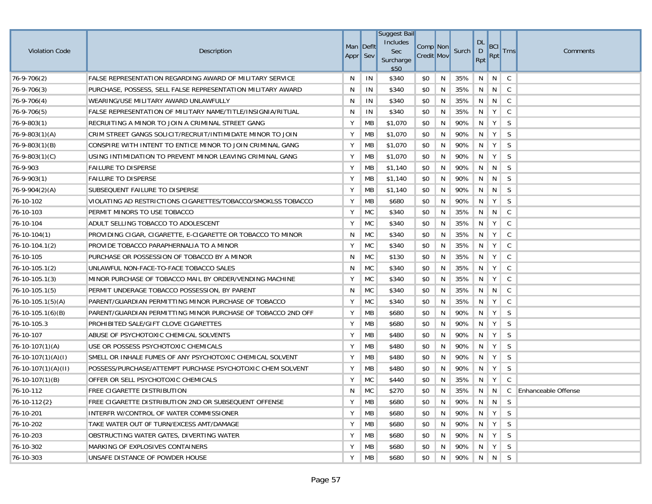|                       |                                                                 |           |           | <b>Suggest Bail</b> |                   |   |           |                           |               |             |                       |
|-----------------------|-----------------------------------------------------------------|-----------|-----------|---------------------|-------------------|---|-----------|---------------------------|---------------|-------------|-----------------------|
| <b>Violation Code</b> | Description                                                     | Man Deflt |           | Includes<br>Sec     | Comp Non          |   | Surch     | <b>DL</b><br>$\mathsf{D}$ | BC            | <b>Trns</b> | Comments              |
|                       |                                                                 | Appr Sev  |           | Surcharge<br>\$50   | <b>Credit Mov</b> |   |           | Rpt                       | Rpt           |             |                       |
| $76-9-706(2)$         | <b>FALSE REPRESENTATION REGARDING AWARD OF MILITARY SERVICE</b> | N         | IN        | \$340               | \$0               | N | 35%       | N                         | N             | C           |                       |
| $76-9-706(3)$         | PURCHASE, POSSESS, SELL FALSE REPRESENTATION MILITARY AWARD     | N         | IN        | \$340               | \$0               | N | 35%       | N                         | N             | C           |                       |
| $76-9-706(4)$         | WEARING/USE MILITARY AWARD UNLAWFULLY                           | N         | IN        | \$340               | \$0               | N | 35%       | N                         | N             | C           |                       |
| $76-9-706(5)$         | FALSE REPRESENTATION OF MILITARY NAME/TITLE/INSIGNIA/RITUAL     | N         | IN        | \$340               | \$0               | N | 35%       | N                         | Y             | C           |                       |
| $76 - 9 - 803(1)$     | RECRUITING A MINOR TO JOIN A CRIMINAL STREET GANG               | Υ         | МB        | \$1,070             | \$0               | N | 90%       | N                         | Y             | S           |                       |
| $76 - 9 - 803(1)(A)$  | CRIM STREET GANGS SOLICIT/RECRUIT/INTIMIDATE MINOR TO JOIN      | Υ         | MB        | \$1,070             | \$0               | N | 90%       | N                         | Y             | S           |                       |
| $76 - 9 - 803(1)(B)$  | CONSPIRE WITH INTENT TO ENTICE MINOR TO JOIN CRIMINAL GANG      | Y         | MB        | \$1,070             | \$0               | N | 90%       | N                         | Y             | S           |                       |
| $76 - 9 - 803(1)(C)$  | USING INTIMIDATION TO PREVENT MINOR LEAVING CRIMINAL GANG       | Υ         | МB        | \$1,070             | \$0               | N | 90%       | N                         | Y             | S           |                       |
| 76-9-903              | <b>FAILURE TO DISPERSE</b>                                      | Υ         | МB        | \$1,140             | \$0               | N | 90%       | N                         | N             | S           |                       |
| $ 76-9-903(1) $       | <b>FAILURE TO DISPERSE</b>                                      | Υ         | MB        | \$1,140             | \$0               | N | 90%       | N                         | N             | S           |                       |
| $16 - 9 - 904(2)(A)$  | SUBSEQUENT FAILURE TO DISPERSE                                  | Υ         | MB        | \$1,140             | \$0               | N | 90%       | N                         | N             | S           |                       |
| 76-10-102             | VIOLATING AD RESTRICTIONS CIGARETTES/TOBACCO/SMOKLSS TOBACCO    | Υ         | МB        | \$680               | \$0               | N | 90%       | N                         | Y             | S           |                       |
| 76-10-103             | PERMIT MINORS TO USE TOBACCO                                    | Υ         | <b>MC</b> | \$340               | \$0               | N | 35%       | N                         | N             | C           |                       |
| 76-10-104             | ADULT SELLING TOBACCO TO ADOLESCENT                             | Υ         | <b>MC</b> | \$340               | \$0               | N | 35%       | N                         | Y             | C           |                       |
| $76-10-104(1)$        | PROVIDING CIGAR, CIGARETTE, E-CIGARETTE OR TOBACCO TO MINOR     | N         | MC        | \$340               | \$0               | N | 35%       | N                         | Y             | C           |                       |
| $76-10-104.1(2)$      | PROVIDE TOBACCO PARAPHERNALIA TO A MINOR                        | Υ         | <b>MC</b> | \$340               | \$0               | N | 35%       | N                         | Υ             | C           |                       |
| 76-10-105             | PURCHASE OR POSSESSION OF TOBACCO BY A MINOR                    | N         | <b>MC</b> | \$130               | \$0               | N | 35%       | N                         | Y             | C           |                       |
| $76-10-105.1(2)$      | UNLAWFUL NON-FACE-TO-FACE TOBACCO SALES                         | N         | <b>MC</b> | \$340               | \$0               | N | 35%       | N                         | Υ             | C           |                       |
| $76 - 10 - 105.1(3)$  | MINOR PURCHASE OF TOBACCO MAIL BY ORDER/VENDING MACHINE         | Υ         | MC        | \$340               | \$0               | N | 35%       | N                         | Y             | C           |                       |
| $76-10-105.1(5)$      | PERMIT UNDERAGE TOBACCO POSSESSION, BY PARENT                   | N         | MC        | \$340               | \$0               | N | 35%       | N                         | N             | C           |                       |
| $76-10-105.1(5)(A)$   | PARENT/GUARDIAN PERMITTING MINOR PURCHASE OF TOBACCO            | Υ         | <b>MC</b> | \$340               | \$0               | N | 35%       | N                         | Y             | C           |                       |
| $76-10-105.1(6)(B)$   | PARENT/GUARDIAN PERMITTING MINOR PURCHASE OF TOBACCO 2ND OFF    | Υ         | МB        | \$680               | \$0               | N | 90%       | N                         | Y             | S           |                       |
| 76-10-105.3           | PROHIBITED SALE/GIFT CLOVE CIGARETTES                           | Υ         | MB        | \$680               | \$0               | N | 90%       | N                         | Y             | S           |                       |
| 76-10-107             | ABUSE OF PSYCHOTOXIC CHEMICAL SOLVENTS                          | Υ         | MB        | \$480               | \$0               | N | 90%       | N                         | Y             | S           |                       |
| $ 76-10-107(1)(A) $   | USE OR POSSESS PSYCHOTOXIC CHEMICALS                            | Υ         | MB        | \$480               | \$0               | N | 90%       | N.                        | Y             | S           |                       |
| $76-10-107(1)(A)(I)$  | SMELL OR INHALE FUMES OF ANY PSYCHOTOXIC CHEMICAL SOLVENT       | Υ         | MB        | \$480               | \$0               | N | 90%       | N                         | Y             | S           |                       |
| $76-10-107(1)(A)(II)$ | POSSESS/PURCHASE/ATTEMPT PURCHASE PSYCHOTOXIC CHEM SOLVENT      | Υ         | MB        | \$480               | \$0               | N | 90%       | N                         | Y             | S           |                       |
| $76-10-107(1)$ (B)    | OFFER OR SELL PSYCHOTOXIC CHEMICALS                             | Y         | <b>MC</b> | \$440               | \$0               | N | 35%       | -N                        | Y             | C           |                       |
| 76-10-112             | FREE CIGARETTE DISTRIBUTION                                     | N         | MC        | \$270               | \$0               | N | 35%       | N                         | N             |             | C Enhanceable Offense |
| 76-10-112{2}          | FREE CIGARETTE DISTRIBUTION 2ND OR SUBSEQUENT OFFENSE           | Y         | <b>MB</b> | \$680               | \$0               | N | 90% N N S |                           |               |             |                       |
| 76-10-201             | INTERFR W/CONTROL OF WATER COMMISSIONER                         | Υ         | МB        | \$680               | \$0               | N | 90%       | $\parallel$ N             | Y             | S           |                       |
| 76-10-202             | TAKE WATER OUT OF TURN/EXCESS AMT/DAMAGE                        | Υ         | МB        | \$680               | \$0               | N | 90%       | N                         | Y             | S           |                       |
| 76-10-203             | OBSTRUCTING WATER GATES, DIVERTING WATER                        | Υ         | MB        | \$680               | \$0               | N | 90%       | N                         | $\parallel$ Y | S.          |                       |
| 76-10-302             | MARKING OF EXPLOSIVES CONTAINERS                                | Υ         | МB        | \$680               | \$0               | N | 90%       | N                         | Y             | S           |                       |
| 76-10-303             | UNSAFE DISTANCE OF POWDER HOUSE                                 | Υ         | MB        | \$680               | \$0               | N | 90% N N   |                           |               | S           |                       |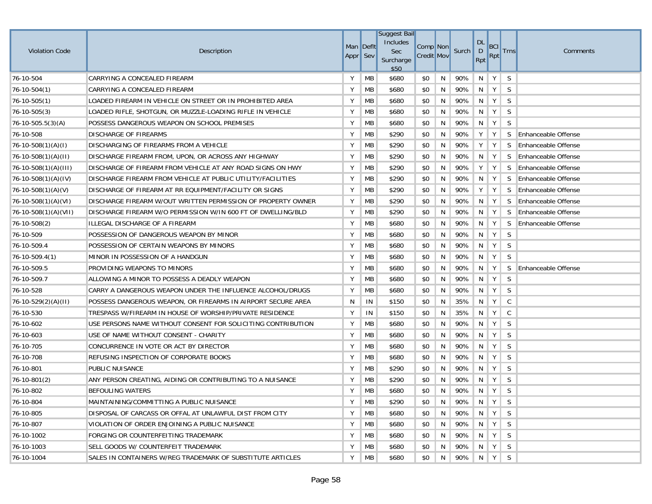| <b>Violation Code</b>     | Description                                                  | Man Deflt<br>Appr Sev |           | <b>Suggest Bail</b><br>Includes<br><b>Sec</b><br>Surcharge<br>\$50 | Comp <sup>Non</sup><br><b>Credit Mov</b> |    | Surch     | <b>DL</b><br>$\mathsf{D}$<br>Rpt | <b>BCI</b><br>Rpt | <b>Trns</b>  | Comments                   |
|---------------------------|--------------------------------------------------------------|-----------------------|-----------|--------------------------------------------------------------------|------------------------------------------|----|-----------|----------------------------------|-------------------|--------------|----------------------------|
| 76-10-504                 | CARRYING A CONCEALED FIREARM                                 | Y                     | MB        | \$680                                                              | \$0                                      | N  | 90%       | N                                | Y                 | S            |                            |
| $76 - 10 - 504(1)$        | CARRYING A CONCEALED FIREARM                                 | Υ                     | MB        | \$680                                                              | \$0                                      | N  | 90%       | N                                | Y                 | S            |                            |
| $76-10-505(1)$            | LOADED FIREARM IN VEHICLE ON STREET OR IN PROHIBITED AREA    | Υ                     | MB        | \$680                                                              | \$0                                      | N  | 90%       | N                                | Y                 | S            |                            |
| $76 - 10 - 505(3)$        | LOADED RIFLE, SHOTGUN, OR MUZZLE-LOADING RIFLE IN VEHICLE    | Υ                     | MB        | \$680                                                              | \$0                                      | N  | 90%       | N                                | Y                 | S            |                            |
| $76 - 10 - 505.5(3)(A)$   | POSSESS DANGEROUS WEAPON ON SCHOOL PREMISES                  | Υ                     | MB        | \$680                                                              | \$0                                      | N  | 90%       | N                                | Y                 | S            |                            |
| 76-10-508                 | <b>DISCHARGE OF FIREARMS</b>                                 | Υ                     | MB        | \$290                                                              | \$0                                      | N  | 90%       | Υ                                | Y                 | S.           | <b>Enhanceable Offense</b> |
| $76-10-508(1)(A)(I)$      | DISCHARGING OF FIREARMS FROM A VEHICLE                       | Y                     | MB        | \$290                                                              | \$0                                      | N  | 90%       | Y                                | Y                 | <sub>S</sub> | <b>Enhanceable Offense</b> |
| $ 76-10-508(1)(A)(II)$    | DISCHARGE FIREARM FROM, UPON, OR ACROSS ANY HIGHWAY          | Υ                     | MB        | \$290                                                              | \$0                                      | N  | 90%       | N                                | Y                 |              | S Enhanceable Offense      |
| $76-10-508(1)(A)(III)$    | DISCHARGE OF FIREARM FROM VEHICLE AT ANY ROAD SIGNS ON HWY   | Υ                     | MB        | \$290                                                              | \$0                                      | N  | 90%       | Υ                                | Y                 | S.           | <b>Enhanceable Offense</b> |
| $76 - 10 - 508(1)(A)(IV)$ | DISCHARGE FIREARM FROM VEHICLE AT PUBLIC UTILITY/FACILITIES  | Υ                     | MB        | \$290                                                              | \$0                                      | N  | 90%       |                                  | N   Y             |              | S Enhanceable Offense      |
| 76-10-508(1)(A)(V)        | DISCHARGE OF FIREARM AT RR EQUIPMENT/FACILITY OR SIGNS       | Υ                     | MB        | \$290                                                              | \$0                                      | N  | 90%       | Υ                                | Y                 | S            | <b>Enhanceable Offense</b> |
| $76-10-508(1)(A)(VI)$     | DISCHARGE FIREARM W/OUT WRITTEN PERMISSION OF PROPERTY OWNER | Υ                     | MB        | \$290                                                              | \$0                                      | N  | 90%       | N                                | Y                 | S            | <b>Enhanceable Offense</b> |
| $76-10-508(1)(A)(VII)$    | DISCHARGE FIREARM W/O PERMISSION W/IN 600 FT OF DWELLING/BLD | Υ                     | MB        | \$290                                                              | \$0                                      | N  | 90%       | N                                | Y                 | S            | Enhanceable Offense        |
| $76 - 10 - 508(2)$        | ILLEGAL DISCHARGE OF A FIREARM                               | Υ                     | MB        | \$680                                                              | \$0                                      | N  | 90%       | N                                | Y                 | S            | <b>Enhanceable Offense</b> |
| 76-10-509                 | POSSESSION OF DANGEROUS WEAPON BY MINOR                      | Υ                     | MB        | \$680                                                              | \$0                                      | N  | 90%       | N                                | Y                 | S            |                            |
| 76-10-509.4               | POSSESSION OF CERTAIN WEAPONS BY MINORS                      | Υ                     | MB        | \$680                                                              | \$0                                      | N  | 90%       | N                                | Y                 | S            |                            |
| $76 - 10 - 509.4(1)$      | MINOR IN POSSESSION OF A HANDGUN                             | Υ                     | MB        | \$680                                                              | \$0                                      | N  | 90%       | N                                | Y                 | S            |                            |
| 76-10-509.5               | PROVIDING WEAPONS TO MINORS                                  | Υ                     | MB        | \$680                                                              | \$0                                      | N  | 90%       | N                                | Y                 | S.           | <b>Enhanceable Offense</b> |
| 76-10-509.7               | ALLOWING A MINOR TO POSSESS A DEADLY WEAPON                  | Υ                     | MB        | \$680                                                              | \$0                                      | N  | 90%       | N                                | Y                 | S            |                            |
| 76-10-528                 | CARRY A DANGEROUS WEAPON UNDER THE INFLUENCE ALCOHOL/DRUGS   | Υ                     | MB        | \$680                                                              | \$0                                      | N  | 90%       | N                                | Y                 | S            |                            |
| $76-10-529(2)(A)(II)$     | POSSESS DANGEROUS WEAPON, OR FIREARMS IN AIRPORT SECURE AREA | N                     | IN        | \$150                                                              | \$0                                      | N  | 35%       | N                                | Y                 | C            |                            |
| 76-10-530                 | TRESPASS W/FIREARM IN HOUSE OF WORSHIP/PRIVATE RESIDENCE     | Υ                     | IN        | \$150                                                              | \$0                                      | N  | 35%       | N                                | Y                 | C            |                            |
| 76-10-602                 | USE PERSONS NAME WITHOUT CONSENT FOR SOLICITING CONTRIBUTION | Υ                     | МB        | \$680                                                              | \$0                                      | N  | 90%       | N                                | Y                 | S            |                            |
| 76-10-603                 | USE OF NAME WITHOUT CONSENT - CHARITY                        | Υ                     | МB        | \$680                                                              | \$0                                      | N  | 90%       | N                                | Y                 | S            |                            |
| 76-10-705                 | CONCURRENCE IN VOTE OR ACT BY DIRECTOR                       | Υ                     | MB        | \$680                                                              | \$0                                      | N  | 90%       | N                                | Y                 | S            |                            |
| 76-10-708                 | REFUSING INSPECTION OF CORPORATE BOOKS                       | Υ                     | МB        | \$680                                                              | \$0                                      | N  | 90%       | N                                | Y                 | S            |                            |
| 76-10-801                 | PUBLIC NUISANCE                                              | Υ                     | MB        | \$290                                                              | \$0                                      | N  | 90%       | N                                | Y                 | S            |                            |
| 76-10-801(2)              | ANY PERSON CREATING, AIDING OR CONTRIBUTING TO A NUISANCE    | Υ                     | MB        | \$290                                                              | \$0                                      | N  | 90%       | N                                | Y                 | S            |                            |
| 76-10-802                 | <b>BEFOULING WATERS</b>                                      | Υ                     | <b>MB</b> | \$680                                                              | \$0                                      | N  | 90%       | N                                | Y                 | <sub>S</sub> |                            |
| 76-10-804                 | MAINTAINING/COMMITTING A PUBLIC NUISANCE                     | Y                     | MВ        | \$290                                                              | \$0                                      | N. | 90% N Y S |                                  |                   |              |                            |
| 76-10-805                 | DISPOSAL OF CARCASS OR OFFAL AT UNLAWFUL DIST FROM CITY      | Υ                     | МB        | \$680                                                              | \$0                                      | N  | 90% N Y   |                                  |                   | <sub>S</sub> |                            |
| 76-10-807                 | VIOLATION OF ORDER ENJOINING A PUBLIC NUISANCE               | Υ                     | MB        | \$680                                                              | \$0                                      | N  | 90%       | N.                               | $\mathsf{Y}$      | S            |                            |
| 76-10-1002                | FORGING OR COUNTERFEITING TRADEMARK                          | Υ                     | MB        | \$680                                                              | \$0                                      | N. | 90%       | $N$ $Y$                          |                   | S.           |                            |
| 76-10-1003                | SELL GOODS W/ COUNTERFEIT TRADEMARK                          | Υ                     | MB        | \$680                                                              | \$0                                      | N  | 90%       |                                  | $N$ $Y$           | <sub>S</sub> |                            |
| 76-10-1004                | SALES IN CONTAINERS W/REG TRADEMARK OF SUBSTITUTE ARTICLES   | Υ                     | МB        | \$680                                                              | \$0                                      | N  | 90% N Y   |                                  |                   | S            |                            |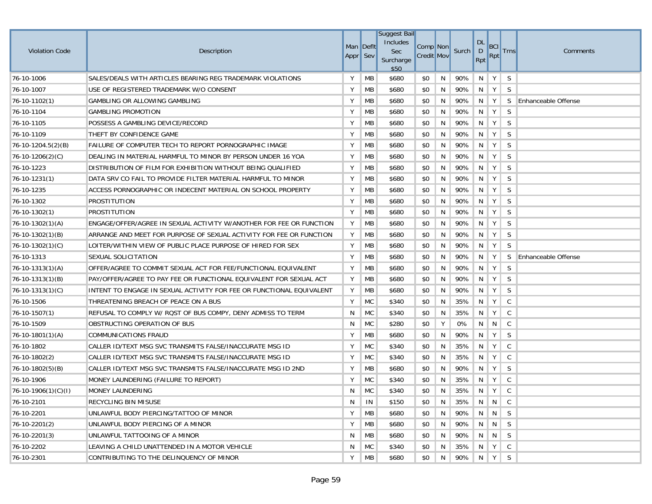| <b>Violation Code</b> | Description                                                          | Man Deflt<br>Appr Sev |           | <b>Suggest Bail</b><br>Includes<br>Sec<br>Surcharge<br>\$50 | Comp Non<br><b>Credit Mov</b> |    | Surch   | <b>DL</b><br>$\mathsf{D}$<br>Rpt               | <b>BCI</b><br>Rpt                     | <b>Trns</b>  | Comments                   |
|-----------------------|----------------------------------------------------------------------|-----------------------|-----------|-------------------------------------------------------------|-------------------------------|----|---------|------------------------------------------------|---------------------------------------|--------------|----------------------------|
| 76-10-1006            | SALES/DEALS WITH ARTICLES BEARING REG TRADEMARK VIOLATIONS           | Y                     | <b>MB</b> | \$680                                                       | \$0                           | N  | 90%     | N                                              | Y                                     | S            |                            |
| 76-10-1007            | USE OF REGISTERED TRADEMARK W/O CONSENT                              | Υ                     | MB        | \$680                                                       | \$0                           | N  | 90%     | $N$   Y                                        |                                       | S            |                            |
| $76 - 10 - 1102(1)$   | GAMBLING OR ALLOWING GAMBLING                                        | Υ                     | MB        | \$680                                                       | \$0                           | N  | 90%     | N                                              | Y                                     | S.           | <b>Enhanceable Offense</b> |
| 76-10-1104            | <b>GAMBLING PROMOTION</b>                                            | Υ                     | MB        | \$680                                                       | \$0                           | N  | 90%     | N                                              | Y                                     | S            |                            |
| 76-10-1105            | POSSESS A GAMBLING DEVICE/RECORD                                     | Υ                     | MB        | \$680                                                       | \$0                           | N  | 90%     | N                                              | Y                                     | S            |                            |
| 76-10-1109            | THEFT BY CONFIDENCE GAME                                             | Υ                     | MB        | \$680                                                       | \$0                           | N  | 90%     | N                                              | $\mathsf{Y}$                          | <sub>S</sub> |                            |
| 76-10-1204.5(2)(B)    | FAILURE OF COMPUTER TECH TO REPORT PORNOGRAPHIC IMAGE                | Υ                     | MB        | \$680                                                       | \$0                           | N  | 90%     | N                                              | Y                                     | S            |                            |
| $76-10-1206(2)(C)$    | DEALING IN MATERIAL HARMFUL TO MINOR BY PERSON UNDER 16 YOA          | Υ                     | MB        | \$680                                                       | \$0                           | N  | 90%     | N                                              | Y                                     | S            |                            |
| 76-10-1223            | DISTRIBUTION OF FILM FOR EXHIBITION WITHOUT BEING QUALIFIED          | Υ                     | MB        | \$680                                                       | \$0                           | N  | 90%     | N                                              | Y                                     | S            |                            |
| $76 - 10 - 1231(1)$   | DATA SRV CO FAIL TO PROVIDE FILTER MATERIAL HARMFUL TO MINOR         | Υ                     | MB        | \$680                                                       | \$0                           | N  | 90%     | N                                              | Y                                     | S            |                            |
| 76-10-1235            | ACCESS PORNOGRAPHIC OR INDECENT MATERIAL ON SCHOOL PROPERTY          | Υ                     | MB        | \$680                                                       | \$0                           | N  | 90%     | N                                              | Y                                     | S            |                            |
| 76-10-1302            | PROSTITUTION                                                         | Υ                     | MB        | \$680                                                       | \$0                           | N  | 90%     | N                                              | Y                                     | S            |                            |
| $76 - 10 - 1302(1)$   | PROSTITUTION                                                         | Υ                     | MB        | \$680                                                       | \$0                           | N  | 90%     | N                                              | Y                                     | S            |                            |
| $76-10-1302(1)(A)$    | ENGAGE/OFFER/AGREE IN SEXUAL ACTIVITY W/ANOTHER FOR FEE OR FUNCTION  | Υ                     | МB        | \$680                                                       | \$0                           | N  | 90%     | N                                              | Y                                     | S            |                            |
| $76-10-1302(1)(B)$    | ARRANGE AND MEET FOR PURPOSE OF SEXUAL ACTIVITY FOR FEE OR FUNCTION  | Υ                     | МB        | \$680                                                       | \$0                           | N  | 90%     | N                                              | Y                                     | S            |                            |
| $76-10-1302(1)(C)$    | LOITER/WITHIN VIEW OF PUBLIC PLACE PURPOSE OF HIRED FOR SEX          | Υ                     | MB        | \$680                                                       | \$0                           | N  | 90%     | N                                              | Y                                     | S            |                            |
| 76-10-1313            | SEXUAL SOLICITATION                                                  | Υ                     | MB        | \$680                                                       | \$0                           | N  | 90%     | N                                              | Y                                     | S            | <b>Enhanceable Offense</b> |
| $76-10-1313(1)(A)$    | OFFER/AGREE TO COMMIT SEXUAL ACT FOR FEE/FUNCTIONAL EQUIVALENT       | Y                     | MB        | \$680                                                       | \$0                           | N  | 90%     | N                                              | Y                                     | S.           |                            |
| $76-10-1313(1)(B)$    | PAY/OFFER/AGREE TO PAY FEE OR FUNCTIONAL EQUIVALENT FOR SEXUAL ACT   | Υ                     | МB        | \$680                                                       | \$0                           | N  | 90%     | N                                              | Y                                     | S            |                            |
| $76-10-1313(1)(C)$    | INTENT TO ENGAGE IN SEXUAL ACTIVITY FOR FEE OR FUNCTIONAL EQUIVALENT | Υ                     | МB        | \$680                                                       | \$0                           | N  | 90%     | N                                              | Y                                     | S            |                            |
| 76-10-1506            | THREATENING BREACH OF PEACE ON A BUS                                 | Υ                     | <b>MC</b> | \$340                                                       | \$0                           | N  | 35%     | N                                              | Y                                     | C            |                            |
| $76-10-1507(1)$       | REFUSAL TO COMPLY W/ ROST OF BUS COMPY, DENY ADMISS TO TERM          | N                     | <b>MC</b> | \$340                                                       | \$0                           | N  | 35%     | N                                              | Y                                     | C            |                            |
| 76-10-1509            | OBSTRUCTING OPERATION OF BUS                                         | N                     | <b>MC</b> | \$280                                                       | \$0                           | Υ  | 0%      | N                                              | N                                     | C            |                            |
| $76-10-1801(1)(A)$    | COMMUNICATIONS FRAUD                                                 | Υ                     | MB        | \$680                                                       | \$0                           | N  | 90%     | N                                              | Y                                     | S            |                            |
| 76-10-1802            | CALLER ID/TEXT MSG SVC TRANSMITS FALSE/INACCURATE MSG ID             | Υ                     | <b>MC</b> | \$340                                                       | \$0                           | N  | 35%     | N                                              | Y                                     | C            |                            |
| $76-10-1802(2)$       | CALLER ID/TEXT MSG SVC TRANSMITS FALSE/INACCURATE MSG ID             | Υ                     | <b>MC</b> | \$340                                                       | \$0                           | N  | 35%     | N                                              | Y                                     | C            |                            |
| $76-10-1802(5)(B)$    | CALLER ID/TEXT MSG SVC TRANSMITS FALSE/INACCURATE MSG ID 2ND         | Υ                     | MB        | \$680                                                       | \$0                           | N  | 90%     | N                                              | Y                                     | S            |                            |
| 76-10-1906            | MONEY LAUNDERING (FAILURE TO REPORT)                                 | Y                     | <b>MC</b> | \$340                                                       | \$0                           | N  | 35%     | N                                              | Y                                     | C            |                            |
| $76-10-1906(1)(C)(I)$ | <b>MONEY LAUNDERING</b>                                              | N                     | <b>MC</b> | \$340                                                       | \$0                           | N  | 35%     | N                                              | Y                                     | C            |                            |
| 76-10-2101            | RECYCLING BIN MISUSE                                                 | N                     | IN        | \$150                                                       | \$0                           | N  | 35%     |                                                | $\parallel N \parallel N \parallel C$ |              |                            |
| 76-10-2201            | UNLAWFUL BODY PIERCING/TATTOO OF MINOR                               | Υ                     | МB        | \$680                                                       | \$0                           | N  | 90%     | $\left\langle -\mathbf{N}\right\rangle \neq 0$ | N                                     | <sub>S</sub> |                            |
| 76-10-2201(2)         | UNLAWFUL BODY PIERCING OF A MINOR                                    | Υ                     | МB        | \$680                                                       | \$0                           | N  | 90%     | N.                                             | N                                     | S            |                            |
| $76-10-2201(3)$       | UNLAWFUL TATTOOING OF A MINOR                                        | N                     | МB        | \$680                                                       | \$0                           | N. | 90%     |                                                | $N \parallel N$                       | <sub>S</sub> |                            |
| 76-10-2202            | LEAVING A CHILD UNATTENDED IN A MOTOR VEHICLE                        | N                     | <b>MC</b> | \$340                                                       | \$0                           | N  | 35%     |                                                | $N$ $Y$                               | C            |                            |
| 76-10-2301            | CONTRIBUTING TO THE DELINQUENCY OF MINOR                             | Υ                     | MB        | \$680                                                       | \$0                           | N  | 90% N Y |                                                |                                       | S            |                            |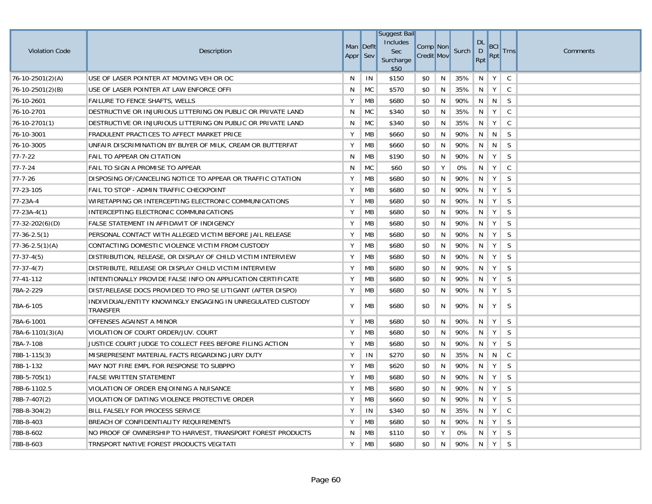| <b>Violation Code</b>  | Description                                                             | Man Deflt<br>Appr Sev |           | <b>Suggest Bail</b><br>Includes<br><b>Sec</b><br>Surcharge<br>\$50 | Comp Non<br><b>Credit Mov</b> |    | Surch | <b>DL</b><br>D<br>Rpt | <b>BCI</b><br>Rpt | <b>Trns</b>  | Comments |
|------------------------|-------------------------------------------------------------------------|-----------------------|-----------|--------------------------------------------------------------------|-------------------------------|----|-------|-----------------------|-------------------|--------------|----------|
| $76 - 10 - 2501(2)(A)$ | USE OF LASER POINTER AT MOVING VEH OR OC                                | N                     | IN        | \$150                                                              | \$0                           | N  | 35%   | N                     | Y                 | $\mathsf{C}$ |          |
| $76-10-2501(2)(B)$     | USE OF LASER POINTER AT LAW ENFORCE OFFI                                | N                     | <b>MC</b> | \$570                                                              | \$0                           | N  | 35%   |                       | $N$   $Y$         | $\mathsf{C}$ |          |
| 76-10-2601             | FAILURE TO FENCE SHAFTS, WELLS                                          | Y                     | MB        | \$680                                                              | \$0                           | N. | 90%   |                       | N N               | S            |          |
| 76-10-2701             | DESTRUCTIVE OR INJURIOUS LITTERING ON PUBLIC OR PRIVATE LAND            | N                     | <b>MC</b> | \$340                                                              | \$0                           | N  | 35%   | N                     | Y                 | $\mathsf C$  |          |
| $76-10-2701(1)$        | DESTRUCTIVE OR INJURIOUS LITTERING ON PUBLIC OR PRIVATE LAND            | N                     | <b>MC</b> | \$340                                                              | \$0                           | N  | 35%   | N                     | Y                 | $\mathsf{C}$ |          |
| 76-10-3001             | FRADULENT PRACTICES TO AFFECT MARKET PRICE                              | Υ                     | MB        | \$660                                                              | \$0                           | N  | 90%   |                       | $N \parallel N$   | S            |          |
| 76-10-3005             | UNFAIR DISCRIMINATION BY BUYER OF MILK, CREAM OR BUTTERFAT              | Υ                     | MB        | \$660                                                              | \$0                           | N  | 90%   |                       | N N               | S            |          |
| $77 - 7 - 22$          | <b>FAIL TO APPEAR ON CITATION</b>                                       | N                     | MB        | \$190                                                              | \$0                           | N  | 90%   | N                     | $\mathsf{Y}$      | S            |          |
| $77 - 7 - 24$          | <b>FAIL TO SIGN A PROMISE TO APPEAR</b>                                 | N                     | MC        | \$60                                                               | \$0                           | Y  | 0%    | N                     | $\mathsf{Y}$      | $\mathsf{C}$ |          |
| $77 - 7 - 26$          | DISPOSING OF/CANCELING NOTICE TO APPEAR OR TRAFFIC CITATION             | Y                     | MB        | \$680                                                              | \$0                           | N. | 90%   | N                     | Y                 | S            |          |
| 77-23-105              | FAIL TO STOP - ADMIN TRAFFIC CHECKPOINT                                 | Υ                     | МB        | \$680                                                              | \$0                           | N  | 90%   | N                     | Y                 | S            |          |
| 77-23A-4               | WIRETAPPING OR INTERCEPTING ELECTRONIC COMMUNICATIONS                   | Υ                     | MB        | \$680                                                              | \$0                           | N  | 90%   | N                     | $\mathsf{Y}$      | S            |          |
| $77 - 23A - 4(1)$      | INTERCEPTING ELECTRONIC COMMUNICATIONS                                  | Υ                     | MB        | \$680                                                              | \$0                           | N  | 90%   | N                     | Y                 | S            |          |
| $77-32-202(6)(D)$      | FALSE STATEMENT IN AFFIDAVIT OF INDIGENCY                               | Υ                     | MB        | \$680                                                              | \$0                           | N  | 90%   | N                     | $\mathsf{Y}$      | S            |          |
| $77-36-2.5(1)$         | PERSONAL CONTACT WITH ALLEGED VICTIM BEFORE JAIL RELEASE                | Y                     | MB        | \$680                                                              | \$0                           | N  | 90%   | N                     | $\parallel$ Y     | S            |          |
| $77-36-2.5(1)(A)$      | CONTACTING DOMESTIC VIOLENCE VICTIM FROM CUSTODY                        | Υ                     | MB        | \$680                                                              | \$0                           | N  | 90%   | N                     | $\mathsf{Y}$      | S            |          |
| $77-37-4(5)$           | DISTRIBUTION, RELEASE, OR DISPLAY OF CHILD VICTIM INTERVIEW             | Υ                     | MB        | \$680                                                              | \$0                           | N  | 90%   | N                     | Y                 | S            |          |
| $77-37-4(7)$           | DISTRIBUTE, RELEASE OR DISPLAY CHILD VICTIM INTERVIEW                   | Υ                     | MB        | \$680                                                              | \$0                           | N  | 90%   | N                     | Y                 | S            |          |
| 77-41-112              | INTENTIONALLY PROVIDE FALSE INFO ON APPLICATION CERTIFICATE             | Y                     | MB        | \$680                                                              | \$0                           | N  | 90%   | N                     | Y                 | S            |          |
| 78A-2-229              | DIST/RELEASE DOCS PROVIDED TO PRO SE LITIGANT (AFTER DISPO)             | Y                     | MB        | \$680                                                              | \$0                           | N  | 90%   |                       | $N \mid Y$        | S            |          |
| 78A-6-105              | INDIVIDUAL/ENTITY KNOWINGLY ENGAGING IN UNREGULATED CUSTODY<br>TRANSFER | Υ                     | <b>MB</b> | \$680                                                              | \$0                           | N  | 90%   | N                     | Y                 | S            |          |
| 78A-6-1001             | OFFENSES AGAINST A MINOR                                                | Υ                     | MB        | \$680                                                              | \$0                           | N  | 90%   | N                     | Y                 | S            |          |
| $78A-6-1101(3)(A)$     | VIOLATION OF COURT ORDER/JUV. COURT                                     | Υ                     | MB        | \$680                                                              | \$0                           | N  | 90%   | N                     | Y                 | S            |          |
| 78A-7-108              | JUSTICE COURT JUDGE TO COLLECT FEES BEFORE FILING ACTION                | Υ                     | MB        | \$680                                                              | \$0                           | N  | 90%   | N                     | Y                 | S            |          |
| $78B-1-115(3)$         | MISREPRESENT MATERIAL FACTS REGARDING JURY DUTY                         | Υ                     | IN        | \$270                                                              | \$0                           | N  | 35%   |                       | $N \parallel N$   | C            |          |
| 78B-1-132              | MAY NOT FIRE EMPL FOR RESPONSE TO SUBPPO                                | Y                     | MB        | \$620                                                              | \$0                           | N  | 90%   | N                     | $\parallel$ Y     | <sub>S</sub> |          |
| 78B-5-705(1)           | <b>FALSE WRITTEN STATEMENT</b>                                          | Υ                     | MB        | \$680                                                              | \$0                           | N  | 90%   | N                     | Y                 | S            |          |
| 78B-6-1102.5           | VIOLATION OF ORDER ENJOINING A NUISANCE                                 | Υ                     | MB        | \$680                                                              | \$0                           | N  | 90%   | N                     | Y                 | S            |          |
| 78B-7-407(2)           | VIOLATION OF DATING VIOLENCE PROTECTIVE ORDER                           | Υ                     | MB        | \$660                                                              | \$0                           | N  | 90%   | N                     | Y                 | S            |          |
| 78B-8-304(2)           | BILL FALSELY FOR PROCESS SERVICE                                        | Υ                     | IN        | \$340                                                              | \$0                           | N  | 35%   |                       | $N$   $Y$         | C            |          |
| 78B-8-403              | BREACH OF CONFIDENTIALITY REQUIREMENTS                                  | Y                     | MB        | \$680                                                              | \$0                           | N  | 90%   | N                     | $\parallel$ Y     | S            |          |
| 78B-8-602              | NO PROOF OF OWNERSHIP TO HARVEST, TRANSPORT FOREST PRODUCTS             | N                     | MB        | \$110                                                              | \$0                           | Y  | 0%    | N                     | Y                 | S            |          |
| 78B-8-603              | TRNSPORT NATIVE FOREST PRODUCTS VEGITATI                                | Y                     | MB        | \$680                                                              | \$0                           | N  | 90%   | N.                    | Y                 | S            |          |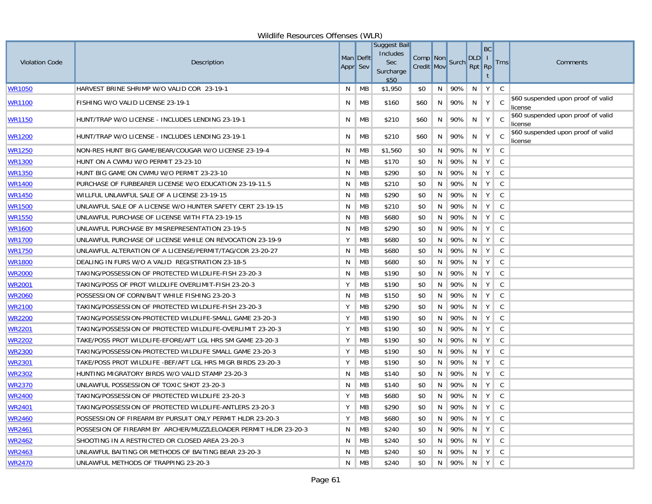| Wildlife Resources Offenses (WLR) |                                                                 |                 |                  |                                                             |                               |    |             |                                                                               |                     |                |                                               |  |  |
|-----------------------------------|-----------------------------------------------------------------|-----------------|------------------|-------------------------------------------------------------|-------------------------------|----|-------------|-------------------------------------------------------------------------------|---------------------|----------------|-----------------------------------------------|--|--|
| <b>Violation Code</b>             | Description                                                     | <b>Appr</b> Sev | <b>Man Defit</b> | Suggest Bail<br>Includes<br><b>Sec</b><br>Surcharge<br>\$50 | Comp Non<br><b>Credit Mov</b> |    | Surch       | $\ $ DLD $\ $  <br>$Rpt$ Rpt                                                  | BC                  | <b>Trns</b>    | Comments                                      |  |  |
| WR1050                            | HARVEST BRINE SHRIMP W/O VALID COR 23-19-1                      | N               | МB               | \$1,950                                                     | \$0                           | N  | 90%         | N                                                                             | $Y \mid$            | C              |                                               |  |  |
| WR1100                            | FISHING W/O VALID LICENSE 23-19-1                               | N               | МB               | \$160                                                       | \$60                          | N  | 90%         | N                                                                             | Y                   | C.             | \$60 suspended upon proof of valid<br>license |  |  |
| WR1150                            | HUNT/TRAP W/O LICENSE - INCLUDES LENDING 23-19-1                | N               | MВ               | \$210                                                       | \$60                          | N  | 90%         | N                                                                             | Y                   | C <sub>c</sub> | \$60 suspended upon proof of valid<br>license |  |  |
| <b>WR1200</b>                     | HUNT/TRAP W/O LICENSE - INCLUDES LENDING 23-19-1                | N               | МB               | \$210                                                       | \$60                          | N  | 90%         | N                                                                             | Y                   | C              | \$60 suspended upon proof of valid<br>license |  |  |
| WR1250                            | NON-RES HUNT BIG GAME/BEAR/COUGAR W/O LICENSE 23-19-4           | N               | МB               | \$1,560                                                     | \$0                           | N  | 90%         | N                                                                             | Y                   | <sub>c</sub>   |                                               |  |  |
| <b>WR1300</b>                     | HUNT ON A CWMU W/O PERMIT 23-23-10                              | N               | МB               | \$170                                                       | \$0                           | N  | 90%         | N.                                                                            | $\in Y$ )           | C.             |                                               |  |  |
| <u> WR1350</u>                    | HUNT BIG GAME ON CWMU W/O PERMIT 23-23-10                       | N               | МB               | \$290                                                       | \$0                           | N  | 90%         | N                                                                             | Y                   | C              |                                               |  |  |
| <b>WR1400</b>                     | PURCHASE OF FURBEARER LICENSE W/O EDUCATION 23-19-11.5          | N               | МB               | \$210                                                       | \$0                           | N  | 90%         | N                                                                             | Y                   | C              |                                               |  |  |
| WR1450                            | WILLFUL UNLAWFUL SALE OF A LICENSE 23-19-15                     | N               | МB               | \$290                                                       | \$0                           | N  | 90%         | N                                                                             | Υ                   | C              |                                               |  |  |
| <b>WR1500</b>                     | UNLAWFUL SALE OF A LICENSE W/O HUNTER SAFETY CERT 23-19-15      | N               | МB               | \$210                                                       | \$0                           | N  | 90%         | N                                                                             | Y                   | <sub>c</sub>   |                                               |  |  |
| <b>WR1550</b>                     | UNLAWFUL PURCHASE OF LICENSE WITH FTA 23-19-15                  | N               | МB               | \$680                                                       | \$0                           | N  | 90%         | N                                                                             | Y                   | C              |                                               |  |  |
| <b>WR1600</b>                     | UNLAWFUL PURCHASE BY MISREPRESENTATION 23-19-5                  | N               | МB               | \$290                                                       | \$0                           | N  | 90%         | N                                                                             | Y                   | C              |                                               |  |  |
| <b>WR1700</b>                     | UNLAWFUL PURCHASE OF LICENSE WHILE ON REVOCATION 23-19-9        | Υ               | MB               | \$680                                                       | \$0                           | N  | 90%         | N                                                                             | Υ                   | C              |                                               |  |  |
| <b>WR1750</b>                     | UNLAWFUL ALTERATION OF A LICENSE/PERMIT/TAG/COR 23-20-27        | N               | МB               | \$680                                                       | \$0                           | N  | 90%         | N                                                                             | Y                   | C              |                                               |  |  |
| <b>WR1800</b>                     | DEALING IN FURS W/O A VALID REGISTRATION 23-18-5                | N               | MB               | \$680                                                       | \$0                           | N  | 90%         | N                                                                             | Y                   | C              |                                               |  |  |
| <b>WR2000</b>                     | TAKING/POSSESSION OF PROTECTED WILDLIFE-FISH 23-20-3            | N               | МB               | \$190                                                       | \$0                           | N  | 90%         | N                                                                             | Y                   | <sub>c</sub>   |                                               |  |  |
| <b>WR2001</b>                     | TAKING/POSS OF PROT WILDLIFE OVERLIMIT-FISH 23-20-3             | Y               | МB               | \$190                                                       | \$0                           | N  | 90%         | N                                                                             | Y                   | C              |                                               |  |  |
| <b>WR2060</b>                     | POSSESSION OF CORN/BAIT WHILE FISHING 23-20-3                   | N               | МB               | \$150                                                       | \$0                           | N  | 90%         | N                                                                             | $Y \mid$            | C              |                                               |  |  |
| <u>WR2100</u>                     | TAKING/POSSESSION OF PROTECTED WILDLIFE-FISH 23-20-3            | Υ               | MB               | \$290                                                       | \$0                           | N  | 90%         | N                                                                             | Y                   | $\mathsf{C}$   |                                               |  |  |
| <b>WR2200</b>                     | TAKING/POSSESSION-PROTECTED WILDLIFE-SMALL GAME 23-20-3         | Υ               | MB               | \$190                                                       | \$0                           | N  | 90%         | N                                                                             | $Y \mid$            | C              |                                               |  |  |
| <b>WR2201</b>                     | TAKING/POSSESSION OF PROTECTED WILDLIFE-OVERLIMIT 23-20-3       | Υ               | MB               | \$190                                                       | \$0                           | N  | 90%         | N                                                                             | Υ                   | C              |                                               |  |  |
| WR2202                            | TAKE/POSS PROT WILDLIFE-EFORE/AFT LGL HRS SM GAME 23-20-3       | Y               | МB               | \$190                                                       | \$0                           | N  | 90%         | N                                                                             | Y                   | C              |                                               |  |  |
| <b>WR2300</b>                     | TAKING/POSSESSION-PROTECTED WILDLIFE SMALL GAME 23-20-3         | Υ               | MB               | \$190                                                       | \$0                           | N  | 90%         | N                                                                             | Υ                   | <sub>c</sub>   |                                               |  |  |
| <b>WR2301</b>                     | TAKE/POSS PROT WILDLIFE -BEF/AFT LGL HRS MIGR BIRDS 23-20-3     | Y               | МB               | \$190                                                       | \$0                           | N  | 90%         | N                                                                             | $Y \mid$            | <sub>c</sub>   |                                               |  |  |
| <b>WR2302</b>                     | HUNTING MIGRATORY BIRDS W/O VALID STAMP 23-20-3                 | N               | МB               | \$140                                                       | \$0                           | N  | 90%         | N                                                                             | $\in \mathsf{Y}$ ): | C.             |                                               |  |  |
| <u> WR2370</u>                    | UNLAWFUL POSSESSION OF TOXIC SHOT 23-20-3                       | N               | МB               | \$140                                                       | \$0                           | N  | 90%         | N                                                                             | Y                   | C              |                                               |  |  |
| WR2400                            | TAKING/POSSESSION OF PROTECTED WILDLIFE 23-20-3                 | Y               | MB               | \$680                                                       | \$0                           | N  | 90%         | N.                                                                            | Y                   | C.             |                                               |  |  |
| WR2401                            | TAKING/POSSESSION OF PROTECTED WILDLIFE-ANTLERS 23-20-3         | Y               | МB               | \$290                                                       | \$0                           | N  | 90%         |                                                                               | N   Y   C           |                |                                               |  |  |
| <b>WR2460</b>                     | POSSESSION OF FIREARM BY PURSUIT ONLY PERMIT HLDR 23-20-3       | Y               | МB               | \$680                                                       | \$0                           | N  | 90% N Y C   |                                                                               |                     |                |                                               |  |  |
| WR2461                            | POSSESION OF FIREARM BY ARCHER/MUZZLELOADER PERMIT HLDR 23-20-3 | N.              | МB               | \$240                                                       | \$0                           | N. | $90\%$      | $\begin{array}{ c c c c c }\hline \text{ } & \text{N} & \text{Y} \end{array}$ |                     | C              |                                               |  |  |
| WR2462                            | SHOOTING IN A RESTRICTED OR CLOSED AREA 23-20-3                 | N               | МB               | \$240                                                       | \$0                           | N  | 90% N       |                                                                               | Y                   | C.             |                                               |  |  |
| <u>WR2463</u>                     | UNLAWFUL BAITING OR METHODS OF BAITING BEAR 23-20-3             | N               | MB               | \$240                                                       | \$0                           | N  | $90\%$      | N                                                                             | Y                   | C              |                                               |  |  |
| <b>WR2470</b>                     | UNLAWFUL METHODS OF TRAPPING 23-20-3                            |                 | $N$ $MB$         | \$240                                                       | \$0                           |    | N 90% N Y C |                                                                               |                     |                |                                               |  |  |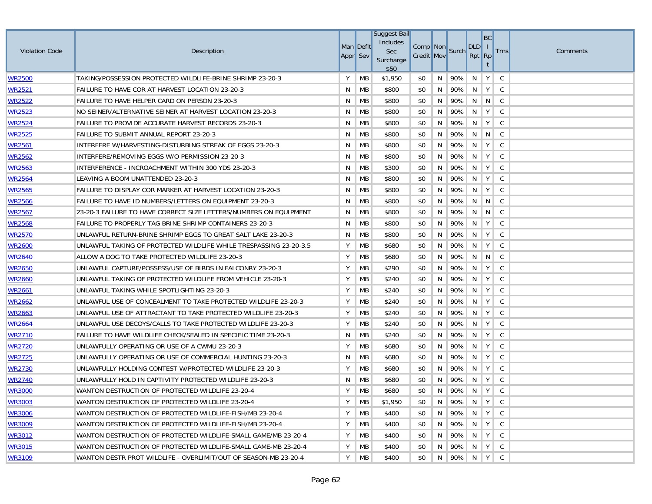| <b>Violation Code</b> | Description                                                       | Man Deflt<br>Appr Sev |           | Suggest Bail<br>Includes<br>Sec<br>Surcharge<br>\$50 | Comp Non<br><b>Credit Mov</b> |    | Surch       | DLD I<br>Rpt Rp           | BC                  | <b>Trns</b>  | Comments |
|-----------------------|-------------------------------------------------------------------|-----------------------|-----------|------------------------------------------------------|-------------------------------|----|-------------|---------------------------|---------------------|--------------|----------|
| WR2500                | TAKING/POSSESSION PROTECTED WILDLIFE-BRINE SHRIMP 23-20-3         | Y                     | МB        | \$1,950                                              | \$0                           | N  | 90%         | N                         | Y                   | <sub>c</sub> |          |
| <u>WR2521</u>         | FAILURE TO HAVE COR AT HARVEST LOCATION 23-20-3                   | N                     | МB        | \$800                                                | \$0                           | N  | 90%         | N                         | Y                   | <sub>c</sub> |          |
| <u> WR2522</u>        | FAILURE TO HAVE HELPER CARD ON PERSON 23-20-3                     | N                     | МB        | \$800                                                | \$0                           | N  | 90%         | N                         | $\lfloor N \rfloor$ | C.           |          |
| <u>WR2523</u>         | NO SEINER/ALTERNATIVE SEINER AT HARVEST LOCATION 23-20-3          | N                     | МB        | \$800                                                | \$0                           | N  | 90%         | N                         | $Y \mid$            | C            |          |
| WR2524                | FAILURE TO PROVIDE ACCURATE HARVEST RECORDS 23-20-3               | N                     | МB        | \$800                                                | \$0                           | N  | 90%         | N                         | Υ                   | C            |          |
| <b>WR2525</b>         | FAILURE TO SUBMIT ANNUAL REPORT 23-20-3                           | N                     | МB        | \$800                                                | \$0                           | N  | 90%         |                           | N N C               |              |          |
| <b>WR2561</b>         | INTERFERE W/HARVESTING-DISTURBING STREAK OF EGGS 23-20-3          | N                     | МB        | \$800                                                | \$0                           | N  | 90%         | N                         | Y                   | C            |          |
| <b>WR2562</b>         | INTERFERE/REMOVING EGGS W/O PERMISSION 23-20-3                    | N                     | MB        | \$800                                                | \$0                           | N  | 90%         | N                         | Y                   | C            |          |
| <u>WR2563</u>         | INTERFERENCE - INCROACHMENT WITHIN 300 YDS 23-20-3                | N                     | MB        | \$300                                                | \$0                           | N  | 90%         | N                         | Y                   | <sub>c</sub> |          |
| <b>WR2564</b>         | LEAVING A BOOM UNATTENDED 23-20-3                                 | N                     | МB        | \$800                                                | \$0                           | N  | 90%         | N                         | Y                   | C            |          |
| <b>WR2565</b>         | FAILURE TO DISPLAY COR MARKER AT HARVEST LOCATION 23-20-3         | N                     | <b>MB</b> | \$800                                                | \$0                           | N  | 90%         | N                         | Y                   | C            |          |
| <b>WR2566</b>         | FAILURE TO HAVE ID NUMBERS/LETTERS ON EQUIPMENT 23-20-3           | N                     | МB        | \$800                                                | \$0                           | N  | 90%         | $N \parallel N \parallel$ |                     | C            |          |
| <b>WR2567</b>         | 23-20-3 FAILURE TO HAVE CORRECT SIZE LETTERS/NUMBERS ON EQUIPMENT | N                     | MB        | \$800                                                | \$0                           | N  | 90%         | N                         | N                   | <sub>c</sub> |          |
| <u>WR2568</u>         | FAILURE TO PROPERLY TAG BRINE SHRIMP CONTAINERS 23-20-3           | N                     | МB        | \$800                                                | \$0                           | N  | 90%         | N                         | Y                   | C.           |          |
| <u> WR2570</u>        | UNLAWFUL RETURN-BRINE SHRIMP EGGS TO GREAT SALT LAKE 23-20-3      | N                     | МB        | \$800                                                | \$0                           | N  | 90%         | N                         | $\in \mathsf{Y}$ ): | C.           |          |
| <u> WR2600</u>        | UNLAWFUL TAKING OF PROTECTED WILDLIFE WHILE TRESPASSING 23-20-3.5 | Υ                     | МB        | \$680                                                | \$0                           | N  | 90%         | N                         | Y                   | <sub>c</sub> |          |
| WR2640                | ALLOW A DOG TO TAKE PROTECTED WILDLIFE 23-20-3                    | Υ                     | MB        | \$680                                                | \$0                           | N  | 90%         | N                         | $\overline{N}$      | <sub>c</sub> |          |
| WR2650                | UNLAWFUL CAPTURE/POSSESS/USE OF BIRDS IN FALCONRY 23-20-3         | Υ                     | МB        | \$290                                                | \$0                           | N  | 90%         | N                         | Y                   | C.           |          |
| WR2660                | UNLAWFUL TAKING OF PROTECTED WILDLIFE FROM VEHICLE 23-20-3        | Υ                     | МB        | \$240                                                | \$0                           | N  | 90%         | N                         | $Y \mid$            | C.           |          |
| WR2661                | UNLAWFUL TAKING WHILE SPOTLIGHTING 23-20-3                        | Y                     | МB        | \$240                                                | \$0                           | N  | 90%         | N                         | Y                   | C            |          |
| <u> WR2662</u>        | UNLAWFUL USE OF CONCEALMENT TO TAKE PROTECTED WILDLIFE 23-20-3    | Υ                     | МB        | \$240                                                | \$0                           | N  | 90%         | N                         | Y                   | C            |          |
| <u>WR2663</u>         | UNLAWFUL USE OF ATTRACTANT TO TAKE PROTECTED WILDLIFE 23-20-3     | Y                     | МB        | \$240                                                | \$0                           | N  | 90%         | N                         | Υ                   | C            |          |
| WR2664                | UNLAWFUL USE DECOYS/CALLS TO TAKE PROTECTED WILDLIFE 23-20-3      | Υ                     | МB        | \$240                                                | \$0                           | N  | 90%         | N                         | Y                   | <sub>c</sub> |          |
| WR2710                | FAILURE TO HAVE WILDLIFE CHECK/SEALED IN SPECIFIC TIME 23-20-3    | N                     | МB        | \$240                                                | \$0                           | N  | 90%         | N                         | Y                   | C            |          |
| WR2720                | UNLAWFULLY OPERATING OR USE OF A CWMU 23-20-3                     | Υ                     | МB        | \$680                                                | \$0                           | N  | 90%         | N                         | Υ                   | C            |          |
| WR2725                | UNLAWFULLY OPERATING OR USE OF COMMERCIAL HUNTING 23-20-3         | N                     | МB        | \$680                                                | \$0                           | N  | 90%         | N                         | Υ                   | C            |          |
| <u> WR2730</u>        | UNLAWFULLY HOLDING CONTEST W/PROTECTED WILDLIFE 23-20-3           | Υ                     | MB        | \$680                                                | \$0                           | N  | 90%         | N                         | Y                   | C            |          |
| <u> WR2740</u>        | UNLAWFULLY HOLD IN CAPTIVITY PROTECTED WILDLIFE 23-20-3           | N.                    | МB        | \$680                                                | \$0                           | N  | 90%         | N                         | Υ                   | C            |          |
| <u> WR3000</u>        | WANTON DESTRUCTION OF PROTECTED WILDLIFE 23-20-4                  | Υ                     | МB        | \$680                                                | \$0                           | N  | 90%         | N.                        | Y                   | - C          |          |
| <b>WR3003</b>         | WANTON DESTRUCTION OF PROTECTED WILDLIFE 23-20-4                  | Y                     | MВ        | \$1,950                                              | \$0                           | N. | 90% N Y C   |                           |                     |              |          |
| <b>WR3006</b>         | WANTON DESTRUCTION OF PROTECTED WILDLIFE-FISH/MB 23-20-4          | Υ                     | МB        | \$400                                                | \$0                           | N. | 90% N Y C   |                           |                     |              |          |
| <b>WR3009</b>         | WANTON DESTRUCTION OF PROTECTED WILDLIFE-FISH/MB 23-20-4          | Υ                     | MB        | \$400                                                | \$0                           | N  | 90% N       |                           | Y                   | C.           |          |
| <b>WR3012</b>         | WANTON DESTRUCTION OF PROTECTED WILDLIFE-SMALL GAME/MB 23-20-4    | Y                     | МB        | \$400                                                | \$0                           | N  | 90% N Y C   |                           |                     |              |          |
| <b>WR3015</b>         | WANTON DESTRUCTION OF PROTECTED WILDLIFE-SMALL GAME-MB 23-20-4    | Υ                     | MB        | \$400                                                | \$0                           | N  | 90%         | $N$ $Y$                   |                     | C.           |          |
| <b>WR3109</b>         | WANTON DESTR PROT WILDLIFE - OVERLIMIT/OUT OF SEASON-MB 23-20-4   | Y                     | МB        | \$400                                                | \$0                           |    | N 90% N Y C |                           |                     |              |          |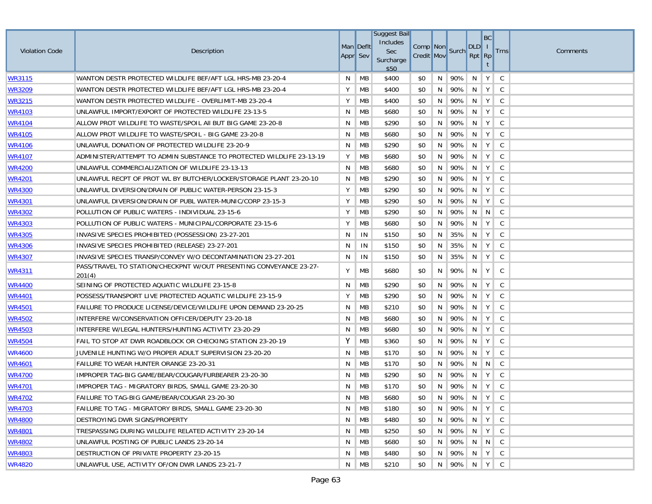| <b>Violation Code</b> | Description                                                                  | Appr Sev | Man Deflt        | Suggest Bail<br>Includes<br>Sec<br>Surcharge<br>\$50 | Comp Non<br><b>Credit Mov</b> |    | Surch       | DLD   I<br>Rpt Rp | BC                          | <b>Trns</b>  | Comments |
|-----------------------|------------------------------------------------------------------------------|----------|------------------|------------------------------------------------------|-------------------------------|----|-------------|-------------------|-----------------------------|--------------|----------|
| WR3115                | WANTON DESTR PROTECTED WILDLIFE BEF/AFT LGL HRS-MB 23-20-4                   | N        | МB               | \$400                                                | \$0                           | N  | 90%         | N                 | Y                           | <sub>c</sub> |          |
| <b>WR3209</b>         | WANTON DESTR PROTECTED WILDLIFE BEF/AFT LGL HRS-MB 23-20-4                   | Υ        | MB               | \$400                                                | \$0                           | N  | 90%         | N                 | Y                           | C            |          |
| <b>WR3215</b>         | WANTON DESTR PROTECTED WILDLIFE - OVERLIMIT-MB 23-20-4                       | Υ        | MB               | \$400                                                | \$0                           | N  | 90%         | N                 | Y                           | C            |          |
| <u>WR4103</u>         | UNLAWFUL IMPORT/EXPORT OF PROTECTED WILDLIFE 23-13-5                         | N        | МB               | \$680                                                | \$0                           | N  | 90%         | N                 | Y                           | C            |          |
| <b>WR4104</b>         | ALLOW PROT WILDLIFE TO WASTE/SPOIL AII BUT BIG GAME 23-20-8                  | N        | MB               | \$290                                                | \$0                           | N  | 90%         | N                 | Y                           | C            |          |
| WR4105                | ALLOW PROT WILDLIFE TO WASTE/SPOIL - BIG GAME 23-20-8                        | N        | MB               | \$680                                                | \$0                           | N  | 90%         | N                 | Y                           | <sub>c</sub> |          |
| <b>WR4106</b>         | UNLAWFUL DONATION OF PROTECTED WILDLIFE 23-20-9                              | N        | MB               | \$290                                                | \$0                           | N  | 90%         | N                 | Y                           | C.           |          |
| <u> WR4107</u>        | ADMINISTER/ATTEMPT TO ADMIN SUBSTANCE TO PROTECTED WILDLIFE 23-13-19         | Y        | МB               | \$680                                                | \$0                           | N  | 90%         | N                 | Y                           | <sub>c</sub> |          |
| <u>WR4200</u>         | UNLAWFUL COMMERCIALIZATION OF WILDLIFE 23-13-13                              | N        | MB               | \$680                                                | \$0                           | N  | 90%         | N                 | Y                           | <sub>c</sub> |          |
| <u>WR4201</u>         | UNLAWFUL RECPT OF PROT WL BY BUTCHER/LOCKER/STORAGE PLANT 23-20-10           | N        | МB               | \$290                                                | \$0                           | N  | 90%         | N                 | $\in \mathsf{Y}$ ):         | C.           |          |
| WR4300                | UNLAWFUL DIVERSION/DRAIN OF PUBLIC WATER-PERSON 23-15-3                      | Υ        | МB               | \$290                                                | \$0                           | N  | 90%         | N                 | $\in \mathsf{Y} \Downarrow$ | C.           |          |
| WR4301                | UNLAWFUL DIVERSION/DRAIN OF PUBL WATER-MUNIC/CORP 23-15-3                    | Y        | МB               | \$290                                                | \$0                           | N  | 90%         | N                 | Y                           | <sub>c</sub> |          |
| <b>WR4302</b>         | POLLUTION OF PUBLIC WATERS - INDIVIDUAL 23-15-6                              | Υ        | MB               | \$290                                                | \$0                           | N  | 90%         | N                 | $\overline{N}$              | C.           |          |
| <u>WR4303</u>         | POLLUTION OF PUBLIC WATERS - MUNICIPAL/CORPORATE 23-15-6                     | Υ        | МB               | \$680                                                | \$0                           | N  | 90%         | N                 | Y                           | <sub>c</sub> |          |
| <b>WR4305</b>         | INVASIVE SPECIES PROHIBITED (POSSESSION) 23-27-201                           | N        | IN               | \$150                                                | \$0                           | N  | 35%         | N                 | Y                           | C.           |          |
| <u>WR4306</u>         | INVASIVE SPECIES PROHIBITED (RELEASE) 23-27-201                              | N        | IN               | \$150                                                | \$0                           | N  | 35%         | N                 | Y                           | <sub>c</sub> |          |
| WR4307                | INVASIVE SPECIES TRANSP/CONVEY W/O DECONTAMINATION 23-27-201                 | N        | IN               | \$150                                                | \$0                           | N  | 35%         | N                 | Y                           | <sub>c</sub> |          |
| WR4311                | PASS/TRAVEL TO STATION/CHECKPNT W/OUT PRESENTING CONVEYANCE 23-27-<br>201(4) | Y        | МB               | \$680                                                | \$0                           | N  | 90%         | N                 | Y                           | C.           |          |
| <u>WR4400</u>         | SEINING OF PROTECTED AQUATIC WILDLIFE 23-15-8                                | N        | МB               | \$290                                                | \$0                           | N  | 90%         | N                 | Y                           | C            |          |
| WR4401                | POSSESS/TRANSPORT LIVE PROTECTED AQUATIC WILDLIFE 23-15-9                    | Υ        | MB               | \$290                                                | \$0                           | N  | 90%         | N                 | Y                           | <sub>c</sub> |          |
| WR4501                | FAILURE TO PRODUCE LICENSE/DEVICE/WILDLIFE UPON DEMAND 23-20-25              | N        | МB               | \$210                                                | \$0                           | N  | 90%         | N                 | $Y \mid$                    | - C          |          |
| WR4502                | INTERFERE W/CONSERVATION OFFICER/DEPUTY 23-20-18                             | N        | МB               | \$680                                                | \$0                           | N  | 90%         | N                 | Y                           | C.           |          |
| <u>WR4503</u>         | INTERFERE W/LEGAL HUNTERS/HUNTING ACTIVITY 23-20-29                          | N        | МB               | \$680                                                | \$0                           | N  | 90%         | N                 | Y                           | <sub>c</sub> |          |
| WR4504                | FAIL TO STOP AT DWR ROADBLOCK OR CHECKING STATION 23-20-19                   | Y        | MB               | \$360                                                | \$0                           | N  | 90%         | N                 | Y                           | <sub>c</sub> |          |
| <b>WR4600</b>         | JUVENILE HUNTING W/O PROPER ADULT SUPERVISION 23-20-20                       | N        | МB               | \$170                                                | \$0                           | N  | 90%         | N                 | $\in \mathbf{Y}$ ):         | C.           |          |
| <u>WR4601</u>         | FAILURE TO WEAR HUNTER ORANGE 23-20-31                                       | N        | МB               | \$170                                                | \$0                           | N  | 90%         |                   | $N \parallel N \parallel$   | C.           |          |
| <b>WR4700</b>         | IMPROPER TAG-BIG GAME/BEAR/COUGAR/FURBEARER 23-20-30                         | N        | МB               | \$290                                                | \$0                           | N  | 90%         | N                 | Y                           | <sub>c</sub> |          |
| WR4701                | IMPROPER TAG - MIGRATORY BIRDS, SMALL GAME 23-20-30                          | N        | МB               | \$170                                                | \$0                           | N  | 90%         | N.                | $\in \mathbf{Y}$ ):         | C.           |          |
| <b>WR4702</b>         | FAILURE TO TAG-BIG GAME/BEAR/COUGAR 23-20-30                                 |          | $N$ MB           | \$680                                                | \$0                           |    | N 90% N Y C |                   |                             |              |          |
| <u>WR4703</u>         | FAILURE TO TAG - MIGRATORY BIRDS, SMALL GAME 23-20-30                        | N.       | МB               | \$180                                                | \$0                           |    | N 90% N Y C |                   |                             |              |          |
| WR4800                | DESTROYING DWR SIGNS/PROPERTY                                                | N        | MB               | \$480                                                | \$0                           |    | N 90% N Y C |                   |                             |              |          |
| WR4801                | TRESPASSING DURING WILDLIFE RELATED ACTIVITY 23-20-14                        | N.       | МB               | \$250                                                | \$0                           | N  | 90% N Y C   |                   |                             |              |          |
| <b>WR4802</b>         | UNLAWFUL POSTING OF PUBLIC LANDS 23-20-14                                    | N        | МB               | \$680                                                | \$0                           | N  | 90% N N C   |                   |                             |              |          |
| WR4803                | DESTRUCTION OF PRIVATE PROPERTY 23-20-15                                     | N.       | МB               | \$480                                                | \$0                           | N. | 90% N Y C   |                   |                             |              |          |
| WR4820                | UNLAWFUL USE, ACTIVITY OF/ON DWR LANDS 23-21-7                               |          | $N \parallel MB$ | \$210                                                | \$0                           |    | N 90% N Y C |                   |                             |              |          |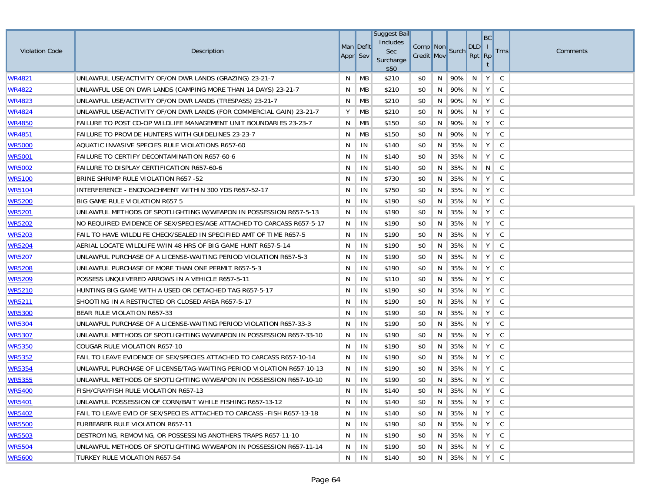| <b>Violation Code</b> | Description                                                            | Man Deflt<br>Appr Sev |    | <b>Suggest Bail</b><br>Includes<br>Sec<br>Surcharge<br>\$50 | Comp Non<br><b>Credit Mov</b> |    | Surch       | DLD   I<br>Rpt Rp | BC             | <b>Trns</b>  | Comments |
|-----------------------|------------------------------------------------------------------------|-----------------------|----|-------------------------------------------------------------|-------------------------------|----|-------------|-------------------|----------------|--------------|----------|
| WR4821                | UNLAWFUL USE/ACTIVITY OF/ON DWR LANDS (GRAZING) 23-21-7                | N                     | MB | \$210                                                       | \$0                           | N  | 90%         | N                 | Y              | <sub>c</sub> |          |
| WR4822                | UNLAWFUL USE ON DWR LANDS (CAMPING MORE THAN 14 DAYS) 23-21-7          | N                     | MB | \$210                                                       | \$0                           | N  | 90%         | N                 | Y              | C            |          |
| WR4823                | UNLAWFUL USE/ACTIVITY OF/ON DWR LANDS (TRESPASS) 23-21-7               | N                     | MB | \$210                                                       | \$0                           | N  | 90%         | N                 | Y              | C.           |          |
| WR4824                | UNLAWFUL USE/ACTIVITY OF/ON DWR LANDS (FOR COMMERCIAL GAIN) 23-21-7    | Y                     | MB | \$210                                                       | \$0                           | N  | 90%         | N                 | $Y \mid$       | C            |          |
| <b>WR4850</b>         | FAILURE TO POST CO-OP WILDLIFE MANAGEMENT UNIT BOUNDARIES 23-23-7      | N                     | MB | \$150                                                       | \$0                           | N  | 90%         | N                 | Y              | C            |          |
| WR4851                | FAILURE TO PROVIDE HUNTERS WITH GUIDELINES 23-23-7                     | N                     | МB | \$150                                                       | \$0                           | N  | 90%         | N                 | $Y \mid$       | C            |          |
| <b>WR5000</b>         | AQUATIC INVASIVE SPECIES RULE VIOLATIONS R657-60                       | N                     | IN | \$140                                                       | \$0                           | N  | 35%         | N                 | Y              | C            |          |
| <u>WR5001</u>         | <b>FAILURE TO CERTIFY DECONTAMINATION R657-60-6</b>                    | N                     | IN | \$140                                                       | \$0                           | N  | 35%         | N                 | Y              | C            |          |
| <u>WR5002</u>         | FAILURE TO DISPLAY CERTIFICATION R657-60-6                             | N                     | IN | \$140                                                       | \$0                           | N  | 35%         | N                 | $\overline{N}$ | $\mathbb{C}$ |          |
| <u>WR5100</u>         | BRINE SHRIMP RULE VIOLATION R657 -52                                   | N                     | IN | \$730                                                       | \$0                           | N  | 35%         | N                 | $Y \parallel$  | C            |          |
| WR5104                | INTERFERENCE - ENCROACHMENT WITHIN 300 YDS R657-52-17                  | N                     | IN | \$750                                                       | \$0                           | N  | 35%         | N                 | $\in Y$ )      | C.           |          |
| WR5200                | BIG GAME RULE VIOLATION R657 5                                         | N.                    | IN | \$190                                                       | \$0                           | N  | 35%         | N                 | Y              | C            |          |
| <b>WR5201</b>         | UNLAWFUL METHODS OF SPOTLIGHTING W/WEAPON IN POSSESSION R657-5-13      | N                     | IN | \$190                                                       | \$0                           | N  | 35%         | N                 | Υ              | C            |          |
| <u>WR5202</u>         | NO REQUIRED EVIDENCE OF SEX/SPECIES/AGE ATTACHED TO CARCASS R657-5-17  | N                     | IN | \$190                                                       | \$0                           | N  | 35%         | N                 | Υ              | C            |          |
| <b>WR5203</b>         | FAIL TO HAVE WILDLIFE CHECK/SEALED IN SPECIFIED AMT OF TIME R657-5     | N                     | IN | \$190                                                       | \$0                           | N  | 35%         | N                 | Y              | C            |          |
| <u>WR5204</u>         | AERIAL LOCATE WILDLIFE W/IN 48 HRS OF BIG GAME HUNT R657-5-14          | N                     | IN | \$190                                                       | \$0                           | N  | 35%         | N                 | Υ              | C            |          |
| WR5207                | UNLAWFUL PURCHASE OF A LICENSE-WAITING PERIOD VIOLATION R657-5-3       | N                     | IN | \$190                                                       | \$0                           | N  | 35%         | N                 | Υ              | C            |          |
| WR5208                | UNLAWFUL PURCHASE OF MORE THAN ONE PERMIT R657-5-3                     | N                     | IN | \$190                                                       | \$0                           | N  | 35%         | N                 | Υ              | C            |          |
| <b>WR5209</b>         | POSSESS UNQUIVERED ARROWS IN A VEHICLE R657-5-11                       | N                     | IN | \$110                                                       | \$0                           | N  | 35%         | N                 | Y              | C            |          |
| WR5210                | HUNTING BIG GAME WITH A USED OR DETACHED TAG R657-5-17                 | N                     | IN | \$190                                                       | \$0                           | N  | 35%         | N                 | Y              | C            |          |
| <b>WR5211</b>         | SHOOTING IN A RESTRICTED OR CLOSED AREA R657-5-17                      | N                     | IN | \$190                                                       | \$0                           | N  | 35%         | N                 | Y              | C            |          |
| <b>WR5300</b>         | BEAR RULE VIOLATION R657-33                                            | N                     | IN | \$190                                                       | \$0                           | N  | 35%         | N                 | Υ              | C            |          |
| <b>WR5304</b>         | UNLAWFUL PURCHASE OF A LICENSE-WAITING PERIOD VIOLATION R657-33-3      | N                     | IN | \$190                                                       | \$0                           | N  | 35%         | N                 | $Y \mid$       | C            |          |
| WR5307                | UNLAWFUL METHODS OF SPOTLIGHTING W/WEAPON IN POSSESSION R657-33-10     | N                     | IN | \$190                                                       | \$0                           | N  | 35%         | N                 | Y              | <sub>c</sub> |          |
| <b>WR5350</b>         | COUGAR RULE VIOLATION R657-10                                          | N                     | IN | \$190                                                       | \$0                           | N  | 35%         | N                 | $Y \mid$       | C            |          |
| <b>WR5352</b>         | FAIL TO LEAVE EVIDENCE OF SEX/SPECIES ATTACHED TO CARCASS R657-10-14   | N                     | IN | \$190                                                       | \$0                           | N  | 35%         | N                 | Y              | C            |          |
| <b>WR5354</b>         | UNLAWFUL PURCHASE OF LICENSE/TAG-WAITING PERIOD VIOLATION R657-10-13   | N                     | IN | \$190                                                       | \$0                           | N  | 35%         | N.                | Y              | C            |          |
| <b>WR5355</b>         | UNLAWFUL METHODS OF SPOTLIGHTING W/WEAPON IN POSSESSION R657-10-10     | N                     | IN | \$190                                                       | \$0                           | N  | 35%         | N                 | Y              | C            |          |
| WR5400                | <b>FISH/CRAYFISH RULE VIOLATION R657-13</b>                            | N                     | IN | \$140                                                       | \$0                           | N  | 35%         | N                 | Y              | C.           |          |
| <b>WR5401</b>         | UNLAWFUL POSSESSION OF CORN/BAIT WHILE FISHING R657-13-12              | N.                    | IN | \$140                                                       | \$0                           | N  | 35% N Y C   |                   |                |              |          |
| <b>WR5402</b>         | FAIL TO LEAVE EVID OF SEX/SPECIES ATTACHED TO CARCASS -FISH R657-13-18 | N                     | IN | \$140                                                       | \$0                           | N  | 35% N Y C   |                   |                |              |          |
| <b>WR5500</b>         | <b>FURBEARER RULE VIOLATION R657-11</b>                                | N                     | IN | \$190                                                       | \$0                           | N  | 35% N Y     |                   |                | $\mathsf{C}$ |          |
| <b>WR5503</b>         | DESTROYING, REMOVING, OR POSSESSING ANOTHERS TRAPS R657-11-10          | N                     | IN | \$190                                                       | \$0                           | N. | 35% N Y C   |                   |                |              |          |
| <b>WR5504</b>         | UNLAWFUL METHODS OF SPOTLIGHTING W/WEAPON IN POSSESSION R657-11-14     | N                     | IN | \$190                                                       | \$0                           | N  | 35% N Y C   |                   |                |              |          |
| <u>WR5600</u>         | TURKEY RULE VIOLATION R657-54                                          | N                     | IN | \$140                                                       | \$0                           |    | N 35% N Y C |                   |                |              |          |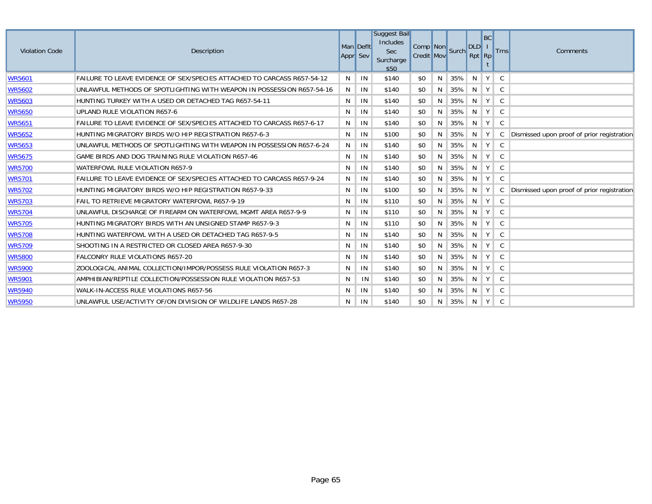| <b>Violation Code</b> | Description                                                             |   | Man Defit<br>Appr Sev | Suggest Bail<br><b>Includes</b><br><b>Sec</b><br>Surcharge<br>\$50 | Comp Non Surch<br><b>Credit Mov</b> |   |     | <b>DLD</b><br>Rpt Rp | BC            | <b>Trns</b> | Comments                                   |
|-----------------------|-------------------------------------------------------------------------|---|-----------------------|--------------------------------------------------------------------|-------------------------------------|---|-----|----------------------|---------------|-------------|--------------------------------------------|
| <b>WR5601</b>         | FAILURE TO LEAVE EVIDENCE OF SEX/SPECIES ATTACHED TO CARCASS R657-54-12 | N | IN                    | \$140                                                              | \$0                                 | N | 35% | N                    | $Y \mid$      | C           |                                            |
| <b>WR5602</b>         | UNLAWFUL METHODS OF SPOTLIGHTING WITH WEAPON IN POSSESSION R657-54-16   | N | IN                    | \$140                                                              | \$0                                 | N | 35% | N.                   | $Y \mid$      | C           |                                            |
| <b>WR5603</b>         | HUNTING TURKEY WITH A USED OR DETACHED TAG R657-54-11                   | N | IN                    | \$140                                                              | \$0                                 | N | 35% | N.                   | $Y \mid$      | C           |                                            |
| <b>WR5650</b>         | UPLAND RULE VIOLATION R657-6                                            | N | IN                    | \$140                                                              | \$0                                 | N | 35% | N                    | $Y \mid$      | C           |                                            |
| <b>WR5651</b>         | FAILURE TO LEAVE EVIDENCE OF SEX/SPECIES ATTACHED TO CARCASS R657-6-17  | N | IN                    | \$140                                                              | \$0                                 | N | 35% | N.                   | Y             | C           |                                            |
| <b>WR5652</b>         | HUNTING MIGRATORY BIRDS W/O HIP REGISTRATION R657-6-3                   | N | IN                    | \$100                                                              | \$0                                 | N | 35% | N.                   | $Y \mid$      | C           | Dismissed upon proof of prior registration |
| <b>WR5653</b>         | UNLAWFUL METHODS OF SPOTLIGHTING WITH WEAPON IN POSSESSION R657-6-24    | N | IN                    | \$140                                                              | \$0                                 | N | 35% | N                    | $Y \mid$      | C           |                                            |
| <b>WR5675</b>         | GAME BIRDS AND DOG TRAINING RULE VIOLATION R657-46                      | N | IN                    | \$140                                                              | \$0                                 | N | 35% | N                    | $Y \mid$      | C           |                                            |
| <b>WR5700</b>         | WATERFOWL RULE VIOLATION R657-9                                         | N | IN                    | \$140                                                              | \$0                                 | N | 35% | N                    | $Y \mid$      | C           |                                            |
| <b>WR5701</b>         | FAILURE TO LEAVE EVIDENCE OF SEX/SPECIES ATTACHED TO CARCASS R657-9-24  | N | IN                    | \$140                                                              | \$0                                 | N | 35% | N.                   | $Y \mid$      | C           |                                            |
| <b>WR5702</b>         | HUNTING MIGRATORY BIRDS W/O HIP REGISTRATION R657-9-33                  | N | IN                    | \$100                                                              | \$0                                 | N | 35% | N.                   | $Y \mid$      | C           | Dismissed upon proof of prior registration |
| <b>WR5703</b>         | FAIL TO RETRIEVE MIGRATORY WATERFOWL R657-9-19                          | N | IN                    | \$110                                                              | \$0                                 | N | 35% | N                    | Y             | C           |                                            |
| <b>WR5704</b>         | UNLAWFUL DISCHARGE OF FIREARM ON WATERFOWL MGMT AREA R657-9-9           | N | IN                    | \$110                                                              | \$0                                 | N | 35% | N.                   | Y             | C.          |                                            |
| <b>WR5705</b>         | HUNTING MIGRATORY BIRDS WITH AN UNSIGNED STAMP R657-9-3                 | N | IN                    | \$110                                                              | \$0                                 | N | 35% | N                    | Y             | C           |                                            |
| <b>WR5708</b>         | HUNTING WATERFOWL WITH A USED OR DETACHED TAG R657-9-5                  | N | IN                    | \$140                                                              | \$0                                 | N | 35% | N                    | Y             | - C         |                                            |
| <b>WR5709</b>         | SHOOTING IN A RESTRICTED OR CLOSED AREA R657-9-30                       | N | IN                    | \$140                                                              | \$0                                 | N | 35% | N                    | $Y \parallel$ | C.          |                                            |
| <b>WR5800</b>         | <b>FALCONRY RULE VIOLATIONS R657-20</b>                                 | N | IN                    | \$140                                                              | \$0                                 | N | 35% | N                    | Y             | C C         |                                            |
| <b>WR5900</b>         | ZOOLOGICAL ANIMAL COLLECTION/IMPOR/POSSESS RULE VIOLATION R657-3        | N | IN                    | \$140                                                              | \$0                                 | N | 35% | N                    | $Y \mid$      | C.          |                                            |
| <b>WR5901</b>         | AMPHIBIAN/REPTILE COLLECTION/POSSESSION RULE VIOLATION R657-53          | N | IN                    | \$140                                                              | \$0                                 | N | 35% | N                    | Y             | C.          |                                            |
| <b>WR5940</b>         | WALK-IN-ACCESS RULE VIOLATIONS R657-56                                  | N | IN                    | \$140                                                              | \$0                                 | N | 35% | N                    | $Y \mid$      | - C         |                                            |
| <b>WR5950</b>         | UNLAWFUL USE/ACTIVITY OF/ON DIVISION OF WILDLIFE LANDS R657-28          | N | IN                    | \$140                                                              | \$0                                 | N | 35% | N                    | Y C           |             |                                            |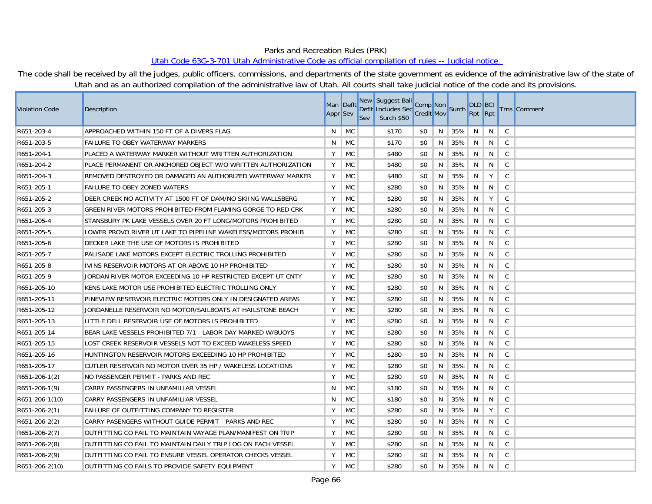## Parks and Recreation Rules (PRK)

## Utah Code 63G-3-701 Utah Administrative Code as official compilation of rules -- Judicial notice.

The code shall be received by all the judges, public officers, commissions, and departments of the state government as evidence of the administrative law of the state of Utah and as an authorized compilation of the administrative law of Utah. All courts shall take judicial notice of the code and its provisions.

| Violation Code  | Description                                                  | Man Deflt<br><b>Appr</b> Sev |           | Sev | New Suggest Bail Comp Non<br>Defit Includes Sec Credit Mov Surch<br>Surch \$50 |     |    |     | <b>DLD</b> BCI<br>Rpt Rpt |    |              | <b>Trns</b> Comment |
|-----------------|--------------------------------------------------------------|------------------------------|-----------|-----|--------------------------------------------------------------------------------|-----|----|-----|---------------------------|----|--------------|---------------------|
| R651-203-4      | APPROACHED WITHIN 150 FT OF A DIVERS FLAG                    | N                            | <b>MC</b> |     | \$170                                                                          | \$0 | N  | 35% | N                         | N  | $\mathsf{C}$ |                     |
| R651-203-5      | <b>FAILURE TO OBEY WATERWAY MARKERS</b>                      | N.                           | <b>MC</b> |     | \$170                                                                          | \$0 | N  | 35% | N                         | N  | $\mathsf{C}$ |                     |
| R651-204-1      | PLACED A WATERWAY MARKER WITHOUT WRITTEN AUTHORIZATION       | Y                            | <b>MC</b> |     | \$480                                                                          | \$0 | N  | 35% | N                         | N  | $\mathsf{C}$ |                     |
| R651-204-2      | PLACE PERMANENT OR ANCHORED OBJECT W/O WRITTEN AUTHORIZATION | Y                            | <b>MC</b> |     | \$480                                                                          | \$0 | N  | 35% | N                         | N  | C            |                     |
| R651-204-3      | REMOVED DESTROYED OR DAMAGED AN AUTHORIZED WATERWAY MARKER   | Y                            | <b>MC</b> |     | \$480                                                                          | \$0 | N. | 35% | N                         | Y  | $\mathsf{C}$ |                     |
| R651-205-1      | <b>FAILURE TO OBEY ZONED WATERS</b>                          | Y                            | MC        |     | \$280                                                                          | \$0 | N  | 35% | N                         | N  | C            |                     |
| R651-205-2      | DEER CREEK NO ACTIVITY AT 1500 FT OF DAM/NO SKIING WALLSBERG | Y                            | <b>MC</b> |     | \$280                                                                          | \$0 | N  | 35% | N                         | Y  | $\mathsf{C}$ |                     |
| R651-205-3      | GREEN RIVER MOTORS PROHIBITED FROM FLAMING GORGE TO RED CRK  | Y                            | <b>MC</b> |     | \$280                                                                          | \$0 | N  | 35% | N                         | N  | $\mathsf{C}$ |                     |
| R651-205-4      | STANSBURY PK LAKE VESSELS OVER 20 FT LONG/MOTORS PROHIBITED  | Y                            | <b>MC</b> |     | \$280                                                                          | \$0 | N  | 35% | N                         | N  | $\mathsf{C}$ |                     |
| R651-205-5      | LOWER PROVO RIVER UT LAKE TO PIPELINE WAKELESS/MOTORS PROHIB | Y                            | <b>MC</b> |     | \$280                                                                          | \$0 | N  | 35% | N                         | N  | $\mathsf{C}$ |                     |
| R651-205-6      | DECKER LAKE THE USE OF MOTORS IS PROHIBITED                  | Y                            | MC        |     | \$280                                                                          | \$0 | N  | 35% | N                         | N  | C            |                     |
| R651-205-7      | PALISADE LAKE MOTORS EXCEPT ELECTRIC TROLLING PROHIBITED     | Y                            | <b>MC</b> |     | \$280                                                                          | \$0 | N  | 35% | N                         | N  | $\mathsf{C}$ |                     |
| R651-205-8      | IVINS RESERVOIR MOTORS AT OR ABOVE 10 HP PROHIBITED          | Y                            | <b>MC</b> |     | \$280                                                                          | \$0 | N  | 35% | N                         | N  | $\mathsf{C}$ |                     |
| R651-205-9      | JORDAN RIVER MOTOR EXCEEDING 10 HP RESTRICTED EXCEPT UT CNTY | Y                            | <b>MC</b> |     | \$280                                                                          | \$0 | N  | 35% | N                         | N  | C            |                     |
| R651-205-10     | KENS LAKE MOTOR USE PROHIBITED ELECTRIC TROLLING ONLY        | Y                            | <b>MC</b> |     | \$280                                                                          | \$0 | N  | 35% | N                         | N  | $\mathsf{C}$ |                     |
| R651-205-11     | PINEVIEW RESERVOIR ELECTRIC MOTORS ONLY IN DESIGNATED AREAS  | Y                            | <b>MC</b> |     | \$280                                                                          | \$0 | N  | 35% | N                         | N  | C            |                     |
| R651-205-12     | JORDANELLE RESERVOIR NO MOTOR/SAILBOATS AT HAILSTONE BEACH   | Y                            | <b>MC</b> |     | \$280                                                                          | \$0 | N  | 35% | N                         | N  | $\mathsf{C}$ |                     |
| R651-205-13     | LITTLE DELL RESERVOIR USE OF MOTORS IS PROHIBITED            | Y                            | <b>MC</b> |     | \$280                                                                          | \$0 | N  | 35% | N                         | N  | $\mathsf{C}$ |                     |
| R651-205-14     | BEAR LAKE VESSELS PROHIBITED 7/1 - LABOR DAY MARKED W/BUOYS  | Y                            | <b>MC</b> |     | \$280                                                                          | \$0 | N  | 35% | N                         | N  | $\mathsf{C}$ |                     |
| R651-205-15     | LOST CREEK RESERVOIR VESSELS NOT TO EXCEED WAKELESS SPEED    | Y                            | <b>MC</b> |     | \$280                                                                          | \$0 | N. | 35% | N                         | N  | $\mathsf{C}$ |                     |
| R651-205-16     | HUNTINGTON RESERVOIR MOTORS EXCEEDING 10 HP PROHIBITED       | Y                            | MC        |     | \$280                                                                          | \$0 | N  | 35% | N                         | N  | C            |                     |
| R651-205-17     | CUTLER RESERVOIR NO MOTOR OVER 35 HP / WAKELESS LOCATIONS    | Υ                            | MC        |     | \$280                                                                          | \$0 | N  | 35% | N                         | N  | $\mathsf{C}$ |                     |
| R651-206-1(2)   | NO PASSENGER PERMIT - PARKS AND REC                          | Y                            | <b>MC</b> |     | \$280                                                                          | \$0 | N  | 35% | N                         | N  | $\mathsf{C}$ |                     |
| R651-206-1(9)   | CARRY PASSENGERS IN UNFAMILIAR VESSEL                        | N                            | <b>MC</b> |     | \$180                                                                          | \$0 | N  | 35% | N                         | N  | $\mathsf{C}$ |                     |
| R651-206-1(10)  | CARRY PASSENGERS IN UNFAMILIAR VESSEL                        | N                            | <b>MC</b> |     | \$180                                                                          | \$0 | N  | 35% | N                         | N  | $\mathsf{C}$ |                     |
| R651-206-2(1)   | <b>FAILURE OF OUTFITTING COMPANY TO REGISTER</b>             | Y                            | <b>MC</b> |     | \$280                                                                          | \$0 | N  | 35% | N                         | Y  | C            |                     |
| R651-206-2(2)   | CARRY PASENGERS WITHOUT GUIDE PERMIT - PARKS AND REC         | Y                            | <b>MC</b> |     | \$280                                                                          | \$0 | N  | 35% | N                         | N  | C            |                     |
| R651-206-2(7)   | OUTFITTING CO FAIL TO MAINTAIN VAYAGE PLAN/MANIFEST ON TRIP  | Υ                            | <b>MC</b> |     | \$280                                                                          | \$0 | N  | 35% | N                         | N  | $\mathsf{C}$ |                     |
| R651-206-2(8)   | OUTFITTING CO FAIL TO MAINTAIN DAILY TRIP LOG ON EACH VESSEL | Y                            | <b>MC</b> |     | \$280                                                                          | \$0 | N  | 35% | N                         | N  | $\mathsf{C}$ |                     |
| $R651-206-2(9)$ | OUTFITTING CO FAIL TO ENSURE VESSEL OPERATOR CHECKS VESSEL   | Υ                            | MC        |     | \$280                                                                          | \$0 | N. | 35% | N                         | N. | $\mathsf{C}$ |                     |
| R651-206-2(10)  | OUTFITTING CO FAILS TO PROVIDE SAFETY EQUIPMENT              | Y                            | <b>MC</b> |     | \$280                                                                          | \$0 | N  | 35% | N                         | N  | $\mathsf{C}$ |                     |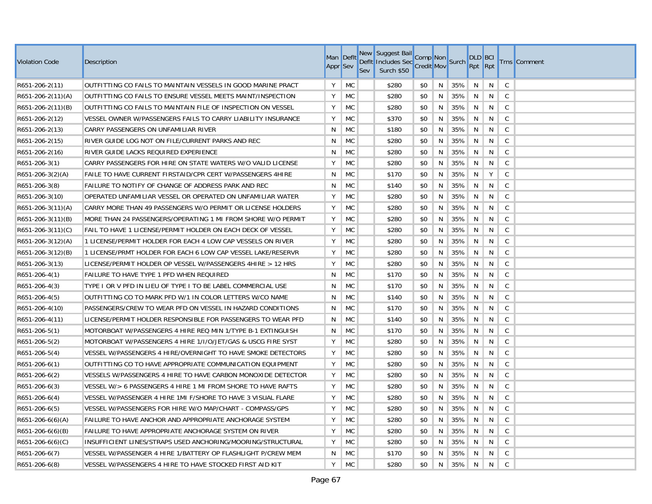| <b>Violation Code</b>  | Description                                                  | Man Deflt<br>Appr <sup>Sev</sup> |           | New<br><b>Sev</b> | Suggest Bail<br>Defit Includes Sec Comp Non<br>Sec Credit Mov<br>Surch \$50 |     |    |     | <b>DLD BCI</b><br>Rpt Rpt |   |              | <b>Trns</b> Comment |
|------------------------|--------------------------------------------------------------|----------------------------------|-----------|-------------------|-----------------------------------------------------------------------------|-----|----|-----|---------------------------|---|--------------|---------------------|
| R651-206-2(11)         | OUTFITTING CO FAILS TO MAINTAIN VESSELS IN GOOD MARINE PRACT | Y                                | MC        |                   | \$280                                                                       | \$0 | N  | 35% | N                         | N | $\mathsf C$  |                     |
| $R651-206-2(11)(A)$    | OUTFITTING CO FAILS TO ENSURE VESSEL MEETS MAINT/INSPECTION  | Y                                | <b>MC</b> |                   | \$280                                                                       | \$0 | N  | 35% | N                         | N | $\mathsf C$  |                     |
| $R651-206-2(11)(B)$    | OUTFITTING CO FAILS TO MAINTAIN FILE OF INSPECTION ON VESSEL | Y                                | MC        |                   | \$280                                                                       | \$0 | N  | 35% | N                         | N | $\mathsf C$  |                     |
| R651-206-2(12)         | VESSEL OWNER W/PASSENGERS FAILS TO CARRY LIABILITY INSURANCE | Y                                | <b>MC</b> |                   | \$370                                                                       | \$0 | N  | 35% | N                         | N | $\mathsf C$  |                     |
| R651-206-2(13)         | CARRY PASSENGERS ON UNFAMILIAR RIVER                         | N                                | <b>MC</b> |                   | \$180                                                                       | \$0 | N  | 35% | N                         | N | $\mathsf{C}$ |                     |
| R651-206-2(15)         | RIVER GUIDE LOG NOT ON FILE/CURRENT PARKS AND REC            | N                                | <b>MC</b> |                   | \$280                                                                       | \$0 | N  | 35% | N                         | N | $\mathsf C$  |                     |
| R651-206-2(16)         | RIVER GUIDE LACKS REQUIRED EXPERIENCE                        | N                                | <b>MC</b> |                   | \$280                                                                       | \$0 | N  | 35% | N                         | N | $\mathsf C$  |                     |
| R651-206-3(1)          | CARRY PASSENGERS FOR HIRE ON STATE WATERS W/O VALID LICENSE  | Y                                | <b>MC</b> |                   | \$280                                                                       | \$0 | N  | 35% | N                         | N | $\mathsf{C}$ |                     |
| $R651-206-3(2)(A)$     | FAILE TO HAVE CURRENT FIRSTAID/CPR CERT W/PASSENGERS 4HIRE   | N                                | <b>MC</b> |                   | \$170                                                                       | \$0 | N  | 35% | N                         | Y | $\mathsf{C}$ |                     |
| R651-206-3(8)          | FAILURE TO NOTIFY OF CHANGE OF ADDRESS PARK AND REC          | N                                | <b>MC</b> |                   | \$140                                                                       | \$0 | N  | 35% | N                         | N | $\mathsf C$  |                     |
| R651-206-3(10)         | OPERATED UNFAMILIAR VESSEL OR OPERATED ON UNFAMILIAR WATER   | Υ                                | <b>MC</b> |                   | \$280                                                                       | \$0 | N  | 35% | N                         | N | $\mathsf{C}$ |                     |
| R651-206-3(11)(A)      | CARRY MORE THAN 49 PASSENGERS W/O PERMIT OR LICENSE HOLDERS  | Υ                                | <b>MC</b> |                   | \$280                                                                       | \$0 | N  | 35% | N                         | N | C            |                     |
| $R651-206-3(11)(B)$    | MORE THAN 24 PASSENGERS/OPERATING 1 MI FROM SHORE W/O PERMIT | Y                                | <b>MC</b> |                   | \$280                                                                       | \$0 | N  | 35% | N                         | N | $\mathsf{C}$ |                     |
| $R651-206-3(11)(C)$    | FAIL TO HAVE 1 LICENSE/PERMIT HOLDER ON EACH DECK OF VESSEL  | Y                                | <b>MC</b> |                   | \$280                                                                       | \$0 | N  | 35% | N                         | N | $\mathsf{C}$ |                     |
| R651-206-3(12)(A)      | 1 LICENSE/PERMIT HOLDER FOR EACH 4 LOW CAP VESSELS ON RIVER  | Y                                | <b>MC</b> |                   | \$280                                                                       | \$0 | N  | 35% | N                         | N | $\mathsf C$  |                     |
| $R651-206-3(12)(B)$    | 1 LICENSE/PRMT HOLDER FOR EACH 6 LOW CAP VESSEL LAKE/RESERVR | Y                                | <b>MC</b> |                   | \$280                                                                       | \$0 | N  | 35% | N                         | N | $\mathsf C$  |                     |
| R651-206-3(13)         | LICENSE/PERMIT HOLDER OP VESSEL W/PASSENGERS 4HIRE > 12 HRS  | Y                                | <b>MC</b> |                   | \$280                                                                       | \$0 | N  | 35% | N                         | N | $\mathsf C$  |                     |
| R651-206-4(1)          | FAILURE TO HAVE TYPE 1 PFD WHEN REQUIRED                     | N                                | MC        |                   | \$170                                                                       | \$0 | N  | 35% | N                         | N | C            |                     |
| R651-206-4(3)          | TYPE I OR V PFD IN LIEU OF TYPE I TO BE LABEL COMMERCIAL USE | N                                | MC        |                   | \$170                                                                       | \$0 | N  | 35% | N                         | N | $\mathsf C$  |                     |
| R651-206-4(5)          | OUTFITTING CO TO MARK PFD W/1 IN COLOR LETTERS W/CO NAME     | N                                | MC        |                   | \$140                                                                       | \$0 | N  | 35% | N                         | N | $\mathsf C$  |                     |
| R651-206-4(10)         | PASSENGERS/CREW TO WEAR PFD ON VESSEL IN HAZARD CONDITIONS   | N                                | МC        |                   | \$170                                                                       | \$0 | N  | 35% | N                         | N | $\mathsf C$  |                     |
| R651-206-4(11)         | LICENSE/PERMIT HOLDER RESPONSIBLE FOR PASSENGERS TO WEAR PFD | N                                | <b>MC</b> |                   | \$140                                                                       | \$0 | N  | 35% | N                         | N | $\mathsf C$  |                     |
| R651-206-5(1)          | MOTORBOAT W/PASSENGERS 4 HIRE REQ MIN 1/TYPE B-1 EXTINGUISH  | N                                | <b>MC</b> |                   | \$170                                                                       | \$0 | N  | 35% | N                         | N | $\mathsf{C}$ |                     |
| R651-206-5(2)          | MOTORBOAT W/PASSENGERS 4 HIRE 1/1/O/JET/GAS & USCG FIRE SYST | Υ                                | <b>MC</b> |                   | \$280                                                                       | \$0 | N  | 35% | N                         | N | C            |                     |
| R651-206-5(4)          | VESSEL W/PASSENGERS 4 HIRE/OVERNIGHT TO HAVE SMOKE DETECTORS | Y                                | <b>MC</b> |                   | \$280                                                                       | \$0 | N  | 35% | N                         | N | $\mathsf{C}$ |                     |
| R651-206-6(1)          | OUTFITTING CO TO HAVE APPROPRIATE COMMUNICATION EQUIPMENT    | Y                                | <b>MC</b> |                   | \$280                                                                       | \$0 | N  | 35% | N                         | N | $\mathsf{C}$ |                     |
| R651-206-6(2)          | VESSELS W/PASSENGERS 4 HIRE TO HAVE CARBON MONOXIDE DETECTOR | Y                                | <b>MC</b> |                   | \$280                                                                       | \$0 | N  | 35% | N                         | N | $\mathsf{C}$ |                     |
| R651-206-6(3)          | VESSEL W/> 6 PASSENGERS 4 HIRE 1 MI FROM SHORE TO HAVE RAFTS | Y                                | <b>MC</b> |                   | \$280                                                                       | \$0 | N  | 35% | N                         | N | $\mathsf{C}$ |                     |
| $R651-206-6(4)$        | VESSEL W/PASSENGER 4 HIRE 1MI F/SHORE TO HAVE 3 VISUAL FLARE | Y                                | <b>MC</b> |                   | \$280                                                                       | \$0 | N  | 35% | N                         | N | $\mathsf{C}$ |                     |
| R651-206-6(5)          | VESSEL W/PASSENGERS FOR HIRE W/O MAP/CHART - COMPASS/GPS     | Υ                                | <b>MC</b> |                   | \$280                                                                       | \$0 | N  | 35% | N                         | N | C            |                     |
| $R651-206-6(6)(A)$     | FAILURE TO HAVE ANCHOR AND APPROPRIATE ANCHORAGE SYSTEM      | Y                                | MC        |                   | \$280                                                                       | \$0 | N  | 35% | N                         | N | $\mathsf C$  |                     |
| $R651 - 206 - 6(6)(B)$ | FAILURE TO HAVE APPROPRIATE ANCHORAGE SYSTEM ON RIVER        | Υ                                | <b>MC</b> |                   | \$280                                                                       | \$0 | N  | 35% | N                         | N | $\mathsf{C}$ |                     |
| $R651 - 206 - 6(6)(C)$ | INSUFFICIENT LINES/STRAPS USED ANCHORING/MOORING/STRUCTURAL  | Y                                | <b>MC</b> |                   | \$280                                                                       | \$0 | N. | 35% | N                         | N | C            |                     |
| R651-206-6(7)          | VESSEL W/PASSENGER 4 HIRE 1/BATTERY OP FLASHLIGHT P/CREW MEM | N                                | МC        |                   | \$170                                                                       | \$0 | N  | 35% | N                         | N | C            |                     |
| R651-206-6(8)          | VESSEL W/PASSENGERS 4 HIRE TO HAVE STOCKED FIRST AID KIT     | Υ                                | <b>MC</b> |                   | \$280                                                                       | \$0 | N. | 35% | N                         | N | $\mathsf{C}$ |                     |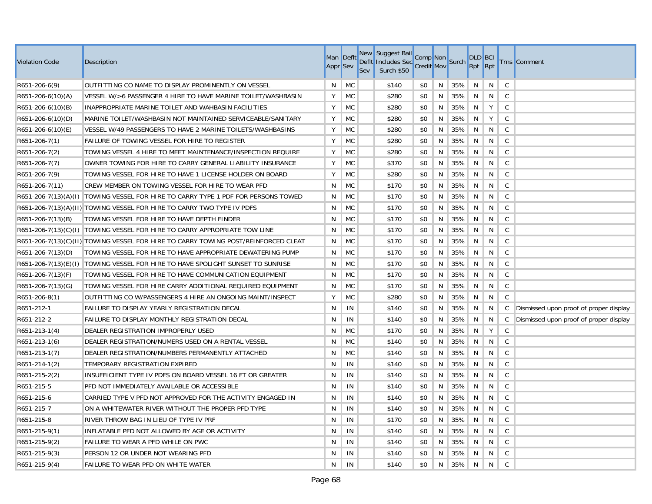| <b>Violation Code</b>   | Description                                                                        | Appr <sup>Sev</sup> | Man Deflt | New<br><b>Sev</b> | Suggest Bail<br>Defit Includes Sec Comp Non<br>Sec Credit Mov<br>Surch \$50 |     |   |     | <b>DLD BCI</b><br>Rpt Rpt |   |              | <b>Trns</b> Comment                    |
|-------------------------|------------------------------------------------------------------------------------|---------------------|-----------|-------------------|-----------------------------------------------------------------------------|-----|---|-----|---------------------------|---|--------------|----------------------------------------|
| $R651-206-6(9)$         | OUTFITTING CO NAME TO DISPLAY PROMINENTLY ON VESSEL                                | N                   | MC        |                   | \$140                                                                       | \$0 | N | 35% | N                         | N | $\mathsf C$  |                                        |
| $R651-206-6(10)(A)$     | VESSEL W/>6 PASSENGER 4 HIRE TO HAVE MARINE TOILET/WASHBASIN                       | Y                   | MC        |                   | \$280                                                                       | \$0 | N | 35% | N                         | N | $\mathsf{C}$ |                                        |
| $R651 - 206 - 6(10)(B)$ | INAPPROPRIATE MARINE TOILET AND WAHBASIN FACILITIES                                | Υ                   | MC        |                   | \$280                                                                       | \$0 | N | 35% | N                         | Y | $\mathsf C$  |                                        |
| $R651 - 206 - 6(10)(D)$ | MARINE TOILET/WASHBASIN NOT MAINTAINED SERVICEABLE/SANITARY                        | Υ                   | MC        |                   | \$280                                                                       | \$0 | N | 35% | N                         | Y | $\mathsf{C}$ |                                        |
| $R651-206-6(10)(E)$     | VESSEL W/49 PASSENGERS TO HAVE 2 MARINE TOILETS/WASHBASINS                         | Υ                   | МC        |                   | \$280                                                                       | \$0 | N | 35% | N                         | N | $\mathsf{C}$ |                                        |
| R651-206-7(1)           | FAILURE OF TOWING VESSEL FOR HIRE TO REGISTER                                      | Y                   | MC        |                   | \$280                                                                       | \$0 | N | 35% | N                         | N | C            |                                        |
| R651-206-7(2)           | TOWING VESSEL 4 HIRE TO MEET MAINTENANCE/INSPECTION REQUIRE                        | Υ                   | <b>MC</b> |                   | \$280                                                                       | \$0 | N | 35% | N                         | N | $\mathsf C$  |                                        |
| R651-206-7(7)           | OWNER TOWING FOR HIRE TO CARRY GENERAL LIABILITY INSURANCE                         | Υ                   | <b>MC</b> |                   | \$370                                                                       | \$0 | N | 35% | N                         | N | $\mathsf{C}$ |                                        |
| R651-206-7(9)           | TOWING VESSEL FOR HIRE TO HAVE 1 LICENSE HOLDER ON BOARD                           | Y                   | <b>MC</b> |                   | \$280                                                                       | \$0 | N | 35% | N                         | N | $\mathsf C$  |                                        |
| R651-206-7(11)          | CREW MEMBER ON TOWING VESSEL FOR HIRE TO WEAR PFD                                  | Ν                   | <b>MC</b> |                   | \$170                                                                       | \$0 | N | 35% | N                         | N | $\mathsf C$  |                                        |
|                         | R651-206-7(13)(A)(I) TOWING VESSEL FOR HIRE TO CARRY TYPE 1 PDF FOR PERSONS TOWED  | N                   | <b>MC</b> |                   | \$170                                                                       | \$0 | N | 35% | N                         | N | $\mathsf{C}$ |                                        |
|                         | R651-206-7(13)(A)(II) TOWING VESSEL FOR HIRE TO CARRY TWO TYPE IV PDFS             | N                   | MC        |                   | \$170                                                                       | \$0 | N | 35% | N                         | N | C            |                                        |
| $R651 - 206 - 7(13)(B)$ | TOWING VESSEL FOR HIRE TO HAVE DEPTH FINDER                                        | N                   | <b>MC</b> |                   | \$170                                                                       | \$0 | N | 35% | N                         | N | $\mathsf{C}$ |                                        |
|                         | R651-206-7(13)(C)(I) TOWING VESSEL FOR HIRE TO CARRY APPROPRIATE TOW LINE          | N                   | <b>MC</b> |                   | \$170                                                                       | \$0 | N | 35% | N                         | N | $\mathsf{C}$ |                                        |
|                         | R651-206-7(13)(C)(II) TOWING VESSEL FOR HIRE TO CARRY TOWING POST/REINFORCED CLEAT | N                   | <b>MC</b> |                   | \$170                                                                       | \$0 | N | 35% | N                         | N | $\mathsf{C}$ |                                        |
| $R651-206-7(13)(D)$     | TOWING VESSEL FOR HIRE TO HAVE APPROPRIATE DEWATERING PUMP                         | N                   | <b>MC</b> |                   | \$170                                                                       | \$0 | N | 35% | N                         | N | $\mathsf{C}$ |                                        |
|                         | R651-206-7(13)(E)(I) TOWING VESSEL FOR HIRE TO HAVE SPOLIGHT SUNSET TO SUNRISE     | N                   | <b>MC</b> |                   | \$170                                                                       | \$0 | N | 35% | N                         | N | $\mathsf C$  |                                        |
| $R651 - 206 - 7(13)(F)$ | TOWING VESSEL FOR HIRE TO HAVE COMMUNICATION EQUIPMENT                             | N                   | <b>MC</b> |                   | \$170                                                                       | \$0 | N | 35% | N                         | N | C            |                                        |
| $R651-206-7(13)(G)$     | TOWING VESSEL FOR HIRE CARRY ADDITIONAL REQUIRED EQUIPMENT                         | N                   | MC        |                   | \$170                                                                       | \$0 | N | 35% | N                         | N | $\mathsf C$  |                                        |
| R651-206-8(1)           | OUTFITTING CO W/PASSENGERS 4 HIRE AN ONGOING MAINT/INSPECT                         | Υ                   | <b>MC</b> |                   | \$280                                                                       | \$0 | N | 35% | N                         | N | $\mathsf{C}$ |                                        |
| R651-212-1              | FAILURE TO DISPLAY YEARLY REGISTRATION DECAL                                       | N                   | IN        |                   | \$140                                                                       | \$0 | N | 35% | N                         | N | C            | Dismissed upon proof of proper display |
| R651-212-2              | FAILURE TO DISPLAY MONTHLY REGISTRATION DECAL                                      | N                   | IN        |                   | \$140                                                                       | \$0 | N | 35% | N                         | N | C            | Dismissed upon proof of proper display |
| $R651-213-1(4)$         | DEALER REGISTRATION IMPROPERLY USED                                                | N                   | МC        |                   | \$170                                                                       | \$0 | N | 35% | N                         | Y | $\mathsf{C}$ |                                        |
| R651-213-1(6)           | DEALER REGISTRATION/NUMERS USED ON A RENTAL VESSEL                                 | N                   | MC        |                   | \$140                                                                       | \$0 | N | 35% | N                         | N | C            |                                        |
| R651-213-1(7)           | DEALER REGISTRATION/NUMBERS PERMANENTLY ATTACHED                                   | N                   | MC        |                   | \$140                                                                       | \$0 | N | 35% | N                         | N | $\mathsf{C}$ |                                        |
| R651-214-1(2)           | TEMPORARY REGISTRATION EXPIRED                                                     | N                   | IN        |                   | \$140                                                                       | \$0 | N | 35% | N                         | N | $\mathsf{C}$ |                                        |
| R651-215-2(2)           | INSUFFICIENT TYPE IV PDFS ON BOARD VESSEL 16 FT OR GREATER                         | N                   | IN        |                   | \$140                                                                       | \$0 | N | 35% | N                         | N | $\mathsf{C}$ |                                        |
| R651-215-5              | PFD NOT IMMEDIATELY AVAILABLE OR ACCESSIBLE                                        | N                   | IN        |                   | \$140                                                                       | \$0 | N | 35% | N                         | N | $\mathsf{C}$ |                                        |
| R651-215-6              | CARRIED TYPE V PFD NOT APPROVED FOR THE ACTIVITY ENGAGED IN                        | N                   | IN        |                   | \$140                                                                       | \$0 | N | 35% | N                         | N | $\mathsf{C}$ |                                        |
| R651-215-7              | ON A WHITEWATER RIVER WITHOUT THE PROPER PFD TYPE                                  | N                   | IN        |                   | \$140                                                                       | \$0 | N | 35% | N                         | N | $\mathsf{C}$ |                                        |
| R651-215-8              | RIVER THROW BAG IN LIEU OF TYPE IV PRF                                             | N                   | IN        |                   | \$170                                                                       | \$0 | N | 35% | N                         | N | $\mathsf{C}$ |                                        |
| R651-215-9(1)           | INFLATABLE PFD NOT ALLOWED BY AGE OR ACTIVITY                                      | N                   | IN        |                   | \$140                                                                       | \$0 | N | 35% | N                         | N | $\mathsf{C}$ |                                        |
| R651-215-9(2)           | FAILURE TO WEAR A PFD WHILE ON PWC                                                 | N                   | IN        |                   | \$140                                                                       | \$0 | N | 35% | N                         | N | C            |                                        |
| R651-215-9(3)           | PERSON 12 OR UNDER NOT WEARING PFD                                                 | N                   | IN        |                   | \$140                                                                       | \$0 | N | 35% | N                         | N | C            |                                        |
| R651-215-9(4)           | FAILURE TO WEAR PFD ON WHITE WATER                                                 | N                   | IN        |                   | \$140                                                                       | \$0 | N | 35% | N                         | N | $\mathsf{C}$ |                                        |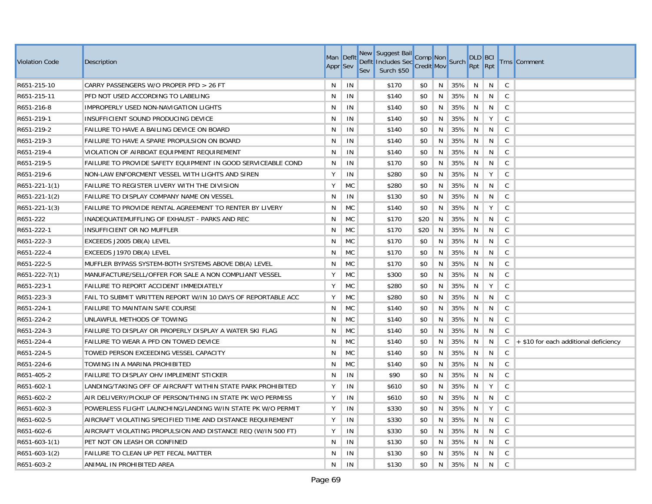| <b>Violation Code</b> | Description                                                  | Man Deflt<br>Appr <sup>Sev</sup> |           | New<br>Sev | Suggest Bail<br>Defit Includes Sec Comp Non<br>Sec Credit Mov<br>Surch \$50 |      |   |     | <b>DLD BCI</b><br>Rpt Rpt |   |              | <b>Trns</b> Comment                   |
|-----------------------|--------------------------------------------------------------|----------------------------------|-----------|------------|-----------------------------------------------------------------------------|------|---|-----|---------------------------|---|--------------|---------------------------------------|
| R651-215-10           | CARRY PASSENGERS W/O PROPER PFD > 26 FT                      | N                                | IN        |            | \$170                                                                       | \$0  | N | 35% | N                         | N | $\mathsf{C}$ |                                       |
| R651-215-11           | PFD NOT USED ACCORDING TO LABELING                           | N                                | IN        |            | \$140                                                                       | \$0  | N | 35% | N                         | N | $\mathsf{C}$ |                                       |
| R651-216-8            | IMPROPERLY USED NON-NAVIGATION LIGHTS                        | N                                | IN        |            | \$140                                                                       | \$0  | N | 35% | N                         | N | $\mathsf{C}$ |                                       |
| R651-219-1            | INSUFFICIENT SOUND PRODUCING DEVICE                          | N                                | IN        |            | \$140                                                                       | \$0  | N | 35% | N                         | Y | $\mathsf{C}$ |                                       |
| R651-219-2            | FAILURE TO HAVE A BAILING DEVICE ON BOARD                    | N                                | IN        |            | \$140                                                                       | \$0  | N | 35% | N                         | N | $\mathsf{C}$ |                                       |
| R651-219-3            | FAILURE TO HAVE A SPARE PROPULSION ON BOARD                  | N                                | IN        |            | \$140                                                                       | \$0  | N | 35% | N                         | N | $\mathsf{C}$ |                                       |
| R651-219-4            | VIOLATION OF AIRBOAT EQUIPMENT REQUIREMENT                   | N                                | IN        |            | \$140                                                                       | \$0  | N | 35% | N                         | N | $\mathsf{C}$ |                                       |
| R651-219-5            | FAILURE TO PROVIDE SAFETY EQUIPMENT IN GOOD SERVICEABLE COND | N                                | IN        |            | \$170                                                                       | \$0  | N | 35% | N                         | N | $\mathsf{C}$ |                                       |
| R651-219-6            | NON-LAW ENFORCMENT VESSEL WITH LIGHTS AND SIREN              | Y                                | IN        |            | \$280                                                                       | \$0  | N | 35% | N                         | Y | $\mathsf{C}$ |                                       |
| R651-221-1(1)         | <b>FAILURE TO REGISTER LIVERY WITH THE DIVISION</b>          | Y                                | <b>MC</b> |            | \$280                                                                       | \$0  | N | 35% | N                         | N | $\mathsf{C}$ |                                       |
| R651-221-1(2)         | FAILURE TO DISPLAY COMPANY NAME ON VESSEL                    | N                                | IN        |            | \$130                                                                       | \$0  | N | 35% | N                         | N | C            |                                       |
| R651-221-1(3)         | FAILURE TO PROVIDE RENTAL AGREEMENT TO RENTER BY LIVERY      | N                                | <b>MC</b> |            | \$140                                                                       | \$0  | N | 35% | N                         | Υ | $\mathsf{C}$ |                                       |
| R651-222              | INADEQUATEMUFFLING OF EXHAUST - PARKS AND REC                | N                                | <b>MC</b> |            | \$170                                                                       | \$20 | N | 35% | N                         | N | $\mathsf{C}$ |                                       |
| R651-222-1            | INSUFFICIENT OR NO MUFFLER                                   | N                                | <b>MC</b> |            | \$170                                                                       | \$20 | N | 35% | N                         | N | $\mathsf{C}$ |                                       |
| R651-222-3            | EXCEEDS J2005 DB(A) LEVEL                                    | N                                | МC        |            | \$170                                                                       | \$0  | N | 35% | N                         | N | $\mathsf{C}$ |                                       |
| R651-222-4            | EXCEEDS J1970 DB(A) LEVEL                                    | N                                | МC        |            | \$170                                                                       | \$0  | N | 35% | N                         | N | $\mathsf{C}$ |                                       |
| R651-222-5            | MUFFLER BYPASS SYSTEM-BOTH SYSTEMS ABOVE DB(A) LEVEL         | N                                | MC        |            | \$170                                                                       | \$0  | N | 35% | N                         | N | $\mathsf C$  |                                       |
| R651-222-7(1)         | MANUFACTURE/SELL/OFFER FOR SALE A NON COMPLIANT VESSEL       | Y                                | <b>MC</b> |            | \$300                                                                       | \$0  | N | 35% | N                         | N | $\mathsf{C}$ |                                       |
| R651-223-1            | FAILURE TO REPORT ACCIDENT IMMEDIATELY                       | Y                                | <b>MC</b> |            | \$280                                                                       | \$0  | N | 35% | N                         | Y | $\mathsf{C}$ |                                       |
| R651-223-3            | FAIL TO SUBMIT WRITTEN REPORT W/IN 10 DAYS OF REPORTABLE ACC | Y                                | <b>MC</b> |            | \$280                                                                       | \$0  | N | 35% | N                         | N | $\mathsf{C}$ |                                       |
| R651-224-1            | <b>FAILURE TO MAINTAIN SAFE COURSE</b>                       | N                                | МC        |            | \$140                                                                       | \$0  | N | 35% | N                         | N | C            |                                       |
| R651-224-2            | UNLAWFUL METHODS OF TOWING                                   | N                                | МC        |            | \$140                                                                       | \$0  | N | 35% | N                         | N | $\mathsf{C}$ |                                       |
| R651-224-3            | FAILURE TO DISPLAY OR PROPERLY DISPLAY A WATER SKI FLAG      | N                                | <b>MC</b> |            | \$140                                                                       | \$0  | N | 35% | N                         | N | $\mathsf{C}$ |                                       |
| R651-224-4            | FAILURE TO WEAR A PFD ON TOWED DEVICE                        | N                                | MC        |            | \$140                                                                       | \$0  | N | 35% | N                         | N | $\mathsf{C}$ | + \$10 for each additional deficiency |
| R651-224-5            | TOWED PERSON EXCEEDING VESSEL CAPACITY                       | N                                | <b>MC</b> |            | \$140                                                                       | \$0  | N | 35% | N                         | N | $\mathsf{C}$ |                                       |
| R651-224-6            | TOWING IN A MARINA PROHIBITED                                | N                                | <b>MC</b> |            | \$140                                                                       | \$0  | N | 35% | N                         | N | $\mathsf{C}$ |                                       |
| R651-405-2            | FAILURE TO DISPLAY OHV IMPLEMENT STICKER                     | N                                | IN        |            | \$90                                                                        | \$0  | N | 35% | N                         | N | $\mathsf{C}$ |                                       |
| R651-602-1            | LANDING/TAKING OFF OF AIRCRAFT WITHIN STATE PARK PROHIBITED  | Y                                | IN        |            | \$610                                                                       | \$0  | N | 35% | N                         | Y | $\mathsf{C}$ |                                       |
| R651-602-2            | AIR DELIVERY/PICKUP OF PERSON/THING IN STATE PK W/O PERMISS  | Y                                | IN        |            | \$610                                                                       | \$0  | N | 35% | N                         | N | $\mathsf{C}$ |                                       |
| R651-602-3            | POWERLESS FLIGHT LAUNCHING/LANDING W/IN STATE PK W/O PERMIT  | Y                                | IN        |            | \$330                                                                       | \$0  | N | 35% | N                         | Y | $\mathsf{C}$ |                                       |
| R651-602-5            | AIRCRAFT VIOLATING SPECIFIED TIME AND DISTANCE REQUIREMENT   | Y                                | IN        |            | \$330                                                                       | \$0  | N | 35% | N                         | N | $\mathsf{C}$ |                                       |
| R651-602-6            | AIRCRAFT VIOLATING PROPULSION AND DISTANCE REQ (W/IN 500 FT) | Y                                | IN        |            | \$330                                                                       | \$0  | N | 35% | N                         | N | $\mathsf{C}$ |                                       |
| R651-603-1(1)         | PET NOT ON LEASH OR CONFINED                                 | N                                | IN        |            | \$130                                                                       | \$0  | N | 35% | N                         | N | C            |                                       |
| R651-603-1(2)         | FAILURE TO CLEAN UP PET FECAL MATTER                         | N                                | IN        |            | \$130                                                                       | \$0  | N | 35% | N                         | N | $\mathsf C$  |                                       |
| R651-603-2            | ANIMAL IN PROHIBITED AREA                                    | N                                | IN        |            | \$130                                                                       | \$0  | N | 35% | N                         | N | $\mathsf{C}$ |                                       |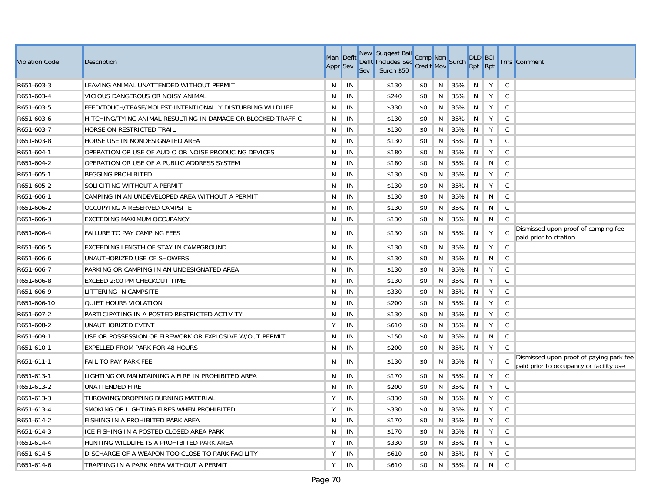| Violation Code | Description                                                  | <b>Appr</b> Sev | Man Defit | <b>New</b><br><b>Defit</b><br>Sev | Suggest Bail<br>suggest Ball Comp Non<br>Includes Sec Credit Mov Surch<br>Surch \$50 |     |    |     | <b>DLD BCI</b><br>Rpt Rpt |   |              | <b>Trns</b> Comment                                                                |
|----------------|--------------------------------------------------------------|-----------------|-----------|-----------------------------------|--------------------------------------------------------------------------------------|-----|----|-----|---------------------------|---|--------------|------------------------------------------------------------------------------------|
| R651-603-3     | LEAVING ANIMAL UNATTENDED WITHOUT PERMIT                     | N               | IN        |                                   | \$130                                                                                | \$0 | N. | 35% | N.                        | Y | $\mathsf{C}$ |                                                                                    |
| R651-603-4     | VICIOUS DANGEROUS OR NOISY ANIMAL                            | N.              | IN        |                                   | \$240                                                                                | \$0 | N  | 35% | N                         | Y | $\mathsf{C}$ |                                                                                    |
| R651-603-5     | FEED/TOUCH/TEASE/MOLEST-INTENTIONALLY DISTURBING WILDLIFE    | N               | IN        |                                   | \$330                                                                                | \$0 | N  | 35% | N                         | Y | $\mathsf{C}$ |                                                                                    |
| R651-603-6     | HITCHING/TYING ANIMAL RESULTING IN DAMAGE OR BLOCKED TRAFFIC | N               | IN        |                                   | \$130                                                                                | \$0 | N  | 35% | N                         | Y | $\mathsf{C}$ |                                                                                    |
| R651-603-7     | HORSE ON RESTRICTED TRAIL                                    | N.              | IN        |                                   | \$130                                                                                | \$0 | N  | 35% | N                         | Y | $\mathsf{C}$ |                                                                                    |
| R651-603-8     | HORSE USE IN NONDESIGNATED AREA                              | N.              | IN        |                                   | \$130                                                                                | \$0 | N  | 35% | N                         | Y | $\mathsf{C}$ |                                                                                    |
| R651-604-1     | OPERATION OR USE OF AUDIO OR NOISE PRODUCING DEVICES         | N               | IN        |                                   | \$180                                                                                | \$0 | N  | 35% | N                         | Y | C            |                                                                                    |
| R651-604-2     | OPERATION OR USE OF A PUBLIC ADDRESS SYSTEM                  | N               | IN        |                                   | \$180                                                                                | \$0 | N  | 35% | N                         | N | $\mathsf{C}$ |                                                                                    |
| R651-605-1     | <b>BEGGING PROHIBITED</b>                                    | N               | IN        |                                   | \$130                                                                                | \$0 | N  | 35% | N                         | Y | $\mathsf{C}$ |                                                                                    |
| R651-605-2     | SOLICITING WITHOUT A PERMIT                                  | N               | IN        |                                   | \$130                                                                                | \$0 | N  | 35% | N                         | Y | $\mathsf{C}$ |                                                                                    |
| R651-606-1     | CAMPING IN AN UNDEVELOPED AREA WITHOUT A PERMIT              | N               | IN        |                                   | \$130                                                                                | \$0 | N  | 35% | N                         | N | $\mathsf{C}$ |                                                                                    |
| R651-606-2     | OCCUPYING A RESERVED CAMPSITE                                | N               | IN        |                                   | \$130                                                                                | \$0 | N  | 35% | N                         | N | $\mathsf{C}$ |                                                                                    |
| R651-606-3     | <b>EXCEEDING MAXIMUM OCCUPANCY</b>                           | N               | IN        |                                   | \$130                                                                                | \$0 | N  | 35% | N                         | N | $\mathsf C$  |                                                                                    |
| R651-606-4     | <b>FAILURE TO PAY CAMPING FEES</b>                           | N               | IN        |                                   | \$130                                                                                | \$0 | N  | 35% | N                         | Y | C            | Dismissed upon proof of camping fee<br>paid prior to citation                      |
| R651-606-5     | EXCEEDING LENGTH OF STAY IN CAMPGROUND                       | N.              | IN        |                                   | \$130                                                                                | \$0 | N  | 35% | N                         | Y | $\mathsf{C}$ |                                                                                    |
| R651-606-6     | UNAUTHORIZED USE OF SHOWERS                                  | N               | IN        |                                   | \$130                                                                                | \$0 | N  | 35% | N                         | N | $\mathsf{C}$ |                                                                                    |
| R651-606-7     | PARKING OR CAMPING IN AN UNDESIGNATED AREA                   | N               | IN        |                                   | \$130                                                                                | \$0 | N  | 35% | N                         | Y | $\mathsf{C}$ |                                                                                    |
| R651-606-8     | <b>EXCEED 2:00 PM CHECKOUT TIME</b>                          | N               | IN        |                                   | \$130                                                                                | \$0 | N  | 35% | N                         | Y | $\mathsf{C}$ |                                                                                    |
| R651-606-9     | LITTERING IN CAMPSITE                                        | N               | IN        |                                   | \$330                                                                                | \$0 | N  | 35% | N                         | Y | $\mathsf{C}$ |                                                                                    |
| R651-606-10    | QUIET HOURS VIOLATION                                        | N               | IN        |                                   | \$200                                                                                | \$0 | N  | 35% | N                         | Y | $\mathsf{C}$ |                                                                                    |
| R651-607-2     | PARTICIPATING IN A POSTED RESTRICTED ACTIVITY                | N               | IN        |                                   | \$130                                                                                | \$0 | N  | 35% | N                         | Y | $\mathsf{C}$ |                                                                                    |
| R651-608-2     | UNAUTHORIZED EVENT                                           | Y               | IN        |                                   | \$610                                                                                | \$0 | N  | 35% | N                         | Y | $\mathsf{C}$ |                                                                                    |
| R651-609-1     | USE OR POSSESSION OF FIREWORK OR EXPLOSIVE W/OUT PERMIT      | N               | IN        |                                   | \$150                                                                                | \$0 | N  | 35% | N                         | N | $\mathsf{C}$ |                                                                                    |
| R651-610-1     | <b>EXPELLED FROM PARK FOR 48 HOURS</b>                       | N               | IN        |                                   | \$200                                                                                | \$0 | N  | 35% | N                         | Y | $\mathsf{C}$ |                                                                                    |
| R651-611-1     | <b>FAIL TO PAY PARK FEE</b>                                  | N               | IN        |                                   | \$130                                                                                | \$0 | N  | 35% | N                         | Y | C            | Dismissed upon proof of paying park fee<br>paid prior to occupancy or facility use |
| R651-613-1     | LIGHTING OR MAINTAINING A FIRE IN PROHIBITED AREA            | N               | IN        |                                   | \$170                                                                                | \$0 | N  | 35% | N                         | Y | $\mathsf{C}$ |                                                                                    |
| R651-613-2     | UNATTENDED FIRE                                              | N.              | IN        |                                   | \$200                                                                                | \$0 | N  | 35% | N                         | Y | $\mathsf{C}$ |                                                                                    |
| R651-613-3     | THROWING/DROPPING BURNING MATERIAL                           | Y               | IN        |                                   | \$330                                                                                | \$0 | N  | 35% | N                         | Y | $\mathsf{C}$ |                                                                                    |
| R651-613-4     | SMOKING OR LIGHTING FIRES WHEN PROHIBITED                    | Y               | IN        |                                   | \$330                                                                                | \$0 | N  | 35% | N                         | Y | C            |                                                                                    |
| R651-614-2     | FISHING IN A PROHIBITED PARK AREA                            | N               | IN        |                                   | \$170                                                                                | \$0 | N  | 35% | N                         | Y | $\mathsf{C}$ |                                                                                    |
| R651-614-3     | ICE FISHING IN A POSTED CLOSED AREA PARK                     | N               | IN        |                                   | \$170                                                                                | \$0 | N  | 35% | N                         | Y | $\mathsf{C}$ |                                                                                    |
| R651-614-4     | HUNTING WILDLIFE IS A PROHIBITED PARK AREA                   | Y               | IN        |                                   | \$330                                                                                | \$0 | N  | 35% | N                         | Y | C            |                                                                                    |
| R651-614-5     | DISCHARGE OF A WEAPON TOO CLOSE TO PARK FACILITY             | Y               | IN        |                                   | \$610                                                                                | \$0 | N  | 35% | N                         | Y | $\mathsf{C}$ |                                                                                    |
| R651-614-6     | TRAPPING IN A PARK AREA WITHOUT A PERMIT                     | Y               | IN        |                                   | \$610                                                                                | \$0 | N  | 35% | N                         | N | $\mathsf C$  |                                                                                    |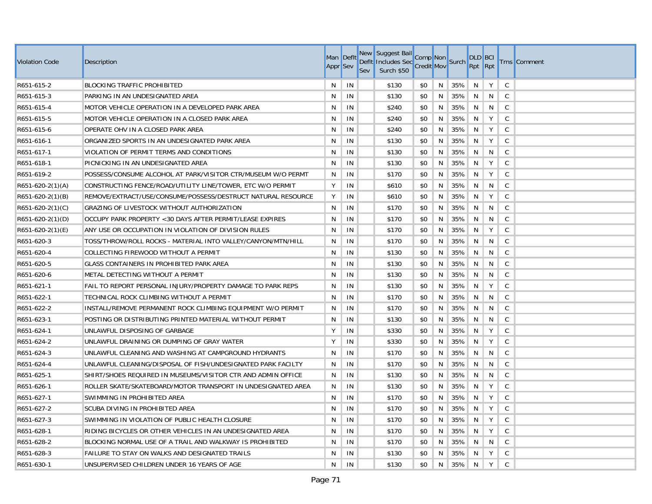| <b>Violation Code</b> | Description                                                  | Man Deflt<br><b>Appr</b> Sev |    | Sev | New Suggest Bail<br>Defit Includes Sec Credit Mov Surch<br>Surch \$50 | Comp Non |    |     | <b>DLD BCI</b><br>Rpt Rpt |   |              | <b>Trns</b> Comment |
|-----------------------|--------------------------------------------------------------|------------------------------|----|-----|-----------------------------------------------------------------------|----------|----|-----|---------------------------|---|--------------|---------------------|
| R651-615-2            | <b>BLOCKING TRAFFIC PROHIBITED</b>                           | N.                           | IN |     | \$130                                                                 | \$0      | N  | 35% | N                         | Y | $\mathsf{C}$ |                     |
| R651-615-3            | PARKING IN AN UNDESIGNATED AREA                              | N                            | IN |     | \$130                                                                 | \$0      | N  | 35% | N                         | N | C            |                     |
| R651-615-4            | MOTOR VEHICLE OPERATION IN A DEVELOPED PARK AREA             | N.                           | IN |     | \$240                                                                 | \$0      | N  | 35% | N                         | N | $\mathsf{C}$ |                     |
| R651-615-5            | MOTOR VEHICLE OPERATION IN A CLOSED PARK AREA                | N                            | IN |     | \$240                                                                 | \$0      | N  | 35% | N                         | Y | $\mathsf{C}$ |                     |
| R651-615-6            | OPERATE OHV IN A CLOSED PARK AREA                            | N                            | IN |     | \$240                                                                 | \$0      | N  | 35% | N                         | Y | $\mathsf{C}$ |                     |
| R651-616-1            | ORGANIZED SPORTS IN AN UNDESIGNATED PARK AREA                | N                            | IN |     | \$130                                                                 | \$0      | N  | 35% | N                         | Y | $\mathsf{C}$ |                     |
| R651-617-1            | VIOLATION OF PERMIT TERMS AND CONDITIONS                     | N                            | IN |     | \$130                                                                 | \$0      | N  | 35% | N                         | N | C            |                     |
| R651-618-1            | PICNICKING IN AN UNDESIGNATED AREA                           | N                            | IN |     | \$130                                                                 | \$0      | N. | 35% | N                         | Y | C            |                     |
| R651-619-2            | POSSESS/CONSUME ALCOHOL AT PARK/VISITOR CTR/MUSEUM W/O PERMT | N                            | IN |     | \$170                                                                 | \$0      | N  | 35% | N                         | Y | $\mathsf{C}$ |                     |
| $R651-620-2(1)(A)$    | CONSTRUCTING FENCE/ROAD/UTILITY LINE/TOWER, ETC W/O PERMIT   | Y                            | IN |     | \$610                                                                 | \$0      | N  | 35% | N                         | N | C            |                     |
| $R651-620-2(1)(B)$    | REMOVE/EXTRACT/USE/CONSUME/POSSESS/DESTRUCT NATURAL RESOURCE | Y                            | IN |     | \$610                                                                 | \$0      | N  | 35% | N                         | Y | $\mathsf{C}$ |                     |
| $R651-620-2(1)(C)$    | GRAZING OF LIVESTOCK WITHOUT AUTHORIZATION                   | N                            | IN |     | \$170                                                                 | \$0      | N  | 35% | N                         | N | $\mathsf{C}$ |                     |
| R651-620-2(1)(D)      | OCCUPY PARK PROPERTY < 30 DAYS AFTER PERMIT/LEASE EXPIRES    | N                            | IN |     | \$170                                                                 | \$0      | N  | 35% | N                         | N | $\mathsf{C}$ |                     |
| $R651-620-2(1)(E)$    | ANY USE OR OCCUPATION IN VIOLATION OF DIVISION RULES         | N                            | IN |     | \$170                                                                 | \$0      | N  | 35% | N                         | Y | C            |                     |
| R651-620-3            | TOSS/THROW/ROLL ROCKS - MATERIAL INTO VALLEY/CANYON/MTN/HILL | N.                           | IN |     | \$170                                                                 | \$0      | N  | 35% | N                         | N | $\mathsf{C}$ |                     |
| R651-620-4            | COLLECTING FIREWOOD WITHOUT A PERMIT                         | N                            | IN |     | \$130                                                                 | \$0      | N  | 35% | N                         | N | $\mathsf{C}$ |                     |
| R651-620-5            | GLASS CONTAINERS IN PROHIBITED PARK AREA                     | N                            | IN |     | \$130                                                                 | \$0      | N  | 35% | N                         | N | $\mathsf{C}$ |                     |
| R651-620-6            | METAL DETECTING WITHOUT A PERMIT                             | N                            | IN |     | \$130                                                                 | \$0      | N  | 35% | N                         | N | $\mathsf{C}$ |                     |
| R651-621-1            | FAIL TO REPORT PERSONAL INJURY/PROPERTY DAMAGE TO PARK REPS  | N                            | IN |     | \$130                                                                 | \$0      | N  | 35% | N                         | Y | C            |                     |
| R651-622-1            | TECHNICAL ROCK CLIMBING WITHOUT A PERMIT                     | N                            | IN |     | \$170                                                                 | \$0      | N  | 35% | N                         | N | $\mathsf{C}$ |                     |
| R651-622-2            | INSTALL/REMOVE PERMANENT ROCK CLIMBING EQUIPMENT W/O PERMIT  | N.                           | IN |     | \$170                                                                 | \$0      | N  | 35% | N                         | N | $\mathsf{C}$ |                     |
| R651-623-1            | POSTING OR DISTRIBUTING PRINTED MATERIAL WITHOUT PERMIT      | N                            | IN |     | \$130                                                                 | \$0      | N  | 35% | N                         | N | $\mathsf{C}$ |                     |
| R651-624-1            | UNLAWFUL DISPOSING OF GARBAGE                                | Y                            | IN |     | \$330                                                                 | \$0      | N  | 35% | N                         | Y | $\mathsf{C}$ |                     |
| R651-624-2            | UNLAWFUL DRAINING OR DUMPING OF GRAY WATER                   | Y                            | IN |     | \$330                                                                 | \$0      | N  | 35% | N                         | Y | $\mathsf{C}$ |                     |
| R651-624-3            | UNLAWFUL CLEANING AND WASHING AT CAMPGROUND HYDRANTS         | N                            | IN |     | \$170                                                                 | \$0      | N  | 35% | N                         | N | $\mathsf{C}$ |                     |
| R651-624-4            | UNLAWFUL CLEANING/DISPOSAL OF FISH/UNDESIGNATED PARK FACILTY | N                            | IN |     | \$170                                                                 | \$0      | N  | 35% | N                         | N | $\mathsf{C}$ |                     |
| R651-625-1            | SHIRT/SHOES REQUIRED IN MUSEUMS/VISITOR CTR AND ADMIN OFFICE | N                            | IN |     | \$130                                                                 | \$0      | N  | 35% | N                         | N | $\mathsf{C}$ |                     |
| R651-626-1            | ROLLER SKATE/SKATEBOARD/MOTOR TRANSPORT IN UNDESIGNATED AREA | N                            | IN |     | \$130                                                                 | \$0      | N  | 35% | N                         | Y | $\mathsf{C}$ |                     |
| R651-627-1            | SWIMMING IN PROHIBITED AREA                                  | N                            | IN |     | \$170                                                                 | \$0      | N  | 35% | N                         | Y | $\mathsf{C}$ |                     |
| R651-627-2            | SCUBA DIVING IN PROHIBITED AREA                              | N.                           | IN |     | \$170                                                                 | \$0      | N  | 35% | N                         | Y | $\mathsf{C}$ |                     |
| R651-627-3            | SWIMMING IN VIOLATION OF PUBLIC HEALTH CLOSURE               | N                            | IN |     | \$170                                                                 | \$0      | N  | 35% | N                         | Y | C            |                     |
| R651-628-1            | RIDING BICYCLES OR OTHER VEHICLES IN AN UNDESIGNATED AREA    | N.                           | IN |     | \$170                                                                 | \$0      | N  | 35% | N                         | Y | C            |                     |
| R651-628-2            | BLOCKING NORMAL USE OF A TRAIL AND WALKWAY IS PROHIBITED     | N                            | IN |     | \$170                                                                 | \$0      | N  | 35% | N                         | N | C            |                     |
| R651-628-3            | FAILURE TO STAY ON WALKS AND DESIGNATED TRAILS               | N                            | IN |     | \$130                                                                 | \$0      | N  | 35% | N                         | Y | $\mathsf{C}$ |                     |
| R651-630-1            | UNSUPERVISED CHILDREN UNDER 16 YEARS OF AGE                  | N.                           | IN |     | \$130                                                                 | \$0      | N  | 35% | N                         | Y | $\mathsf{C}$ |                     |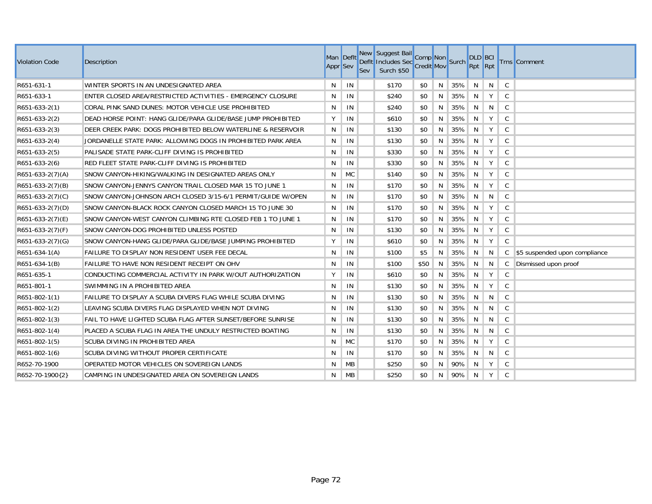| <b>Violation Code</b> | Description                                                  | Man Deflt<br><b>Appr</b> Sev |           | <b>Sev</b> | New Suggest Bail<br>Defit Includes Sec Comp Non<br>Sex Surch \$50 Credit Mov<br>Surch \$50 |      |   |     | <b>DLD BCI</b><br>Rpt Rpt |   |              | <b>Trns</b> Comment           |
|-----------------------|--------------------------------------------------------------|------------------------------|-----------|------------|--------------------------------------------------------------------------------------------|------|---|-----|---------------------------|---|--------------|-------------------------------|
| R651-631-1            | WINTER SPORTS IN AN UNDESIGNATED AREA                        | N                            | IN        |            | \$170                                                                                      | \$0  | N | 35% | N                         | N | $\mathsf{C}$ |                               |
| R651-633-1            | ENTER CLOSED AREA/RESTRICTED ACTIVITIES - EMERGENCY CLOSURE  | N                            | IN        |            | \$240                                                                                      | \$0  | N | 35% | N                         | Y | C            |                               |
| R651-633-2(1)         | CORAL PINK SAND DUNES: MOTOR VEHICLE USE PROHIBITED          | N                            | IN        |            | \$240                                                                                      | \$0  | N | 35% | N                         | N | $\mathsf{C}$ |                               |
| R651-633-2(2)         | DEAD HORSE POINT: HANG GLIDE/PARA GLIDE/BASE JUMP PROHIBITED | Υ                            | IN        |            | \$610                                                                                      | \$0  | N | 35% | N                         | Y | $\mathsf{C}$ |                               |
| R651-633-2(3)         | DEER CREEK PARK: DOGS PROHIBITED BELOW WATERLINE & RESERVOIR | N                            | IN        |            | \$130                                                                                      | \$0  | N | 35% | N                         | Y | $\mathsf C$  |                               |
| R651-633-2(4)         | JORDANELLE STATE PARK: ALLOWING DOGS IN PROHIBITED PARK AREA | N                            | IN        |            | \$130                                                                                      | \$0  | N | 35% | N                         | Y | $\mathsf{C}$ |                               |
| R651-633-2(5)         | PALISADE STATE PARK-CLIFF DIVING IS PROHIBITED               | N                            | IN        |            | \$330                                                                                      | \$0  | N | 35% | N                         | Y | $\mathsf C$  |                               |
| R651-633-2(6)         | RED FLEET STATE PARK-CLIFF DIVING IS PROHIBITED              | N                            | IN        |            | \$330                                                                                      | \$0  | N | 35% | N                         | Y | $\mathsf{C}$ |                               |
| $R651-633-2(7)(A)$    | SNOW CANYON-HIKING/WALKING IN DESIGNATED AREAS ONLY          | N                            | <b>MC</b> |            | \$140                                                                                      | \$0  | N | 35% | N                         | Y | $\mathsf{C}$ |                               |
| $R651-633-2(7)(B)$    | SNOW CANYON-JENNYS CANYON TRAIL CLOSED MAR 15 TO JUNE 1      | N                            | IN        |            | \$170                                                                                      | \$0  | N | 35% | N                         | Y | $\mathsf{C}$ |                               |
| $R651-633-2(7)(C)$    | SNOW CANYON-JOHNSON ARCH CLOSED 3/15-6/1 PERMIT/GUIDE W/OPEN | N                            | IN        |            | \$170                                                                                      | \$0  | N | 35% | N                         | N | $\mathsf C$  |                               |
| $R651-633-2(7)(D)$    | SNOW CANYON-BLACK ROCK CANYON CLOSED MARCH 15 TO JUNE 30     | N                            | IN        |            | \$170                                                                                      | \$0  | N | 35% | N                         | Y | $\mathsf{C}$ |                               |
| $R651-633-2(7)(E)$    | SNOW CANYON-WEST CANYON CLIMBING RTE CLOSED FEB 1 TO JUNE 1  | N                            | IN        |            | \$170                                                                                      | \$0  | N | 35% | N                         | Y | $\mathsf{C}$ |                               |
| $R651-633-2(7)(F)$    | SNOW CANYON-DOG PROHIBITED UNLESS POSTED                     | N                            | IN        |            | \$130                                                                                      | \$0  | N | 35% | N                         | Y | $\mathsf{C}$ |                               |
| R651-633-2(7)(G)      | SNOW CANYON-HANG GLIDE/PARA GLIDE/BASE JUMPING PROHIBITED    | Υ                            | IN        |            | \$610                                                                                      | \$0  | N | 35% | N                         | Υ | $\mathsf{C}$ |                               |
| $R651-634-1(A)$       | FAILURE TO DISPLAY NON RESIDENT USER FEE DECAL               | N                            | IN        |            | \$100                                                                                      | \$5  | N | 35% | N                         | N | C            | \$5 suspended upon compliance |
| R651-634-1(B)         | FAILURE TO HAVE NON RESIDENT RECEIPT ON OHV                  | N                            | IN        |            | \$100                                                                                      | \$50 | N | 35% | N                         | N | C            | Dismissed upon proof          |
| R651-635-1            | CONDUCTING COMMERCIAL ACTIVITY IN PARK W/OUT AUTHORIZATION   | Υ                            | IN        |            | \$610                                                                                      | \$0  | N | 35% | N                         | Y | $\mathsf{C}$ |                               |
| R651-801-1            | SWIMMING IN A PROHIBITED AREA                                | N                            | IN        |            | \$130                                                                                      | \$0  | N | 35% | N                         | Υ | $\mathsf{C}$ |                               |
| R651-802-1(1)         | FAILURE TO DISPLAY A SCUBA DIVERS FLAG WHILE SCUBA DIVING    | N                            | IN        |            | \$130                                                                                      | \$0  | N | 35% | N                         | N | $\mathsf{C}$ |                               |
| R651-802-1(2)         | LEAVING SCUBA DIVERS FLAG DISPLAYED WHEN NOT DIVING          | N                            | IN        |            | \$130                                                                                      | \$0  | N | 35% | N                         | N | $\mathsf{C}$ |                               |
| R651-802-1(3)         | FAIL TO HAVE LIGHTED SCUBA FLAG AFTER SUNSET/BEFORE SUNRISE  | N                            | IN        |            | \$130                                                                                      | \$0  | N | 35% | N                         | N | C            |                               |
| R651-802-1(4)         | PLACED A SCUBA FLAG IN AREA THE UNDULY RESTRICTED BOATING    | N                            | IN        |            | \$130                                                                                      | \$0  | N | 35% | N                         | N | $\mathsf{C}$ |                               |
| R651-802-1(5)         | SCUBA DIVING IN PROHIBITED AREA                              | N                            | <b>MC</b> |            | \$170                                                                                      | \$0  | N | 35% | N                         | Y | C            |                               |
| R651-802-1(6)         | SCUBA DIVING WITHOUT PROPER CERTIFICATE                      | N                            | IN        |            | \$170                                                                                      | \$0  | N | 35% | N                         | N | C            |                               |
| R652-70-1900          | OPERATED MOTOR VEHICLES ON SOVEREIGN LANDS                   | N                            | MB        |            | \$250                                                                                      | \$0  | N | 90% | N                         | Y | C            |                               |
| R652-70-1900{2}       | CAMPING IN UNDESIGNATED AREA ON SOVEREIGN LANDS              | N                            | MB        |            | \$250                                                                                      | \$0  | N | 90% | N                         | Y | $\mathsf{C}$ |                               |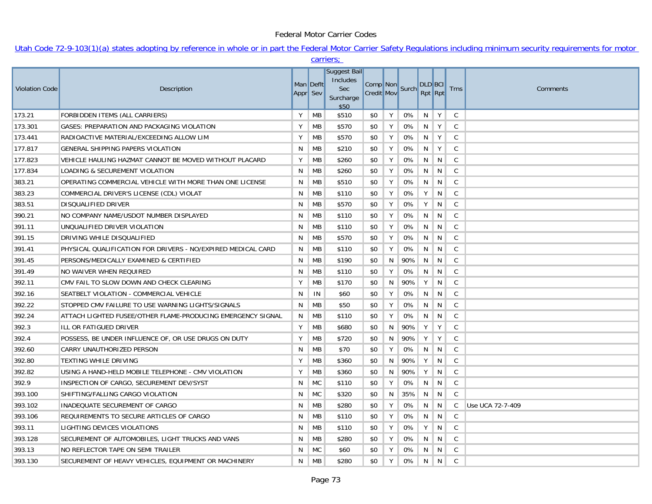## Federal Motor Carrier Codes

## Utah Code 72-9-103(1)(a) states adopting by reference in whole or in part the Federal Motor Carrier Safety Regulations including minimum security requirements for motor carriers;

|                       |                                                              |          |           | carriers;                                            |                   |   |                |                           |                |              |                  |
|-----------------------|--------------------------------------------------------------|----------|-----------|------------------------------------------------------|-------------------|---|----------------|---------------------------|----------------|--------------|------------------|
| <b>Violation Code</b> | Description                                                  | Appr Sev | Man Deflt | Suggest Bail<br>Includes<br>Sec<br>Surcharge<br>\$50 | <b>Credit Mov</b> |   | Comp Non Surch | <b>DLD BCI</b><br>Rpt Rpt |                | <b>Trns</b>  | Comments         |
| 173.21                | FORBIDDEN ITEMS (ALL CARRIERS)                               | Y        | МB        | \$510                                                | \$0               | Y | 0%             | $N$   Y                   |                | C            |                  |
| 173.301               | GASES: PREPARATION AND PACKAGING VIOLATION                   | Y        | MB        | \$570                                                | \$0               | Y | 0%             | N                         | Y              | $\mathsf{C}$ |                  |
| 173.441               | RADIOACTIVE MATERIAL/EXCEEDING ALLOW LIM                     | Y        | МB        | \$570                                                | \$0               | Y | 0%             | N                         | Y              | C            |                  |
| 177.817               | <b>GENERAL SHIPPING PAPERS VIOLATION</b>                     | N        | MB        | \$210                                                | \$0               | Y | 0%             | N                         | Y              | C            |                  |
| 177.823               | VEHICLE HAULING HAZMAT CANNOT BE MOVED WITHOUT PLACARD       | Y        | <b>MB</b> | \$260                                                | \$0               | Y | 0%             | N                         | N              | C            |                  |
| 177.834               | LOADING & SECUREMENT VIOLATION                               | N        | MB        | \$260                                                | \$0               | Y | 0%             | N                         | N              | C            |                  |
| 383.21                | OPERATING COMMERCIAL VEHICLE WITH MORE THAN ONE LICENSE      | N        | МB        | \$510                                                | \$0               | Y | 0%             | N                         | N              | $\mathsf{C}$ |                  |
| 383.23                | COMMERCIAL DRIVER'S LICENSE (CDL) VIOLAT                     | N        | МB        | \$110                                                | \$0               | Y | 0%             | Y                         | N              | C            |                  |
| 383.51                | <b>DISQUALIFIED DRIVER</b>                                   | N        | МB        | \$570                                                | \$0               | Y | 0%             | Y                         | N              | C            |                  |
| 390.21                | NO COMPANY NAME/USDOT NUMBER DISPLAYED                       | N        | MВ        | \$110                                                | \$0               | Y | 0%             | N                         | N              | $\mathsf{C}$ |                  |
| 391.11                | UNQUALIFIED DRIVER VIOLATION                                 | N        | MB        | \$110                                                | \$0               | Y | 0%             | N                         | N              | $\mathsf{C}$ |                  |
| 391.15                | DRIVING WHILE DISQUALIFIED                                   | N        | МB        | \$570                                                | \$0               | Y | 0%             | N                         | N              | $\mathsf{C}$ |                  |
| 391.41                | PHYSICAL QUALIFICATION FOR DRIVERS - NO/EXPIRED MEDICAL CARD | N        | МB        | \$110                                                | \$0               | Y | 0%             | N                         | N              | $\mathsf{C}$ |                  |
| 391.45                | PERSONS/MEDICALLY EXAMINED & CERTIFIED                       | N        | МB        | \$190                                                | \$0               | N | 90%            | N                         | N              | C            |                  |
| 391.49                | NO WAIVER WHEN REQUIRED                                      | N        | MB        | \$110                                                | \$0               | Y | 0%             | N                         | N <sub>1</sub> | $\mathsf{C}$ |                  |
| 392.11                | CMV FAIL TO SLOW DOWN AND CHECK CLEARING                     | Y        | MB        | \$170                                                | \$0               | N | 90%            | Y                         | N <sub>1</sub> | $\mathsf{C}$ |                  |
| 392.16                | SEATBELT VIOLATION - COMMERCIAL VEHICLE                      | N        | IN        | \$60                                                 | \$0               | Y | 0%             | N                         | N              | $\mathsf{C}$ |                  |
| 392.22                | STOPPED CMV FAILURE TO USE WARNING LIGHTS/SIGNALS            | N        | МB        | \$50                                                 | \$0               | Y | 0%             | N                         | N              | $\mathsf{C}$ |                  |
| 392.24                | ATTACH LIGHTED FUSEE/OTHER FLAME-PRODUCING EMERGENCY SIGNAL  | N        | МB        | \$110                                                | \$0               | Y | 0%             | N                         | N              | C            |                  |
| 392.3                 | ILL OR FATIGUED DRIVER                                       | Y        | MB        | \$680                                                | \$0               | N | 90%            | Y                         | Y              | $\mathsf{C}$ |                  |
| 392.4                 | POSSESS, BE UNDER INFLUENCE OF, OR USE DRUGS ON DUTY         | Y        | MB        | \$720                                                | \$0               | N | 90%            | Y                         | Y              | $\mathsf{C}$ |                  |
| 392.60                | CARRY UNAUTHORIZED PERSON                                    | N        | MB        | \$70                                                 | \$0               | Y | 0%             | N                         | N              | C            |                  |
| 392.80                | <b>TEXTING WHILE DRIVING</b>                                 | Υ        | МB        | \$360                                                | \$0               | N | 90%            | Y                         | N              | C            |                  |
| 392.82                | USING A HAND-HELD MOBILE TELEPHONE - CMV VIOLATION           | Y        | МB        | \$360                                                | \$0               | N | 90%            | Y                         | N              | C            |                  |
| 392.9                 | INSPECTION OF CARGO, SECUREMENT DEV/SYST                     | N        | <b>MC</b> | \$110                                                | \$0               | Y | 0%             | N                         | N              | $\mathsf{C}$ |                  |
| 393.100               | SHIFTING/FALLING CARGO VIOLATION                             | N        | <b>MC</b> | \$320                                                | \$0               | N | 35%            | N                         | N              | C            |                  |
| 393.102               | INADEQUATE SECUREMENT OF CARGO                               | N        | MB        | \$280                                                | \$0               | Y | 0%             | N                         | N              | C            | Use UCA 72-7-409 |
| 393.106               | REQUIREMENTS TO SECURE ARTICLES OF CARGO                     | N        | МB        | \$110                                                | \$0               | Y | 0%             | N                         | N              | C            |                  |
| 393.11                | LIGHTING DEVICES VIOLATIONS                                  | N        | МB        | \$110                                                | \$0               | Y | 0%             | Y                         | N              | $\mathsf{C}$ |                  |
| 393.128               | SECUREMENT OF AUTOMOBILES, LIGHT TRUCKS AND VANS             | N        | МB        | \$280                                                | \$0               | Y | 0%             | N                         | N              | C            |                  |
| 393.13                | NO REFLECTOR TAPE ON SEMI TRAILER                            | N        | <b>MC</b> | \$60                                                 | \$0               | Y | 0%             | N                         | N              | C            |                  |
| 393.130               | SECUREMENT OF HEAVY VEHICLES, EQUIPMENT OR MACHINERY         | N        | МB        | \$280                                                | \$0               | Y | 0%             | N                         | N              | C            |                  |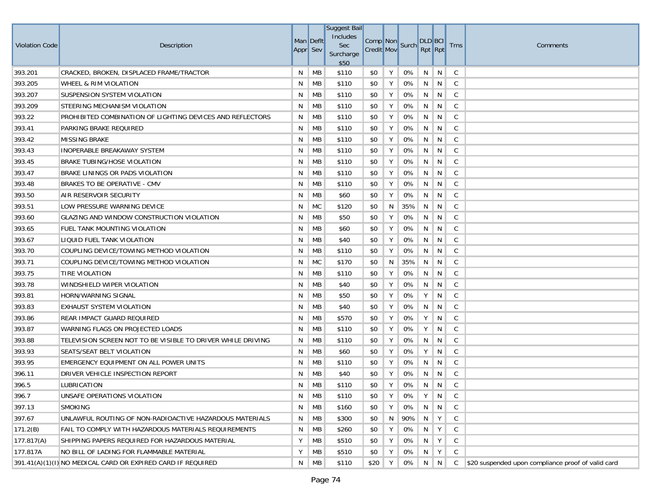| Violation Code | Description                                                 | Appr Sev | Man Deflt | Suggest Bail<br>Includes<br>Sec<br>Surcharge<br>\$50 | Comp Non Surch<br><b>Credit Mov</b> |    |     | <b>DLD</b> BCI<br>Rpt Rpt |                 | <b>Trns</b>  | Comments                                             |
|----------------|-------------------------------------------------------------|----------|-----------|------------------------------------------------------|-------------------------------------|----|-----|---------------------------|-----------------|--------------|------------------------------------------------------|
| 393.201        | CRACKED, BROKEN, DISPLACED FRAME/TRACTOR                    | N        | MB        | \$110                                                | \$0                                 | Y  | 0%  | N                         | $\mid N \mid$   | C            |                                                      |
| 393.205        | WHEEL & RIM VIOLATION                                       | N        | MB        | \$110                                                | \$0                                 | Y  | 0%  | N                         | N               | C            |                                                      |
| 393.207        | SUSPENSION SYSTEM VIOLATION                                 | N        | MB        | \$110                                                | \$0                                 | Y  | 0%  | N                         | N               | C            |                                                      |
| 393.209        | STEERING MECHANISM VIOLATION                                | N        | МB        | \$110                                                | \$0                                 | Y  | 0%  | N                         | N               | C            |                                                      |
| 393.22         | PROHIBITED COMBINATION OF LIGHTING DEVICES AND REFLECTORS   | N        | MB        | \$110                                                | \$0                                 | Y  | 0%  | N                         | N               | C            |                                                      |
| 393.41         | PARKING BRAKE REQUIRED                                      | N        | МB        | \$110                                                | \$0                                 | Y  | 0%  | N                         | N               | C            |                                                      |
| 393.42         | <b>MISSING BRAKE</b>                                        | N        | МB        | \$110                                                | \$0                                 | Y  | 0%  | N                         | N               | C            |                                                      |
| 393.43         | <b>INOPERABLE BREAKAWAY SYSTEM</b>                          | N        | МB        | \$110                                                | \$0                                 | Y  | 0%  | N                         | N               | C            |                                                      |
| 393.45         | BRAKE TUBING/HOSE VIOLATION                                 | N        | МB        | \$110                                                | \$0                                 | Y  | 0%  | N                         | N               | C            |                                                      |
| 393.47         | BRAKE LININGS OR PADS VIOLATION                             | N        | МB        | \$110                                                | \$0                                 | Y  | 0%  | N                         | N               | C            |                                                      |
| 393.48         | BRAKES TO BE OPERATIVE - CMV                                | N        | MB        | \$110                                                | \$0                                 | Y  | 0%  | N                         | N               | C            |                                                      |
| 393.50         | AIR RESERVOIR SECURITY                                      | N        | МB        | \$60                                                 | \$0                                 | Y  | 0%  | N                         | N               | C            |                                                      |
| 393.51         | LOW PRESSURE WARNING DEVICE                                 | N        | МC        | \$120                                                | \$0                                 | N  | 35% | N                         | N               | C            |                                                      |
| 393.60         | GLAZING AND WINDOW CONSTRUCTION VIOLATION                   | N        | MB        | \$50                                                 | \$0                                 | Y  | 0%  | N                         | N               | C            |                                                      |
| 393.65         | <b>FUEL TANK MOUNTING VIOLATION</b>                         | N        | MB        | \$60                                                 | \$0                                 | Y  | 0%  | N                         | N               | C            |                                                      |
| 393.67         | LIQUID FUEL TANK VIOLATION                                  | N        | MB        | \$40                                                 | \$0                                 | Y  | 0%  | N                         | N               | C            |                                                      |
| 393.70         | COUPLING DEVICE/TOWING METHOD VIOLATION                     | N        | MB        | \$110                                                | \$0                                 | Y  | 0%  | N                         | N               | C            |                                                      |
| 393.71         | COUPLING DEVICE/TOWING METHOD VIOLATION                     | N        | МC        | \$170                                                | \$0                                 | N. | 35% | N                         | N               | C            |                                                      |
| 393.75         | TIRE VIOLATION                                              | N        | MB        | \$110                                                | \$0                                 | Y  | 0%  | N                         | N               | C            |                                                      |
| 393.78         | WINDSHIELD WIPER VIOLATION                                  | N        | MB        | \$40                                                 | \$0                                 | Y  | 0%  | N                         | N               | C            |                                                      |
| 393.81         | HORN/WARNING SIGNAL                                         | N        | MB        | \$50                                                 | \$0                                 | Υ  | 0%  | Y                         | N               | C            |                                                      |
| 393.83         | <b>EXHAUST SYSTEM VIOLATION</b>                             | N        | MB        | \$40                                                 | \$0                                 | Y  | 0%  | N                         | N               | C            |                                                      |
| 393.86         | REAR IMPACT GUARD REQUIRED                                  | N        | MB        | \$570                                                | \$0                                 | Y  | 0%  | Y                         | N               | C            |                                                      |
| 393.87         | WARNING FLAGS ON PROJECTED LOADS                            | N        | МB        | \$110                                                | \$0                                 | Υ  | 0%  | Y                         | N               | C            |                                                      |
| 393.88         | TELEVISION SCREEN NOT TO BE VISIBLE TO DRIVER WHILE DRIVING | N        | MB        | \$110                                                | \$0                                 | Y  | 0%  | N                         | N               | C            |                                                      |
| 393.93         | SEATS/SEAT BELT VIOLATION                                   | N        | MB        | \$60                                                 | \$0                                 | Y  | 0%  | Y                         | N               | C            |                                                      |
| 393.95         | EMERGENCY EQUIPMENT ON ALL POWER UNITS                      | N        | MB        | \$110                                                | \$0                                 | Y  | 0%  | N                         | N               | C            |                                                      |
| 396.11         | DRIVER VEHICLE INSPECTION REPORT                            | N        | MB        | \$40                                                 | \$0                                 | Y  | 0%  | N                         | N               | C            |                                                      |
| 396.5          | <b>LUBRICATION</b>                                          | N        | МB        | \$110                                                | \$0                                 | Y  | 0%  | N                         | N               | C            |                                                      |
| 396.7          | UNSAFE OPERATIONS VIOLATION                                 | N        | MB        | \$110                                                | \$0                                 | Y  | 0%  | $\cdot$ Y $\cdot$         | N               | C            |                                                      |
| 397.13         | SMOKING                                                     | N        | MB        | \$160                                                | \$0                                 | Y  | 0%  | N                         | N               | $\mathsf{C}$ |                                                      |
| 397.67         | UNLAWFUL ROUTING OF NON-RADIOACTIVE HAZARDOUS MATERIALS     | N        | MB        | \$300                                                | \$0                                 | N  | 90% | N                         | Y               | $\mathsf{C}$ |                                                      |
| 171.2(B)       | FAIL TO COMPLY WITH HAZARDOUS MATERIALS REQUIREMENTS        | N        | MB        | \$260                                                | \$0                                 | Y  | 0%  | N                         | Y               | $\mathsf{C}$ |                                                      |
| 177.817(A)     | SHIPPING PAPERS REQUIRED FOR HAZARDOUS MATERIAL             | Υ        | MB        | \$510                                                | \$0                                 | Y  | 0%  | N                         | Y               | $\mathsf{C}$ |                                                      |
| 177.817A       | NO BILL OF LADING FOR FLAMMABLE MATERIAL                    | Υ        | MB        | \$510                                                | \$0                                 | Y  | 0%  | N                         | Y               | C            |                                                      |
|                | 391.41(A)(1)(I) NO MEDICAL CARD OR EXPIRED CARD IF REQUIRED | N        | MB        | \$110                                                | \$20                                | Y  | 0%  |                           | $N \parallel N$ |              | C \$20 suspended upon compliance proof of valid card |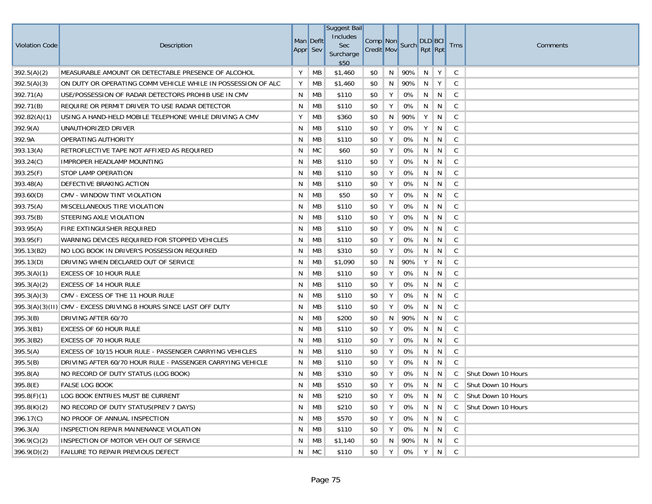| <b>Violation Code</b> | Description                                                      | Appr Sev | Man Deflt | Suggest Bail<br>Includes<br>Sec<br>Surcharge<br>\$50 | <b>Credit Mov</b> |   | Comp Non Surch | <b>DLD</b> BCI<br>Rpt Rpt |               | <b>Trns</b>  | Comments           |
|-----------------------|------------------------------------------------------------------|----------|-----------|------------------------------------------------------|-------------------|---|----------------|---------------------------|---------------|--------------|--------------------|
| 392.5(A)(2)           | MEASURABLE AMOUNT OR DETECTABLE PRESENCE OF ALCOHOL              | Y        | MB        | \$1,460                                              | \$0               | N | 90%            | N                         | $\parallel$ Y | C            |                    |
| 392.5(A)(3)           | ON DUTY OR OPERATING COMM VEHICLE WHILE IN POSSESSION OF ALC     | Υ        | МB        | \$1,460                                              | \$0               | N | 90%            | N                         | Y             | C            |                    |
| 392.71(A)             | USE/POSSESSION OF RADAR DETECTORS PROHIB USE IN CMV              | N        | МB        | \$110                                                | \$0               | Y | 0%             | N <sub>1</sub>            | N             | C            |                    |
| 392.71(B)             | REQUIRE OR PERMIT DRIVER TO USE RADAR DETECTOR                   | N        | MB        | \$110                                                | \$0               | Y | 0%             | N                         | N             | C            |                    |
| 392.82(A)(1)          | USING A HAND-HELD MOBILE TELEPHONE WHILE DRIVING A CMV           | Υ        | МB        | \$360                                                | \$0               | N | 90%            | Y                         | N             | $\mathsf{C}$ |                    |
| 392.9(A)              | UNAUTHORIZED DRIVER                                              | N        | MB        | \$110                                                | \$0               | Y | 0%             | Υ                         | N             | C            |                    |
| 392.9A                | <b>OPERATING AUTHORITY</b>                                       | N        | МB        | \$110                                                | \$0               | Y | 0%             | N                         | N             | C            |                    |
| 393.13(A)             | RETROFLECTIVE TAPE NOT AFFIXED AS REQUIRED                       | N        | <b>MC</b> | \$60                                                 | \$0               | Υ | 0%             | N                         | N             | C            |                    |
| 393.24(C)             | IMPROPER HEADLAMP MOUNTING                                       | N        | МB        | \$110                                                | \$0               | Υ | 0%             | N                         | N             | $\mathsf{C}$ |                    |
| 393.25(F)             | <b>STOP LAMP OPERATION</b>                                       | N        | МB        | \$110                                                | \$0               | Y | 0%             | N                         | N             | C            |                    |
| 393.48(A)             | <b>DEFECTIVE BRAKING ACTION</b>                                  | N        | МB        | \$110                                                | \$0               | Y | 0%             | N                         | N             | C            |                    |
| 393.60(D)             | CMV - WINDOW TINT VIOLATION                                      | N        | МB        | \$50                                                 | \$0               | Υ | 0%             | N                         | N             | C            |                    |
| 393.75(A)             | MISCELLANEOUS TIRE VIOLATION                                     | N        | МB        | \$110                                                | \$0               | Υ | 0%             | N                         | N             | C            |                    |
| 393.75(B)             | STEERING AXLE VIOLATION                                          | N        | МB        | \$110                                                | \$0               | Υ | 0%             | N                         | N             | C            |                    |
| 393.95(A)             | <b>FIRE EXTINGUISHER REQUIRED</b>                                | N        | МB        | \$110                                                | \$0               | Y | 0%             | N                         | N             | C            |                    |
| 393.95(F)             | WARNING DEVICES REQUIRED FOR STOPPED VEHICLES                    | N        | МB        | \$110                                                | \$0               | Υ | 0%             | N                         | N             | C            |                    |
| 395.13(B2)            | NO LOG BOOK IN DRIVER'S POSSESSION REQUIRED                      | N        | МB        | \$310                                                | \$0               | Υ | 0%             | N                         | N             | C            |                    |
| 395.13(D)             | DRIVING WHEN DECLARED OUT OF SERVICE                             | N        | МB        | \$1,090                                              | \$0               | N | 90%            | Υ                         | N             | C            |                    |
| 395.3(A)(1)           | <b>EXCESS OF 10 HOUR RULE</b>                                    | N        | МB        | \$110                                                | \$0               | Y | 0%             | N                         | N             | C            |                    |
| 395.3(A)(2)           | <b>EXCESS OF 14 HOUR RULE</b>                                    | N        | МB        | \$110                                                | \$0               | Υ | 0%             | N                         | N             | C            |                    |
| 395.3(A)(3)           | CMV - EXCESS OF THE 11 HOUR RULE                                 | N        | МB        | \$110                                                | \$0               | Y | 0%             | N                         | N             | C            |                    |
|                       | 395.3(A)(3)(II) CMV - EXCESS DRIVING 8 HOURS SINCE LAST OFF DUTY | N        | МB        | \$110                                                | \$0               | Y | 0%             | N                         | N             | C            |                    |
| 395.3(B)              | DRIVING AFTER 60/70                                              | N        | MB        | \$200                                                | \$0               | N | 90%            | N                         | N             | C            |                    |
| 395.3(B1)             | <b>EXCESS OF 60 HOUR RULE</b>                                    | N        | МB        | \$110                                                | \$0               | Υ | 0%             | N                         | N             | C            |                    |
| 395.3(B2)             | <b>EXCESS OF 70 HOUR RULE</b>                                    | N        | MB        | \$110                                                | \$0               | Y | 0%             | N                         | N             | C            |                    |
| 395.5(A)              | EXCESS OF 10/15 HOUR RULE - PASSENGER CARRYING VEHICLES          | N        | МB        | \$110                                                | \$0               | Υ | 0%             | N                         | N             | C            |                    |
| 395.5(B)              | DRIVING AFTER 60/70 HOUR RULE - PASSENGER CARRYING VEHICLE       | N        | МB        | \$110                                                | \$0               | Υ | 0%             | N                         | N             | C            |                    |
| 395.8(A)              | NO RECORD OF DUTY STATUS (LOG BOOK)                              | N        | MB        | \$310                                                | \$0               | Υ | 0%             | N                         | N             | C            | Shut Down 10 Hours |
| 395.8(E)              | <b>FALSE LOG BOOK</b>                                            | N        | MB        | \$510                                                | \$0               | Y | 0%             | N                         | N             | C            | Shut Down 10 Hours |
| 395.8(F)(1)           | LOG BOOK ENTRIES MUST BE CURRENT                                 | N        | MB        | \$210                                                | \$0               | Y | 0%             | N.                        | N.            | C            | Shut Down 10 Hours |
| 395.8(K)(2)           | NO RECORD OF DUTY STATUS (PREV 7 DAYS)                           | N        | МB        | \$210                                                | \$0               | Y | 0%             | N                         | N             | C            | Shut Down 10 Hours |
| 396.17(C)             | NO PROOF OF ANNUAL INSPECTION                                    | N        | МB        | \$570                                                | \$0               | Y | 0%             | N                         | N             | C            |                    |
| 396.3(A)              | INSPECTION REPAIR MAINENANCE VIOLATION                           | N        | МB        | \$110                                                | \$0               | Y | 0%             | N                         | N             | C            |                    |
| 396.9(C)(2)           | INSPECTION OF MOTOR VEH OUT OF SERVICE                           | N        | МB        | \$1,140                                              | \$0               | N | 90%            | N                         | N             | C            |                    |
| 396.9(D)(2)           | FAILURE TO REPAIR PREVIOUS DEFECT                                | N        | MC        | \$110                                                | \$0               | Y | 0%             | Y                         | N             | C            |                    |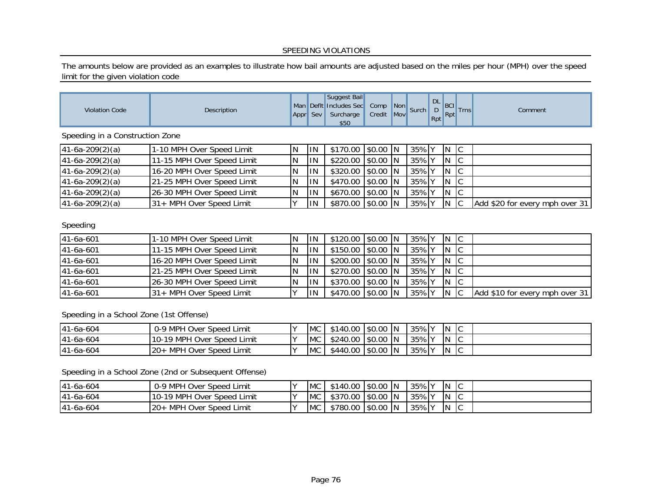## SPEEDING VIOLATIONS

The amounts below are provided as an examples to illustrate how bail amounts are adjusted based on the miles per hour (MPH) over the speed limit for the given violation code

| <b>Violation Code</b>           | Description                |   |     | Suggest Bail<br>Man Defit Includes Sec Comp Non Surch<br>Appr Sev Surcharge<br>\$50 | Credit Mov |       |     | DL<br>D<br>Rpt<br>Rpt<br>Trns | Comment                        |
|---------------------------------|----------------------------|---|-----|-------------------------------------------------------------------------------------|------------|-------|-----|-------------------------------|--------------------------------|
| Speeding in a Construction Zone |                            |   |     |                                                                                     |            |       |     |                               |                                |
| $41-6a-209(2)(a)$               | 1-10 MPH Over Speed Limit  | N | ΠN  | \$170.00                                                                            | $$0.00$ N  | 35% Y | ΙN  | $\overline{C}$                |                                |
| $41-6a-209(2)(a)$               | 11-15 MPH Over Speed Limit | N | ΙIΝ | \$220.00                                                                            | $$0.00$ N  | 35% Y | ΙN  | $\overline{C}$                |                                |
| $41-6a-209(2)(a)$               | 16-20 MPH Over Speed Limit | N | ΙIΝ | \$320.00                                                                            | $$0.00$ N  | 35% Y | IN. | c                             |                                |
| $41-6a-209(2)(a)$               | 21-25 MPH Over Speed Limit | N | ΙIΝ | \$470.00                                                                            | $$0.00$ N  | 35% Y | IN. | c                             |                                |
| $41-6a-209(2)(a)$               | 26-30 MPH Over Speed Limit | N | ΙIΝ | \$670.00                                                                            | $$0.00$ N  | 35% Y | ΙN  | $\overline{C}$                |                                |
| $41-6a-209(2)(a)$               | 31+ MPH Over Speed Limit   |   | ΙN  | \$870.00 \$0.00 N                                                                   |            | 35% Y | IN. | C                             | Add \$20 for every mph over 31 |
| $C_{\text{no}}$                 |                            |   |     |                                                                                     |            |       |     |                               |                                |

## Speeding

| 41-6a-601 | 1-10 MPH Over Speed Limit  | IN | HN.        | \$120.00 \$0.00 N |  | $ 35\% $ Y N |              | - IC |                                |
|-----------|----------------------------|----|------------|-------------------|--|--------------|--------------|------|--------------------------------|
| 41-6a-601 | 11-15 MPH Over Speed Limit |    | <b>IIN</b> | \$150.00 \$0.00 N |  | $35\%$ Y     | IN.          |      |                                |
| 41-6a-601 | 16-20 MPH Over Speed Limit |    | <b>IIN</b> | \$200.00 \$0.00 N |  | $35\%$ Y     | IN.          |      |                                |
| 41-6a-601 | 21-25 MPH Over Speed Limit |    | <b>IIN</b> | \$270.00 \$0.00 N |  | $35\%$       | $\mathsf{N}$ |      |                                |
| 41-6a-601 | 26-30 MPH Over Speed Limit |    | <b>IIN</b> | \$370.00 \$0.00 N |  | 35% Y        | IN.          | -lc  |                                |
| 41-6a-601 | 31+ MPH Over Speed Limit   |    | IIN.       | \$470.00 \$0.00 N |  | 35% Y        | IN.          |      | Add \$10 for every mph over 31 |

Speeding in a School Zone (1st Offense)

| $141-6a-604$ | 0-9 MPH Over Speed Limit   | <b>MC</b> | \$140.00 | $$0.00$ N |     | 35% Y | IN  | $\sim$<br>ΙU     |  |
|--------------|----------------------------|-----------|----------|-----------|-----|-------|-----|------------------|--|
| $141-6a-604$ | 10-19 MPH Over Speed Limit | <b>MC</b> | \$240.00 | S0.00 IN  |     | 35% Y | IN. | 1 U              |  |
| 41-6a-604    | MPH Over Speed Limit       | <b>MC</b> | \$440.00 | \$0.00    | -IN | 35% Y | IN  | $\sqrt{2}$<br>∣∪ |  |

Speeding in a School Zone (2nd or Subsequent Offense)

| 41-6a-604 | 0-9 MPH Over Speed Limit   | <b>MC</b>  | \$140.00 S0.00 N    |           | 35% Y | IN. | $\sim$<br>Ⅳ  |  |
|-----------|----------------------------|------------|---------------------|-----------|-------|-----|--------------|--|
| 41-6a-604 | 10-19 MPH Over Speed Limit | <b>MC</b>  | \$370.00  \$0.00  N |           | 35% Y | IN. | $\sim$<br>∣∪ |  |
| 41-6a-604 | MPH Over Speed Limit       | <b>IMC</b> | \$780.00            | $$0.00$ N | 35% Y | IN. | $\sim$<br>ιv |  |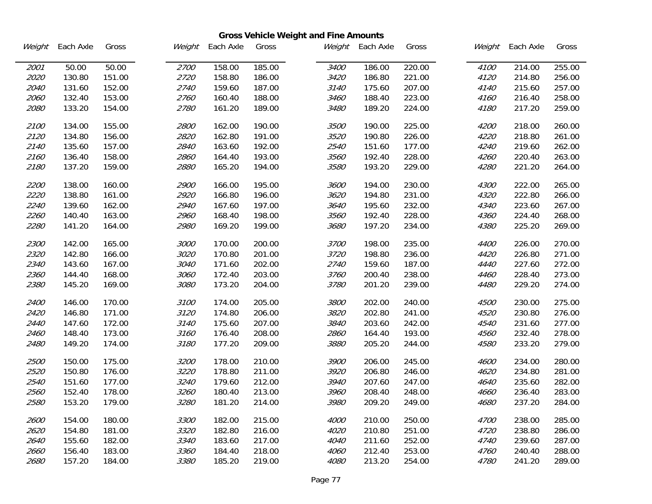|        |           |        |             |           |        | <b>Gross Vehicle Weight and Fine Amounts</b> |           |        |             |           |        |
|--------|-----------|--------|-------------|-----------|--------|----------------------------------------------|-----------|--------|-------------|-----------|--------|
| Weight | Each Axle | Gross  | Weight      | Each Axle | Gross  | Weight                                       | Each Axle | Gross  | Weight      | Each Axle | Gross  |
| 2001   | 50.00     | 50.00  | 2700        | 158.00    | 185.00 | 3400                                         | 186.00    | 220.00 | 4100        | 214.00    | 255.00 |
| 2020   | 130.80    | 151.00 | 2720        | 158.80    | 186.00 | 3420                                         | 186.80    | 221.00 | 4120        | 214.80    | 256.00 |
| 2040   | 131.60    | 152.00 | 2740        | 159.60    | 187.00 | 3140                                         | 175.60    | 207.00 | 4140        | 215.60    | 257.00 |
| 2060   | 132.40    | 153.00 | 2760        | 160.40    | 188.00 | 3460                                         | 188.40    | 223.00 | 4160        | 216.40    | 258.00 |
| 2080   | 133.20    | 154.00 | 2780        | 161.20    | 189.00 | 3480                                         | 189.20    | 224.00 | 4180        | 217.20    | 259.00 |
| 2100   | 134.00    | 155.00 | <i>2800</i> | 162.00    | 190.00 | 3500                                         | 190.00    | 225.00 | 4200        | 218.00    | 260.00 |
| 2120   | 134.80    | 156.00 | 2820        | 162.80    | 191.00 | 3520                                         | 190.80    | 226.00 | 4220        | 218.80    | 261.00 |
| 2140   | 135.60    | 157.00 | 2840        | 163.60    | 192.00 | 2540                                         | 151.60    | 177.00 | 4240        | 219.60    | 262.00 |
| 2160   | 136.40    | 158.00 | 2860        | 164.40    | 193.00 | 3560                                         | 192.40    | 228.00 | 4260        | 220.40    | 263.00 |
| 2180   | 137.20    | 159.00 | 2880        | 165.20    | 194.00 | 3580                                         | 193.20    | 229.00 | 4280        | 221.20    | 264.00 |
| 2200   | 138.00    | 160.00 | <i>2900</i> | 166.00    | 195.00 | 3600                                         | 194.00    | 230.00 | 4300        | 222.00    | 265.00 |
| 2220   | 138.80    | 161.00 | 2920        | 166.80    | 196.00 | 3620                                         | 194.80    | 231.00 | 4320        | 222.80    | 266.00 |
| 2240   | 139.60    | 162.00 | 2940        | 167.60    | 197.00 | 3640                                         | 195.60    | 232.00 | 4340        | 223.60    | 267.00 |
| 2260   | 140.40    | 163.00 | 2960        | 168.40    | 198.00 | 3560                                         | 192.40    | 228.00 | 4360        | 224.40    | 268.00 |
| 2280   | 141.20    | 164.00 | 2980        | 169.20    | 199.00 | 3680                                         | 197.20    | 234.00 | 4380        | 225.20    | 269.00 |
| 2300   | 142.00    | 165.00 | 3000        | 170.00    | 200.00 | 3700                                         | 198.00    | 235.00 | 4400        | 226.00    | 270.00 |
| 2320   | 142.80    | 166.00 | 3020        | 170.80    | 201.00 | 3720                                         | 198.80    | 236.00 | 4420        | 226.80    | 271.00 |
| 2340   | 143.60    | 167.00 | 3040        | 171.60    | 202.00 | 2740                                         | 159.60    | 187.00 | 4440        | 227.60    | 272.00 |
| 2360   | 144.40    | 168.00 | 3060        | 172.40    | 203.00 | 3760                                         | 200.40    | 238.00 | 4460        | 228.40    | 273.00 |
| 2380   | 145.20    | 169.00 | 3080        | 173.20    | 204.00 | 3780                                         | 201.20    | 239.00 | 4480        | 229.20    | 274.00 |
| 2400   | 146.00    | 170.00 | 3100        | 174.00    | 205.00 | 3800                                         | 202.00    | 240.00 | 4500        | 230.00    | 275.00 |
| 2420   | 146.80    | 171.00 | 3120        | 174.80    | 206.00 | 3820                                         | 202.80    | 241.00 | 4520        | 230.80    | 276.00 |
| 2440   | 147.60    | 172.00 | 3140        | 175.60    | 207.00 | 3840                                         | 203.60    | 242.00 | 4540        | 231.60    | 277.00 |
| 2460   | 148.40    | 173.00 | 3160        | 176.40    | 208.00 | 2860                                         | 164.40    | 193.00 | 4560        | 232.40    | 278.00 |
| 2480   | 149.20    | 174.00 | 3180        | 177.20    | 209.00 | 3880                                         | 205.20    | 244.00 | 4580        | 233.20    | 279.00 |
| 2500   | 150.00    | 175.00 | 3200        | 178.00    | 210.00 | 3900                                         | 206.00    | 245.00 | <i>4600</i> | 234.00    | 280.00 |
| 2520   | 150.80    | 176.00 | 3220        | 178.80    | 211.00 | 3920                                         | 206.80    | 246.00 | 4620        | 234.80    | 281.00 |
| 2540   | 151.60    | 177.00 | 3240        | 179.60    | 212.00 | 3940                                         | 207.60    | 247.00 | 4640        | 235.60    | 282.00 |
| 2560   | 152.40    | 178.00 | 3260        | 180.40    | 213.00 | 3960                                         | 208.40    | 248.00 | 4660        | 236.40    | 283.00 |
| 2580   | 153.20    | 179.00 | 3280        | 181.20    | 214.00 | 3980                                         | 209.20    | 249.00 | 4680        | 237.20    | 284.00 |
| 2600   | 154.00    | 180.00 | 3300        | 182.00    | 215.00 | 4000                                         | 210.00    | 250.00 | 4700        | 238.00    | 285.00 |
| 2620   | 154.80    | 181.00 | 3320        | 182.80    | 216.00 | 4020                                         | 210.80    | 251.00 | 4720        | 238.80    | 286.00 |
| 2640   | 155.60    | 182.00 | 3340        | 183.60    | 217.00 | 4040                                         | 211.60    | 252.00 | 4740        | 239.60    | 287.00 |
| 2660   | 156.40    | 183.00 | 3360        | 184.40    | 218.00 | 4060                                         | 212.40    | 253.00 | 4760        | 240.40    | 288.00 |
| 2680   | 157.20    | 184.00 | 3380        | 185.20    | 219.00 | 4080                                         | 213.20    | 254.00 | 4780        | 241.20    | 289.00 |

 $\overline{\phantom{a}}$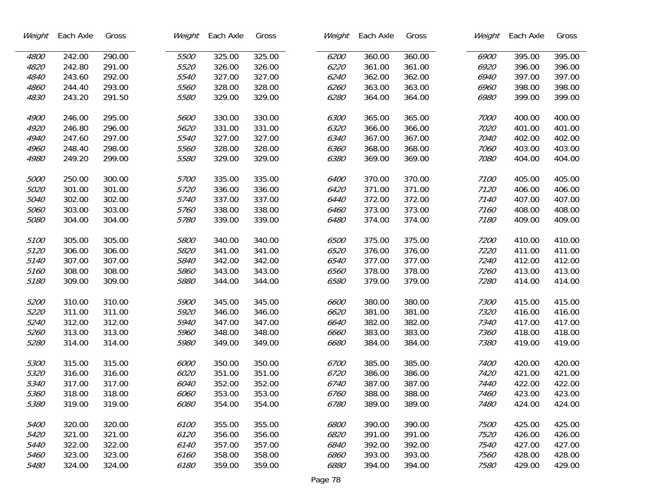| Weight | Each Axle | Gross  | Weight | Each Axle | Gross  | Weight | Each Axle | Gross  | Weight      | Each Axle | Gross  |
|--------|-----------|--------|--------|-----------|--------|--------|-----------|--------|-------------|-----------|--------|
| 4800   | 242.00    | 290.00 | 5500   | 325.00    | 325.00 | 6200   | 360.00    | 360.00 | 6900        | 395.00    | 395.00 |
| 4820   | 242.80    | 291.00 | 5520   | 326.00    | 326.00 | 6220   | 361.00    | 361.00 | 6920        | 396.00    | 396.00 |
| 4840   | 243.60    | 292.00 | 5540   | 327.00    | 327.00 | 6240   | 362.00    | 362.00 | 6940        | 397.00    | 397.00 |
| 4860   | 244.40    | 293.00 | 5560   | 328.00    | 328.00 | 6260   | 363.00    | 363.00 | 6960        | 398.00    | 398.00 |
| 4830   | 243.20    | 291.50 | 5580   | 329.00    | 329.00 | 6280   | 364.00    | 364.00 | 6980        | 399.00    | 399.00 |
| 4900   | 246.00    | 295.00 | 5600   | 330.00    | 330.00 | 6300   | 365.00    | 365.00 | 7000        | 400.00    | 400.00 |
| 4920   | 246.80    | 296.00 | 5620   | 331.00    | 331.00 | 6320   | 366.00    | 366.00 | 7020        | 401.00    | 401.00 |
| 4940   | 247.60    | 297.00 | 5540   | 327.00    | 327.00 | 6340   | 367.00    | 367.00 | 7040        | 402.00    | 402.00 |
| 4960   | 248.40    | 298.00 | 5560   | 328.00    | 328.00 | 6360   | 368.00    | 368.00 | 7060        | 403.00    | 403.00 |
| 4980   | 249.20    | 299.00 | 5580   | 329.00    | 329.00 | 6380   | 369.00    | 369.00 | 7080        | 404.00    | 404.00 |
|        |           |        |        |           |        |        |           |        |             |           |        |
| 5000   | 250.00    | 300.00 | 5700   | 335.00    | 335.00 | 6400   | 370.00    | 370.00 | 7100        | 405.00    | 405.00 |
| 5020   | 301.00    | 301.00 | 5720   | 336.00    | 336.00 | 6420   | 371.00    | 371.00 | 7120        | 406.00    | 406.00 |
| 5040   | 302.00    | 302.00 | 5740   | 337.00    | 337.00 | 6440   | 372.00    | 372.00 | 7140        | 407.00    | 407.00 |
| 5060   | 303.00    | 303.00 | 5760   | 338.00    | 338.00 | 6460   | 373.00    | 373.00 | 7160        | 408.00    | 408.00 |
| 5080   | 304.00    | 304.00 | 5780   | 339.00    | 339.00 | 6480   | 374.00    | 374.00 | 7180        | 409.00    | 409.00 |
| 5100   | 305.00    | 305.00 | 5800   | 340.00    | 340.00 | 6500   | 375.00    | 375.00 | 7200        | 410.00    | 410.00 |
| 5120   | 306.00    | 306.00 | 5820   | 341.00    | 341.00 | 6520   | 376.00    | 376.00 | 7220        | 411.00    | 411.00 |
| 5140   | 307.00    | 307.00 | 5840   | 342.00    | 342.00 | 6540   | 377.00    | 377.00 | 7240        | 412.00    | 412.00 |
| 5160   | 308.00    | 308.00 | 5860   | 343.00    | 343.00 | 6560   | 378.00    | 378.00 | 7260        | 413.00    | 413.00 |
| 5180   | 309.00    | 309.00 | 5880   | 344.00    | 344.00 | 6580   | 379.00    | 379.00 | 7280        | 414.00    | 414.00 |
| 5200   | 310.00    | 310.00 | 5900   | 345.00    | 345.00 | 6600   | 380.00    | 380.00 | 7300        | 415.00    | 415.00 |
| 5220   | 311.00    | 311.00 | 5920   | 346.00    | 346.00 | 6620   | 381.00    | 381.00 | 7320        | 416.00    | 416.00 |
| 5240   | 312.00    | 312.00 | 5940   | 347.00    | 347.00 | 6640   | 382.00    | 382.00 | 7340        | 417.00    | 417.00 |
| 5260   | 313.00    | 313.00 | 5960   | 348.00    | 348.00 | 6660   | 383.00    | 383.00 | 7360        | 418.00    | 418.00 |
| 5280   | 314.00    | 314.00 | 5980   | 349.00    | 349.00 | 6680   | 384.00    | 384.00 | 7380        | 419.00    | 419.00 |
|        |           |        |        |           |        |        |           |        |             |           |        |
| 5300   | 315.00    | 315.00 | 6000   | 350.00    | 350.00 | 6700   | 385.00    | 385.00 | 7400        | 420.00    | 420.00 |
| 5320   | 316.00    | 316.00 | 6020   | 351.00    | 351.00 | 6720   | 386.00    | 386.00 | 7420        | 421.00    | 421.00 |
| 5340   | 317.00    | 317.00 | 6040   | 352.00    | 352.00 | 6740   | 387.00    | 387.00 | 7440        | 422.00    | 422.00 |
| 5360   | 318.00    | 318.00 | 6060   | 353.00    | 353.00 | 6760   | 388.00    | 388.00 | 7460        | 423.00    | 423.00 |
| 5380   | 319.00    | 319.00 | 6080   | 354.00    | 354.00 | 6780   | 389.00    | 389.00 | 7480        | 424.00    | 424.00 |
| 5400   | 320.00    | 320.00 | 6100   | 355.00    | 355.00 | 6800   | 390.00    | 390.00 | <i>7500</i> | 425.00    | 425.00 |
| 5420   | 321.00    | 321.00 | 6120   | 356.00    | 356.00 | 6820   | 391.00    | 391.00 | 7520        | 426.00    | 426.00 |
| 5440   | 322.00    | 322.00 | 6140   | 357.00    | 357.00 | 6840   | 392.00    | 392.00 | 7540        | 427.00    | 427.00 |
| 5460   | 323.00    | 323.00 | 6160   | 358.00    | 358.00 | 6860   | 393.00    | 393.00 | 7560        | 428.00    | 428.00 |
| 5480   | 324.00    | 324.00 | 6180   | 359.00    | 359.00 | 6880   | 394.00    | 394.00 | 7580        | 429.00    | 429.00 |

 $\overline{\phantom{a}}$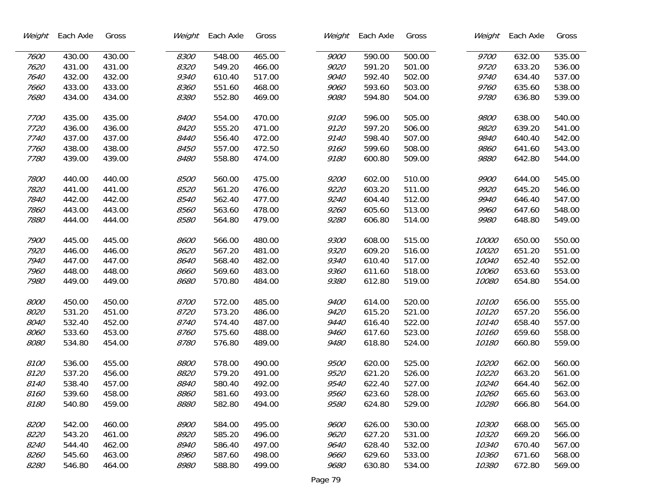| Weight | Each Axle | Gross  | Weight | Each Axle | Gross  | Weight | Each Axle | Gross  | Weight | Each Axle | Gross  |
|--------|-----------|--------|--------|-----------|--------|--------|-----------|--------|--------|-----------|--------|
| 7600   | 430.00    | 430.00 | 8300   | 548.00    | 465.00 | 9000   | 590.00    | 500.00 | 9700   | 632.00    | 535.00 |
| 7620   | 431.00    | 431.00 | 8320   | 549.20    | 466.00 | 9020   | 591.20    | 501.00 | 9720   | 633.20    | 536.00 |
| 7640   | 432.00    | 432.00 | 9340   | 610.40    | 517.00 | 9040   | 592.40    | 502.00 | 9740   | 634.40    | 537.00 |
| 7660   | 433.00    | 433.00 | 8360   | 551.60    | 468.00 | 9060   | 593.60    | 503.00 | 9760   | 635.60    | 538.00 |
| 7680   | 434.00    | 434.00 | 8380   | 552.80    | 469.00 | 9080   | 594.80    | 504.00 | 9780   | 636.80    | 539.00 |
|        |           |        |        |           |        |        |           |        |        |           |        |
| 7700   | 435.00    | 435.00 | 8400   | 554.00    | 470.00 | 9100   | 596.00    | 505.00 | 9800   | 638.00    | 540.00 |
| 7720   | 436.00    | 436.00 | 8420   | 555.20    | 471.00 | 9120   | 597.20    | 506.00 | 9820   | 639.20    | 541.00 |
| 7740   | 437.00    | 437.00 | 8440   | 556.40    | 472.00 | 9140   | 598.40    | 507.00 | 9840   | 640.40    | 542.00 |
| 7760   | 438.00    | 438.00 | 8450   | 557.00    | 472.50 | 9160   | 599.60    | 508.00 | 9860   | 641.60    | 543.00 |
| 7780   | 439.00    | 439.00 | 8480   | 558.80    | 474.00 | 9180   | 600.80    | 509.00 | 9880   | 642.80    | 544.00 |
| 7800   | 440.00    | 440.00 | 8500   | 560.00    | 475.00 | 9200   | 602.00    | 510.00 | 9900   | 644.00    | 545.00 |
| 7820   | 441.00    | 441.00 | 8520   | 561.20    | 476.00 | 9220   | 603.20    | 511.00 | 9920   | 645.20    | 546.00 |
| 7840   | 442.00    | 442.00 | 8540   | 562.40    | 477.00 | 9240   | 604.40    | 512.00 | 9940   | 646.40    | 547.00 |
| 7860   | 443.00    | 443.00 | 8560   | 563.60    | 478.00 | 9260   | 605.60    | 513.00 | 9960   | 647.60    | 548.00 |
| 7880   | 444.00    | 444.00 | 8580   | 564.80    | 479.00 | 9280   | 606.80    | 514.00 | 9980   | 648.80    | 549.00 |
| 7900   | 445.00    | 445.00 | 8600   | 566.00    | 480.00 | 9300   | 608.00    | 515.00 | 10000  | 650.00    | 550.00 |
| 7920   | 446.00    | 446.00 | 8620   | 567.20    | 481.00 | 9320   | 609.20    | 516.00 | 10020  | 651.20    | 551.00 |
| 7940   | 447.00    | 447.00 | 8640   | 568.40    | 482.00 | 9340   | 610.40    | 517.00 | 10040  | 652.40    | 552.00 |
| 7960   | 448.00    | 448.00 | 8660   | 569.60    | 483.00 | 9360   | 611.60    | 518.00 | 10060  | 653.60    | 553.00 |
| 7980   | 449.00    | 449.00 | 8680   | 570.80    | 484.00 | 9380   | 612.80    | 519.00 | 10080  | 654.80    | 554.00 |
|        |           |        |        |           |        |        |           |        |        |           |        |
| 8000   | 450.00    | 450.00 | 8700   | 572.00    | 485.00 | 9400   | 614.00    | 520.00 | 10100  | 656.00    | 555.00 |
| 8020   | 531.20    | 451.00 | 8720   | 573.20    | 486.00 | 9420   | 615.20    | 521.00 | 10120  | 657.20    | 556.00 |
| 8040   | 532.40    | 452.00 | 8740   | 574.40    | 487.00 | 9440   | 616.40    | 522.00 | 10140  | 658.40    | 557.00 |
| 8060   | 533.60    | 453.00 | 8760   | 575.60    | 488.00 | 9460   | 617.60    | 523.00 | 10160  | 659.60    | 558.00 |
| 8080   | 534.80    | 454.00 | 8780   | 576.80    | 489.00 | 9480   | 618.80    | 524.00 | 10180  | 660.80    | 559.00 |
| 8100   | 536.00    | 455.00 | 8800   | 578.00    | 490.00 | 9500   | 620.00    | 525.00 | 10200  | 662.00    | 560.00 |
| 8120   | 537.20    | 456.00 | 8820   | 579.20    | 491.00 | 9520   | 621.20    | 526.00 | 10220  | 663.20    | 561.00 |
| 8140   | 538.40    | 457.00 | 8840   | 580.40    | 492.00 | 9540   | 622.40    | 527.00 | 10240  | 664.40    | 562.00 |
| 8160   | 539.60    | 458.00 | 8860   | 581.60    | 493.00 | 9560   | 623.60    | 528.00 | 10260  | 665.60    | 563.00 |
| 8180   | 540.80    | 459.00 | 8880   | 582.80    | 494.00 | 9580   | 624.80    | 529.00 | 10280  | 666.80    | 564.00 |
| 8200   | 542.00    | 460.00 | 8900   | 584.00    | 495.00 | 9600   | 626.00    | 530.00 | 10300  | 668.00    | 565.00 |
|        |           |        |        |           |        |        |           |        |        |           |        |
| 8220   | 543.20    | 461.00 | 8920   | 585.20    | 496.00 | 9620   | 627.20    | 531.00 | 10320  | 669.20    | 566.00 |
| 8240   | 544.40    | 462.00 | 8940   | 586.40    | 497.00 | 9640   | 628.40    | 532.00 | 10340  | 670.40    | 567.00 |
| 8260   | 545.60    | 463.00 | 8960   | 587.60    | 498.00 | 9660   | 629.60    | 533.00 | 10360  | 671.60    | 568.00 |
| 8280   | 546.80    | 464.00 | 8980   | 588.80    | 499.00 | 9680   | 630.80    | 534.00 | 10380  | 672.80    | 569.00 |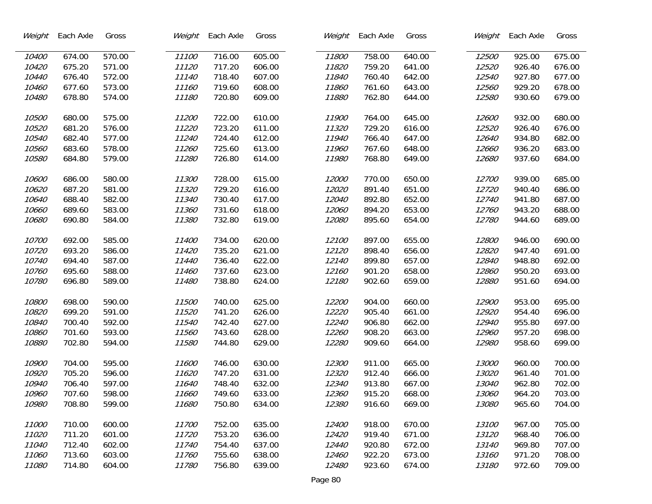| Weight | Each Axle | Gross  | Weight | Each Axle | Gross  | Weight | Each Axle | Gross  | Weight | Each Axle | Gross  |
|--------|-----------|--------|--------|-----------|--------|--------|-----------|--------|--------|-----------|--------|
| 10400  | 674.00    | 570.00 | 11100  | 716.00    | 605.00 | 11800  | 758.00    | 640.00 | 12500  | 925.00    | 675.00 |
| 10420  | 675.20    | 571.00 | 11120  | 717.20    | 606.00 | 11820  | 759.20    | 641.00 | 12520  | 926.40    | 676.00 |
| 10440  | 676.40    | 572.00 | 11140  | 718.40    | 607.00 | 11840  | 760.40    | 642.00 | 12540  | 927.80    | 677.00 |
| 10460  | 677.60    | 573.00 | 11160  | 719.60    | 608.00 | 11860  | 761.60    | 643.00 | 12560  | 929.20    | 678.00 |
| 10480  | 678.80    | 574.00 | 11180  | 720.80    | 609.00 | 11880  | 762.80    | 644.00 | 12580  | 930.60    | 679.00 |
|        |           |        |        |           |        |        |           |        |        |           |        |
| 10500  | 680.00    | 575.00 | 11200  | 722.00    | 610.00 | 11900  | 764.00    | 645.00 | 12600  | 932.00    | 680.00 |
| 10520  | 681.20    | 576.00 | 11220  | 723.20    | 611.00 | 11320  | 729.20    | 616.00 | 12520  | 926.40    | 676.00 |
| 10540  | 682.40    | 577.00 | 11240  | 724.40    | 612.00 | 11940  | 766.40    | 647.00 | 12640  | 934.80    | 682.00 |
| 10560  | 683.60    | 578.00 | 11260  | 725.60    | 613.00 | 11960  | 767.60    | 648.00 | 12660  | 936.20    | 683.00 |
| 10580  | 684.80    | 579.00 | 11280  | 726.80    | 614.00 | 11980  | 768.80    | 649.00 | 12680  | 937.60    | 684.00 |
|        |           |        |        |           |        |        |           |        |        |           |        |
| 10600  | 686.00    | 580.00 | 11300  | 728.00    | 615.00 | 12000  | 770.00    | 650.00 | 12700  | 939.00    | 685.00 |
| 10620  | 687.20    | 581.00 | 11320  | 729.20    | 616.00 | 12020  | 891.40    | 651.00 | 12720  | 940.40    | 686.00 |
| 10640  | 688.40    | 582.00 | 11340  | 730.40    | 617.00 | 12040  | 892.80    | 652.00 | 12740  | 941.80    | 687.00 |
| 10660  | 689.60    | 583.00 | 11360  | 731.60    | 618.00 | 12060  | 894.20    | 653.00 | 12760  | 943.20    | 688.00 |
| 10680  | 690.80    | 584.00 | 11380  | 732.80    | 619.00 | 12080  | 895.60    | 654.00 | 12780  | 944.60    | 689.00 |
|        |           |        |        |           |        |        |           |        |        |           |        |
| 10700  | 692.00    | 585.00 | 11400  | 734.00    | 620.00 | 12100  | 897.00    | 655.00 | 12800  | 946.00    | 690.00 |
| 10720  | 693.20    | 586.00 | 11420  | 735.20    | 621.00 | 12120  | 898.40    | 656.00 | 12820  | 947.40    | 691.00 |
| 10740  | 694.40    | 587.00 | 11440  | 736.40    | 622.00 | 12140  | 899.80    | 657.00 | 12840  | 948.80    | 692.00 |
| 10760  | 695.60    | 588.00 | 11460  | 737.60    | 623.00 | 12160  | 901.20    | 658.00 | 12860  | 950.20    | 693.00 |
| 10780  | 696.80    | 589.00 | 11480  | 738.80    | 624.00 | 12180  | 902.60    | 659.00 | 12880  | 951.60    | 694.00 |
|        |           |        |        |           |        |        |           |        |        |           |        |
| 10800  | 698.00    | 590.00 | 11500  | 740.00    | 625.00 | 12200  | 904.00    | 660.00 | 12900  | 953.00    | 695.00 |
| 10820  | 699.20    | 591.00 | 11520  | 741.20    | 626.00 | 12220  | 905.40    | 661.00 | 12920  | 954.40    | 696.00 |
| 10840  | 700.40    | 592.00 | 11540  | 742.40    | 627.00 | 12240  | 906.80    | 662.00 | 12940  | 955.80    | 697.00 |
| 10860  | 701.60    | 593.00 | 11560  | 743.60    | 628.00 | 12260  | 908.20    | 663.00 | 12960  | 957.20    | 698.00 |
| 10880  | 702.80    | 594.00 | 11580  | 744.80    | 629.00 | 12280  | 909.60    | 664.00 | 12980  | 958.60    | 699.00 |
| 10900  | 704.00    | 595.00 | 11600  | 746.00    | 630.00 | 12300  | 911.00    | 665.00 | 13000  | 960.00    | 700.00 |
| 10920  | 705.20    | 596.00 | 11620  | 747.20    | 631.00 | 12320  | 912.40    | 666.00 | 13020  | 961.40    | 701.00 |
| 10940  | 706.40    | 597.00 | 11640  | 748.40    | 632.00 | 12340  | 913.80    | 667.00 | 13040  | 962.80    | 702.00 |
| 10960  | 707.60    | 598.00 | 11660  | 749.60    | 633.00 | 12360  | 915.20    | 668.00 | 13060  | 964.20    | 703.00 |
| 10980  | 708.80    | 599.00 | 11680  | 750.80    | 634.00 | 12380  | 916.60    | 669.00 | 13080  | 965.60    | 704.00 |
|        |           |        |        |           |        |        |           |        |        |           |        |
| 11000  | 710.00    | 600.00 | 11700  | 752.00    | 635.00 | 12400  | 918.00    | 670.00 | 13100  | 967.00    | 705.00 |
| 11020  | 711.20    | 601.00 | 11720  | 753.20    | 636.00 | 12420  | 919.40    | 671.00 | 13120  | 968.40    | 706.00 |
| 11040  | 712.40    | 602.00 | 11740  | 754.40    | 637.00 | 12440  | 920.80    | 672.00 | 13140  | 969.80    | 707.00 |
| 11060  | 713.60    | 603.00 | 11760  | 755.60    | 638.00 | 12460  | 922.20    | 673.00 | 13160  | 971.20    | 708.00 |
| 11080  | 714.80    | 604.00 | 11780  | 756.80    | 639.00 | 12480  | 923.60    | 674.00 | 13180  | 972.60    | 709.00 |
|        |           |        |        |           |        |        |           |        |        |           |        |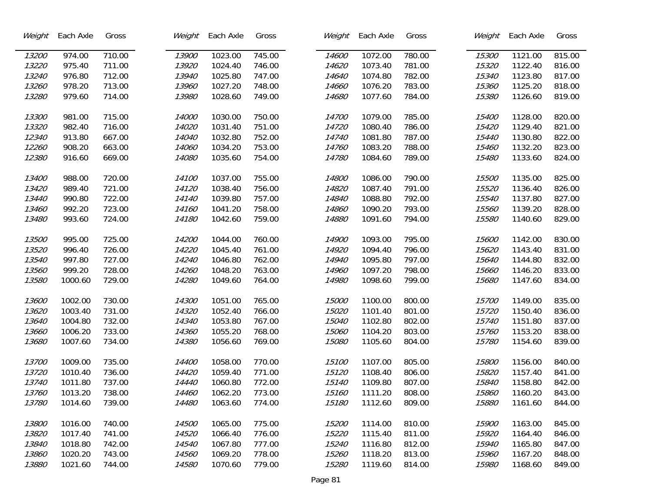| Weight | Each Axle | Gross  | Weight | Each Axle | Gross  | Weight | Each Axle | Gross  | Weight | Each Axle | Gross  |
|--------|-----------|--------|--------|-----------|--------|--------|-----------|--------|--------|-----------|--------|
| 13200  | 974.00    | 710.00 | 13900  | 1023.00   | 745.00 | 14600  | 1072.00   | 780.00 | 15300  | 1121.00   | 815.00 |
| 13220  | 975.40    | 711.00 | 13920  | 1024.40   | 746.00 | 14620  | 1073.40   | 781.00 | 15320  | 1122.40   | 816.00 |
| 13240  | 976.80    | 712.00 | 13940  | 1025.80   | 747.00 | 14640  | 1074.80   | 782.00 | 15340  | 1123.80   | 817.00 |
| 13260  | 978.20    | 713.00 | 13960  | 1027.20   | 748.00 | 14660  | 1076.20   | 783.00 | 15360  | 1125.20   | 818.00 |
| 13280  | 979.60    | 714.00 | 13980  | 1028.60   | 749.00 | 14680  | 1077.60   | 784.00 | 15380  | 1126.60   | 819.00 |
|        |           |        |        |           |        |        |           |        |        |           |        |
| 13300  | 981.00    | 715.00 | 14000  | 1030.00   | 750.00 | 14700  | 1079.00   | 785.00 | 15400  | 1128.00   | 820.00 |
| 13320  | 982.40    | 716.00 | 14020  | 1031.40   | 751.00 | 14720  | 1080.40   | 786.00 | 15420  | 1129.40   | 821.00 |
| 12340  | 913.80    | 667.00 | 14040  | 1032.80   | 752.00 | 14740  | 1081.80   | 787.00 | 15440  | 1130.80   | 822.00 |
| 12260  | 908.20    | 663.00 | 14060  | 1034.20   | 753.00 | 14760  | 1083.20   | 788.00 | 15460  | 1132.20   | 823.00 |
| 12380  | 916.60    | 669.00 | 14080  | 1035.60   | 754.00 | 14780  | 1084.60   | 789.00 | 15480  | 1133.60   | 824.00 |
|        |           |        |        |           |        |        |           |        |        |           |        |
| 13400  | 988.00    | 720.00 | 14100  | 1037.00   | 755.00 | 14800  | 1086.00   | 790.00 | 15500  | 1135.00   | 825.00 |
| 13420  | 989.40    | 721.00 | 14120  | 1038.40   | 756.00 | 14820  | 1087.40   | 791.00 | 15520  | 1136.40   | 826.00 |
| 13440  | 990.80    | 722.00 | 14140  | 1039.80   | 757.00 | 14840  | 1088.80   | 792.00 | 15540  | 1137.80   | 827.00 |
| 13460  | 992.20    | 723.00 | 14160  | 1041.20   | 758.00 | 14860  | 1090.20   | 793.00 | 15560  | 1139.20   | 828.00 |
| 13480  | 993.60    | 724.00 | 14180  | 1042.60   | 759.00 | 14880  | 1091.60   | 794.00 | 15580  | 1140.60   | 829.00 |
|        |           |        |        |           |        |        |           |        |        |           |        |
| 13500  | 995.00    | 725.00 | 14200  | 1044.00   | 760.00 | 14900  | 1093.00   | 795.00 | 15600  | 1142.00   | 830.00 |
| 13520  | 996.40    | 726.00 | 14220  | 1045.40   | 761.00 | 14920  | 1094.40   | 796.00 | 15620  | 1143.40   | 831.00 |
| 13540  | 997.80    | 727.00 | 14240  | 1046.80   | 762.00 | 14940  | 1095.80   | 797.00 | 15640  | 1144.80   | 832.00 |
| 13560  | 999.20    | 728.00 | 14260  | 1048.20   | 763.00 | 14960  | 1097.20   | 798.00 | 15660  | 1146.20   | 833.00 |
| 13580  | 1000.60   | 729.00 | 14280  | 1049.60   | 764.00 | 14980  | 1098.60   | 799.00 | 15680  | 1147.60   | 834.00 |
|        |           |        |        |           |        |        |           |        |        |           |        |
| 13600  | 1002.00   | 730.00 | 14300  | 1051.00   | 765.00 | 15000  | 1100.00   | 800.00 | 15700  | 1149.00   | 835.00 |
| 13620  | 1003.40   | 731.00 | 14320  | 1052.40   | 766.00 | 15020  | 1101.40   | 801.00 | 15720  | 1150.40   | 836.00 |
| 13640  | 1004.80   | 732.00 | 14340  | 1053.80   | 767.00 | 15040  | 1102.80   | 802.00 | 15740  | 1151.80   | 837.00 |
| 13660  | 1006.20   | 733.00 | 14360  | 1055.20   | 768.00 | 15060  | 1104.20   | 803.00 | 15760  | 1153.20   | 838.00 |
| 13680  | 1007.60   | 734.00 | 14380  | 1056.60   | 769.00 | 15080  | 1105.60   | 804.00 | 15780  | 1154.60   | 839.00 |
|        |           |        |        |           |        |        |           |        |        |           |        |
| 13700  | 1009.00   | 735.00 | 14400  | 1058.00   | 770.00 | 15100  | 1107.00   | 805.00 | 15800  | 1156.00   | 840.00 |
| 13720  | 1010.40   | 736.00 | 14420  | 1059.40   | 771.00 | 15120  | 1108.40   | 806.00 | 15820  | 1157.40   | 841.00 |
| 13740  | 1011.80   | 737.00 | 14440  | 1060.80   | 772.00 | 15140  | 1109.80   | 807.00 | 15840  | 1158.80   | 842.00 |
| 13760  | 1013.20   | 738.00 | 14460  | 1062.20   | 773.00 | 15160  | 1111.20   | 808.00 | 15860  | 1160.20   | 843.00 |
| 13780  | 1014.60   | 739.00 | 14480  | 1063.60   | 774.00 | 15180  | 1112.60   | 809.00 | 15880  | 1161.60   | 844.00 |
|        |           |        |        |           |        |        |           |        |        |           |        |
| 13800  | 1016.00   | 740.00 | 14500  | 1065.00   | 775.00 | 15200  | 1114.00   | 810.00 | 15900  | 1163.00   | 845.00 |
| 13820  | 1017.40   | 741.00 | 14520  | 1066.40   | 776.00 | 15220  | 1115.40   | 811.00 | 15920  | 1164.40   | 846.00 |
| 13840  | 1018.80   | 742.00 | 14540  | 1067.80   | 777.00 | 15240  | 1116.80   | 812.00 | 15940  | 1165.80   | 847.00 |
| 13860  | 1020.20   | 743.00 | 14560  | 1069.20   | 778.00 | 15260  | 1118.20   | 813.00 | 15960  | 1167.20   | 848.00 |
| 13880  | 1021.60   | 744.00 | 14580  | 1070.60   | 779.00 | 15280  | 1119.60   | 814.00 | 15980  | 1168.60   | 849.00 |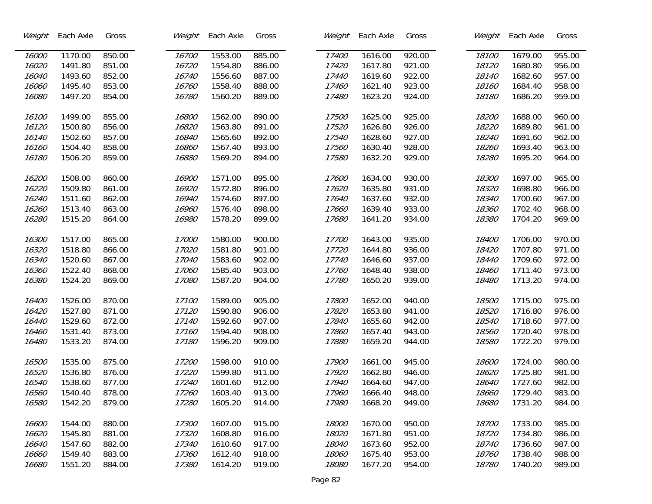| Weight | Each Axle | Gross  | Weight | Each Axle | Gross  | Weight | Each Axle | Gross  | Weight | Each Axle | Gross  |
|--------|-----------|--------|--------|-----------|--------|--------|-----------|--------|--------|-----------|--------|
| 16000  | 1170.00   | 850.00 | 16700  | 1553.00   | 885.00 | 17400  | 1616.00   | 920.00 | 18100  | 1679.00   | 955.00 |
| 16020  | 1491.80   | 851.00 | 16720  | 1554.80   | 886.00 | 17420  | 1617.80   | 921.00 | 18120  | 1680.80   | 956.00 |
| 16040  | 1493.60   | 852.00 | 16740  | 1556.60   | 887.00 | 17440  | 1619.60   | 922.00 | 18140  | 1682.60   | 957.00 |
| 16060  | 1495.40   | 853.00 | 16760  | 1558.40   | 888.00 | 17460  | 1621.40   | 923.00 | 18160  | 1684.40   | 958.00 |
| 16080  | 1497.20   | 854.00 | 16780  | 1560.20   | 889.00 | 17480  | 1623.20   | 924.00 | 18180  | 1686.20   | 959.00 |
|        |           |        |        |           |        |        |           |        |        |           |        |
| 16100  | 1499.00   | 855.00 | 16800  | 1562.00   | 890.00 | 17500  | 1625.00   | 925.00 | 18200  | 1688.00   | 960.00 |
| 16120  | 1500.80   | 856.00 | 16820  | 1563.80   | 891.00 | 17520  | 1626.80   | 926.00 | 18220  | 1689.80   | 961.00 |
| 16140  | 1502.60   | 857.00 | 16840  | 1565.60   | 892.00 | 17540  | 1628.60   | 927.00 | 18240  | 1691.60   | 962.00 |
| 16160  | 1504.40   | 858.00 | 16860  | 1567.40   | 893.00 | 17560  | 1630.40   | 928.00 | 18260  | 1693.40   | 963.00 |
| 16180  | 1506.20   | 859.00 | 16880  | 1569.20   | 894.00 | 17580  | 1632.20   | 929.00 | 18280  | 1695.20   | 964.00 |
|        |           |        |        |           |        |        |           |        |        |           |        |
| 16200  | 1508.00   | 860.00 | 16900  | 1571.00   | 895.00 | 17600  | 1634.00   | 930.00 | 18300  | 1697.00   | 965.00 |
| 16220  | 1509.80   | 861.00 | 16920  | 1572.80   | 896.00 | 17620  | 1635.80   | 931.00 | 18320  | 1698.80   | 966.00 |
| 16240  | 1511.60   | 862.00 | 16940  | 1574.60   | 897.00 | 17640  | 1637.60   | 932.00 | 18340  | 1700.60   | 967.00 |
| 16260  | 1513.40   | 863.00 | 16960  | 1576.40   | 898.00 | 17660  | 1639.40   | 933.00 | 18360  | 1702.40   | 968.00 |
| 16280  | 1515.20   | 864.00 | 16980  | 1578.20   | 899.00 | 17680  | 1641.20   | 934.00 | 18380  | 1704.20   | 969.00 |
|        |           |        |        |           |        |        |           |        |        |           |        |
| 16300  | 1517.00   | 865.00 | 17000  | 1580.00   | 900.00 | 17700  | 1643.00   | 935.00 | 18400  | 1706.00   | 970.00 |
| 16320  | 1518.80   | 866.00 | 17020  | 1581.80   | 901.00 | 17720  | 1644.80   | 936.00 | 18420  | 1707.80   | 971.00 |
| 16340  | 1520.60   | 867.00 | 17040  | 1583.60   | 902.00 | 17740  | 1646.60   | 937.00 | 18440  | 1709.60   | 972.00 |
| 16360  | 1522.40   | 868.00 | 17060  | 1585.40   | 903.00 | 17760  | 1648.40   | 938.00 | 18460  | 1711.40   | 973.00 |
| 16380  | 1524.20   | 869.00 | 17080  | 1587.20   | 904.00 | 17780  | 1650.20   | 939.00 | 18480  | 1713.20   | 974.00 |
|        |           |        |        |           |        |        |           |        |        |           |        |
| 16400  | 1526.00   | 870.00 | 17100  | 1589.00   | 905.00 | 17800  | 1652.00   | 940.00 | 18500  | 1715.00   | 975.00 |
| 16420  | 1527.80   | 871.00 | 17120  | 1590.80   | 906.00 | 17820  | 1653.80   | 941.00 | 18520  | 1716.80   | 976.00 |
| 16440  | 1529.60   | 872.00 | 17140  | 1592.60   | 907.00 | 17840  | 1655.60   | 942.00 | 18540  | 1718.60   | 977.00 |
| 16460  | 1531.40   | 873.00 | 17160  | 1594.40   | 908.00 | 17860  | 1657.40   | 943.00 | 18560  | 1720.40   | 978.00 |
| 16480  | 1533.20   | 874.00 | 17180  | 1596.20   | 909.00 | 17880  | 1659.20   | 944.00 | 18580  | 1722.20   | 979.00 |
|        |           |        |        |           |        |        |           |        |        |           |        |
| 16500  | 1535.00   | 875.00 | 17200  | 1598.00   | 910.00 | 17900  | 1661.00   | 945.00 | 18600  | 1724.00   | 980.00 |
| 16520  | 1536.80   | 876.00 | 17220  | 1599.80   | 911.00 | 17920  | 1662.80   | 946.00 | 18620  | 1725.80   | 981.00 |
| 16540  | 1538.60   | 877.00 | 17240  | 1601.60   | 912.00 | 17940  | 1664.60   | 947.00 | 18640  | 1727.60   | 982.00 |
| 16560  | 1540.40   | 878.00 | 17260  | 1603.40   | 913.00 | 17960  | 1666.40   | 948.00 | 18660  | 1729.40   | 983.00 |
| 16580  | 1542.20   | 879.00 | 17280  | 1605.20   | 914.00 | 17980  | 1668.20   | 949.00 | 18680  | 1731.20   | 984.00 |
|        |           |        |        |           |        |        |           |        |        |           |        |
| 16600  | 1544.00   | 880.00 | 17300  | 1607.00   | 915.00 | 18000  | 1670.00   | 950.00 | 18700  | 1733.00   | 985.00 |
| 16620  | 1545.80   | 881.00 | 17320  | 1608.80   | 916.00 | 18020  | 1671.80   | 951.00 | 18720  | 1734.80   | 986.00 |
| 16640  | 1547.60   | 882.00 | 17340  | 1610.60   | 917.00 | 18040  | 1673.60   | 952.00 | 18740  | 1736.60   | 987.00 |
| 16660  | 1549.40   | 883.00 | 17360  | 1612.40   | 918.00 | 18060  | 1675.40   | 953.00 | 18760  | 1738.40   | 988.00 |
| 16680  | 1551.20   | 884.00 | 17380  | 1614.20   | 919.00 | 18080  | 1677.20   | 954.00 | 18780  | 1740.20   | 989.00 |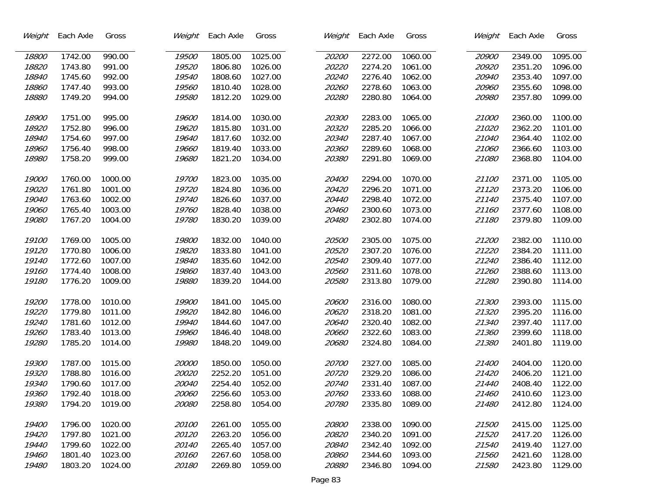| Weight | Each Axle | Gross   | Weight       | Each Axle | Gross   | Weight | Each Axle | Gross   | Weight | Each Axle | Gross   |
|--------|-----------|---------|--------------|-----------|---------|--------|-----------|---------|--------|-----------|---------|
| 18800  | 1742.00   | 990.00  | 19500        | 1805.00   | 1025.00 | 20200  | 2272.00   | 1060.00 | 20900  | 2349.00   | 1095.00 |
| 18820  | 1743.80   | 991.00  | 19520        | 1806.80   | 1026.00 | 20220  | 2274.20   | 1061.00 | 20920  | 2351.20   | 1096.00 |
| 18840  | 1745.60   | 992.00  | 19540        | 1808.60   | 1027.00 | 20240  | 2276.40   | 1062.00 | 20940  | 2353.40   | 1097.00 |
| 18860  | 1747.40   | 993.00  | 19560        | 1810.40   | 1028.00 | 20260  | 2278.60   | 1063.00 | 20960  | 2355.60   | 1098.00 |
| 18880  | 1749.20   | 994.00  | 19580        | 1812.20   | 1029.00 | 20280  | 2280.80   | 1064.00 | 20980  | 2357.80   | 1099.00 |
|        |           |         |              |           |         |        |           |         |        |           |         |
| 18900  | 1751.00   | 995.00  | 19600        | 1814.00   | 1030.00 | 20300  | 2283.00   | 1065.00 | 21000  | 2360.00   | 1100.00 |
| 18920  | 1752.80   | 996.00  | 19620        | 1815.80   | 1031.00 | 20320  | 2285.20   | 1066.00 | 21020  | 2362.20   | 1101.00 |
| 18940  | 1754.60   | 997.00  | 19640        | 1817.60   | 1032.00 | 20340  | 2287.40   | 1067.00 | 21040  | 2364.40   | 1102.00 |
| 18960  | 1756.40   | 998.00  | 19660        | 1819.40   | 1033.00 | 20360  | 2289.60   | 1068.00 | 21060  | 2366.60   | 1103.00 |
| 18980  | 1758.20   | 999.00  | 19680        | 1821.20   | 1034.00 | 20380  | 2291.80   | 1069.00 | 21080  | 2368.80   | 1104.00 |
|        |           |         |              |           |         |        |           |         |        |           |         |
| 19000  | 1760.00   | 1000.00 | 19700        | 1823.00   | 1035.00 | 20400  | 2294.00   | 1070.00 | 21100  | 2371.00   | 1105.00 |
| 19020  | 1761.80   | 1001.00 | 19720        | 1824.80   | 1036.00 | 20420  | 2296.20   | 1071.00 | 21120  | 2373.20   | 1106.00 |
| 19040  | 1763.60   | 1002.00 | 19740        | 1826.60   | 1037.00 | 20440  | 2298.40   | 1072.00 | 21140  | 2375.40   | 1107.00 |
| 19060  | 1765.40   | 1003.00 | 19760        | 1828.40   | 1038.00 | 20460  | 2300.60   | 1073.00 | 21160  | 2377.60   | 1108.00 |
| 19080  | 1767.20   | 1004.00 | 19780        | 1830.20   | 1039.00 | 20480  | 2302.80   | 1074.00 | 21180  | 2379.80   | 1109.00 |
|        |           |         |              |           |         |        |           |         |        |           |         |
| 19100  | 1769.00   | 1005.00 | 19800        | 1832.00   | 1040.00 | 20500  | 2305.00   | 1075.00 | 21200  | 2382.00   | 1110.00 |
| 19120  | 1770.80   | 1006.00 | 19820        | 1833.80   | 1041.00 | 20520  | 2307.20   | 1076.00 | 21220  | 2384.20   | 1111.00 |
| 19140  | 1772.60   | 1007.00 | 19840        | 1835.60   | 1042.00 | 20540  | 2309.40   | 1077.00 | 21240  | 2386.40   | 1112.00 |
| 19160  | 1774.40   | 1008.00 | 19860        | 1837.40   | 1043.00 | 20560  | 2311.60   | 1078.00 | 21260  | 2388.60   | 1113.00 |
| 19180  | 1776.20   | 1009.00 | 19880        | 1839.20   | 1044.00 | 20580  | 2313.80   | 1079.00 | 21280  | 2390.80   | 1114.00 |
|        |           |         |              |           |         |        |           |         |        |           |         |
| 19200  | 1778.00   | 1010.00 | 19900        | 1841.00   | 1045.00 | 20600  | 2316.00   | 1080.00 | 21300  | 2393.00   | 1115.00 |
| 19220  | 1779.80   | 1011.00 | 19920        | 1842.80   | 1046.00 | 20620  | 2318.20   | 1081.00 | 21320  | 2395.20   | 1116.00 |
| 19240  | 1781.60   | 1012.00 | 19940        | 1844.60   | 1047.00 | 20640  | 2320.40   | 1082.00 | 21340  | 2397.40   | 1117.00 |
| 19260  | 1783.40   | 1013.00 | 19960        | 1846.40   | 1048.00 | 20660  | 2322.60   | 1083.00 | 21360  | 2399.60   | 1118.00 |
| 19280  | 1785.20   | 1014.00 | 19980        | 1848.20   | 1049.00 | 20680  | 2324.80   | 1084.00 | 21380  | 2401.80   | 1119.00 |
|        |           |         |              |           |         |        |           |         |        |           |         |
| 19300  | 1787.00   | 1015.00 | 20000        | 1850.00   | 1050.00 | 20700  | 2327.00   | 1085.00 | 21400  | 2404.00   | 1120.00 |
| 19320  | 1788.80   | 1016.00 | 20020        | 2252.20   | 1051.00 | 20720  | 2329.20   | 1086.00 | 21420  | 2406.20   | 1121.00 |
| 19340  | 1790.60   | 1017.00 | 20040        | 2254.40   | 1052.00 | 20740  | 2331.40   | 1087.00 | 21440  | 2408.40   | 1122.00 |
| 19360  | 1792.40   | 1018.00 | <i>20060</i> | 2256.60   | 1053.00 | 20760  | 2333.60   | 1088.00 | 21460  | 2410.60   | 1123.00 |
| 19380  | 1794.20   | 1019.00 | <i>20080</i> | 2258.80   | 1054.00 | 20780  | 2335.80   | 1089.00 | 21480  | 2412.80   | 1124.00 |
|        |           |         |              |           |         |        |           |         |        |           |         |
| 19400  | 1796.00   | 1020.00 | 20100        | 2261.00   | 1055.00 | 20800  | 2338.00   | 1090.00 | 21500  | 2415.00   | 1125.00 |
| 19420  | 1797.80   | 1021.00 | 20120        | 2263.20   | 1056.00 | 20820  | 2340.20   | 1091.00 | 21520  | 2417.20   | 1126.00 |
| 19440  | 1799.60   | 1022.00 | 20140        | 2265.40   | 1057.00 | 20840  | 2342.40   | 1092.00 | 21540  | 2419.40   | 1127.00 |
| 19460  | 1801.40   | 1023.00 | 20160        | 2267.60   | 1058.00 | 20860  | 2344.60   | 1093.00 | 21560  | 2421.60   | 1128.00 |
| 19480  | 1803.20   | 1024.00 | 20180        | 2269.80   | 1059.00 | 20880  | 2346.80   | 1094.00 | 21580  | 2423.80   | 1129.00 |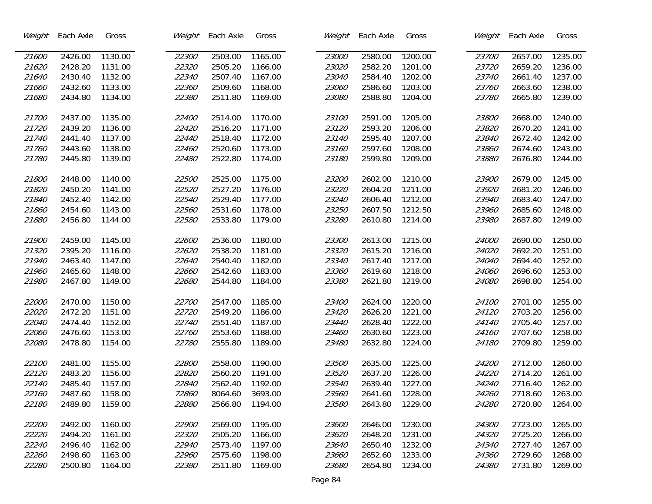| Weight | Each Axle | Gross   | Weight | Each Axle | Gross   | Weight | Each Axle | Gross   | Weight       | Each Axle | Gross   |
|--------|-----------|---------|--------|-----------|---------|--------|-----------|---------|--------------|-----------|---------|
| 21600  | 2426.00   | 1130.00 | 22300  | 2503.00   | 1165.00 | 23000  | 2580.00   | 1200.00 | 23700        | 2657.00   | 1235.00 |
| 21620  | 2428.20   | 1131.00 | 22320  | 2505.20   | 1166.00 | 23020  | 2582.20   | 1201.00 | 23720        | 2659.20   | 1236.00 |
| 21640  | 2430.40   | 1132.00 | 22340  | 2507.40   | 1167.00 | 23040  | 2584.40   | 1202.00 | 23740        | 2661.40   | 1237.00 |
| 21660  | 2432.60   | 1133.00 | 22360  | 2509.60   | 1168.00 | 23060  | 2586.60   | 1203.00 | 23760        | 2663.60   | 1238.00 |
| 21680  | 2434.80   | 1134.00 | 22380  | 2511.80   | 1169.00 | 23080  | 2588.80   | 1204.00 | 23780        | 2665.80   | 1239.00 |
|        |           |         |        |           |         |        |           |         |              |           |         |
| 21700  | 2437.00   | 1135.00 | 22400  | 2514.00   | 1170.00 | 23100  | 2591.00   | 1205.00 | 23800        | 2668.00   | 1240.00 |
| 21720  | 2439.20   | 1136.00 | 22420  | 2516.20   | 1171.00 | 23120  | 2593.20   | 1206.00 | 23820        | 2670.20   | 1241.00 |
| 21740  | 2441.40   | 1137.00 | 22440  | 2518.40   | 1172.00 | 23140  | 2595.40   | 1207.00 | 23840        | 2672.40   | 1242.00 |
| 21760  | 2443.60   | 1138.00 | 22460  | 2520.60   | 1173.00 | 23160  | 2597.60   | 1208.00 | 23860        | 2674.60   | 1243.00 |
| 21780  | 2445.80   | 1139.00 | 22480  | 2522.80   | 1174.00 | 23180  | 2599.80   | 1209.00 | 23880        | 2676.80   | 1244.00 |
|        |           |         |        |           |         |        |           |         |              |           |         |
| 21800  | 2448.00   | 1140.00 | 22500  | 2525.00   | 1175.00 | 23200  | 2602.00   | 1210.00 | 23900        | 2679.00   | 1245.00 |
| 21820  | 2450.20   | 1141.00 | 22520  | 2527.20   | 1176.00 | 23220  | 2604.20   | 1211.00 | 23920        | 2681.20   | 1246.00 |
| 21840  | 2452.40   | 1142.00 | 22540  | 2529.40   | 1177.00 | 23240  | 2606.40   | 1212.00 | 23940        | 2683.40   | 1247.00 |
| 21860  | 2454.60   | 1143.00 | 22560  | 2531.60   | 1178.00 | 23250  | 2607.50   | 1212.50 | 23960        | 2685.60   | 1248.00 |
| 21880  | 2456.80   | 1144.00 | 22580  | 2533.80   | 1179.00 | 23280  | 2610.80   | 1214.00 | 23980        | 2687.80   | 1249.00 |
|        |           |         |        |           |         |        |           |         |              |           |         |
| 21900  | 2459.00   | 1145.00 | 22600  | 2536.00   | 1180.00 | 23300  | 2613.00   | 1215.00 | 24000        | 2690.00   | 1250.00 |
| 21320  | 2395.20   | 1116.00 | 22620  | 2538.20   | 1181.00 | 23320  | 2615.20   | 1216.00 | 24020        | 2692.20   | 1251.00 |
| 21940  | 2463.40   | 1147.00 | 22640  | 2540.40   | 1182.00 | 23340  | 2617.40   | 1217.00 | 24040        | 2694.40   | 1252.00 |
| 21960  | 2465.60   | 1148.00 | 22660  | 2542.60   | 1183.00 | 23360  | 2619.60   | 1218.00 | 24060        | 2696.60   | 1253.00 |
| 21980  | 2467.80   | 1149.00 | 22680  | 2544.80   | 1184.00 | 23380  | 2621.80   | 1219.00 | <i>24080</i> | 2698.80   | 1254.00 |
|        |           |         |        |           |         |        |           |         |              |           |         |
| 22000  | 2470.00   | 1150.00 | 22700  | 2547.00   | 1185.00 | 23400  | 2624.00   | 1220.00 | 24100        | 2701.00   | 1255.00 |
| 22020  | 2472.20   | 1151.00 | 22720  | 2549.20   | 1186.00 | 23420  | 2626.20   | 1221.00 | 24120        | 2703.20   | 1256.00 |
| 22040  | 2474.40   | 1152.00 | 22740  | 2551.40   | 1187.00 | 23440  | 2628.40   | 1222.00 | 24140        | 2705.40   | 1257.00 |
| 22060  | 2476.60   | 1153.00 | 22760  | 2553.60   | 1188.00 | 23460  | 2630.60   | 1223.00 | 24160        | 2707.60   | 1258.00 |
| 22080  | 2478.80   | 1154.00 | 22780  | 2555.80   | 1189.00 | 23480  | 2632.80   | 1224.00 | 24180        | 2709.80   | 1259.00 |
|        |           |         |        |           |         |        |           |         |              |           |         |
| 22100  | 2481.00   | 1155.00 | 22800  | 2558.00   | 1190.00 | 23500  | 2635.00   | 1225.00 | 24200        | 2712.00   | 1260.00 |
| 22120  | 2483.20   | 1156.00 | 22820  | 2560.20   | 1191.00 | 23520  | 2637.20   | 1226.00 | 24220        | 2714.20   | 1261.00 |
| 22140  | 2485.40   | 1157.00 | 22840  | 2562.40   | 1192.00 | 23540  | 2639.40   | 1227.00 | 24240        | 2716.40   | 1262.00 |
| 22160  | 2487.60   | 1158.00 | 72860  | 8064.60   | 3693.00 | 23560  | 2641.60   | 1228.00 | 24260        | 2718.60   | 1263.00 |
| 22180  | 2489.80   | 1159.00 | 22880  | 2566.80   | 1194.00 | 23580  | 2643.80   | 1229.00 | 24280        | 2720.80   | 1264.00 |
| 22200  | 2492.00   | 1160.00 | 22900  | 2569.00   | 1195.00 | 23600  | 2646.00   | 1230.00 | 24300        | 2723.00   | 1265.00 |
| 22220  | 2494.20   | 1161.00 | 22320  | 2505.20   | 1166.00 | 23620  | 2648.20   | 1231.00 | 24320        | 2725.20   | 1266.00 |
| 22240  | 2496.40   | 1162.00 | 22940  | 2573.40   | 1197.00 | 23640  | 2650.40   | 1232.00 | 24340        | 2727.40   | 1267.00 |
| 22260  | 2498.60   | 1163.00 | 22960  | 2575.60   | 1198.00 | 23660  | 2652.60   | 1233.00 | 24360        | 2729.60   | 1268.00 |
| 22280  | 2500.80   | 1164.00 | 22380  | 2511.80   | 1169.00 | 23680  | 2654.80   | 1234.00 | 24380        | 2731.80   | 1269.00 |
|        |           |         |        |           |         |        |           |         |              |           |         |